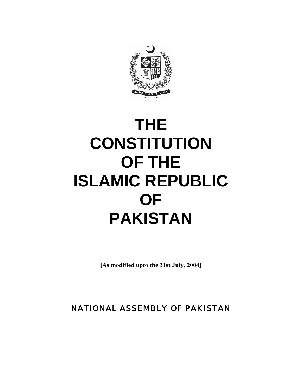

# **THE CONSTITUTION OF THE ISLAMIC REPUBLIC OF PAKISTAN**

**[As modified upto the 31st July, 2004]** 

# NATIONAL ASSEMBLY OF PAKISTAN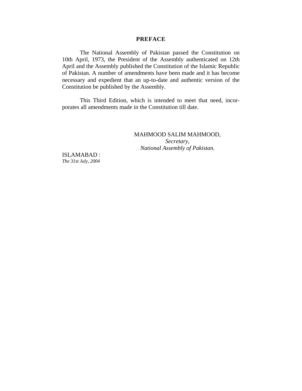# **PREFACE**

The National Assembly of Pakistan passed the Constitution on 10th April, 1973, the President of the Assembly authenticated on 12th April and the Assembly published the Constitution of the Islamic Republic of Pakistan. A number of amendments have been made and it has become necessary and expedient that an up-to-date and authentic version of the Constitution be published by the Assembly.

This Third Edition, which is intended to meet that need, incorporates all amendments made in the Constitution till date.

# MAHMOOD SALIM MAHMOOD, *Secretary, National Assembly of Pakistan.*

ISLAMABAD : *The 31st July, 2004*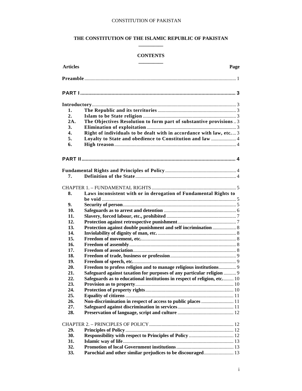# **THE CONSTITUTION OF THE ISLAMIC REPUBLIC OF PAKISTAN \_\_\_\_\_\_\_\_\_\_**

# **CONTENTS**

| <b>Articles</b>  |                                                                          | Page |
|------------------|--------------------------------------------------------------------------|------|
|                  |                                                                          |      |
|                  |                                                                          |      |
|                  |                                                                          |      |
| 1.               |                                                                          |      |
| $\overline{2}$ . |                                                                          |      |
| 2A.              | The Objectives Resolution to form part of substantive provisions3        |      |
| 3.               |                                                                          |      |
| 4.               | Right of individuals to be dealt with in accordance with law, etc 3      |      |
| 5.               | Loyalty to State and obedience to Constitution and law  4                |      |
| 6.               |                                                                          |      |
|                  |                                                                          |      |
|                  |                                                                          |      |
|                  |                                                                          |      |
| 7.               |                                                                          |      |
|                  |                                                                          |      |
|                  |                                                                          |      |
| 8.               | Laws inconsistent with or in derogation of Fundamental Rights to         |      |
|                  |                                                                          |      |
| 9.               |                                                                          |      |
| 10.              |                                                                          |      |
| 11.              |                                                                          |      |
| 12.              |                                                                          |      |
| 13.              | Protection against double punishment and self incrimination  8           |      |
| 14.              |                                                                          |      |
| 15.              |                                                                          |      |
| 16.              |                                                                          |      |
| 17.              |                                                                          |      |
| 18.              |                                                                          |      |
| 19.              |                                                                          |      |
| 20.              | Freedom to profess religion and to manage religious institutions 9       |      |
| 21.              | Safeguard against taxation for purposes of any particular religion  9    |      |
| 22.              | Safeguards as to educational institutions in respect of religion, etc 10 |      |
| 23.              |                                                                          |      |
| 24.              |                                                                          |      |
| 25.              |                                                                          |      |
| 26.              |                                                                          |      |
| 27.              |                                                                          |      |
| 28.              |                                                                          |      |
|                  |                                                                          |      |
| 29.              |                                                                          |      |
| 30.              |                                                                          |      |
| 31.              |                                                                          |      |
| 32.              |                                                                          |      |
| 33.              | Parochial and other similar prejudices to be discouraged 13              |      |
|                  |                                                                          |      |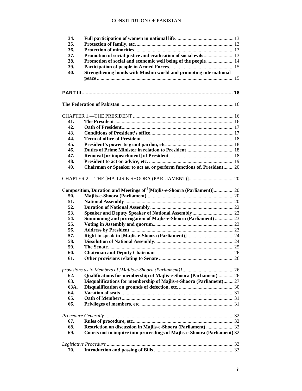| 34.  |                                                                                      |  |
|------|--------------------------------------------------------------------------------------|--|
| 35.  |                                                                                      |  |
| 36.  |                                                                                      |  |
| 37.  |                                                                                      |  |
| 38.  | Promotion of social and economic well being of the people 14                         |  |
| 39.  |                                                                                      |  |
| 40.  | Strengthening bonds with Muslim world and promoting international                    |  |
|      |                                                                                      |  |
|      |                                                                                      |  |
|      |                                                                                      |  |
|      |                                                                                      |  |
|      |                                                                                      |  |
| 41.  |                                                                                      |  |
| 42.  |                                                                                      |  |
| 43.  |                                                                                      |  |
| 44.  |                                                                                      |  |
| 45.  |                                                                                      |  |
| 46.  |                                                                                      |  |
| 47.  |                                                                                      |  |
| 48.  |                                                                                      |  |
| 49.  | Chairman or Speaker to act as, or perform functions of, President 20                 |  |
|      |                                                                                      |  |
|      |                                                                                      |  |
|      | Composition, Duration and Meetings of <sup>1</sup> [Majlis-e-Shoora (Parliament)] 20 |  |
| 50.  |                                                                                      |  |
| 51.  |                                                                                      |  |
| 52.  |                                                                                      |  |
| 53.  |                                                                                      |  |
| 54.  | Summoning and prorogation of Majlis-e-Shoora (Parliament)  23                        |  |
| 55.  |                                                                                      |  |
| 56.  |                                                                                      |  |
| 57.  |                                                                                      |  |
| 58.  |                                                                                      |  |
| 59.  |                                                                                      |  |
| 60.  |                                                                                      |  |
| 61.  |                                                                                      |  |
|      |                                                                                      |  |
|      |                                                                                      |  |
| 62.  | Qualifications for membership of Majlis-e-Shoora (Parliament)  26                    |  |
| 63.  | Disqualifications for membership of Majlis-e-Shoora (Parliament) 27                  |  |
| 63A. |                                                                                      |  |
| 64.  |                                                                                      |  |
| 65.  |                                                                                      |  |
| 66.  |                                                                                      |  |
|      |                                                                                      |  |
|      |                                                                                      |  |
| 67.  |                                                                                      |  |
| 68.  | Restriction on discussion in Majlis-e-Shoora (Parliament)  32                        |  |
| 69.  | Courts not to inquire into proceedings of Majlis-e-Shoora (Parliament) 32            |  |
|      |                                                                                      |  |
| 70.  |                                                                                      |  |
|      |                                                                                      |  |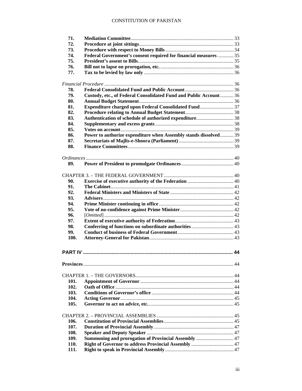| 71.  |                                                                   |  |
|------|-------------------------------------------------------------------|--|
| 72.  |                                                                   |  |
| 73.  |                                                                   |  |
| 74.  | Federal Government's consent required for financial measures  35  |  |
| 75.  |                                                                   |  |
| 76.  |                                                                   |  |
| 77.  |                                                                   |  |
|      |                                                                   |  |
|      |                                                                   |  |
| 78.  |                                                                   |  |
| 79.  | Custody, etc., of Federal Consolidated Fund and Public Account 36 |  |
| 80.  |                                                                   |  |
| 81.  |                                                                   |  |
| 82.  |                                                                   |  |
| 83.  |                                                                   |  |
| 84.  |                                                                   |  |
| 85.  |                                                                   |  |
| 86.  | Power to authorize expenditure when Assembly stands dissolved 39  |  |
| 87.  |                                                                   |  |
| 88.  |                                                                   |  |
|      |                                                                   |  |
|      |                                                                   |  |
| 89.  |                                                                   |  |
|      |                                                                   |  |
|      |                                                                   |  |
| 90.  |                                                                   |  |
| 91.  |                                                                   |  |
| 92.  |                                                                   |  |
| 93.  |                                                                   |  |
| 94.  |                                                                   |  |
| 95.  |                                                                   |  |
| 96.  |                                                                   |  |
| 97.  |                                                                   |  |
| 98.  |                                                                   |  |
| 99.  |                                                                   |  |
| 100. |                                                                   |  |
|      |                                                                   |  |
|      |                                                                   |  |
|      |                                                                   |  |
|      |                                                                   |  |
|      |                                                                   |  |
|      |                                                                   |  |
|      |                                                                   |  |
| 101. |                                                                   |  |
| 102. |                                                                   |  |
| 103. |                                                                   |  |
| 104. |                                                                   |  |
| 105. |                                                                   |  |
|      |                                                                   |  |
|      |                                                                   |  |
| 106. |                                                                   |  |
| 107. |                                                                   |  |
| 108. |                                                                   |  |
| 109. | Summoning and prorogation of Provincial Assembly  47              |  |
| 110. |                                                                   |  |
| 111. |                                                                   |  |
|      |                                                                   |  |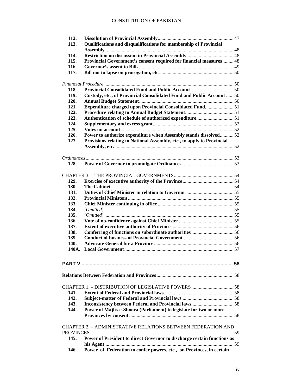| 112.  |                                                                         |  |  |  |  |
|-------|-------------------------------------------------------------------------|--|--|--|--|
| 113.  | Qualifications and disqualifications for membership of Provincial       |  |  |  |  |
| 114.  |                                                                         |  |  |  |  |
| 115.  | Provincial Government's consent required for financial measures 48      |  |  |  |  |
| 116.  |                                                                         |  |  |  |  |
| 117.  |                                                                         |  |  |  |  |
|       |                                                                         |  |  |  |  |
|       |                                                                         |  |  |  |  |
| 118.  |                                                                         |  |  |  |  |
| 119.  | Custody, etc., of Provincial Consolidated Fund and Public Account  50   |  |  |  |  |
| 120.  |                                                                         |  |  |  |  |
| 121.  | <b>Expenditure charged upon Provincial Consolidated Fund51</b>          |  |  |  |  |
| 122.  |                                                                         |  |  |  |  |
| 123.  |                                                                         |  |  |  |  |
| 124.  |                                                                         |  |  |  |  |
| 125.  |                                                                         |  |  |  |  |
| 126.  | Power to authorize expenditure when Assembly stands dissolved 52        |  |  |  |  |
| 127.  | Provisions relating to National Assembly, etc., to apply to Provincial  |  |  |  |  |
|       |                                                                         |  |  |  |  |
|       |                                                                         |  |  |  |  |
| 128.  |                                                                         |  |  |  |  |
|       |                                                                         |  |  |  |  |
|       |                                                                         |  |  |  |  |
| 129.  |                                                                         |  |  |  |  |
| 130.  |                                                                         |  |  |  |  |
| 131.  |                                                                         |  |  |  |  |
| 132.  |                                                                         |  |  |  |  |
| 133.  |                                                                         |  |  |  |  |
| 134.  |                                                                         |  |  |  |  |
| 135.  |                                                                         |  |  |  |  |
| 136.  |                                                                         |  |  |  |  |
| 137.  |                                                                         |  |  |  |  |
| 138.  |                                                                         |  |  |  |  |
| 139.  |                                                                         |  |  |  |  |
| 140.  |                                                                         |  |  |  |  |
| 140A. |                                                                         |  |  |  |  |
|       |                                                                         |  |  |  |  |
|       |                                                                         |  |  |  |  |
|       |                                                                         |  |  |  |  |
|       |                                                                         |  |  |  |  |
|       |                                                                         |  |  |  |  |
| 141.  |                                                                         |  |  |  |  |
| 142.  |                                                                         |  |  |  |  |
| 143.  |                                                                         |  |  |  |  |
| 144.  | Power of Majlis-e-Shoora (Parliament) to legislate for two or more      |  |  |  |  |
|       |                                                                         |  |  |  |  |
|       |                                                                         |  |  |  |  |
|       | <b>CHAPTER 2. - ADMINISTRATIVE RELATIONS BETWEEN FEDERATION AND</b>     |  |  |  |  |
|       |                                                                         |  |  |  |  |
| 145.  | Power of President to direct Governor to discharge certain functions as |  |  |  |  |
|       |                                                                         |  |  |  |  |
| 146.  | Power of Federation to confer powers, etc., on Provinces, in certain    |  |  |  |  |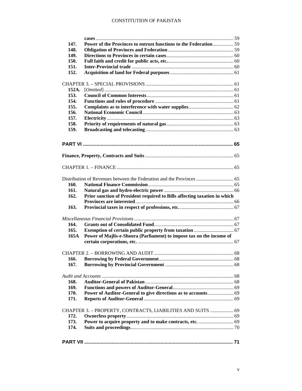| 147.  |                                                                           |  |
|-------|---------------------------------------------------------------------------|--|
| 148.  |                                                                           |  |
| 149.  |                                                                           |  |
| 150.  |                                                                           |  |
| 151.  |                                                                           |  |
| 152.  |                                                                           |  |
|       |                                                                           |  |
|       |                                                                           |  |
| 152A. |                                                                           |  |
| 153.  |                                                                           |  |
| 154.  |                                                                           |  |
| 155.  |                                                                           |  |
| 156.  |                                                                           |  |
| 157.  |                                                                           |  |
| 158.  |                                                                           |  |
| 159.  |                                                                           |  |
|       |                                                                           |  |
|       |                                                                           |  |
|       |                                                                           |  |
|       |                                                                           |  |
|       |                                                                           |  |
|       |                                                                           |  |
|       |                                                                           |  |
|       |                                                                           |  |
|       |                                                                           |  |
| 160.  |                                                                           |  |
| 161.  |                                                                           |  |
| 162.  | Prior sanction of President required to Bills affecting taxation in which |  |
|       |                                                                           |  |
| 163.  |                                                                           |  |
|       |                                                                           |  |
|       |                                                                           |  |
| 164.  |                                                                           |  |
| 165.  |                                                                           |  |
| 165A  | Power of Majlis-e-Shoora (Parliament) to impose tax on the income of      |  |
|       |                                                                           |  |
|       |                                                                           |  |
|       |                                                                           |  |
|       |                                                                           |  |
| 166.  |                                                                           |  |
| 167.  |                                                                           |  |
|       |                                                                           |  |
|       |                                                                           |  |
| 168.  |                                                                           |  |
| 169.  |                                                                           |  |
| 170.  |                                                                           |  |
| 171.  |                                                                           |  |
|       |                                                                           |  |
|       | CHAPTER 3. - PROPERTY, CONTRACTS, LIABILITIES AND SUITS  69               |  |
| 172.  |                                                                           |  |
| 173.  |                                                                           |  |
| 174.  |                                                                           |  |
|       |                                                                           |  |
|       |                                                                           |  |
|       |                                                                           |  |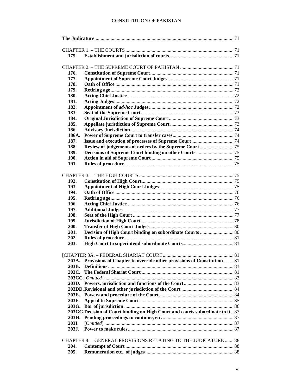| 175.  |                                                                              |  |  |  |
|-------|------------------------------------------------------------------------------|--|--|--|
|       |                                                                              |  |  |  |
| 176.  |                                                                              |  |  |  |
| 177.  |                                                                              |  |  |  |
| 178.  |                                                                              |  |  |  |
| 179.  |                                                                              |  |  |  |
| 180.  |                                                                              |  |  |  |
| 181.  |                                                                              |  |  |  |
| 182.  |                                                                              |  |  |  |
| 183.  |                                                                              |  |  |  |
| 184.  |                                                                              |  |  |  |
| 185.  |                                                                              |  |  |  |
| 186.  |                                                                              |  |  |  |
| 186A. |                                                                              |  |  |  |
| 187.  |                                                                              |  |  |  |
| 188.  |                                                                              |  |  |  |
| 189.  |                                                                              |  |  |  |
| 190.  |                                                                              |  |  |  |
| 191.  |                                                                              |  |  |  |
|       |                                                                              |  |  |  |
|       |                                                                              |  |  |  |
| 192.  |                                                                              |  |  |  |
| 193.  |                                                                              |  |  |  |
| 194.  |                                                                              |  |  |  |
| 195.  |                                                                              |  |  |  |
| 196.  |                                                                              |  |  |  |
| 197.  |                                                                              |  |  |  |
| 198.  |                                                                              |  |  |  |
| 199.  |                                                                              |  |  |  |
| 200.  |                                                                              |  |  |  |
| 201.  |                                                                              |  |  |  |
| 202.  |                                                                              |  |  |  |
| 203.  |                                                                              |  |  |  |
|       |                                                                              |  |  |  |
|       | 203A. Provisions of Chapter to override other provisions of Constitution  81 |  |  |  |
| 203B. |                                                                              |  |  |  |
| 203C. |                                                                              |  |  |  |
|       |                                                                              |  |  |  |
|       |                                                                              |  |  |  |
|       |                                                                              |  |  |  |
| 203E. |                                                                              |  |  |  |
| 203F. |                                                                              |  |  |  |
|       |                                                                              |  |  |  |
|       | 203GG.Decision of Court binding on High Court and courts subordinate to it87 |  |  |  |
|       |                                                                              |  |  |  |
| 203I. |                                                                              |  |  |  |
| 203J. |                                                                              |  |  |  |
|       |                                                                              |  |  |  |
|       | CHAPTER 4. - GENERAL PROVISIONS RELATING TO THE JUDICATURE  88               |  |  |  |
| 204.  |                                                                              |  |  |  |
| 205.  |                                                                              |  |  |  |
|       |                                                                              |  |  |  |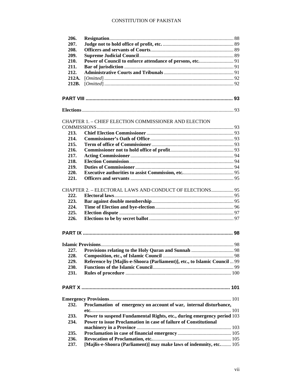| 206.  |                                                                           |  |
|-------|---------------------------------------------------------------------------|--|
| 207.  |                                                                           |  |
| 208.  |                                                                           |  |
| 209.  |                                                                           |  |
| 210.  |                                                                           |  |
| 211.  |                                                                           |  |
|       |                                                                           |  |
| 212.  |                                                                           |  |
| 212A. |                                                                           |  |
| 212B. |                                                                           |  |
|       |                                                                           |  |
|       |                                                                           |  |
|       |                                                                           |  |
|       | CHAPTER 1. – CHIEF ELECTION COMMISSIONER AND ELECTION                     |  |
|       |                                                                           |  |
| 213.  |                                                                           |  |
| 214.  |                                                                           |  |
| 215.  |                                                                           |  |
| 216.  |                                                                           |  |
| 217.  |                                                                           |  |
| 218.  |                                                                           |  |
| 219.  |                                                                           |  |
|       |                                                                           |  |
| 220.  |                                                                           |  |
| 221.  |                                                                           |  |
|       |                                                                           |  |
|       | CHAPTER 2. - ELECTORAL LAWS AND CONDUCT OF ELECTIONS 95                   |  |
| 222.  |                                                                           |  |
| 223.  |                                                                           |  |
| 224.  |                                                                           |  |
| 225.  |                                                                           |  |
| 226.  |                                                                           |  |
|       |                                                                           |  |
|       |                                                                           |  |
|       |                                                                           |  |
| 227.  |                                                                           |  |
|       |                                                                           |  |
| 229.  | Reference by [Majlis-e-Shoora (Parliament)], etc., to Islamic Council  99 |  |
| 230.  |                                                                           |  |
| 231.  |                                                                           |  |
|       |                                                                           |  |
|       |                                                                           |  |
|       |                                                                           |  |
| 232.  | Proclamation of emergency on account of war, internal disturbance,        |  |
|       |                                                                           |  |
| 233.  | Power to suspend Fundamental Rights, etc., during emergency period 103    |  |
| 234.  | Power to issue Proclamation in case of failure of Constitutional          |  |
|       |                                                                           |  |
| 235.  |                                                                           |  |
| 236.  |                                                                           |  |
| 237.  | [Majlis-e-Shoora (Parliament)] may make laws of indemnity, etc 105        |  |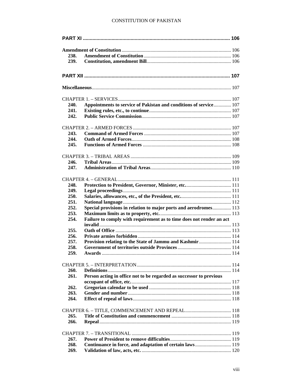| 238. |                                                                      |  |  |
|------|----------------------------------------------------------------------|--|--|
| 239. |                                                                      |  |  |
|      |                                                                      |  |  |
|      |                                                                      |  |  |
|      |                                                                      |  |  |
|      |                                                                      |  |  |
| 240. | Appointments to service of Pakistan and conditions of service 107    |  |  |
| 241. |                                                                      |  |  |
| 242. |                                                                      |  |  |
|      |                                                                      |  |  |
| 243. |                                                                      |  |  |
| 244. |                                                                      |  |  |
| 245. |                                                                      |  |  |
|      |                                                                      |  |  |
| 246. |                                                                      |  |  |
| 247. |                                                                      |  |  |
|      |                                                                      |  |  |
|      |                                                                      |  |  |
| 248. |                                                                      |  |  |
| 249. |                                                                      |  |  |
| 250. |                                                                      |  |  |
| 251. |                                                                      |  |  |
| 252. | Special provisions in relation to major ports and aerodromes 113     |  |  |
| 253. |                                                                      |  |  |
| 254. | Failure to comply with requirement as to time does not render an act |  |  |
|      |                                                                      |  |  |
| 255. |                                                                      |  |  |
| 256. |                                                                      |  |  |
| 257. | Provision relating to the State of Jammu and Kashmir 114             |  |  |
| 258. |                                                                      |  |  |
| 259. |                                                                      |  |  |
|      |                                                                      |  |  |
| 260. |                                                                      |  |  |
| 261. | Person acting in office not to be regarded as successor to previous  |  |  |
|      |                                                                      |  |  |
| 262. |                                                                      |  |  |
| 263. |                                                                      |  |  |
| 264. |                                                                      |  |  |
|      |                                                                      |  |  |
| 265. |                                                                      |  |  |
| 266. |                                                                      |  |  |
|      |                                                                      |  |  |
| 267. |                                                                      |  |  |
| 268. | Continuance in force, and adaptation of certain laws 119             |  |  |
| 269. |                                                                      |  |  |
|      |                                                                      |  |  |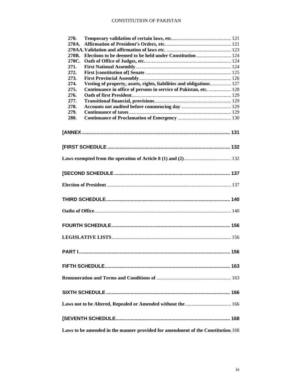| 270.  |                                                                                 |  |
|-------|---------------------------------------------------------------------------------|--|
| 270A. |                                                                                 |  |
|       |                                                                                 |  |
| 270B. | Elections to be deemed to be held under Constitution  124                       |  |
| 270C. |                                                                                 |  |
| 271.  |                                                                                 |  |
| 272.  |                                                                                 |  |
| 273.  |                                                                                 |  |
| 274.  | Vesting of property, assets, rights, liabilities and obligations 127            |  |
| 275.  | Continuance in office of persons in service of Pakistan, etc.  128              |  |
| 276.  |                                                                                 |  |
| 277.  |                                                                                 |  |
| 278.  |                                                                                 |  |
| 279.  |                                                                                 |  |
| 280.  |                                                                                 |  |
|       |                                                                                 |  |
|       |                                                                                 |  |
|       |                                                                                 |  |
|       |                                                                                 |  |
|       |                                                                                 |  |
|       |                                                                                 |  |
|       |                                                                                 |  |
|       |                                                                                 |  |
|       |                                                                                 |  |
|       |                                                                                 |  |
|       |                                                                                 |  |
|       |                                                                                 |  |
|       |                                                                                 |  |
|       |                                                                                 |  |
|       |                                                                                 |  |
|       |                                                                                 |  |
|       |                                                                                 |  |
|       |                                                                                 |  |
|       |                                                                                 |  |
|       |                                                                                 |  |
|       |                                                                                 |  |
|       | Laws to be amended in the manner provided for amendment of the Constitution.168 |  |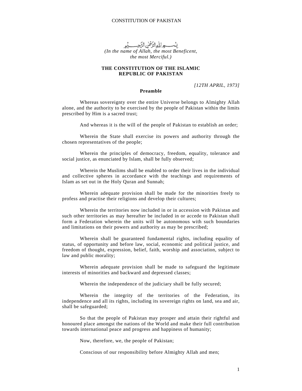<span id="page-11-0"></span>بنسسه اللوالتزخمن التنصيل *(In the name of Allah, the most Beneficent, the most Merciful.)* 

# **THE CONSTITUTION OF THE ISLAMIC REPUBLIC OF PAKISTAN**

*[12TH APRIL, 1973]* 

#### **Preamble**

Whereas sovereignty over the entire Universe belongs to Almighty Allah alone, and the authority to be exercised by the people of Pakistan within the limits prescribed by Him is a sacred trust;

And whereas it is the will of the people of Pakistan to establish an order;

Wherein the State shall exercise its powers and authority through the chosen representatives of the people;

Wherein the principles of democracy, freedom, equality, tolerance and social justice, as enunciated by Islam, shall be fully observed;

Wherein the Muslims shall be enabled to order their lives in the individual and collective spheres in accordance with the teachings and requirements of Islam as set out in the Holy Quran and Sunnah;

Wherein adequate provision shall be made for the minorities freely to profess and practise their religions and develop their cultures;

Wherein the territories now included in or in accession with Pakistan and such other territories as may hereafter be included in or accede to Pakistan shall form a Federation wherein the units will be autonomous with such boundaries and limitations on their powers and authority as may be prescribed;

Wherein shall be guaranteed fundamental rights, including equality of status, of opportunity and before law, social, economic and political justice, and freedom of thought, expression, belief, faith, worship and association, subject to law and public morality;

Wherein adequate provision shall be made to safeguard the legitimate interests of minorities and backward and depressed classes;

Wherein the independence of the judiciary shall be fully secured;

Wherein the integrity of the territories of the Federation, its independence and all its rights, including its sovereign rights on land, sea and air, shall be safeguarded;

So that the people of Pakistan may prosper and attain their rightful and honoured place amongst the nations of the World and make their full contribution towards international peace and progress and happiness of humanity;

Now, therefore, we, the people of Pakistan;

Conscious of our responsibility before Almighty Allah and men;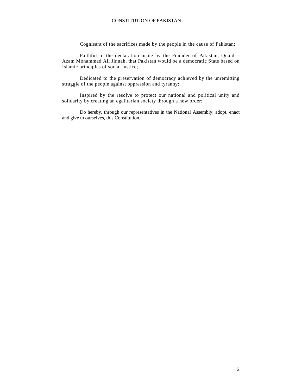Cognisant of the sacrifices made by the people in the cause of Pakistan;

Faithful to the declaration made by the Founder of Pakistan, Quaid-i-Azam Mohammad Ali Jinnah, that Pakistan would be a democratic State based on Islamic principles of social justice;

Dedicated to the preservation of democracy achieved by the unremitting struggle of the people against oppression and tyranny;

Inspired by the resolve to protect our national and political unity and solidarity by creating an egalitarian society through a new order;

Do hereby, through our representatives in the National Assembly, adopt, enact and give to ourselves, this Constitution.

\_\_\_\_\_\_\_\_\_\_\_\_\_\_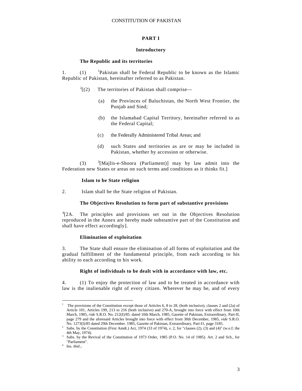## **PART I**

#### **Introductory**

#### **1. The Republic and its territories**

<span id="page-13-0"></span> $1. (1)$ Pakistan shall be Federal Republic to be known as the Islamic Republic of Pakistan, hereinafter referred to as Pakistan.

- $^{2}[(2)]$ The territories of Pakistan shall comprise—
	- (a) the Provinces of Baluchistan, the North West Frontier, the Punjab and Sind;
	- (b) the Islamabad Capital Territory, hereinafter referred to as the Federal Capital;
	- (c) the Federally Administered Tribal Areas; and
	- (d) such States and territories as are or may be included in Pakistan, whether by accession or otherwise.

 $(3)$  ${}^{3}$ [Majlis-e-Shoora (Parliament)] may by law admit into the Federation new States or areas on such terms and conditions as it thinks fit.]

#### **2. Islam to be State religion**

2. Islam shall be the State religion of Pakistan.

#### **The Objectives Resolution to form part of substantive provisions**

 $\frac{4}{2}$ [2A. The principles and provisions set out in the Objectives Resolution reproduced in the Annex are hereby made substantive part of the Constitution and shall have effect accordingly].

#### **3. Elimination of exploitation**

3. The State shall ensure the elimination of all forms of exploitation and the gradual fulfillment of the fundamental principle, from each according to his ability to each according to his work.

#### **4. Right of individuals to be dealt with in accordance with law, etc.**

4. (1) To enjoy the protection of law and to be treated in accordance with law is the inalienable right of every citizen. Wherever he may be, and of every

<sup>1</sup> The provisions of the Constitution except those of Articles 6, 8 to 28, (both inclusive), clauses 2 and (2a) of Article 101, Articles 199, 213 to 216 (both inclusive) and 270-A, brought into force with effect from 10th March, 1985, *ride* S.R.O. No. 212(I)/85. dated 10th March, 1985, Gazette of Pakistan, Extraordinary, Part-II, page 279 and the aforesaid Articles brought into force with effect from 30th December, 1985, *vide* S.R.O.

No. 1273(I)/85 dated 29th December. 1985, Gazette of Pakistan, Extraordinary, Part-I1, page 3185.<br><sup>2</sup> Subs. by the Constitution (First Amdt.) Act, 1974 (33 of 1974), s. 2, for "clauses (2), (3) and (4)" (w.e.f; the 4th May, 1974).<br><sup>3</sup> Subs. by the Revival of the Constitution of 1973 Order, 1985 (P.O. No. 14 of 1985). Art. 2 and Sch., for

<sup>&</sup>quot;Parliament". 4

<sup>&</sup>lt;sup>4</sup> Ins. *ibid.*;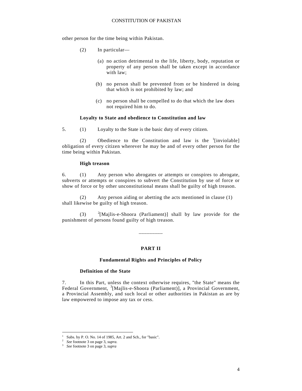<span id="page-14-0"></span>other person for the time being within Pakistan.

- (2) In particular—
	- (a) no action detrimental to the life, liberty, body, reputation or property of any person shall be taken except in accordance with law;
	- (b) no person shall be prevented from or be hindered in doing that which is not prohibited by law; and
	- (c) no person shall be compelled to do that which the law does not required him to do.

#### **5. Loyalty to State and obedience to Constitution and law**

5. (1) Loyalty to the State is the basic duty of every citizen.

(2) Obedience to the Constitution and law is the  $\frac{1}{2}$ [inviolable] obligation of every citizen wherever he may be and of every other person for the time being within Pakistan.

#### **6. High treason**

6. (1) Any person who abrogates or attempts or conspires to abrogate, subverts or attempts or conspires to subvert the Constitution by use of force or show of force or by other unconstitutional means shall be guilty of high treason.

(2) Any person aiding or abetting the acts mentioned in clause (1) shall likewise be guilty of high treason.

 $(3)$  $2$ [Majlis-e-Shoora (Parliament)] shall by law provide for the punishment of persons found guilty of high treason.

\_\_\_\_\_\_\_\_\_

#### **PART II**

#### **Fundamental Rights and Principles of Policy**

#### **7. Definition of the State**

7. In this Part, unless the context otherwise requires, "the State" means the Federal Government, <sup>3</sup>[Majlis-e-Shoora (Parliament)], a Provincial Government, a Provincial Assembly, and such local or other authorities in Pakistan as are by law empowered to impose any tax or cess.

<sup>1</sup> Subs. by P. O. No. 14 of 1985, Art. 2 and Sch., for "basic".

*See* footnote 3 on page 3*, supra.*

<sup>3</sup> *See* footnote 3 on page 3*, supra*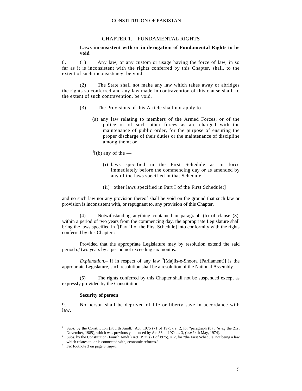#### CHAPTER 1. – FUNDAMENTAL RIGHTS

#### **8. Laws inconsistent with or in derogation of Fundamental Rights to be void**

<span id="page-15-0"></span>8. (1) Any law, or any custom or usage having the force of law, in so far as it is inconsistent with the rights conferred by this Chapter, shall, to the extent of such inconsistency, be void.

(2) The State shall not make any law which takes away or abridges the rights so conferred and any law made in contravention of this clause shall, to the extent of such contravention, be void.

- (3) The Provisions of this Article shall not apply to—
	- (a) any law relating to members of the Armed Forces, or of the police or of such other forces as are charged with the maintenance of public order, for the purpose of ensuring the proper discharge of their duties or the maintenance of discipline among them; or

 $\rm{^{1}}$ [(b) any of the —

- (i) laws specified in the First Schedule as in force immediately before the commencing day or as amended by any of the laws specified in that Schedule;
- (ii) other laws specified in Part I of the First Schedule;]

and no such law nor any provision thereof shall be void on the ground that such law or provision is inconsistent with, or repugnant to, any provision of this Chapter.

(4) Notwithstanding anything contained in paragraph (b) of clause (3), within a period of two years from the commencing day, the appropriate Legislature shall bring the laws specified in  ${}^{2}$ [Part II of the First Schedule] into conformity with the rights conferred by this Chapter :

Provided that the appropriate Legislature may by resolution extend the said period *of* two years by a period not exceeding six months.

*Explanation*. – If in respect of any law  $\frac{3}{1}$ [Majlis-e-Shoora (Parliament)] is the appropriate Legislature, such resolution shall be a resolution of the National Assembly.

(5) The rights conferred by this Chapter shall not be suspended except as expressly provided by the Constitution.

#### **9. Security of person**

9. No person shall be deprived of life or liberty save in accordance with law.

<sup>1</sup> Subs. by the Constitution (Fourth Amdt.) Act, 1975 (71 of 1975), s. 2, for "paragraph (b)", *(w.e.f* the 21st November, 1985), which was previously amended by Act 33 of 1974, s. 3, *(w.e.f* 4th May, 1974). 2

Subs. by the Constitution (Fourth Amdt.) Act, 1975 (71 of I975), s. 2, for "the First Schedule, not being a law which relates to, or is connected with, economic reforms."

*Sec* footnote 3 on page 3*, supra.*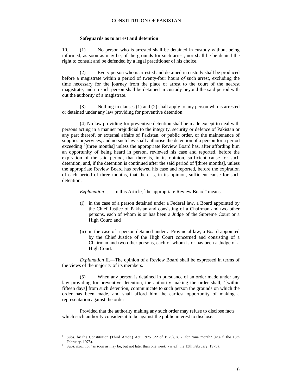#### **10. Safeguards as to arrest and detention**

<span id="page-16-0"></span>10. (1) No person who is arrested shall be detained in custody without being informed, as soon as may be, of the grounds for such arrest, nor shall he be denied the right to consult and be defended by a legal practitioner of his choice.

(2) Every person who is arrested and detained in custody shall be produced before a magistrate within a period of twenty-four hours *of* such arrest, excluding the time necessary for the journey from the place of arrest to the court of the nearest magistrate, and no such person shall be detained in custody beyond the said period with out the authority of a magistrate.

(3) Nothing in clauses (1) and (2) shall apply to any person who is arrested or detained under any law providing for preventive detention.

(4) No law providing for preventive detention shall be made except to deal with persons acting in a manner prejudicial to the integrity, security or defence of Pakistan or any part thereof, or external affairs of Pakistan, or public order, or the maintenance of supplies or services, and no such law shall authorise the detention of a person for a period exceeding <sup>1</sup>[three months] unless the appropriate Review Board has, after affording him an opportunity of being heard in person, reviewed his case and reported, before the expiration of the said period, that there is, in its opinion, sufficient cause for such detention, and, if the detention is continued after the said period of '[three months], unless the appropriate Review Board has reviewed his case and reported, before the expiration of each period of three months, that there is, in its opinion, sufficient cause for such detention.

*Explanation* I.— In this Article, " the appropriate Review Board" means,

- (i) in the case of a person detained under a Federal law, a Board appointed by the Chief Justice of Pakistan and consisting of a Chairman and two other persons, each of whom is or has been a Judge of the Supreme Court or a High Court; and
- (ii) in the case of a person detained under a Provincial law, a Board appointed by the Chief Justice of the High Court concerned and consisting of a Chairman and two other persons, each of whom is or has been a Judge of a High Court.

*Explanation* II.—The opinion of a Review Board shall be expressed in terms of the views of the majority of its members.

(5) When any person is detained in pursuance of an order made under any law providing for preventive detention, the authority making the order shall,  $^{2}$ [within fifteen days] from such detention, communicate to such person the grounds on which the order has been made, and shall afford him the earliest opportunity of making a representation against the order :

Provided that the authority making any such order may refuse to disclose facts which such authority considers it to be against the public interest to disclose.

<sup>1</sup> Subs. by the Constitution (Third Amdt.) Act, 1975 (22 of 1975), s. 2, for "one month" (w.e.,f. the 13th February. 1975). February. 1975).<br><sup>2</sup> Subs. *ibid.*, for "as soon as may be, but not later than one week" (w.e.f. the 13th February, 1975).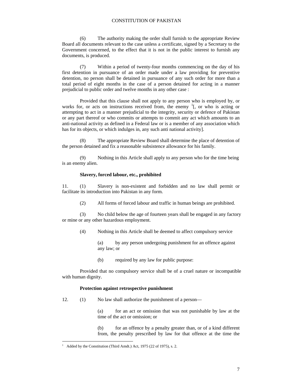<span id="page-17-0"></span>(6) The authority making the order shall furnish to the appropriate Review Board all documents relevant to the case unless a certificate, signed by a Secretary to the Government concerned, to the effect that it is not in the public interest to furnish any documents, is produced.

(7) Within a period of twenty-four months commencing on the day of his first detention in pursuance of an order made under a law providing for preventive detention, no person shall be detained in pursuance of any such order for more than a total period of eight months in the case of a person detained for acting in a manner prejudicial to public order and twelve months in any other case :

Provided that this clause shall not apply to any person who is employed by, or works for, or acts on instructions received from, the enemy  $\frac{1}{1}$ , or who is acting or attempting to act in a manner prejudicial to the integrity, security or defence of Pakistan or any part thereof or who commits or attempts to commit any act which amounts to an anti-national activity as defined in a Federal law or is a member of any association which has for its objects, or which indulges in, any such anti national activity].

(8) The appropriate Review Board shall determine the place of detention of the person detained and fix a reasonable subsistence allowance for his family.

(9) Nothing in this Article shall apply to any person who for the time being is an enemy alien.

#### **11. Slavery, forced labour, etc., prohibited**

11. (1) Slavery is non-existent and forbidden and no law shall permit or facilitate its introduction into Pakistan in any form.

(2) All forms of forced labour and traffic in human beings are prohibited.

(3) No child below the age of fourteen years shall be engaged in any factory or mine or any other hazardous employment.

(4) Nothing in this Article shall be deemed to affect compulsory service

(a) by any person undergoing punishment for an offence against any law; or

(b) required by any law for public purpose:

Provided that no compulsory service shall be of a cruel nature or incompatible with human dignity.

#### **12. Protection against retrospective punishment**

- 12. (1) No law shall authorize the punishment of a person—
	- (a) for an act or omission that was not punishable by law at the time of the act or omission; or
	- (b) for an offence by a penalty greater than, or of a kind different from, the penalty prescribed by law for that offence at the time the

<sup>1</sup> Added by the Constitution (Third Amdt.) Act, 1975 (22 of 1975), s. 2.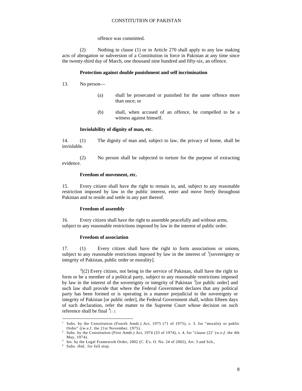offence was committed.

<span id="page-18-0"></span>(2) Nothing in clause (1) or in Article 270 shall apply to any law making acts of abrogation or subversion of a Constitution in force in Pakistan at any time since the twenty-third day of March, one thousand nine hundred and fifty-six, an offence.

#### **13. Protection against double punishment and self incrimination**

- 13. No person—
	- (a) shall be prosecuted or punished for the same offence more than once; or
	- (b) shall, when accused of an offence, be compelled to be a witness against himself.

#### **14. Inviolability of dignity of man, etc.**

14. (1) The dignity of man and, subject to law, the privacy of home, shall be inviolable.

(2) No person shall be subjected to torture for the purpose of extracting evidence.

#### **15. Freedom of movement, etc.**

15. Every citizen shall have the right to remain in, and, subject to any reasonable restriction imposed by law in the public interest, enter and move freely throughout Pakistan and to reside and settle in any part thereof.

#### **16. Freedom of assembly**

16. Every citizen shall have the right to assemble peacefully and without arms, subject to any reasonable restrictions imposed by law in the interest of public order.

#### **17. Freedom of association**

17. (1) Every citizen shall have the right to form associations or unions, subject to any reasonable restrictions imposed by law in the interest of  $\frac{1}{2}$ [sovereignty or integrity of Pakistan, public order or morality].

 $2^{2}(2)$  Every citizen, not being in the service of Pakistan, shall have the right to form or be a member of a political party, subject to any reasonable restrictions imposed by law in the interest of the sovereignty or integrity of Pakistan <sup>3</sup>[or public order] and such law shall provide that where the Federal Government declares that any political party has been formed or is operating in a manner prejudicial to the sovereignty or integrity of Pakistan [or public order], the Federal Government shall, within fifteen days of such declaration, refer the matter to the Supreme Court whose decision on such reference shall be final  $\frac{4}{1}$ :

<sup>1</sup> Subs. by the Constitution (Fourth Amdt.) Act, 1975 (71 of 1975), s. 3. for "morality or public Order" ((w.e.f. the 21st November, 1975).

Subs. by the Constitution (First Amdt.) Act, 1974 (33 of 1974), s. 4, for "clause (2)" (*w.e.f.* the 4th May, 1974).

Ins. by the Legal Framework Order, 2002 (C. E's. O. No. 24 of 2002), Art. 3 and Sch.,

<sup>4</sup> Subs. *ibid..* for full stop.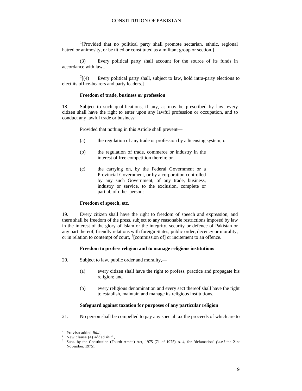<span id="page-19-0"></span><sup>1</sup>[Provided that no political party shall promote sectarian, ethnic, regional hatred or animosity, or be titled or constituted as a militant group or section.

(3) Every political party shall account for the source of its funds in accordance with law.]

 $^{2}[(4)]$ Every political party shall, subject to law, hold intra-party elections to elect its office-bearers and party leaders.]

#### **18. Freedom of trade, business or profession**

18. Subject to such qualifications, if any, as may be prescribed by law, every citizen shall have the right to enter upon any lawful profession or occupation, and to conduct any lawful trade or business:

Provided that nothing in this Article shall prevent—

- (a) the regulation of any trade or profession by a licensing system; or
- (b) the regulation of trade, commerce or industry in the interest of free competition therein; or
- (c) the carrying on, by the Federal Government or a Provincial Government, or by a corporation controlled by any such Government, of any trade, business, industry or service, to the exclusion, complete or partial, of other persons.

#### **19. Freedom of speech, etc.**

19. Every citizen shall have the right to freedom of speech and expression, and there shall be freedom of the press, subject to any reasonable restrictions imposed by law in the interest of the glory of Islam or the integrity, security or defence of Pakistan or any part thereof, friendly relations with foreign States, public order, decency or morality, or in relation to contempt of court,  $\frac{3}{2}$  [commission of] or incitement to an offence.

#### **20. Freedom to profess religion and to manage religious institutions**

- 20. Subject to law, public order and morality,—
	- (a) every citizen shall have the right to profess, practice and propagate his religion; and
	- (b) every religious denomination and every sect thereof shall have the right to establish, maintain and manage its religious institutions.

#### **21. Safeguard against taxation for purposes of any particular religion**

21. No person shall be compelled to pay any special tax the proceeds of which are to

<sup>1</sup> Proviso added *ibid.,*

<sup>2</sup> New clause (4) added *ibid.,*

<sup>3</sup> Subs. by the Constitution (Fourth Amdt.) Act, 1975 (71 of 1975), s. 4, for "defamation" *(w.e.f* the 21st November, 1975).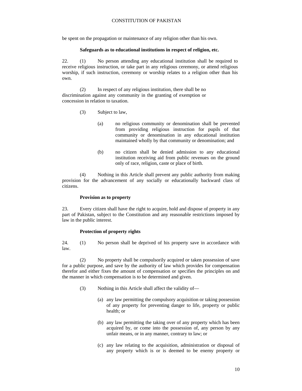<span id="page-20-0"></span>be spent on the propagation or maintenance of any religion other than his own.

#### **22. Safeguards as to educational institutions in respect of religion, etc.**

22. (1) No person attending any educational institution shall be required to receive religious instruction, or take part in any religious ceremony, or attend religious worship, if such instruction, ceremony or worship relates to a religion other than his own.

(2) In respect of any religious institution, there shall be no discrimination against any community in the granting of exemption or concession in relation to taxation.

- (3) Subject to law,
	- (a) no religious community or denomination shall be prevented from providing religious instruction for pupils of that community or denomination in any educational institution maintained wholly by that community or denomination; and
	- (b) no citizen shall be denied admission to any educational institution receiving aid from public revenues on the ground only of race, religion, caste or place of birth.

(4) Nothing in this Article shall prevent any public authority from making provision for the advancement of any socially or educationally backward class of citizens.

#### **23. Provision as to property**

23. Every citizen shall have the right to acquire, hold and dispose of property in any part of Pakistan, subject to the Constitution and any reasonable restrictions imposed by law in the public interest.

#### **24. Protection of property rights**

24. (1) No person shall be deprived of his property save in accordance with law.

(2) No property shall be compulsorily acquired or taken possession of save for a public purpose, and save by the authority of law which provides for compensation therefor and either fixes the amount of compensation or specifies the principles on and the manner in which compensation is to be determined and given.

- (3) Nothing in this Article shall affect the validity of—
	- (a) any law permitting the compulsory acquisition or taking possession of any property for preventing danger to life, property or public health; or
	- (b) any law permitting the taking over of any property which has been acquired by, or come into the possession of, any person by any unfair means, or in any manner, contrary to law; or
	- (c) any law relating to the acquisition, administration or disposal of any property which is or is deemed to be enemy property or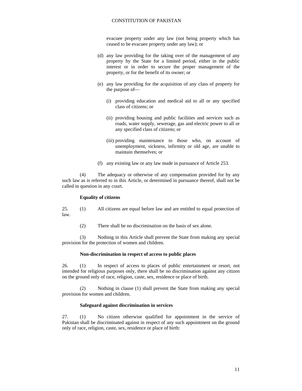evacuee property under any law (not being property which has ceased to be evacuee property under any law); or

- <span id="page-21-0"></span>(d) any law providing for the taking over of the management of any property by the State for a limited period, either in the public interest or in order to secure the proper management of the property, or for the benefit of its owner; or
- (e) any law providing for the acquisition of any class of property for the purpose of—
	- (i) providing education and medical aid to all or any specified class of citizens; or
	- (ii) providing housing and public facilities and services such as roads, water supply, sewerage, gas and electric power to all or any specified class of citizens; or
	- (iii) providing maintenance to those who, on account of unemployment, sickness, infirmity or old age, are unable to maintain themselves; or
- (f) any existing law or any law made in pursuance of Article 253.

(4) The adequacy or otherwise of any compensation provided for by any such law as is referred to in this Article, or determined in pursuance thereof, shall not be called in question in any court.

#### **25. Equality of citizens**

25. (1) All citizens are equal before law and are entitled to equal protection of law.

(2) There shall be no discrimination on the basis of sex alone.

(3) Nothing in this Article shall prevent the State from making any special provision for the protection of women and children.

#### **26. Non-discrimination in respect of access to public places**

26. (1) In respect of access to places of public entertainment or resort, not intended for religious purposes only, there shall be no discrimination against any citizen on the ground only of race, religion, caste, sex, residence or place of birth.

(2) Nothing in clause (1) shall prevent the State from making any special provision for women and children.

#### **27. Safeguard against discrimination in services**

27. (1) No citizen otherwise qualified for appointment in the service of Pakistan shall be discriminated against in respect of any such appointment on the ground only of race, religion, caste, sex, residence or place of birth: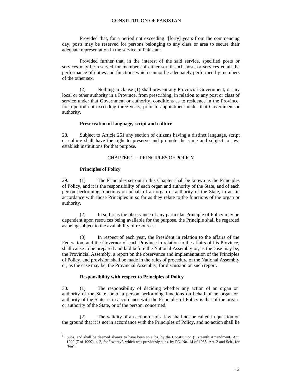<span id="page-22-0"></span>Provided that, for a period not exceeding  $\frac{1}{1}$  [forty] years from the commencing day, posts may be reserved for persons belonging to any class or area to secure their adequate representation in the service of Pakistan:

Provided further that, in the interest of the said service, specified posts or services may be reserved for members of either sex if such posts or services entail the performance of duties and functions which cannot be adequately performed by members of the other sex.

(2) Nothing in clause (1) shall prevent any Provincial Government, or any local or other authority in a Province, from prescribing, in relation to any post or class of service under that Government or authority, conditions as to residence in the Province, for a period not exceeding three years, prior to appointment under that Government or authority.

#### **28. Preservation of language, script and culture**

28. Subject to Article 251 any section of citizens having a distinct language, script or culture shall have the right to preserve and promote the same and subject to law, establish institutions for that purpose.

#### CHAPTER 2. – PRINCIPLES OF POLICY

#### **29. Principles of Policy**

 $\overline{a}$ 

29. (1) The Principles set out in this Chapter shall be known as the Principles of Policy, and it is the responsibility of each organ and authority of the State, and of each person performing functions on behalf of an organ or authority of the State, to act in accordance with those Principles in so far as they relate to the functions of the organ or authority.

(2) In so far as the observance of any particular Principle of Policy may be dependent upon resou<sup>r</sup>ces being available for the purpose, the Principle shall be regarded as being subject to the availability of resources.

(3) In respect of each year, the President in relation to the affairs of the Federation, and the Governor of each Province in relation to the affairs of his Province, shall cause to be prepared and laid before the National Assembly or, as the case may be, the Provincial Assembly. a report on the observance and implementation of the Principles of Policy, and provision shall be made in the rules of procedure of the National Assembly or, as the case may be, the Provincial Assembly, for discussion on such report.

#### **30. Responsibility with respect to Principles of Policy**

30. (1) The responsibility of deciding whether any action of an organ or authority of the State, or of a person performing functions on behalf of an organ or authority of the State, is in accordance with the Principles of Policy is that of the organ or authority of the State, or of the person, concerned.

(2) The validity of an action or of a law shall not be called in question on the ground that it is not in accordance with the Principles of Policy, and no action shall lie

<sup>1</sup> Subs. and shall be deemed always to have been so subs. by the Constitution (Sixteenth Amendment) Act, 1999 (7 of 1999), s. 2, for "twenty". which was previously subs. by PO. No. 14 of 1985, Art. 2 and Sch., for "ten".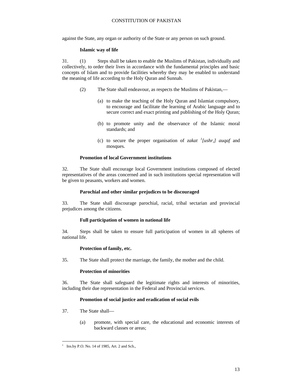<span id="page-23-0"></span>against the State, any organ or authority of the State or any person on such ground.

#### **31. Islamic way of life**

31. (1) Steps shall be taken to enable the Muslims of Pakistan, individually and collectively, to order their lives in accordance with the fundamental principles and basic concepts of Islam and to provide facilities whereby they may be enabled to understand the meaning of life according to the Holy Quran and Sunnah.

- (2) The State shall endeavour, as respects the Muslims of Pakistan,—
	- (a) to make the teaching of the Holy Quran and Islamiat compulsory, to encourage and facilitate the learning of Arabic language and to secure correct and exact printing and publishing of the Holy Quran;
	- (b) to promote unity and the observance of the Islamic moral standards; and
	- (c) to secure the proper organisation of *zakat* <sup>1</sup>[ushr,] auqaf and mosques.

#### **32. Promotion of local Government institutions**

32. The State shall encourage local Government institutions composed of elected representatives of the areas concerned and in such institutions special representation will be given to peasants, workers and women.

#### **33. Parochial and other similar prejudices to be discouraged**

33. The State shall discourage parochial, racial, tribal sectarian and provincial prejudices among the citizens.

#### **34. Full participation of women in national life**

34. Steps shall be taken to ensure full participation of women in all spheres of national life.

#### **35. Protection of family, etc.**

35. The State shall protect the marriage, the family, the mother and the child.

#### **36. Protection of minorities**

36. The State shall safeguard the legitimate rights and interests of minorities, including their due representation in the Federal and Provincial services.

#### **37. Promotion of social justice and eradication of social evils**

- 37. The State shall—
	- (a) promote, with special care, the educational and economic interests of backward classes or areas;

 $\overline{a}$ 1 Ins.by P.O. No. 14 of 1985, Art. 2 and Sch.,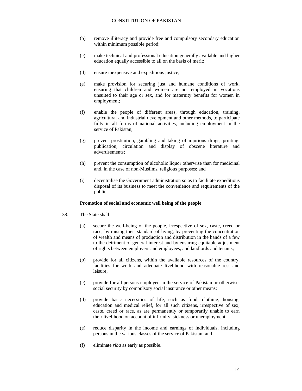- <span id="page-24-0"></span>(b) remove illiteracy and provide free and compulsory secondary education within minimum possible period;
- (c) make technical and professional education generally available and higher education equally accessible to all on the basis of merit;
- (d) ensure inexpensive and expeditious justice;
- (e) make provision for securing just and humane conditions of work, ensuring that children and women are not employed in vocations unsuited to their age or sex, and for maternity benefits for women in employment;
- (f) enable the people of different areas, through education, training, agricultural and industrial development and other methods, to participate fully in all forms of national activities, including employment in the service of Pakistan;
- (g) prevent prostitution, gambling and taking of injurious drugs, printing, publication, circulation and display of obscene literature and advertisements;
- (h) prevent the consumption of alcoholic liquor otherwise than for medicinal and, in the case of non-Muslims, religious purposes; and
- (i) decentralise the Government administration so as to facilitate expeditious disposal of its business to meet the convenience and requirements of the public.

#### **38. Promotion of social and economic well being of the people**

- 38. The State shall—
	- (a) secure the well-being of the people, irrespective of sex, caste, creed or race, by raising their standard of living, by preventing the concentration of wealth and means of production and distribution in the hands of a few to the detriment of general interest and by ensuring equitable adjustment of rights between employers and employees, and landlords and tenants;
	- (b) provide for all citizens, within the available resources of the country, facilities for work and adequate livelihood with reasonable rest and leisure;
	- (c) provide for all persons employed in the service of Pakistan or otherwise, social security by compulsory social insurance or other means;
	- (d) provide basic necessities of life, such as food, clothing, housing, education and medical relief, for all such citizens, irrespective of sex, caste, creed or race, as are permanently or temporarily unable to earn their livelihood on account of infirmity, sickness or unemployment;
	- (e) reduce disparity in the income and earnings of individuals, including persons in the various classes of the service of Pakistan; and
	- (f) eliminate *riba* as early as possible.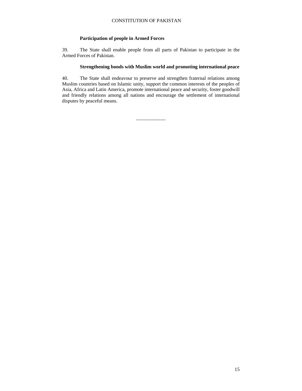## **39. Participation of people in Armed Forces**

<span id="page-25-0"></span>39. The State shall enable people from all parts of Pakistan to participate in the Armed Forces of Pakistan.

#### **40. Strengthening bonds with Muslim world and promoting international peace**

40. The State shall endeavour to preserve and strengthen fraternal relations among Muslim countries based on Islamic unity, support the common interests of the peoples of Asia, Africa and Latin America, promote international peace and security, foster goodwill and friendly relations among all nations and encourage the settlement of international disputes by peaceful means.

\_\_\_\_\_\_\_\_\_\_\_\_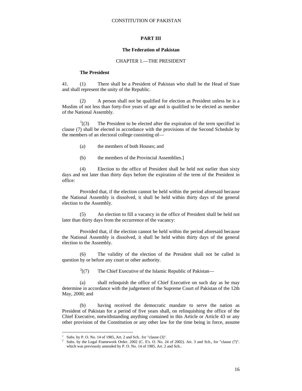#### **PART III**

#### **The Federation of Pakistan**

#### CHAPTER 1.—THE PRESIDENT

# **41. The President**

<span id="page-26-0"></span>41. (1) There shall be a President of Pakistan who shall be the Head of State and shall represent the unity of the Republic.

(2) A person shall not be qualified for election as President unless he is a Muslim of not less than forty-five years of age and is qualified to be elected as member of the National Assembly.

 $\frac{1}{1}$ [(3) The President to be elected after the expiration of the term specified in clause (7) shall be elected in accordance with the provisions of the Second Schedule by the members of an electoral college consisting of—

- (a) the members of both Houses; and
- (b) the members of the Provincial Assemblies.]

(4) Election to the office of President shall be held not earlier than sixty days and not later than thirty days before the expiration of the term of the President in office:

Provided that, if the election cannot be held within the period aforesaid because the National Assembly is dissolved, it shall be held within thirty days of the general election to the Assembly.

(5) An election to fill a vacancy in the office of President shall be held not later than thirty days from the occurrence of the vacancy:

Provided that, if the election cannot be held within the period aforesaid because the National Assembly is dissolved, it shall be held within thirty days of the general election to the Assembly.

(6) The validity of the election of the President shall not be called in question by or before any court or other authority.

 $^{2}$ [(7) The Chief Executive of the Islamic Republic of Pakistan—

(a) shall relinquish the office of Chief Executive on such day as he may determine in accordance with the judgement of the Supreme Court of Pakistan of the 12th May, 2000; and

(b) having received the democratic mandate to serve the nation as President of Pakistan for a period of five years shall, on relinquishing the office of the Chief Executive, notwithstanding anything contained in this Article or Article 43 or any other provision of the Constitution or any other law for the time being in force, assume

<sup>1</sup> Subs. by P. O. No. 14 of 1985, Art. 2 and Sch.. for "clause (3)".

Subs. by the Legal Framework Order. 2002 (C. E's. O. No. 24 of 2002). Art. 3 and Sch., for "clause (7)". which was previously amended by P. O. No. 14 of 1985, Art. 2 and Sch..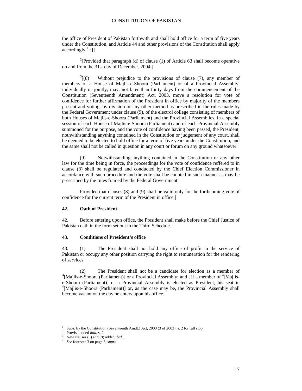<span id="page-27-0"></span>the office of President of Pakistan forthwith and shall hold office for a term of five years under the Constitution, and Article 44 and other provisions of the Constitution shall apply accordingly  $\left[$ [:]]

<sup>2</sup>[Provided that paragraph (d) of clause (1) of Article 63 shall become operative on and from the 31st day of December, 2004.]

 $\frac{3}{1}(8)$ Without prejudice to the provisions of clause (7), any member of members of a House of Majlis-e-Shoora (Parliament) or of a Provincial Assembly, individually or jointly, may, not later than thirty days from the commencement of the Constitution (Seventeenth Amendment) Act, 2003, move a resolution for vote of confidence for further affirmation of the President in office by majority of the members present and voting, by division or any other method as prescribed in the rules made by the Federal Government under clause (9), of the electrol college consisting of members of both Houses of Majlis-e-Shoora (Parliament) and the Provincial Assemblies, in a special session of each House of Majlis-e-Shoora (Parliament) and of each Provincial Assembly summoned for the purpose, and the vote of confidence having been passed, the President, nothwithstanding anything contained in the Constitution or judgement of any court, shall be deemed to be elected to hold office for a term of five years under the Constitution, and the same shall not be called in question in any court or forum on any ground whatsoever.

(9) Notwithstanding anything contained in the Constitution or any other law for the time being in force, the proceedings for the vote of confidence reffered to in clause (8) shall be regulated and conducted by the Chief Election Commissioner in accordance with such procedure and the vote shall be counted in such manner as may be prescribed by the rules framed by the Federal Government:

Provided that clauses (8) and (9) shall be valid only for the forthcoming vote of confidence for the current term of the President in office.]

#### **42. Oath of President**

42. Before entering upon office, the President shall make before the Chief Justice of Pakistan oath in the form set out in the Third Schedule.

#### **43. Conditions of President's office**

43. (1) The President shall not hold any office of profit in the service of Pakistan or occupy any other position carrying the right to remuneration for the rendering of services.

(2) The President shall not be a candidate for election as a member of 4 [Majlis-e-Shoora (Parliament)] or a Provincial Assembly; and, if a member of <sup>4</sup>[Majlise-Shoora (Parliament)] or a Provincial Assembly is elected as President, his seat in 4  $\frac{4}{\text{Majlis-e-Shoora}}$  (Parliament)] or, as the case may be, the Provincial Assembly shall become vacant on the day he enters upon his office.

<sup>1</sup> Subs. by the Constitution (Seventeenth Amdt.) Act, 2003 (3 of 2003). s. 2 for full stop. 2

Proviso added *ibid, s. 2.*

<sup>3</sup> New clauses (8) and (9) added *ibid.,*

<sup>4</sup> *See* footnote 3 on page 3*, supra.*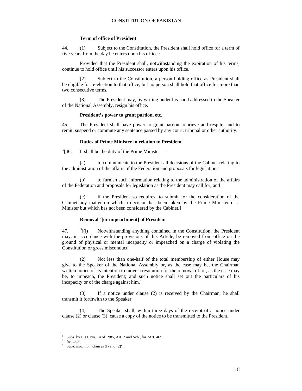#### **44. Term of office of President**

<span id="page-28-0"></span>44. (1) Subject to the Constitution, the President shall hold office for a term of five years from the day he enters upon his office :

Provided that the President shall, notwithstanding the expiration of his terms, continue to hold office until his successor enters upon his office.

(2) Subject to the Constitution, a person holding office as President shall be eligible for re-election to that office, but no person shall hold that office for more than two consecutive terms.

(3) The President may, by writing under his hand addressed to the Speaker of the National Assembly, resign his office.

#### **45. President's power to grant pardon, etc.**

45. The President shall have power to grant pardon, reprieve and respite, and to remit, suspend or commute any sentence passed by any court, tribunal or other authority.

#### **46. Duties of Prime Minister in relation to President**

 $^{1}$ [46. It shall be the duty of the Prime Minister—

(a) to communicate to the President all decisions of the Cabinet relating to the administration of the affairs of the Federation and proposals for legislation;

(b) to furnish such information relating to the administration of the affairs of the Federation and proposals for legislation as the President may call for; and

(c) if the President so requires, to submit for the consideration of the Cabinet any matter on which a decision has been taken by the Prime Minister or a Minister but which has not been considered by the Cabinet.]

# Removal <sup>2</sup>[or impeachment] of President

47. <sup>3</sup>[(1) Notwithstanding anything contained in the Constitution, the President may, in accordance with the provisions of this Article, be removed from office on the ground of physical or mental incapacity or impeached on a charge of violating the Constitution or gross misconduct.

(2) Not less than one-half of the total membership of either House may give to the Speaker of the National Assembly or, as the case may be, the Chairman written notice of its intention to move a resolution for the removal of, or, as the case may be, to impeach, the President; and such notice shall set out the particulars of his incapacity or of the charge against him.]

(3) If a notice under clause (2) is received by the Chairman, he shall transmit it forthwith to the Speaker.

(4) The Speaker shall, within three days of the receipt of a notice under clause (2) or clause (3), cause a copy of the notice to be transmitted to the President.

<sup>1</sup> Subs. by P. O. No. 14 of 1985, Art. 2 and Sch., for "Art. 46".

Ins. *ibid.,*

<sup>3</sup> Subs. *ibid.,* for "clauses (I) and (2)".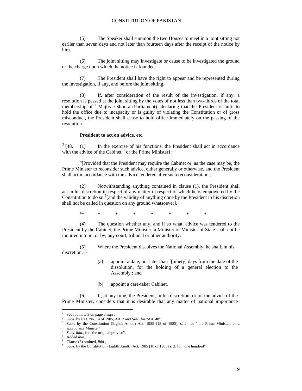<span id="page-29-0"></span>(5) The Speaker shall summon the two Houses to meet in a joint sitting not earlier than seven days and not later than fourteen days after the receipt of the notice by him.

(6) The joint sitting may investigate or cause to be investigated the ground or the charge upon which the notice is founded.

(7) The President shall have the right to appear and be represented during the investigation, if any, and before the joint sitting.

(8) If, after consideration of the result of the investigation, if any, a resolution is passed at the joint sitting by the votes of not less than two-thirds of the total membership of <sup>1</sup>[Majlis-e-Shoora (Parliament)] declaring that the President is unfit to hold the office due to incapacity or is guilty of violating the Constitution or of gross misconduct, the President shall cease to hold office immediately on the passing of the resolution.

#### President to act on advice, etc.

 $2$  [48.  $(1)$  In the exercise of his functions, the President shall act in accordance with the advice of the Cabinet  ${}^{3}$  [or the Prime Minister] :

<sup>4</sup>[Provided that the President may require the Cabinet or, as the case may be, the Prime Minister to reconsider such advice, either generally or otherwise, and the President shall act in accordance with the advice tendered after such reconsideration.]

(2) Notwithstanding anything contained in clause (1), the President shall act in his discretion in respect of any matter in respect of which he is empowered by the Constitution to do so  $5$ [and the validity of anything done by the President in his discretion shall not be called in question on any ground whatsoever].

 $6\ast$ \* \* \* \* \* \* \* \*

(4) The question whether any, and if so what, advice was tendered to the President by the Cabinet, the Prime Minister, a Minister or Minister of State shall not be inquired into in, or by, any court, tribunal or other authority.

(5) Where the President dissolves the National Assembly, he shall, in his discretion,—

- (a) appoint a date, not later than  $\binom{7}{1}$  hinety days from the date of the dissolution, for the holding of a general election to the Assembly ; and
- (b) appoint a care-taker Cabinet.

(6) If, at any time, the President, in his discretion, or on the advice of the Prime Minister, considers that it is desirable that any matter of national importance

 $\overline{a}$ 

19

<sup>1</sup> See footnote 3 on page 3 *supra.*

<sup>2</sup> Subs. by P.O. No. 14 of 1985, Art. 2 and Seh.. for "Art. 48".

<sup>3</sup> Subs. by the Constitution (Eighth Amdt.) Act, 1985 (18 of 1985), s. 2, for ",the Prime Minister, or a appropriate Minister".

*Subs. ibid., for* "the original proviso".

Added *ibid.,*

<sup>6</sup> Clause (3) omitted, *ibid.,*

<sup>7</sup> Subs. by the Constitution (Eighth Amdt.) Act, 1985 (18 of 1985) s. 2. for "one hundred".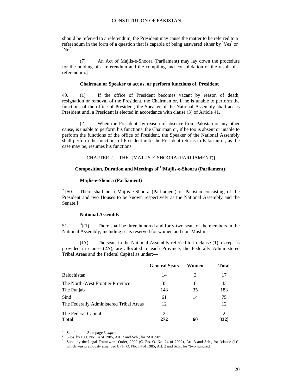<span id="page-30-0"></span>should be referred to a referendum, the President may cause the matter to be referred to a referendum in the form of a question that is capable of being answered either by <sup>"</sup>Yes<sup>"</sup> or "No" No" .

 (7) An Act of Majlis-e-Shoora (Parliament) may lay down the procedure for the holding of a referendum and the compiling and consolidation of the result of a referendum.]

#### **49. Chairman or Speaker to act as, or perform functions of, President**

49. (1) If the office of President becomes vacant by reason of death, resignation or removal of the President, the Chairman or, if he is unable to perform the functions of the office of President, the Speaker of the National Assembly shall act as President until a President is elected in accordance with clause (3) of Article 41.

(2) When the President, by reason of absence from Pakistan or any other cause, is unable to perform his functions, the Chairman or, if he too is absent or unable to perform the functions of the office of President, the Speaker of the National Assembly shall perform the functions of President until the President returns to Pakistan or, as the case may be, resumes his functions.

CHAPTER 2. – THE <sup>1</sup>[MAJLIS-E-SHOORA (PARLIAMENT)]

# **Composition, Duration and Meetings of** <sup>1</sup> **[Majlis-e-Shoora (Parliament)]**

#### **50. Majlis-e-Shoora (Parliament)**

 $^{2}$  [50. [50. There shall be a Majlis-e-Shoora (Parliament) of Pakistan consisting of the President and two Houses to be known respectively as the National Assembly and the Senate.]

#### **51. National Assembly**

51.  ${}^{3}$ [(1) There shall be three hundred and forty-two seats of the members in the National Assembly, including seats reserved for women and non-Muslims.

 $(IA)$  The seats in the National Assembly refer<sup>r</sup>ed to in clause  $(1)$ , except as provided in clause (2A), are allocated to each Province, the Federally Administered Tribal Areas and the Federal Capital as under:—

|                                         | <b>General Seats</b> | Women | Total                               |
|-----------------------------------------|----------------------|-------|-------------------------------------|
| <b>Balochistan</b>                      | 14                   | 3     | 17                                  |
| The North-West Frontier Province        | 35                   | 8     | 43                                  |
| The Punjab                              | 148                  | 35    | 183                                 |
| Sind                                    | 61                   | 14    | 75                                  |
| The Federally Administered Tribal Areas | 12                   |       | 12                                  |
| The Federal Capital<br>Total            | 2<br>272             | 60    | $\mathcal{D}_{\mathcal{L}}$<br>3321 |

<sup>1</sup> See footnote 3 on page 3 *supra.*

<sup>2</sup> Subs. by P.O. No. 14 of 1985, Art. 2 and Sch., for "Art. 50".

<sup>3</sup> Subs. by the Legal Framework Order, 2002 (C. E's. O. No. 24 of 2002), Art. 3 and Sch., for "clause (1)", which was previously amended by P. O. No. 14 of 1985, Art. 2 and Sch., for "two hundred."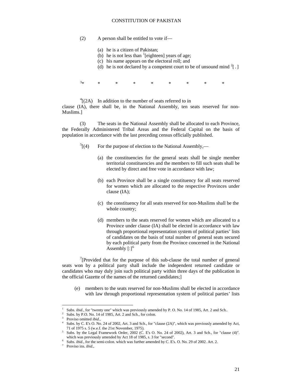(2) A person shall be entitled to vote if—

- (a) he is a citizen of Pakistan;
- (b) he is not less than  $\textsuperscript{1}$  [eighteen] years of age;
- (c) his name appears on the electoral roll; and
- (d) he is not declared by a competent court to be of unsound mind  $2$ [.]

 $3*$ \* \* \* \* \* \* \* \* \*

 ${}^{4}$ [(2A) In addition to the number of seats referred to in clause (IA), there shall be, in the National Assembly, ten seats reserved for non-Muslims.]

(3) The seats in the National Assembly shall be allocated to each Province, the Federally Administered Tribal Areas and the Federal Capital on the basis of population in accordance with the last preceding census officially published.

- $^{5}[(4)]$ For the purpose of election to the National Assembly,—
	- (a) the constituencies for the general seats shall be single member territorial constituencies and the members to fill such seats shall be elected by direct and free vote in accordance with law;
	- (b) each Province shall be a single constituency for all seats reserved for women which are allocated to the respective Provinces under clause (IA);
	- (c) the constituency for all seats reserved for non-Muslims shall be the whole country;
	- (d) members to the seats reserved for women which are allocated to a Province under clause (IA) shall be elected in accordance with law through proportional representation system of political parties' lists of candidates on the basis of total number of general seats secured by each political party from the Province concerned in the National Assembly  $[$ : $]$ <sup>6</sup>

<sup>7</sup>[Provided that for the purpose of this sub-clause the total number of general seats won by a political party shall include the independent returned candidate or candidates who may duly join such political party within three days of the publication in the official Gazette of the names of the returned candidates;]

(e) members to the seats reserved for non-Muslims shall be elected in accordance with law through proportional representation system of political parties' lists

<sup>1</sup> Subs. *ibid.*, for "twenty one" which was previously amended by P. O. No. 14 of 1985, Art. 2 and Sch..

Subs. by P.O. No. 14 of 1985, Art. 2 and Sch., for colon.

<sup>3</sup> Proviso omitted *ibid.,*

<sup>4</sup> Subs. by C. E's O. No. 24 of 2002, Art. 3 and Sch., for "clause (2A)", which was previously amended by Act, 71 of 1975 s. 5 (w.e.f. the 21st November, 1975).

<sup>&</sup>lt;sup>5</sup> Subs. by the Legal Framework Order, 2002 (C. E's O. No. 24 of 2002), Art. 3 and Sch., for "clause (4)". which was previously amended by Act 18 of 1985, s. 3 for "second".

Subs. *ibid.*, for the semi-colon. which was further amended by C. E's. O. No. 29 of 2002. Art. 2.

Proviso ins. *ibid.,*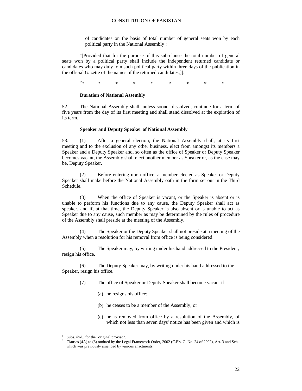of candidates on the basis of total number of general seats won by each political party in the National Assembly :

<span id="page-32-0"></span><sup>1</sup>[Provided that for the purpose of this sub-clause the total number of general seats won by a political party shall include the independent returned candidate or candidates who may duly join such political party within three days of the publication in the official Gazette of the names of the returned candidates;]].

> $2*$ \* \* \* \* \* \* \* \* \*

#### **52. Duration of National Assembly**

52. The National Assembly shall, unless sooner dissolved, continue for a term of five years from the day of its first meeting and shall stand dissolved at the expiration of its term.

#### **53. Speaker and Deputy Speaker of National Assembly**

53. (1) After a general election, the National Assembly shall, at its first meeting and to the exclusion of any other business, elect from amongst its members a Speaker and a Deputy Speaker and, so often as the office of Speaker or Deputy Speaker becomes vacant, the Assembly shall elect another member as Speaker or, as the case may be, Deputy Speaker.

(2) Before entering upon office, a member elected as Speaker or Deputy Speaker shall make before the National Assembly oath in the form set out in the Third Schedule.

(3) When the office of Speaker is vacant, or the Speaker is absent or is unable to perform his functions due to any cause, the Deputy Speaker shall act as speaker, and if, at that time, the Deputy Speaker is also absent or is unable to act as Speaker due to any cause, such member as may be determined by the rules of procedure of the Assembly shall preside at the meeting of the Assembly.

(4) The Speaker or the Deputy Speaker shall not preside at a meeting of the Assembly when a resolution for his removal from office is being considered.

(5) The Speaker may, by writing under his hand addressed to the President, resign his office.

(6) The Deputy Speaker may, by writing under his hand addressed to the Speaker, resign his office.

(7) The office of Speaker or Deputy Speaker shall become vacant if—

- (a) he resigns his office;
- (b) he ceases to be a member of the Assembly; or
- (c) he is removed from office by a resolution of the Assembly, of which not less than seven days' notice has been given and which is

<sup>1</sup> Subs. *ibid.*. for the "original proviso".

Clauses (4A) to (6) omitted by the Legal Framework Order, 2002 (C.E's. O. No. 24 of 2002), Art. 3 and Sch., which was previously amended by various enactments.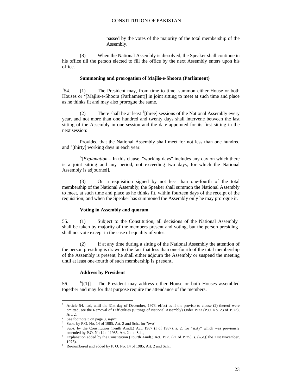passed by the votes of the majority of the total membership of the Assembly.

<span id="page-33-0"></span>(8) When the National Assembly is dissolved, the Speaker shall continue in his office till the person elected to fill the office by the next Assembly enters upon his office.

#### **Summoning and prorogation of Majlis-e-Shoora (Parliament)**

 $154$ 54. (1) The President may, from time to time, summon either House or both Houses or  ${}^{2}$ [Majlis-e-Shoora (Parliament)] in joint sitting to meet at such time and place as he thinks fit and may also prorogue the same.

(2) There shall be at least  ${}^{3}$ [three] sessions of the National Assembly every year, and not more than one hundred and twenty days shall intervene between the last sitting of the Assembly in one session and the date appointed for its first sitting in the next session:

Provided that the National Assembly shall meet for not less than one hundred and <sup>4</sup>[thirty] working days in each year.

 ${}^{5}$ [*Explanation*.– In this clause, "working days" includes any day on which there is a joint sitting and any period, not exceeding two days, for which the National Assembly is adjourned].

(3) On a requisition signed by not less than one-fourth of the total membership of the National Assembly, the Speaker shall summon the National Assembly to meet, at such time and place as he thinks fit, within fourteen days of the receipt of the requisition; and when the Speaker has summoned the Assembly only he may prorogue it.

#### **55. Voting in Assembly and quorum**

55. (1) Subject to the Constitution, all decisions of the National Assembly shall be taken by majority of the members present and voting, but the person presiding shall not vote except in the case of equality of votes.

(2) If at any time during a sitting of the National Assembly the attention of the person presiding is drawn to the fact that less than one-fourth of the total membership of the Assembly is present, he shall either adjourn the Assembly or suspend the meeting until at least one-fourth of such membership is present.

#### **56. Address by President**

56.  $\binom{6}{1}$ The President may address either House or both Houses assembled together and may for that purpose require the attendance of the members.

<sup>1</sup> Article 54, had, until the 31st day of December, 1973, effect as if the proviso to clause (2) thereof were omitted, see the Removal of Difficulties (Sittings of National Assembly) Order 1973 (P.O. No. 23 of 1973),

Art. 2.<br><sup>2</sup> See footnote 3 on page 3, *supra*.

<sup>3</sup> Subs. by P.O. No. 14 of 1985, Art. 2 and Sch.. for "two".

<sup>4</sup> Subs. by the Constitution (Tenth Amdt.) Act, 1987 (I of 1987). s. 2. for "sixty" which was previously amended by P.O. No.14 of 1985, Art. 2 and Sch.,

Explanation added by the Constitution (Fourth Amdt.) Act, 1975 (71 of 1975), s. (*w.e.f.* the 21st November, 1975). 6 Re-numbered and added by P. O. No. 14 of 1985, Art. 2 and Sch.,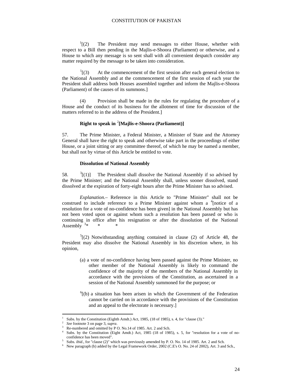<span id="page-34-0"></span> $\frac{1}{2}$ [(2) The President may send messages to either House, whether with respect to a Bill then pending in the Majlis-e-Shoora (Parliament) or otherwise, and a House to which any message is so sent shall with all convenient despatch consider any matter required by the message to be taken into consideration.

 $^{1}$ [(3) At the commencement of the first session after each general election to the National Assembly and at the commencement of the first session of each year the President shall address both Houses assembled together and inform the Majlis-e-Shoora (Parliament) of the causes of its summons.]

(4) Provision shall be made in the rules for regulating the procedure of a House and the conduct of its business for the allotment of time for discussion of the matters referred to in the address of the President.]

# **57. Right to speak in** <sup>2</sup> **[Majlis-e-Shoora (Parliament)]**

57. The Prime Minister, a Federal Minister, a Minister of State and the Attorney General shall have the right to speak and otherwise take part in the proceedings of either House, or a joint sitting or any committee thereof, of which he may be named a member, but shall not by virtue of this Article be entitled to vote.

#### **58. Dissolution of National Assembly**

58.  ${}^{3}$ [(1)] [(1)] The President shall dissolve the National Assembly if so advised by the Prime Minister; and the National Assembly shall, unless sooner dissolved, stand dissolved at the expiration of forty-eight hours after the Prime Minister has so advised.

*Explanation*.– Reference in this Article to "Prime Minister" shall not be construed to include reference to a Prime Minister against whom a  $4$ [notice of a resolution for a vote of no-confidence has been given] in the National Assembly but has not been voted upon or against whom such a resolution has been passed or who is continuing in office after his resignation or after the dissolution of the National Assembly  $3*$ \* \* \*

 $5(2)$  Notwithstanding anything contained in clause (2) of Article 48, the President may also dissolve the National Assembly in his discretion where, in his opinion,

- (a) a vote of no-confidence having been passed against the Prime Minister, no other member of the National Assembly is likely to command the confidence of the majority of the members of the National Assembly in accordance with the provisions of the Constitution, as ascertained in a session of the National Assembly summoned for the purpose; or
- $<sup>6</sup>$ [(b) a situation has been arisen in which the Government of the Federation</sup> cannot be carried on in accordance with the provisions of the Constitution and an appeal to the electorate is necessary.]

<sup>1</sup>  $\frac{1}{2}$  Subs. by the Constitution (Eighth Amdt.) Act, 1985, (18 of 1985), s. 4, for "clause (3)."

*See* footnote 3 on page 3, *supra*.

Re-numbered and omitted by P O. No.14 of 1985. Art. 2 and Sch.

<sup>4</sup> Subs. by the Constitution (Eight Amdt.) Act, 1985 (18 of 1985), s. 5, for "resolution for a vote of noconfidence has been moved".

Subs. *ibid.*, for "clause (2)" which was previously amended by P.O. No. 14 of 1985. Art. 2 and Sch.

<sup>&</sup>lt;sup>6</sup> New paragraph (b) added by the Legal Framework Order, 2002 (C.E's O. No. 24 of 2002), Art. 3 and Sch.,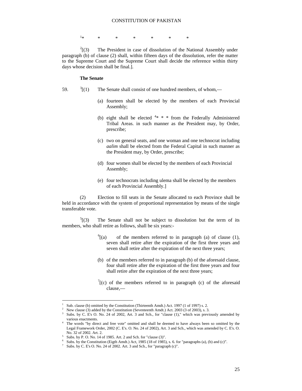$1_{\ast}$ \* \* \* \* \* \* \*

<span id="page-35-0"></span> $^{2}$ [(3) The President in case of dissolution of the National Assembly under paragraph (b) of clause (2) shall, within fifteen days of the dissolution, refer the matter to the Supreme Court and the Supreme Court shall decide the reference within thirty days whose decision shall be final.].

#### **59. The Senate**

59.  ${}^{3}$ [(1) The Senate shall consist of one hundred members, of whom,—

- (a) fourteen shall be elected by the members of each Provincial Assembly;
- (b) eight shall be elected  $4* * *$  from the Federally Administered Tribal Areas. in such manner as the President may, by Order, prescribe;
- (c) two on general seats, and one woman and one technocrat including *aalim* shall be elected from the Federal Capital in such manner as the President may, by Order, prescribe;
- (d) four women shall be elected by the members of each Provincial Assembly;
- (e) four technocrats including ulema shall be elected by the members of each Provincial Assembly.]

(2) Election to fill seats in the Senate allocated to each Province shall be held in accordance with the system of proportional representation by means of the single transferable vote.

 $^{5}$ [(3) The Senate shall not be subject to dissolution but the term of its members, who shall retire as follows, shall be six years:-

- $^{6}$ [(a) of the members referred to in paragraph (a) of clause  $(1)$ , seven shall retire after the expiration of the first three years and seven shall retire after the expiration of the next three years;
- (b) of the members referred to in paragraph (b) of the aforesaid clause, four shall retire after the expiration of the first three years and four shall retire after the expiration of the next three years;
- $7$ [(c) of the members referred to in paragraph (c) of the aforesaid clause,—

<sup>1</sup> Sub. clause (b) omitted by the Constitution (Thirteenth Amdt.) Act. 1997 (1 of 1997) s. 2.

New clause (3) added by the Constitution (Seventeenth Amdt.) Act. 2003 (3 of 2003), s. 3. 3

Subs. by C. E's O. No. 24 of 2002, Art. 3 and Sch., for "clause (1)," which was previously amended by various enactments. 4

The words "by direct and free vote" omitted and shall be deemed to have always been so omitted by the Legal Framework Order, 2002 (C. E's. O. No. 24 of 2002), Art. 3 and Sch., which was amended by C. E's. O. No. 32 of 2002. Art. 2.

Subs. by P. O. No. 14 of 1985. Art. 2 and Sch. for "clause (3)".

<sup>6</sup> Subs. by the Constitution (Eigth Amdt.) Act, 1985 (18 of 1985), s. 6. for "paragraphs (a), (b) and (c)".

Subs. by C. E's O. No. 24 of 2002. Art. 3 and Sch., for "paragraph (c)".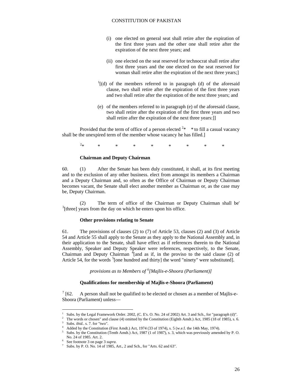- (i) one elected on general seat shall retire after the expiration of the first three years and the other one shall retire after the expiration of the next three years; and
- (ii) one elected on the seat reserved for technocrat shall retire after first three years and the one elected on the seat reserved for woman shall retire after the expiration of the next three years;]
- $\frac{1}{1}$ [(d) of the members referred to in paragraph (d) of the aforesaid clause, two shall retire after the expiration of the first three years and two shall retire after the expiration of the next three years; and
- (e) of the members referred to in paragraph (e) of the aforesaid clause, two shall retire after the expiration of the first three years and two shall retire after the expiration of the next three years:]]

Provided that the term of office of a person elected  $2*$  \* to fill a casual vacancy shall be the unexpired term of the member whose vacancy he has filled.]

 $2*$ \* \* \* \* \* \* \* \* \*

### **60. Chairman and Deputy Chairman**

60. (1) After the Senate has been duly constituted, it shall, at its first meeting and to the exclusion of any other business. elect from amongst its members a Chairman and a Deputy Chairman and, so often as the Office of Chairman or Deputy Chairman becomes vacant, the Senate shall elect another member as Chairman or, as the case may be, Deputy Chairman.

(2) The term of office of the Chairman or Deputy Chairman shall be'  $3$ [three] years from the day on which he enters upon his office.

## **61. Other provisions relating to Senate**

61. The provisions of clauses (2) to (7) of Article 53, clauses (2) and (3) of Article 54 and Article 55 shall apply to the Senate as they apply to the National Assembly and, in their application to the Senate, shall have effect as if references therein to the National Assembly, Speaker and Deputy Speaker were references, respectively, to the Senate, Chairman and Deputy Chairman  $\frac{4}{1}$  and as if, in the proviso to the said clause (2) of Article 54, for the words <sup>5</sup>[one hundred and thirty] the word "ninety" were substituted].

*provisions as to Members of <sup>6</sup> [Majlis-e-Shoora (Parliament)]* 

# **62. Qualifications for membership of Majlis-e-Shoora (Parliament)**

 $7$   $162.$ A person shall not be qualified to be elected or chosen as a member of Majlis-e-Shoora (Parliament) unless—

<sup>1</sup> Subs. by the Legal Framework Order. 2002, (C. E's. O. No. 24 of 2002) Art. 3 and Sch., for "paragraph (d)". 2

The words or chosen" and clause (4) omitted by the Constitution (Eighth Amdt.) Act, 1985 (18 of 1985), s. 6. 3 Subs. *ibid.*. s. 7. for "two". 4

<sup>&</sup>lt;sup>4</sup> Added by the Constitution (First Amdt.) Act, 1974 (33 of 1974), s. 5 (w.e.f. the 14th May, 1974).

Subs. by the Constitution (Tenth Amdt.) Act, 1987 (1 of 1987), s. 3, which was previously amended by P. O. No. 24 of 1985. Art. 2. 6

See footnote 3 on page 3 *supra*. 7

Subs. by P. O. No. 14 of 1985, Art., 2 and Sch., for "Arts. 62 and 63".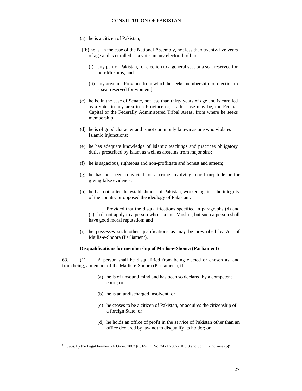- (a) he is a citizen of Pakistan;
- $<sup>1</sup>$ [(b) he is, in the case of the National Assembly, not less than twenty-five years</sup> of age and is enrolled as a voter in any electoral roll in—
	- (i) any part of Pakistan, for election to a general seat or a seat reserved for non-Muslims; and
	- (ii) any area in a Province from which he seeks membership for election to a seat reserved for women.]
- (c) he is, in the case of Senate, not less than thirty years of age and is enrolled as a voter in any area in a Province or, as the case may be, the Federal Capital or the Federally Administered Tribal Areas, from where he seeks membership;
- (d) he is of good character and is not commonly known as one who violates Islamic Injunctions;
- (e) he has adequate knowledge of Islamic teachings and practices obligatory duties prescribed by Islam as well as abstains from major sins;
- (f) he is sagacious, righteous and non-profligate and honest and ameen;
- (g) he has not been convicted for a crime involving moral turpitude or for giving false evidence;
- (h) he has not, after the establishment of Pakistan, worked against the integrity of the country or opposed the ideology of Pakistan :

Provided that the disqualifications specified in paragraphs (d) and (e) shall not apply to a person who is a non-Muslim, but such a person shall have good moral reputation; and

(i) he possesses such other qualifications as may be prescribed by Act of Majlis-e-Shoora (Parliament).

### **63. Disqualifications for membership of Majlis-e-Shoora (Parliament)**

63. (1) A person shall be disqualified from being elected or chosen as, and from being, a member of the Majlis-e-Shoora (Parliament), if—

- (a) he is of unsound mind and has been so declared by a competent court; or
- (b) he is an undischarged insolvent; or

- (c) he ceases to be a citizen of Pakistan, or acquires the citizenship of a foreign State; or
- (d) he holds an office of profit in the service of Pakistan other than an office declared by law not to disqualify its holder; or

<sup>1</sup> Subs. by the Legal Framework Order, 2002 (C. E's. O. No. 24 of 2002), Art. 3 and Sch., for "clause (b)".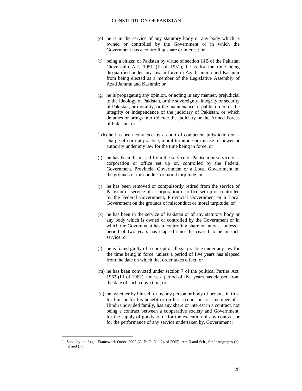- (e) he is in the service of any statutory body or any body which is owned or controlled by the Government or in which the Government has a controlling share or interest; or
- (f) being a citizen of Pakistan by virtue of section 14B of the Pakistan Citizenship Act, 1951 (II of 1951), he is for the time being disqualified under any law in force in Azad Jammu and Kashmir from being elected as a member of the Legislative Assembly of Azad Jammu and Kashmir; or
- (g) he is propagating any opinion, or acting in any manner, prejudicial to the Ideology of Pakistan, or the sovereignty, integrity or security of Pakistan, or morality, or the maintenance of public order, or the integrity or independence of the judiciary of Pakistan, or which defames or brings into ridicule the judiciary or the Armed Forces of Pakistan; or
- $1$ <sup>1</sup>[(h) he has been convicted by a court of competent jurisdiction on a charge of corrupt practice, moral turpitude or misuse of power or authority under any law for the time being in force; or
- (i) he has been dismissed from the service of Pakistan or service of a corporation or office set up or, controlled by the Federal Government, Provincial Government or a Local Government on the grounds of misconduct or moral turpitude; or
- (j) he has been removed or compulsorily retired from the service of Pakistan or service of a corporation or office-set up or controlled by the Federal Government, Provincial Government or a Local Government on the grounds of misconduct or moral turpitude; or]
- (k) he has been in the service of Pakistan or of any statutory body or any body which is owned or controlled by the Government or in which the Government has a controlling share or interest. unless a period of two years has elapsed since he ceased to be in such service; or
- (l) he is found guilty of a corrupt or illegal practice under any law for the time being in force, unless a period of five years has elapsed from the date on which that order takes effect; or
- (m) he has been convicted under section 7 of the political Parties Act, 1962 (III of 1962), unless a period of five years has elapsed from the date of such conviction; or
- (n) he, whether by himself or by any person or body of persons in trust for him or for his benefit or on his account or as a member of a Hindu undivided family, has any share or interest in a contract, not being a contract between a cooperative society and Government, for the supply of goods to, or for the execution of any contract or for the performance of any service undertaken by, Government :

<sup>1</sup> Subs. by the Legal Framework Order. 2002 (C. Es O. No. 24 of 2002). Art. 3 and Sch., for "paragraphs (h).  $(i)$  and  $(j)$ ".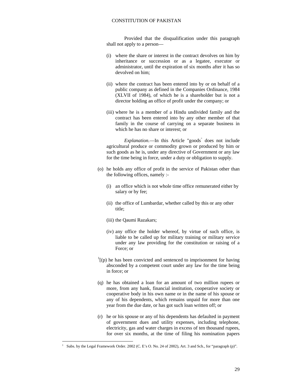Provided that the disqualification under this paragraph shall not apply to a person—

- (i) where the share or interest in the contract devolves on him by inheritance or succession or as a legatee, executor or administrator, until the expiration of six months after it has so devolved on him;
- (ii) where the contract has been entered into by or on behalf of a public company as defined in the Companies Ordinance, 1984 (XLVII of 1984), of which he is a shareholder but is not a director holding an office of profit under the company; or
- (iii) where he is a member of a Hindu undivided family and the contract has been entered into by any other member of that family in the course of carrying on a separate business in which he has no share or interest; or

*Explanation.*—In this Article "goods" does not include agricultural produce or commodity grown or produced by him or such goods as he is, under any directive of Government or any law for the time being in force, under a duty or obligation to supply.

- (o) he holds any office of profit in the service of Pakistan other than the following offices, namely :-
	- (i) an office which is not whole time office remunerated either by salary or by fee;
	- (ii) the office of Lumbardar, whether called by this or any other title;
	- (iii) the Qaumi Razakars;
	- (iv) any office the holder whereof, by virtue of such office, is liable to be called up for military training or military service under any law providing for the constitution or raising of a Force; or
- $\frac{1}{1}$ (p) he has been convicted and sentenced to imprisonment for having absconded by a competent court under any law for the time being in force; or
- (q) he has obtained a loan for an amount of two million rupees or more, from any hank, financial institution, cooperative society or cooperative body in his own name or in the name of his spouse or any of his dependents, which remains unpaid for more than one year from the due date, or has got such loan written off; or
- (r) he or his spouse or any of his dependents has defaulted in payment of government dues and utility expenses, including telephone, electricity, gas and water charges in excess of ten thousand rupees, for over six months, at the time of filing his nomination papers

<sup>1</sup> Subs. by the Legal Framework Order. 2002 (C. E's O. No. 24 of 2002), Art. 3 and Sch., for "paragraph (p)".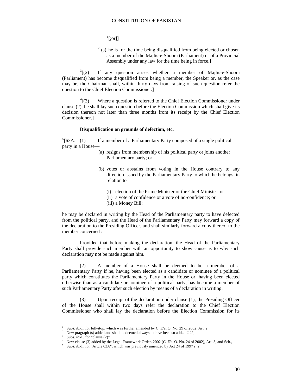$\left[ \text{[or]} \right]$ 

 $2^{2}$ [(s) he is for the time being disqualified from being elected or chosen as a member of the Majlis-e-Shoora (Parliament) or of a Provincial Assembly under any law for the time being in force.]

 $\sqrt[3]{(2)}$ If any question arises whether a member of Majlis-e-Shoora (Parliament) has become disqualified from being a member, the Speaker or, as the case may be, the Chairman shall, within thirty days from raising of such question refer the question to the Chief Election Commissioner.]

 $\frac{4}{(3)}$ Where a question is referred to the Chief Election Commissioner under clause (2), he shall lay such question before the Election Commission which shall give its decision thereon not later than three months from its receipt by the Chief Election Commissioner.]

## **63A. Disqualification on grounds of defection, etc.**

 $5$ [63A. (1) If a member of a Parliamentary Party composed of a single political party in a House—

- (a) resigns from membership of his political party or joins another Parliamentary party; or
- (b) votes or abstains from voting in the House contrary to any direction issued by the Parliamentary Party to which he belongs, in relation to—
	- (i) election of the Prime Minister or the Chief Minister; or
	- (ii) a vote of confidence or a vote of no-confidence; or
	- (iii) a Money Bill;

he may be declared in writing by the Head of the Parliamentary party to have defected from the political party, and the Head of the Parliamentary Party may forward a copy of the declaration to the Presiding Officer, and shall similarly forward a copy thereof to the member concerned :

Provided that before making the declaration, the Head of the Parliamentary Party shall provide such member with an opportunity to show cause as to why such declaration may not be made against him.

(2) A member of a House shall be deemed to be a member of a Parliamentary Party if he, having been elected as a candidate or nominee of a political party which constitutes the Parliamentary Party in the House or, having been elected otherwise than as a candidate or nominee of a political party, has become a member of such Parliamentary Party after such election by means of a declaration in writing.

(3) Upon receipt of the declaration under clause (1), the Presiding Officer of the House shall within two days refer the declaration to the Chief Election Commissioner who shall lay the declaration before the Election Commission for its

<sup>1</sup> Subs. ibid., for full-stop, which was further amended by C. E's. O. No. 29 of 2002, Art. 2.

<sup>2</sup> New pragraph (s) added and shall he deemed always to have been so added *ibid*.,

Subs. *ibid.*, for "clause (2)".

New clause (3) added by the Legal Framework Order. 2002 (C. E's. O. No. 24 of 2002), Art. 3, and Sch.,

Subs. ibid., for "Artcle 63A", which was previously amended by Act 24 of 1997 s. 2.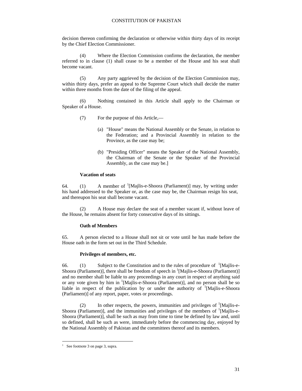decision thereon confirming the declaration or otherwise within thirty days of its receipt by the Chief Election Commissioner.

(4) Where the Election Commission confirms the declaration, the member referred to in clause (1) shall cease to be a member of the House and his seat shall become vacant.

(5) Any party aggrieved by the decision of the Election Commission may, within thirty days, prefer an appeal to the Supreme Court which shall decide the matter within three months from the date of the filing of the appeal.

(6) Nothing contained in this Article shall apply to the Chairman or Speaker of a House.

- (7) For the purpose of this Article,—
	- (a) "House" means the National Assembly or the Senate, in relation to the Federation; and a Provincial Assembly in relation to the Province, as the case may be;
	- (b) "Presiding Officer" means the Speaker of the National Assembly, the Chairman of the Senate or the Speaker of the Provincial Assembly, as the case may be.]

# **64. Vacation of seats**

64.  $(1)$  A member of <sup>1</sup>[Majlis-e-Shoora (Parliament)] may, by writing under his hand addressed to the Speaker or, as the case may be, the Chairman resign his seat, and thereupon his seat shall become vacant.

(2) A House may declare the seat of a member vacant if, without leave of the House, he remains absent for forty consecutive days of its sittings.

# **65. Oath of Members**

65. A person elected to a House shall not sit or vote until he has made before the House oath in the form set out in the Third Schedule.

# **66. Privileges of members, etc.**

66. (1) Subject to the Constitution and to the rules of procedure of  $\frac{1}{2}$ [Majlis-e-Shoora (Parliament)], there shall be freedom of speech in  ${}^{1}$ [Majlis-e-Shoora (Parliament)] and no member shall be liable to any proceedings in any court in respect of anything said or any vote given by him in <sup>1</sup>[Majlis-e-Shoora (Parliament)], and no person shall be so liable in respect of the publication by or under the authority of  $\left[$ <sup>1</sup>[Majlis-e-Shoora (Parliament)] of any report, paper, votes or proceedings.

(2) In other respects, the powers, immunities and privileges of  ${}^{1}$ [Majlis-e-Shoora (Parliament)], and the immunities and privileges of the members of <sup>1</sup>[Majlis-e-Shoora (Parliament)], shall be such as may from time to time be defined by law and, until so defined, shall be such as were, immediately before the commencing day, enjoyed by the National Assembly of Pakistan and the committees thereof and its members.

<sup>&</sup>lt;sup>1</sup> See footnote 3 on page 3, supra.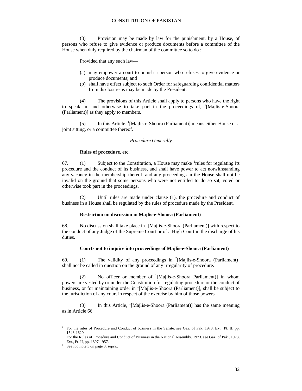(3) Provision may be made by law for the punishment, by a House, of persons who refuse to give evidence or produce documents before a committee of the House when duly required by the chairman of the committee so to do :

Provided that any such law—

- (a) may empower a court to punish a person who refuses to give evidence or produce documents; and
- (b) shall have effect subject to such Order for safeguarding confidential matters from disclosure as may be made by the President.

(4) The provisions of this Article shall apply to persons who have the right to speak in, and otherwise to take part in the proceedings of, <sup>1</sup>[Majlis-e-Shoora (Parliament)] as they apply to members.

(5) In this Article.  ${}^{1}$ [Majlis-e-Shoora (Parliament)] means either House or a joint sitting, or a committee thereof.

#### *Procedure Generally*

# **67. Rules of procedure, etc.**

67. (1) Subject to the Constitution, a House may make  $\frac{1}{1}$  rules for regulating its procedure and the conduct of its business, and shall have power to act notwithstanding any vacancy in the membership thereof, and any proceedings in the House shall not be invalid on the ground that some persons who were not entitled to do so sat, voted or otherwise took part in the proceedings.

(2) Until rules are made under clause (1), the procedure and conduct of business in a House shall be regulated by the rules of procedure made by the President.

# **68. Restriction on discussion in Majlis-e-Shoora (Parliament)**

68. No discussion shall take place in  ${}^{1}$ [Majlis-e-Shoora (Parliament)] with respect to the conduct of any Judge of the Supreme Court or of a High Court in the discharge of his duties.

### **69. Courts not to inquire into proceedings of Majlis-e-Shoora (Parliament)**

69. (1) The validity of any proceedings in <sup>2</sup>[Majlis-e-Shoora (Parliament)] shall not be called in question on the ground of any irregularity of procedure.

(2) No officer or member of  $^1$ [Majlis-e-Shoora Parliament)] in whom powers are vested by or under the Constitution for regulating procedure or the conduct of business, or for maintaining order in <sup>1</sup>[Majlis-e-Shoora (Parliament)], shall be subject to the jurisdiction of any court in respect of the exercise by him of those powers.

(3) In this Article,  ${}^{1}$ [Majlis-e-Shoora (Parliament)] has the same meaning as in Article 66.

<sup>1</sup> For the rules of Procedure and Conduct of business in the Senate. see Gaz. of Pak. 1973. Ext., Pt. II. pp. 1543-1620.

For the Rules of Procedure and Conduct of Business in the National Assembly. 1973. see Gaz. of Pak., 1973, Ext., Pt. II, pp. 1897-1957.<br><sup>2</sup> See footnote 3 on page 3, supra.,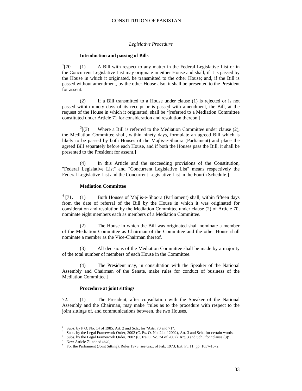### *Legislative Procedure*

#### **70. Introduction and passing of Bills**

 $1$ [70. [70. (1) A Bill with respect to any matter in the Federal Legislative List or in the Concurrent Legislative List may originate in either House and shall, if it is passed by the House in which it originated, be transmitted to the other House; and, if the Bill is passed without amendment, by the other House also, it shall be presented to the President for assent.

(2) If a Bill transmitted to a House under clause (1) is rejected or is not passed within ninety days of its receipt or is passed with amendment, the Bill, at the request of the House in which it originated, shall be  $2$ [referred to a Mediation Committee constituted under Article 71 for consideration and resolution thereon.]

 $\sqrt[3]{(3)}$ Where a Bill is referred to the Mediation Committee under clause (2), the Mediation Committee shall, within ninety days, formulate an agreed Bill which is likely to be passed by both Houses of the Majlis-e-Shoora (Parliament) and place the agreed Bill separately before each House, and if both the Houses pass the Bill, it shall be presented to the President for assent.]

(4) In this Article and the succeeding provisions of the Constitution, "Federal Legislative List" and "Concurrent Legislative List" means respectively the Federal Legislative List and the Concurrent Legislative List in the Fourth Schedule.]

### **71. Mediation Committee**

 $^{4}$  [71. [71. (1) Both Houses of Majlis-e-Shoora (Parliament) shall, within fifteen days from the date of referral of the Bill by the House in which it was originated for consideration and resolution by the Mediation Committee under clause (2) of Article 70, nominate eight members each as members of a Mediation Committee.

(2) The House in which the Bill was originated shall nominate a member of the Mediation Committee as Chairman of the Committee and the other House shall nominate a member as the Vice-Chairman thereof.

All decisions of the Mediation Committee shall be made by a majority of the total number of members of each House in the Committee.

(4) The President may, in consultation with the Speaker of the National Assembly and Chairman of the Senate, make rules for conduct of business of the Mediation Committee.]

# **72. Procedure at joint sittings**

72. (1) The President, after consultation with the Speaker of the National Assembly and the Chairman, may make <sup>5</sup>rules as to the procedure with respect to the joint sittings of, and communications between, the two Houses.

<sup>1</sup> Subs. by P O. No. 14 of 1985. Art. 2 and Sch., for "Arts. 70 and 71". 2

Subs. by the Legal Framework Order, 2002 (C. Es. O. No. 24 of 2002), Art. 3 and Sch., for certain words.

Subs. by the Legal Framework Order, 2002 (C. E's O. No. 24 of 2002), Art. 3 and Sch., for "clause (3)". New Article 71 added *ibid.*,

For the Parliament (Joint Sitting), Rules 1973, see Gaz. of Pak. 1973, Ext. Pt. 11, pp. 1657-1672.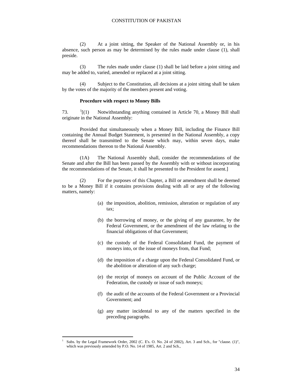(2) At a joint sitting, the Speaker of the National Assembly or, in his absence, such person as may be determined by the rules made under clause (1), shall preside.

(3) The rules made under clause (1) shall be laid before a joint sitting and may be added to, varied, amended or replaced at a joint sitting.

(4) Subject to the Constitution, all decisions at a joint sitting shall be taken by the votes of the majority of the members present and voting.

## **73. Procedure with respect to Money Bills**

73.  $\frac{1}{1}(1)$ Notwithstanding anything contained in Article 70, a Money Bill shall originate in the National Assembly:

Provided that simultaneously when a Money Bill, including the Finance Bill containing the Annual Budget Statement, is presented in the National Assembly, a copy thereof shall be transmitted to the Senate which may, within seven days, make recommendations thereon to the National Assembly.

(1A) The National Assembly shall, consider the recommendations of the Senate and after the Bill has been passed by the Assembly with or without incorporating the recommendations of the Senate, it shall he presented to the President for assent.]

(2) For the purposes of this Chapter, a Bill or amendment shall be deemed to be a Money Bill if it contains provisions dealing with all or any of the following matters, namely:

- (a) the imposition, abolition, remission, alteration or regulation of any tax;
- (b) the borrowing of money, or the giving of any guarantee, by the Federal Government, or the amendment of the law relating to the financial obligations of that Government;
- (c) the custody of the Federal Consolidated Fund, the payment of moneys into, or the issue of moneys from, that Fund;
- (d) the imposition of a charge upon the Federal Consolidated Fund, or the abolition or alteration of any such charge;
- (e) the receipt of moneys on account of the Public Account of the Federation, the custody or issue of such moneys;
- (f) the audit of the accounts of the Federal Government or a Provincial Government; and
- (g) any matter incidental to any of the matters specified in the preceding paragraphs.

<sup>1</sup> Subs. by the Legal Framework Order, 2002 (C. E's. O. No. 24 of 2002), Art. 3 and Sch., for "clause. (1)", which was previously amended by P.O. No. 14 of 1985, Art. 2 and Sch.,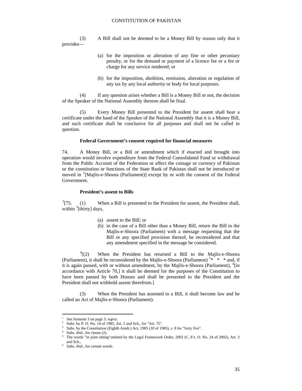(3) A Bill shall not be deemed to be a Money Bill by reason only that it

provides—

- (a) for the imposition or alteration of any fine or other pecuniary penalty, or for the demand or payment of a licence fee or a fee or charge for any service rendered; or
- (b) for the imposition, abolition, remission, alteration or regulation of any tax by any local authority or body for local purposes.

(4) If any question arises whether a Bill is a Money Bill or not, the decision of the Speaker of the National Assembly thereon shall be final.

(5) Every Money Bill presented to the President for assent shall bear a certificate under the hand of the Speaker of the National Assembly that it is a Money Bill, and such certificate shall be conclusive for all purposes and shall not be called in question.

#### **74. Federal Government's consent required for financial measures**

74. A Money Bill, or a Bill or amendment which if enacted and brought into operation would involve expenditure from the Federal Consolidated Fund or withdrawal from the Public Account of the Federation or affect the coinage or currency of Pakistan or the constitution or functions of the State Bank of Pakistan shall not be introduced or moved in <sup>1</sup>[Majlis-e-Shoora (Parliament)] except by or with the consent of the Federal Government.

#### **75. President's assent to Bills**

 $^{2}$ [75. [75. (1) When a Bill is presented to the President for assent, the President shall, within  $\frac{3}{1}$ [thirty] days,

- (a) assent to the Bill; or
- (b) in the case of a Bill other than a Money Bill, return the Bill to the Majlis-e-Shoora (Parliament) with a message requesting that the Bill or any specified provision thereof, be reconsidered and that any amendment specified in the message be considered.

 $^{4}$ [(2) When the President has returned a Bill to the Majlis-e-Shoora (Parliament), it shall be reconsidered by the Majlis-e-Shoora (Parliament)  $5* * *$  and, if it is again passed, with or without amendment, by the Majlis-e-Shoora (Parliament), <sup>6</sup>[in accordance with Article 70,] it shall be deemed for the purposes of the Constitution to have been passed by both Houses and shall be presented to the President and the President shall not withhold assent therefrom.]

(3) When the President has assented to a Bill, it shall become law and be called an Act of Majlis-e-Shoora (Parliament).

<sup>1</sup>

<sup>&</sup>lt;sup>1</sup> See footnote 3 on page 3. *supra*.<br><sup>2</sup> Subs. by P. O. No. 14 of 1985, Art. 2 and Sch., for "Art. 75".

<sup>&</sup>lt;sup>3</sup> Subs. by the Constitution (Eighth Amdt.) Act, 1985 (18 of 1985), s. 8 for "forty five".

 $\frac{4}{5}$  Subs. *ibid.*, for clause (2).

The words "in joint sitting"omitted by the Legal Framework Order, 2002 (C. E's. O. No. 24 of 2002), Art. 3 and Sch.,

Subs. *ibid*., for certain words.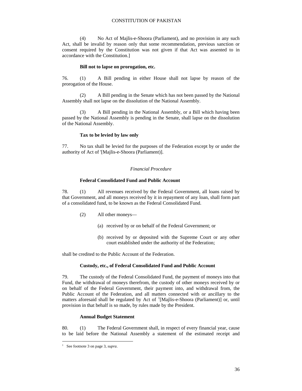(4) No Act of Majlis-e-Shoora (Parliament), and no provision in any such Act, shall be invalid by reason only that some recommendation, previous sanction or consent required by the Constitution was not given if that Act was assented to in accordance with the Constitution.]

#### **76. Bill not to lapse on prorogation, etc.**

76. (1) A Bill pending in either House shall not lapse by reason of the prorogation of the House.

(2) A Bill pending in the Senate which has not been passed by the National Assembly shall not lapse on the dissolution of the National Assembly.

(3) A Bill pending in the National Assembly, or a Bill which having been passed by the National Assembly is pending in the Senate, shall lapse on the dissolution of the National Assembly.

### **77. Tax to be levied by law only**

77. No tax shall be levied for the purposes of the Federation except by or under the authority of Act of '[Majlis-e-Shoora (Parliament)].

## *Financial Procedure*

# **78. Federal Consolidated Fund and Public Account**

78. (1) All revenues received by the Federal Government, all loans raised by that Government, and all moneys received by it in repayment of any loan, shall form part of a consolidated fund, to be known as the Federal Consolidated Fund.

- (2) All other moneys—
	- (a) received by or on behalf of the Federal Government; or
	- (b) received by or deposited with the Supreme Court or any other court established under the authority of the Federation;

shall be credited to the Public Account of the Federation.

# **79. Custody, etc., of Federal Consolidated Fund and Public Account**

79. The custody of the Federal Consolidated Fund, the payment of moneys into that Fund, the withdrawal of moneys therefrom, the custody of other moneys received by or on behalf of the Federal Government, their payment into, and withdrawal from, the Public Account of the Federation, and all matters connected with or ancillary to the matters aforesaid shall be regulated by Act of <sup>1</sup>[Majlis-e-Shoora (Parliament)] or, until provision in that behalf is so made, by rules made by the President.

### **80. Annual Budget Statement**

80. (1) The Federal Government shall, in respect of every financial year, cause to be laid before the National Assembly a statement of the estimated receipt and

<sup>1</sup> See footnote 3 on page 3, *supra*.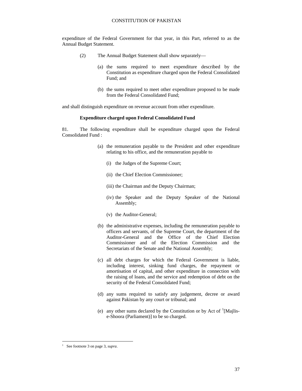expenditure of the Federal Government for that year, in this Part, referred to as the Annual Budget Statement.

- (2) The Annual Budget Statement shall show separately—
	- (a) the sums required to meet expenditure described by the Constitution as expenditure charged upon the Federal Consolidated Fund; and
	- (b) the sums required to meet other expenditure proposed to be made from the Federal Consolidated Fund;

and shall distinguish expenditure on revenue account from other expenditure.

# **81. Expenditure charged upon Federal Consolidated Fund**

81. The following expenditure shall be expenditure charged upon the Federal Consolidated Fund :

- (a) the remuneration payable to the President and other expenditure relating to his office, and the remuneration payable to
	- (i) the Judges of the Supreme Court;
	- (ii) the Chief Election Commissioner;
	- (iii) the Chairman and the Deputy Chairman;
	- (iv) the Speaker and the Deputy Speaker of the National Assembly;
	- (v) the Auditor-General;
- (b) the administrative expenses, including the remuneration payable to officers and servants, of the Supreme Court, the department of the Auditor-General and the Office of the Chief Election Commissioner and of the Election Commission and the Secretariats of the Senate and the National Assembly;
- (c) all debt charges for which the Federal Government is liable, including interest, sinking fund charges, the repayment or amortisation of capital, and other expenditure in connection with the raising of loans, and the service and redemption of debt on the security of the Federal Consolidated Fund;
- (d) any sums required to satisfy any judgement, decree or award against Pakistan by any court or tribunal; and
- (e) any other sums declared by the Constitution or by Act of  ${}^{1}$ [Majlise-Shoora (Parliament)] to be so charged.

<sup>1</sup> See footnote 3 on page 3, *supra*.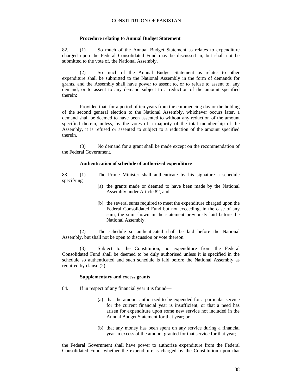## **82. Procedure relating to Annual Budget Statement**

82. (1) So much of the Annual Budget Statement as relates to expenditure charged upon the Federal Consolidated Fund may be discussed in, but shall not be submitted to the vote of, the National Assembly.

(2) So much of the Annual Budget Statement as relates to other expenditure shall be submitted to the National Assembly in the form of demands for grants, and the Assembly shall have power to assent to, or to refuse to assent to, any demand, or to assent to any demand subject to a reduction of the amount specified therein:

Provided that, for a period of ten years from the commencing day or the holding of the second general election to the National Assembly, whichever occurs later, a demand shall be deemed to have been assented to without any reduction of the amount specified therein, unless, by the votes of a majority of the total membership of the Assembly, it is refused or assented to subject to a reduction of the amount specified therein.

(3) No demand for a grant shall be made except on the recommendation of the Federal Government.

# **83. Authentication of schedule of authorized expenditure**

83. (1) The Prime Minister shall authenticate by his signature a schedule specifying—

- (a) the grants made or deemed to have been made by the National Assembly under Article 82, and
- (b) the several sums required to meet the expenditure charged upon the Federal Consolidated Fund but not exceeding, in the case of any sum, the sum shown in the statement previously laid before the National Assembly.

(2) The schedule so authenticated shall be laid before the National Assembly, but shall not be open to discussion or vote thereon.

Subject to the Constitution, no expenditure from the Federal Consolidated Fund shall be deemed to be duly authorised unless it is specified in the schedule so authenticated and such schedule is laid before the National Assembly as required by clause (2).

# **84. Supplementary and excess grants**

84. If in respect of any financial year it is found—

- (a) that the amount authorized to be expended for a particular service for the current financial year is insufficient, or that a need has arisen for expenditure upon some new service not included in the Annual Budget Statement for that year; or
- (b) that any money has been spent on any service during a financial year in excess of the amount granted for that service for that year;

the Federal Government shall have power to authorize expenditure from the Federal Consolidated Fund, whether the expenditure is charged by the Constitution upon that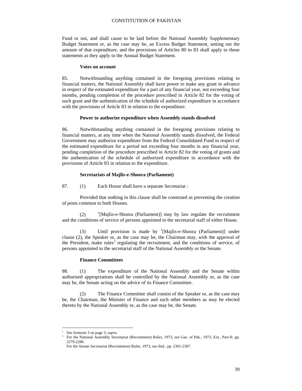Fund or not, and shall cause to be laid before the National Assembly Supplementary Budget Statement or, as the case may be, an Excess Budget Statement, setting out the amount of that expenditure, and the provisions of Articles 80 to 83 shall apply to those statements as they apply to the Annual Budget Statement.

#### **85. Votes on account**

85. Notwithstanding anything contained in the foregoing provisions relating to financial matters, the National Assembly shall have power to make any grant in advance in respect of the estimated expenditure for a part of any financial year, not exceeding four months, pending completion of the procedure prescribed in Article 82 for the voting of such grant and the authentication of the schedule of authorized expenditure in accordance with the provisions of Article 83 in relation to the expenditure.

### Power to authorize expenditure when Assembly stands dissolved

86. Notwithstanding anything contained in the foregoing provisions relating to financial matters, at any time when the National Assembly stands dissolved, the Federal Government may authorize expenditure from the Federal Consolidated Fund in respect of the estimated expenditure for a period not exceeding four months in any financial year, pending completion of the procedure prescribed in Article 82 for the voting of grants and the authentication of the schedule of authorized expenditure in accordance with the provisions of Article 83 in relation to the expenditure.

### **87. Secretariats of Majlis-e-Shoora (Parliament)**

87. (1) Each House shall have a separate Secretariat :

Provided that nothing in this clause shall be construed as preventing the creation of posts common to both Houses.

 $(2)$ <sup>1</sup>[Majlis-e-Shoora (Parliament)] may by law regulate the recruitment and the conditions of service of persons appointed to the secretarial staff of either House.

(3) Until provision is made by  $(3)$ <sup>1</sup>[Majlis-e-Shoora (Parliament)] under clause (2), the Speaker or, as the case may be, the Chairman may, with the approval of the President, make rules<sup>2</sup> regulating the recruitment, and the conditions of service, of persons appointed to the secretarial staff of the National Assembly or the Senate.

### **88. Finance Committees**

88. (1) The expenditure of the National Assembly and the Senate within authorised appropriations shall be controlled by the National Assembly or, as the case may be, the Senate acting on the advice of its Finance Committee.

(2) The Finance Committee shall consist of the Speaker or, as the case may be, the Chairman, the Minister of Finance and such other members as may be elected thereto by the National Assembly or, as the case may be, the Senate.

<sup>1</sup> See footnote 3 on page 3, *supra*.

For the National Assembly Secretariat (Recruitment) Rules, 1973, see Gaz. of Pak.. 1973, Ext., Part-II. pp. 2279-2286.

For the Senate Secretariat (Recruitment) Rules. 1973, see ibid.. pp. 2301-2307.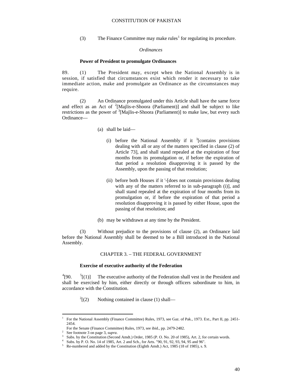(3) The Finance Committee may make rules<sup>1</sup> for regulating its procedure.

### *Ordinances*

#### **89. Power of President to promulgate Ordinances**

89. (1) The President may, except when the National Assembly is in session, if satisfied that circumstances exist which render it necessary to take immediate action, make and promulgate an Ordinance as the circumstances may require.

(2) An Ordinance promulgated under this Article shall have the same force and effect as an Act of  $2$ <sup>[</sup>Majlis-e-Shoora (Parliament)] and shall be subject to like restrictions as the power of  ${}^{3}$ [Majlis-e-Shoora (Parliament)] to make law, but every such Ordinance—

- (a) shall be laid—
	- (i) before the National Assembly if it  $\frac{3}{2}$  contains provisions dealing with all or any of the matters specified in clause (2) of Article 73], and shall stand repealed at the expiration of four months from its promulgation or, if before the expiration of that period a resolution disapproving it is passed by the Assembly, upon the passing of that resolution;
	- (ii) before both Houses if it '-[does not contain provisions dealing with any of the matters referred to in sub-paragraph (i)], and shall stand repealed at the expiration of four months from its promulgation or, if before the expiration of that period a resolution disapproving it is passed by either House, upon the passing of that resolution; and
- (b) may be withdrawn at any time by the President.

(3) Without prejudice to the provisions of clause (2), an Ordinance laid before the National Assembly shall be deemed to be a Bill introduced in the National Assembly.

### CHAPTER 3. – THE FEDERAL GOVERNMENT

### **Exercise of executive authority of the Federation**

 $^{4}$ [90. <sup>5</sup>  ${}^{5}$ [(1)] The executive authority of the Federation shall vest in the President and shall be exercised by him, either directly or through officers subordinate to him, in accordance with the Constitution.

 $^{2}$ [(2) Nothing contained in clause (1) shall—

<sup>1</sup> For the National Assembly (Finance Committee) Rules, 1973, see Gaz. of Pak., 1973. Ext., Part II, pp. 2451- 2454.

For the Senate (Finance Committee) Rules, 1973, see ibid., pp. 2479-2482.

<sup>&</sup>lt;sup>2</sup> See footnote 3 on page 3, *supra*.<br> $S<sup>3</sup>$  Subs, by the Constitution (Secon

Subs. by the Constitution (Second Amdt.) Order, 1985 (P. O. No. 20 of 1985), Art. 2, for certain words.

Subs. by P. O. No. 14 of 1985, Art. 2 and Sch., for Arts. "90, 91, 92, 93, 94, 95 and 96".

<sup>5</sup> Re-numbered and added by the Constitution (Eighth Amdt.) Act, 1985 (18 of 1985), s. 9.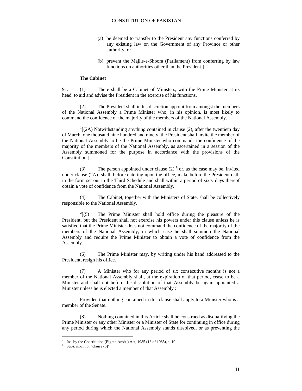- (a) be deemed to transfer to the President any functions conferred by any existing law on the Government of any Province or other authority; or
- (b) prevent the Majlis-e-Shoora (Parliament) from conferring by law functions on authorities other than the President.]

## **91. The Cabinet**

91. (1) There shall be a Cabinet of Ministers, with the Prime Minister at its head, to aid and advise the President in the exercise of his functions.

(2) The President shall in his discretion appoint from amongst the members of the National Assembly a Prime Minister who, in his opinion, is most likely to command the confidence of the majority of the members of the National Assembly.

 $1$ [(2A) Notwithstanding anything contained in clause (2), after the twentieth day of March, one thousand nine hundred and ninety, the President shall invite the member of the National Assembly to be the Prime Minister who commands the confidence of the majority of the members of the National Assembly, as ascertained in a session of the Assembly summoned for the purpose in accordance with the provisions of the Constitution.]

(3) The person appointed under clause (2)  $\frac{1}{1}$  [or, as the case may be, invited under clause (2A)] shall, before entering upon the office, make before the President oath in the form set out in the Third Schedule and shall within a period of sixty days thereof obtain a vote of confidence from the National Assembly.

(4) The Cabinet, together with the Ministers of State, shall be collectively responsible to the National Assembly.

 $^{2}$ [(5) The Prime Minister shall hold office during the pleasure of the President, but the President shall not exercise his powers under this clause unless he is satisfied that the Prime Minister does not command the confidence of the majority of the members of the National Assembly, in which case he shall summon the National Assembly and require the Prime Minister to obtain a vote of confidence from the Assembly.].

(6) The Prime Minister may, by writing under his hand addressed to the President, resign his office.

(7) A Minister who for any period of six consecutive months is not a member of the National Assembly shall, at the expiration of that period, cease to be a Minister and shall not before the dissolution of that Assembly be again appointed a Minister unless he is elected a member of that Assembly :

Provided that nothing contained in this clause shall apply to a Minister who is a member of the Senate.

(8) Nothing contained in this Article shall be construed as disqualifying the Prime Minister or any other Minister or a Minister of State for continuing in office during any period during which the National Assembly stands dissolved, or as preventing the

<sup>1</sup> Ins. by the Constitution (Eighth Amdt.) Act, 1985 (18 of 1985), s. 10.

<sup>&</sup>lt;sup>2</sup> Subs. *ibid.*, for "clause  $(5)$ ".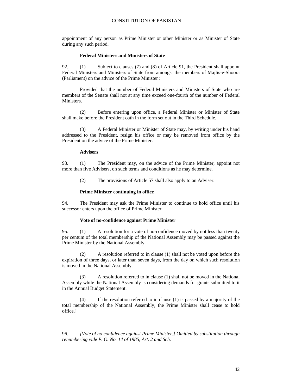appointment of any person as Prime Minister or other Minister or as Minister of State during any such period.

## **92. Federal Ministers and Ministers of State**

92. (1) Subject to clauses (7) and (8) of Article 91, the President shall appoint Federal Ministers and Ministers of State from amongst the members of Majlis-e-Shoora (Parliament) on the advice of the Prime Minister :

Provided that the number of Federal Ministers and Ministers of State who are members of the Senate shall not at any time exceed one-fourth of the number of Federal Ministers.

(2) Before entering upon office, a Federal Minister or Minister of State shall make before the President oath in the form set out in the Third Schedule.

(3) A Federal Minister or Minister of State may, by writing under his hand addressed to the President, resign his office or may be removed from office by the President on the advice of the Prime Minister.

# **93. Advisers**

93. (1) The President may, on the advice of the Prime Minister, appoint not more than five Advisers, on such terms and conditions as he may determine.

(2) The provisions of Article 57 shall also apply to an Adviser.

### **Prime Minister continuing in office**

94. The President may ask the Prime Minister to continue to hold office until his successor enters upon the office of Prime Minister.

### **95. Vote of no-confidence against Prime Minister**

95. (1) A resolution for a vote of no-confidence moved by not less than twenty per centum of the total membership of the National Assembly may be passed against the Prime Minister by the National Assembly.

(2) A resolution referred to in clause (1) shall not be voted upon before the expiration of three days, or later than seven days, from the day on which such resolution is moved in the National Assembly.

(3) A resolution referred to in clause (1) shall not be moved in the National Assembly while the National Assembly is considering demands for grants submitted to it in the Annual Budget Statement.

(4) If the resolution referred to in clause (1) is passed by a majority of the total membership of the National Assembly, the Prime Minister shall cease to hold office.]

96. *[Vote of no confidence against Prime Minister.] Omitted by substitution through renumbering vide P. O. No. 14 of 1985, Art. 2 and Sch.*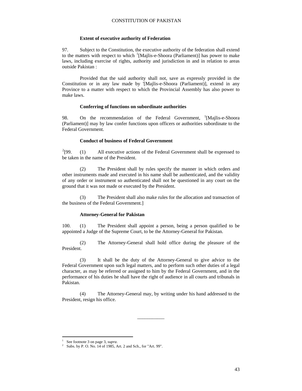# **Extent of executive authority of Federation**

97. Subject to the Constitution, the executive authority of the federation shall extend to the matters with respect to which  $<sup>1</sup>[Majlis-e-Shoora (Parliament)]$  has power to make</sup> laws, including exercise of rights, authority and jurisdiction in and in relation to areas outside Pakistan :

Provided that the said authority shall not, save as expressly provided in the Constitution or in any law made by '[Majlis-e-Shoora (Parliament)], extend in any Province to a matter with respect to which the Provincial Assembly has also power to make laws.

### **98. Conferring of functions on subordinate authorities**

98. On the recommendation of the Federal Government, <sup>1</sup>[Majlis-e-Shoora (Parliament)] may by law confer functions upon officers or authorities subordinate to the Federal Government.

#### **Conduct of business of Federal Government**

 $^{2}$ [99. [99. (1) All executive actions of the Federal Government shall be expressed to be taken in the name of the President.

(2) The President shall by rules specify the manner in which orders and other instruments made and executed in his name shall be authenticated, and the validity of any order or instrument so authenticated shall not be questioned in any court on the ground that it was not made or executed by the President.

(3) The President shall also make rules for the allocation and transaction of the business of the Federal Government.]

#### **Attorney-General for Pakistan**

100. (1) The President shall appoint a person, being a person qualified to be appointed a Judge of the Supreme Court, to be the Attorney-General for Pakistan.

(2) The Attorney-General shall hold office during the pleasure of the President.

(3) It shall be the duty of the Attorney-General to give advice to the Federal Government upon such legal matters, and to perform such other duties of a legal character, as may be referred or assigned to him by the Federal Government, and in the performance of his duties he shall have the right of audience in all courts and tribunals in Pakistan.

(4) The Attorney-General may, by writing under his hand addressed to the President, resign his office.

\_\_\_\_\_\_\_\_\_\_\_

<sup>1</sup> See footnote 3 on page 3, *supra*. 2

Subs. by P. O. No. 14 of 1985, Art. 2 and Sch., for "Art. 99".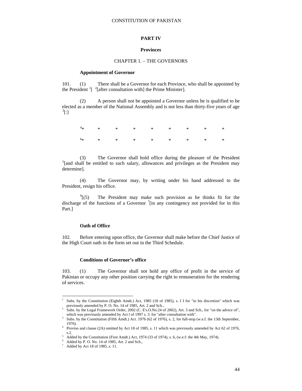# **PART IV**

# **Provinces**

## CHAPTER 1. – THE GOVERNORS

### **Appointment of Governor**

101. (1) There shall be a Governor for each Province, who shall be appointed by the President  $\frac{1}{2}$  [after consultation with] the Prime Minister].

(2) A person shall not be appointed a Governor unless he is qualified to be elected as a member of the National Assembly and is not less than thirty-five years of age  $\left[$ <sup>3</sup>[:]

 $4*$ \* \* \* \* \* \* \* \* \*  $4*$ \* \* \* \* \* \* \* \* \*

(3) The Governor shall hold office during the pleasure of the President  $\frac{5}{2}$ [and shall be entitled to such salary, allowances and privileges as the President may determine].

(4) The Governor may, by writing under his hand addressed to the President, resign his office.

 $^{\circ}$ [(5) The President may make such provision as he thinks fit for the discharge of the functions of a Governor  $\frac{7}{1}$  any contingency not provided for in this Part.]

# **Oath of Office**

102. Before entering upon office, the Governor shall make before the Chief Justice of the High Court oath in the form set out in the Third Schedule.

#### **103. Conditions of Governor's office**

103. (1) The Governor shall not hold any office of profit in the service of Pakistan or occupy any other position carrying the right to remuneration for the rendering of services.

<sup>1</sup> Subs. by the Constitution (Eighth Amdt.) Act, 1985 (18 of 1985), s. I I for "in his discretion" which was previously amended by P. O. No. 14 of 1985, Art. 2 and Sch.,  $\frac{2}{3}$ 

Subs. by the Legal Framework Order, 2002 (C. E's.O.No.24 of 2002), Art. 3 and Sch., for "on the advice of", which was previously amended by Act 1 of 1997 s. 3. for "after consultation with". which was previously amended by Act 1 of 1997 s. 3. for "after consultation with".<br><sup>3</sup> Subs. by the Constitution (Fifth Amdt.) Act. 1976 (62 of 1976), s. 2, for full-stop (w.e.f. the 13th September,

 $1976$ .

Proviso and clause (2A) omitted by Act 18 of 1985, s. 11 which was previously amended by Act 62 of 1976,  $\frac{1}{2}$  s.2.

Added by the Constitution (First Amdt.) Act, 1974 (33 of 1974), s. 6, (w.e.f: the 4th May, 1974).

Added by P. O. No. 14 of 1985, Art. 2 and Sch.,

<sup>7</sup> Added by Act 18 of 1985, s. 11.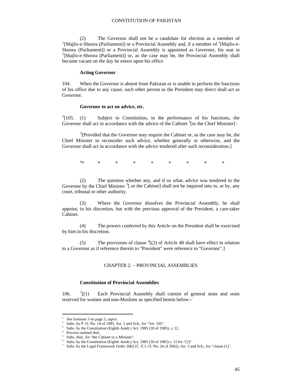(2) The Governor shall not be a candidate for election as a member of 1 [Majlis-e-Shoora (Parliament)] or a Provincial Assembly and, if a member of <sup>1</sup>[Majlis-e-Shoora (Parliament)] or a Provincial Assembly is appointed as Governor, his seat in <sup>1</sup>[Majlis-e-Shoora (Parliament)] or, as the case may be, the Provincial Assembly shall become vacant on the day he enters upon his office.

### **Acting Governor**

104. When the Governor is absent from Pakistan or is unable to perform the functions of his office due to any cause, such other person as the President may direct shall act as Governor.

### Governor to act on advice, etc.

 $^{2}[105. (1)]$ Subject to Constitution, in the performance of his functions, the Governor shall act in accordance with the advice of the Cabinet<sup>3</sup> [or the Chief Minister] :

 $3$ [Provided that the Governor may require the Cabinet or, as the case may be, the Chief Minister to reconsider such advice, whether generally or otherwise, and the Governor shall act in accordance with the advice tendered after such reconsideration.]

 $4*$ \* \* \* \* \* \* \* \* \*

(2) The question whether any, and if so what, advice was tendered to the Governor by the Chief Minister  ${}^{5}$ [ or the Cabinet] shall not be inquired into in, or by, any court, tribunal or other authority.

(3) Where the Governor dissolves the Provincial Assembly, he shall appoint, in his discretion, but with the previous approval of the President, a care-taker Cabinet.

(4) The powers conferred by this Article on the President shall be exercised by him in his discretion.

(5) The provisions of clause  ${}^6$ [(2) of Article 48 shall have effect in relation to a Governor as if reference therein to "President" were reference to "Governor".]

### CHAPTER 2. – PROVINCIAL ASSEMBLIES

# **106. Constitution of Provincial Assemblies**

106.  $^{7}$ [(1) Each Provincial Assembly shall consist of general seats and seats reserved for women and non-Muslims as specified herein below:-

<sup>1</sup> See footnote 3 on page 3, *supra*.

Subs. by P. O. No. 14 of 1985, Art. 2 and Sch., for "Art. 105".

<sup>3</sup> Subs. by the Constitution (Eighth Amdt.) Act. 1985 (18 of 1985), s. 12. 4

<sup>&</sup>lt;sup>4</sup> Proviso omitted *ibid.*,

Subs. *ibid.*, for "the Cabinet or a Minister".

Subs. by the Constitution (Eighth Amdt.) Act. 1985 (18 of 1985) s. 12 for "(3)".

Subs. by the Legal Framework Order 2002 (C. E's. O. No. 24 of 2002), Art. 3 and Sch., for "clause (1)".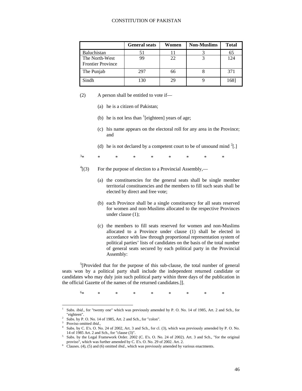|                                            | <b>General seats</b> | Women | <b>Non-Muslims</b> | <b>Total</b> |
|--------------------------------------------|----------------------|-------|--------------------|--------------|
| Baluchistan                                | 51                   |       |                    | 65           |
| The North-West<br><b>Frontier Province</b> | 99                   | 22    |                    | 124          |
| The Punjab                                 | 297                  | 66    |                    | 371          |
| Sindh                                      | 130                  | 29    |                    | 168          |

(2) A person shall be entitled to vote if—

- (a) he is a citizen of Pakistan;
- (b) he is not less than  $\textsuperscript{1}$  [eighteen] years of age;
- (c) his name appears on the electoral roll for any area in the Province; and
- (d) he is not declared by a competent court to be of unsound mind  $2[.]$

 $3*$ \* \* \* \* \* \* \* \* \*

- $\frac{4}{3}$ (3) For the purpose of election to a Provincial Assembly,—
	- (a) the constituencies for the general seats shall be single member territorial constituencies and the members to fill such seats shall be elected by direct and free vote;
	- (b) each Province shall be a single constituency for all seats reserved for women and non-Muslims allocated to the respective Provinces under clause (1);
	- (c) the members to fill seats reserved for women and non-Muslims allocated to a Province under clause (1) shall be elected in accordance with law through proportional representation system of political parties' lists of candidates on the basis of the total number of general seats secured by each political party in the Provincial Assembly:

 $5$ [Provided that for the purpose of this sub-clause, the total number of general seats won by a political party shall include the independent returned candidate or candidates who may duly join such political party within three days of the publication in the official Gazette of the names of the returned candidates.]].

 $6*$ \* \* \* \* \* \* \* \* \*

<sup>1</sup> Subs. *ibid.*, for "twenty one" which was previously amended by P. O. No. 14 of 1985, Art. 2 and Sch., for "eighteen".<br><sup>2</sup> Subs by P

Subs. by P. O. No. 14 of 1985, Art. 2 and Sch., for "colon".

<sup>3</sup> <sup>3</sup> Proviso omitted *ibid.*,

Subs. by C. E's. O. No. 24 of 2002, Art. 3 and Sch., for cl. (3), which was previously amended by P. O. No. 14 of 1985 Art. 2 and Sch., for "clause (3)". 5

Subs. by the Legal Framework Order. 2002 (C. E's. O. No. 24 of 2002). Art. 3 and Sch., "for the original proviso", which was further amended by C. E's. O. No. 29 of 2002. Art. 2. 6

Clauses. (4), (5) and (6) omitted *ibid*., which was previously amended by various enactments.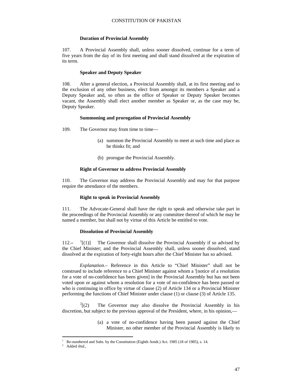## **Duration of Provincial Assembly**

107. A Provincial Assembly shall, unless sooner dissolved, continue for a term of five years from the day of its first meeting and shall stand dissolved at the expiration of its term.

### **Speaker and Deputy Speaker**

108. After a general election, a Provincial Assembly shall, at its first meeting and to the exclusion of any other business, elect from amongst its members a Speaker and a Deputy Speaker and, so often as the office of Speaker or Deputy Speaker becomes vacant, the Assembly shall elect another member as Speaker or, as the case may be, Deputy Speaker.

### **109. Summoning and prorogation of Provincial Assembly**

109. The Governor may from time to time—

- (a) summon the Provincial Assembly to meet at such time and place as he thinks fit; and
- (b) prorogue the Provincial Assembly.

### **Right of Governor to address Provincial Assembly**

110. The Governor may address the Provincial Assembly and may for that purpose require the attendance of the members.

## **111. Right to speak in Provincial Assembly**

111. The Advocate-General shall have the right to speak and otherwise take part in the proceedings of the Provincial Assembly or any committee thereof of which he may be named a member, but shall not by virtue of this Article be entitled to vote.

### **12. Dissolution of Provincial Assembly**

 $112. - \frac{1}{2}[(1)]$ The Governor shall dissolve the Provincial Assembly if so advised by the Chief Minister; and the Provincial Assembly shall, unless sooner dissolved, stand dissolved at the expiration of forty-eight hours after the Chief Minister has so advised.

*Explanation*.– Reference in this Article to "Chief Minister" shall not be construed to include reference to a Chief Minister against whom a '[notice of a resolution for a vote of no-confidence has been given] in the Provincial Assembly but has not been voted upon or against whom a resolution for a vote of no-confidence has been passed or who is continuing in office by virtue of clause (2) of Article 134 or a Provincial Minister performing the functions of Chief Minister under clause (1) or clause (3) of Article 135.

 $^{2}$ [(2) The Governor may also dissolve the Provincial Assembly in his discretion, but subject to the previous approval of the President, where, in his opinion,—

> (a) a vote of no-confidence having been passed against the Chief Minister, no other member of the Provincial Assembly is likely to

<sup>1</sup> Re-numbered and Subs. by the Constitution (Eighth Amdt.) Act. 1985 (18 of 1985), s. 14. 2

Added *ibid.*,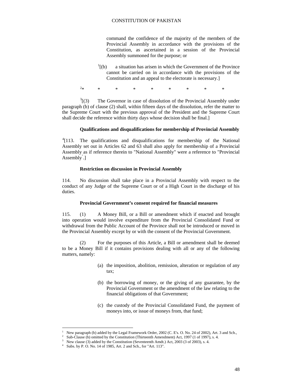command the confidence of the majority of the members of the Provincial Assembly in accordance with the provisions of the Constitution, as ascertained in a session of the Provincial Assembly summoned for the purpose; or

 $\frac{1}{1}$ [(b) a situation has arisen in which the Government of the Province cannot be carried on in accordance with the provisions of the Constitution and an appeal to the electorate is necessary.]

 $2*$ \* \* \* \* \* \* \* \* \*

 $3(3)$ The Governor in case of dissolution of the Provincial Assembly under paragraph (b) of clause (2) shall, within fifteen days of the dissolution, refer the matter to the Supreme Court with the previous approval of the President and the Supreme Court shall decide the reference within thirty days whose decision shall be final.]

### **113. Qualifications and disqualifications for membership of Provincial Assembly**

 $4$ [113. The qualifications and disqualifications for membership of the National Assembly set out in Articles 62 and 63 shall also apply for membership of a Provincial Assembly as if reference therein to "National Assembly" were a reference to "Provincial Assembly" .]

#### **114. Restriction on discussion in Provincial Assembly**

114. No discussion shall take place in a Provincial Assembly with respect to the conduct of any Judge of the Supreme Court or of a High Court in the discharge of his duties.

#### **115. Provincial Government's consent required for financial measures**

115. (1) A Money Bill, or a Bill or amendment which if enacted and brought into operation would involve expenditure from the Provincial Consolidated Fund or withdrawal from the Public Account of the Province shall not be introduced or moved in the Provincial Assembly except by or with the consent of the Provincial Government.

(2) For the purposes of this Article, a Bill or amendment shall be deemed to be a Money Bill if it contains provisions dealing with all or any of the following matters, namely:

- (a) the imposition, abolition, remission, alteration or regulation of any tax;
- (b) the borrowing of money, or the giving of any guarantee, by the Provincial Government or the amendment of the law relating to the financial obligations of that Government;
- (c) the custody of the Provincial Consolidated Fund, the payment of moneys into, or issue of moneys from, that fund;

<sup>1</sup> New paragraph (b) added by the Legal Framework Order, 2002 (C. E's. O. No. 24 of 2002), Art. 3 and Sch., 2

Sub-Clause (b) omitted by the Constitution (Thirteenth Amendment) Act, 1997 (1 of 1997), s. 4.

New clause (3) added by the Constitution (Seventeenth Amdt.) Act, 2003 (3 of 2003), s. 4.

Subs. by P. O. No. 14 of 1985, Art. 2 and Sch., for "Art. 113".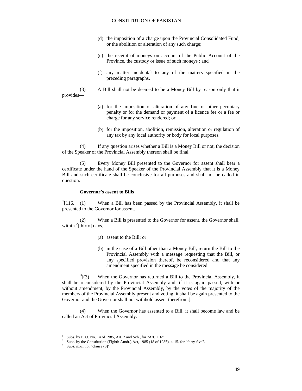- (d) the imposition of a charge upon the Provincial Consolidated Fund, or the abolition or alteration of any such charge;
- (e) the receipt of moneys on account of the Public Account of the Province, the custody or issue of such moneys ; and
- (f) any matter incidental to any of the matters specified in the preceding paragraphs.
- (3) A Bill shall not be deemed to be a Money Bill by reason only that it
	- (a) for the imposition or alteration of any fine or other pecuniary penalty or for the demand or payment of a licence fee or a fee or charge for any service rendered; or
	- (b) for the imposition, abolition, remission, alteration or regulation of any tax by any local authority or body for local purposes.

(4) If any question arises whether a Bill is a Money Bill or not, the decision of the Speaker of the Provincial Assembly thereon shall be final.

(5) Every Money Bill presented to the Governor for assent shall bear a certificate under the hand of the Speaker of the Provincial Assembly that it is a Money Bill and such certificate shall be conclusive for all purposes and shall not be called in question.

#### **116. Governor's assent to Bills**

provides—

 $^{1}[116. (1)]$ When a Bill has been passed by the Provincial Assembly, it shall be presented to the Governor for assent.

(2) When a Bill is presented to the Governor for assent, the Governor shall, within  $^{2}$ [thirty] days,—

- (a) assent to the Bill; or
- (b) in the case of a Bill other than a Money Bill, return the Bill to the Provincial Assembly with a message requesting that the Bill, or any specified provision thereof, be reconsidered and that any amendment specified in the message be considered.

 $3(3)$ When the Governor has returned a Bill to the Provincial Assembly, it shall be reconsidered by the Provincial Assembly and, if it is again passed, with or without amendment, by the Provincial Assembly, by the votes of the majority of the members of the Provincial Assembly present and voting, it shall be again presented to the Governor and the Governor shall not withhold assent therefrom.].

(4) When the Governor has assented to a Bill, it shall become law and be called an Act of Provincial Assembly.

<sup>1</sup> Subs. by P. O. No. 14 of 1985, Art. 2 and Sch., for "Art. 116"

Subs. by the Constitution (Eighth Amdt.) Act, 1985 (18 of 1985), s. 15. for "forty-five".

Subs. *ibid.*, for "clause (3)".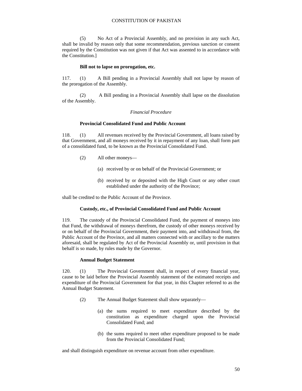(5) No Act of a Provincial Assembly, and no provision in any such Act, shall be invalid by reason only that some recommendation, previous sanction or consent required by the Constitution was not given if that Act was assented to in accordance with the Constitution.]

#### Bill not to lapse on prorogation, etc.

117. (1) A Bill pending in a Provincial Assembly shall not lapse by reason of the prorogation of the Assembly.

(2) A Bill pending in a Provincial Assembly shall lapse on the dissolution of the Assembly.

### *Financial Procedure*

### **118. Provincial Consolidated Fund and Public Account**

118. (1) All revenues received by the Provincial Government, all loans raised by that Government, and all moneys received by it in repayment of any loan, shall form part of a consolidated fund, to be known as the Provincial Consolidated Fund.

- (2) All other moneys—
	- (a) received by or on behalf of the Provincial Government; or
	- (b) received by or deposited with the High Court or any other court established under the authority of the Province;

shall be credited to the Public Account of the Province.

# **119. Custody, etc., of Provincial Consolidated Fund and Public Account**

119. The custody of the Provincial Consolidated Fund, the payment of moneys into that Fund, the withdrawal of moneys therefrom, the custody of other moneys received by or on behalf of the Provincial Government, their payment into, and withdrawal from, the Public Account of the Province, and all matters connected with or ancillary to the matters aforesaid, shall be regulated by Act of the Provincial Assembly or, until provision in that behalf is so made, by rules made by the Governor.

### **Annual Budget Statement**

120. (1) The Provincial Government shall, in respect of every financial year, cause to be laid before the Provincial Assembly statement of the estimated receipts and expenditure of the Provincial Government for that year, in this Chapter referred to as the Annual Budget Statement.

- (2) The Annual Budget Statement shall show separately—
	- (a) the sums required to meet expenditure described by the constitution as expenditure charged upon the Provincial Consolidated Fund; and
	- (b) the sums required to meet other expenditure proposed to be made from the Provincial Consolidated Fund;

and shall distinguish expenditure on revenue account from other expenditure.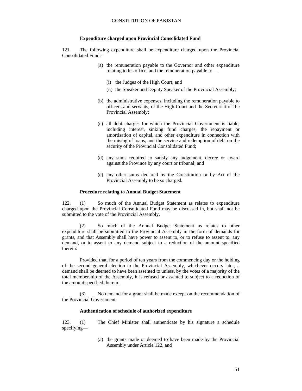## **Expenditure charged upon Provincial Consolidated Fund**

121. The following expenditure shall be expenditure charged upon the Provincial Consolidated Fund:-

- (a) the remuneration payable to the Governor and other expenditure relating to his office, and the remuneration payable to—
	- (i) the Judges of the High Court; and
	- (ii) the Speaker and Deputy Speaker of the Provincial Assembly;
- (b) the administrative expenses, including the remuneration payable to officers and servants, of the High Court and the Secretariat of the Provincial Assembly;
- (c) all debt charges for which the Provincial Government is liable, including interest, sinking fund charges, the repayment or amortisation of capital, and other expenditure in connection with the raising of loans, and the service and redemption of debt on the security of the Provincial Consolidated Fund;
- (d) any sums required to satisfy any judgement, decree or award against the Province by any court or tribunal; and
- (e) any other sums declared by the Constitution or by Act of the Provincial Assembly to be so charged.

### **122. Procedure relating to Annual Budget Statement**

122. (1) So much of the Annual Budget Statement as relates to expenditure charged upon the Provincial Consolidated Fund may be discussed in, but shall not be submitted to the vote of the Provincial Assembly.

(2) So much of the Annual Budget Statement as relates to other expenditure shall be submitted to the Provincial Assembly in the form of demands for grants, and that Assembly shall have power to assent to, or to refuse to assent to, any demand, or to assent to any demand subject to a reduction of the amount specified therein:

Provided that, for a period of ten years from the commencing day or the holding of the second general election to the Provincial Assembly, whichever occurs later, a demand shall be deemed to have been assented to unless, by the votes of a majority of the total membership of the Assembly, it is refused or assented to subject to a reduction of the amount specified therein.

(3) No demand for a grant shall be made except on the recommendation of the Provincial Government.

### **123. Authentication of schedule of authorized expenditure**

123. (1) The Chief Minister shall authenticate by his signature a schedule specifying—

> (a) the grants made or deemed to have been made by the Provincial Assembly under Article 122, and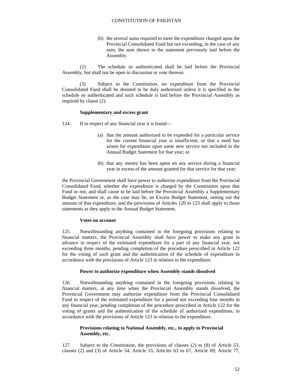(b) the several sums required to meet the expenditure charged upon the Provincial Consolidated Fund but not exceeding, in the case of any sum, the sum shown in the statement previously laid before the Assembly.

(2) The schedule so authenticated shall be laid before the Provincial Assembly, but shall not be open to discussion or vote thereon.

(3) Subject to the Constitution, no expenditure from the Provincial Consolidated Fund shall be deemed to be duly authorized unless it is specified in the schedule so authenticated and such schedule is laid before the Provincial Assembly as required by clause (2).

# **124. Supplementary and excess grant**

124. If in respect of any financial year it is found—

- (a) that the amount authorized to be expended for a particular service for the current financial year is insufficient, or that a need has arisen for expenditure upon some new service not included in the Annual Budget Statement for that year; or
- (b) that any money has been spent on any service during a financial year in excess of the amount granted for that service for that year;

the Provincial Government shall have power to authorize expenditure from the Provincial Consolidated Fund, whether the expenditure is charged by the Constitution upon that Fund or not, and shall cause to be laid before the Provincial Assembly a Supplementary Budget Statement or, as the case may be, an Excess Budget Statement, setting out the amount of that expenditure, and the provisions of Articles 120 to 123 shall apply to those statements as they apply to the Annual Budget Statement.

### **125. Votes on account**

125. Notwithstanding anything contained in the foregoing provisions relating to financial matters, the Provincial Assembly shall have power to make any grant in advance in respect of the estimated expenditure for a part of any financial year, not exceeding three months, pending completion of the procedure prescribed in Article 122 for the voting of such grant and the authentication of the schedule of expenditure in accordance with the provisions of Article 123 in relation to the expenditure.

# Power to authorize expenditure when Assembly stands dissolved

126. Notwithstanding anything contained in the foregoing provisions relating to financial matters, at any time when the Provincial Assembly stands dissolved, the Provincial Government may authorize expenditure from the Provincial Consolidated Fund in respect of the estimated expenditure for a period not exceeding four months in any financial year, pending completion of the procedure prescribed in Article 122 for the voting of grants and the authentication of the schedule of authorized expenditure, in accordance with the provisions of Article 123 in relation to the expenditure.

# **127. Provisions relating to National Assembly, etc., to apply to Provincial Assembly, etc.**

127. Subject to the Constitution, the provisions of clauses (2) to (8) of Article 53, clauses (2) and (3) of Article 54, Article 55, Articles 63 to 67, Article 69, Article 77,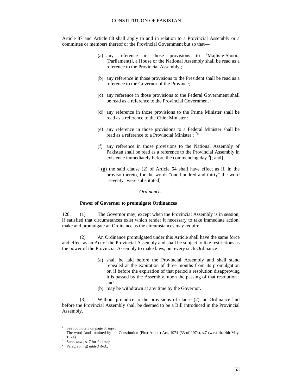Article 87 and Article 88 shall apply to and in relation to a Provincial Assembly or a committee or members thereof or the Provincial Government but so that—

- (a) any reference in those provisions to <sup>1</sup> Majlis-e-Shoora (Parliament)], a House or the National Assembly shall be read as a reference to the Provincial Assembly ;
- (b) any reference in those provisions to the President shall be read as a reference to the Governor of the Province;
- (c) any reference in those provisions to the Federal Government shall be read as a reference to the Provincial Government ;
- (d) any reference in those provisions to the Prime Minister shall be read as a reference to the Chief Minister ;
- (e) any reference in those provisions to a Federal Minister shall be read as a reference to a Provincial Minister;  $2*$
- (f) any reference in those provisions to the National Assembly of Pakistan shall be read as a reference to the Provincial Assembly in existence immediately before the commencing day  $3$ [; and]
- $^{4}$ [(g) the said clause (2) of Article 54 shall have effect as if, in the proviso thereto, for the words "one hundred and thirty" the word "seventy" were substituted]

#### *Ordinances*

#### Power of Governor to promulgate Ordinances

128. (1) The Governor may, except when the Provincial Assembly is in session, if satisfied that circumstances exist which render it necessary to take immediate action, make and promulgate an Ordinance as the circumstances may require.

(2) An Ordinance promulgated under this Article shall have the same force and effect as an Act of the Provincial Assembly and shall be subject to like restrictions as the power of the Provincial Assembly to make laws, but every such Ordinance—

- (a) shall be laid before the Provincial Assembly and shall stand repealed at the expiration of three months from its promulgation or, if before the expiration of that period a resolution disapproving it is passed by the Assembly, upon the passing of that resolution ; and
- (b) may be withdrawn at any time by the Governor.

(3) Without prejudice to the provisions of clause (2), an Ordinance laid before the Provincial Assembly shall be deemed to be a Bill introduced in the Provincial Assembly.

<sup>1</sup>  $\frac{1}{2}$  See footnote 3 on page 3, *supra*.

The word "and" omitted by the Constitution (First Amdt.) Act. 1974 (33 of 1974), s.7 (w.e.f the 4th May.  $\frac{1974}{\text{Subs}}$ .

 $S$ ubs. *ibid.*, s. 7 for full stop.

Paragraph (g) *added ibid*.,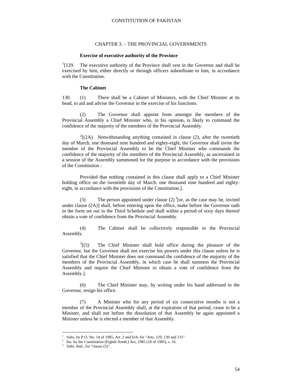# CHAPTER 3. – THE PROVINCIAL GOVERNMENTS

### **Exercise of executive authority of the Province**

 $1$ [129. The executive authority of the Province shall vest in the Governor and shall be exercised by him, either directly or through officers subordinate to him, in accordance with the Constitution.

### **130. The Cabinet**

130. (1) There shall be a Cabinet of Ministers, with the Chief Minister at its head, to aid and advise the Governor in the exercise of his functions.

(2) The Governor shall appoint from amongst the members of the Provincial Assembly a Chief Minister who, in his opinion, is likely to command the confidence of the majority of the members of the Provincial Assembly.

 $2^2$ [(2A) Notwithstanding anything contained in clause (2), after the twentieth day of March, one thousand nine hundred and eighty-eight, the Governor shall invite the member of the Provincial Assembly to be the Chief Minister who commands the confidence of the majority of the members of the Provincial Assembly, as ascertained in a session of the Assembly summoned for the purpose in accordance with the provisions of the Constitution :

Provided that nothing contained in this clause shall apply to a Chief Minister holding office on the twentieth day of March, one thousand nine hundred and eightyeight, in accordance with the provisions of the Constitution.].

(3) The person appointed under clause (2)  ${}^{I}$ [or, as the case may be, invited under clause (2A)] shall, before entering upon the office, make before the Governor oath in the form set out in the Third Schedule and shall within a period of sixty days thereof obtain a vote of confidence from the Provincial Assembly.

(4) The Cabinet shall be collectively responsible to the Provincial Assembly.

 $\frac{3}{5}$ [(5) The Chief Minister shall hold office during the pleasure of the Governor, but the Governor shall not exercise his powers under this clause unless he is satisfied that the Chief Minister does not command the confidence of the majority of the members of the Provincial Assembly, in which case he shall summon the Provincial Assembly and require the Chief Minister to obtain a vote of confidence from the Assembly.].

(6) The Chief Minister may, by writing under his hand addressed to the Governor, resign his office.

(7) A Minister who for any period of six consecutive months is not a member of the Provincial Assembly shall, at the expiration of that period, cease to be a Minister, and shall not before the dissolution of that Assembly be again appointed a Minister unless he is elected a member of that Assembly.

<sup>1</sup> Subs. by P.O. No. 14 of 1985, Art. 2 and Sch. for "Arts. 129, 130 and 131"

Ins. by the Constitution (Eighth Arndt.) Act, 1985 (18 of 1985), s. 16.

<sup>3</sup> Subs. ibid., for "clause (5)".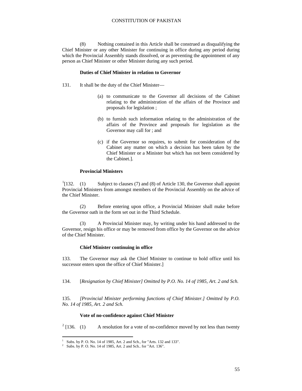(8) Nothing contained in this Article shall be construed as disqualifying the Chief Minister or any other Minister for continuing in office during any period during which the Provincial Assembly stands dissolved, or as preventing the appointment of any person as Chief Minister or other Minister during any such period.

# **131. Duties of Chief Minister in relation to Governor**

- 131. It shall be the duty of the Chief Minister—
	- (a) to communicate to the Governor all decisions of the Cabinet relating to the administration of the affairs of the Province and proposals for legislation ;
	- (b) to furnish such information relating to the administration of the affairs of the Province and proposals for legislation as the Governor may call for ; and
	- (c) if the Governor so requires, to submit for consideration of the Cabinet any matter on which a decision has been taken by the Chief Minister or a Minister but which has not been considered by the Cabinet.].

# **132. Provincial Ministers**

 $^{1}[132. (1)]$ Subject to clauses (7) and (8) of Article 130, the Governor shall appoint Provincial Ministers from amongst members of the Provincial Assembly on the advice of the Chief Minister.

(2) Before entering upon office, a Provincial Minister shall make before the Governor oath in the form set out in the Third Schedule.

(3) A Provincial Minister may, by writing under his hand addressed to the Governor, resign his office or may be removed from office by the Governor on the advice of the Chief Minister.

### **133. Chief Minister continuing in office**

133. The Governor may ask the Chief Minister to continue to hold office until his successor enters upon the office of Chief Minister.]

134. [*Resignation by Chief Minister] Omitted by P.O. No. 14 of 1985, Art. 2 and Sch.*

135. *[Provincial Minister performing functions of Chief Minister.] Omitted by P.O. No. 14 of 1985, Art. 2 and Sch.*

# **136. Vote of no-confidence against Chief Minister**

<sup>2</sup> [136. (1) A resolution for a vote of no-confidence moved by not less than twenty

<sup>1</sup> Subs. by P. O. No. 14 of 1985, Art. 2 and Sch., for "Arts. 132 and 133".

<sup>2</sup> Subs. by P. O. No. 14 of 1985, Art. 2 and Sch.. for "Art. 136".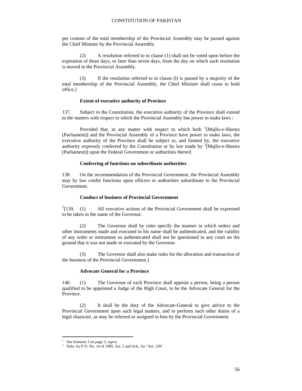per centum of the total membership of the Provincial Assembly may be passed against the Chief Minister by the Provincial Assembly.

(2) A resolution referred to in clause (1) shall not be voted upon before the expiration of three days, or later than seven days, from the day on which such resolution is moved in the Provincial Assembly.

(3) If the resolution referred to in clause (l) is passed by a majority of the total membership of the Provincial Assembly, the Chief Minister shall cease to hold office.]

### **137. Extent of executive authority of Province**

137. Subject to the Constitution, the executive authority of the Province shall extend to the matters with respect to which the Provincial Assembly has power to make laws :

Provided that, in any matter with respect to which both <sup>1</sup>[Majlis-e-Shoora (Parliament)] and the Provincial Assembly of a Province have power to make laws, the executive authority of the Province shall be subject to, and limited by, the executive authority expressly conferred by the Constitution or by law made by  $2$ [Majlis-e-Shoora (Parliament)] upon the Federal Government or authorities thereof.

### **138. Conferring of functions on subordinate authorities**

138. On the recommendation of the Provincial Government, the Provincial Assembly may by law confer functions upon officers or authorities subordinate to the Provincial Government.

### **139. Conduct of business of Provincial Government**

 $^{2}$ [139. (1) All executive actions of the Provincial Government shall be expressed to be taken in the name of the Governor.

(2) The Governor shall by rules specify the manner in which orders and other instruments made and executed in his name shall he authenticated, and the validity of any order or instrument so authenticated shall not be questioned in any court on the ground that it was not made or executed by the Governor.

(3) The Governor shall also make rules for the allocation and transaction of the business of the Provincial Government.]

# **140. Advocate General for a Province**

140. (1) The Governor of each Province shall appoint a person, being a person qualified to be appointed a Judge of the High Court, to be the Advocate General for the Province.

(2) It shall be the duty of the Advocate-General to give advice to the Provincial Government upon such legal matters, and to perform such other duties of a legal character, as may be referred or assigned to him by the Provincial Government.

<sup>1</sup> See footnote 3 on page 3, *supra*. 2

Subs. by P O. No. 14 of 1985, Art. 2 and Sch., for "Art. 139".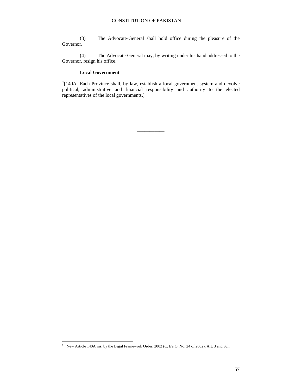(3) The Advocate-General shall hold office during the pleasure of the Governor.

(4) The Advocate-General may, by writing under his hand addressed to the Governor, resign his office.

# **Local Government**

<sup>1</sup>[140A. Each Province shall, by law, establish a local government system and devolve political, administrative and financial responsibility and authority to the elected representatives of the local governments.]

\_\_\_\_\_\_\_\_\_\_\_

 1 New Article 140A ins. by the Legal Framework Order, 2002 (C. E's O. No. 24 of 2002), Art. 3 and Sch.,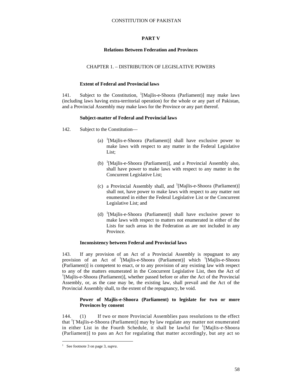# **PART V**

# **Relations Between Federation and Provinces**

# CHAPTER 1. – DISTRIBUTION OF LEGISLATIVE POWERS

# **Extent of Federal and Provincial laws**

141. Subject to the Constitution, <sup>1</sup>[Majlis-e-Shoora (Parliament)] may make laws (including laws having extra-territorial operation) for the whole or any part of Pakistan, and a Provincial Assembly may make laws for the Province or any part thereof.

# **142. Subject-matter of Federal and Provincial laws**

- 142. Subject to the Constitution—
	- (a)  $\frac{1}{2}$ [Majlis-e-Shoora (Parliament)] shall have exclusive power to make laws with respect to any matter in the Federal Legislative List;
	- (b) <sup>1</sup> [Majlis-e-Shoora (Parliament)], and a Provincial Assembly also, shall have power to make laws with respect to any matter in the Concurrent Legislative List;
	- (c) a Provincial Assembly shall, and  ${}^{1}[$ Majlis-e-Shoora (Parliament)] shall not, have power to make laws with respect to any matter not enumerated in either the Federal Legislative List or the Concurrent Legislative List; and
	- (d) <sup>1</sup> [Majlis-e-Shoora (Parliament)] shall have exclusive power to make laws with respect to matters not enumerated in either of the Lists for such areas in the Federation as are not included in any Province.

# **143. Inconsistency between Federal and Provincial laws**

143. If any provision of an Act of a Provincial Assembly is repugnant to any provision of an Act of <sup>1</sup>[Majlis-e-Shoora (Parliament)] which <sup>1</sup>[Majlis-e-Shoora (Parliament)] is competent to enact, or to any provision of any existing law with respect to any of the matters enumerated in the Concurrent Legislative List, then the Act of 1  $\frac{1}{2}$ [Majlis-e-Shoora (Parliament)], whether passed before or after the Act of the Provincial Assembly, or, as the case may be, the existing law, shall prevail and the Act of the Provincial Assembly shall, to the extent of the repugnancy, be void.

# **144. Power of Majlis-e-Shoora (Parliament) to legislate for two or more Provinces by consent**

144. (1) If two or more Provincial Assemblies pass resolutions to the effect that <sup>1</sup>[Majlis-e-Shoora (Parliament)] may by law regulate any matter not enumerated in either List in the Fourth Schedule, it shall be lawful for  $\frac{1}{1}$ [Majlis-e-Shoora (Parliament)] to pass an Act for regulating that matter accordingly, but any act so

 1 See footnote 3 on page 3, *supra*.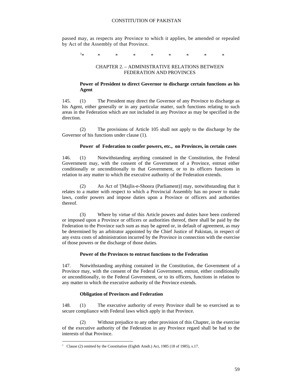passed may, as respects any Province to which it applies, be amended or repealed by Act of the Assembly of that Province.

 $1_{\ast}$ \* \* \* \* \* \* \* \* \*

# CHAPTER 2. – ADMINISTRATIVE RELATIONS BETWEEN FEDERATION AND PROVINCES

# Power of President to direct Governor to discharge certain functions as his **Agent**

145. (1) The President may direct the Governor of any Province to discharge as his Agent, either generally or in any particular matter, such functions relating to such areas in the Federation which are not included in any Province as may be specified in the direction.

(2) The provisions of Article 105 shall not apply to the discharge by the Governor of his functions under clause (1).

# Power of Federation to confer powers, etc., on Provinces, in certain cases

146. (1) Notwithstanding anything contained in the Constitution, the Federal Government may, with the consent of the Government of a Province, entrust either conditionally or unconditionally to that Government, or to its officers functions in relation to any matter to which the executive authority of the Federation extends.

(2) An Act of '[Majlis-e-Shoora (Parliament)] may, notwithstanding that it relates to a matter with respect to which a Provincial Assembly has no power to make laws, confer powers and impose duties upon a Province or officers and authorities thereof.

(3) Where by virtue of this Article powers and duties have been conferred or imposed upon a Province or officers or authorities thereof, there shall be paid by the Federation to the Province such sum as may be agreed or, in default of agreement, as may be determined by an arbitrator appointed by the Chief Justice of Pakistan, in respect of any extra costs of administration incurred by the Province in connection with the exercise of those powers or the discharge of those duties.

# Power of the Provinces to entrust functions to the Federation

147. Notwithstanding anything contained in the Constitution, the Government of a Province may, with the consent of the Federal Government, entrust, either conditionally or unconditionally, to the Federal Government, or to its officers, functions in relation to any matter to which the executive authority of the Province extends.

# **148. Obligation of Provinces and Federation**

148. (1) The executive authority of every Province shall be so exercised as to secure compliance with Federal laws which apply in that Province.

(2) Without prejudice to any other provision of this Chapter, in the exercise of the executive authority of the Federation in any Province regard shall be had to the interests of that Province.

 1 Clause (2) omitted by the Constitution (Eighth Amdt.) Act, 1985 (18 of 1985), s.17.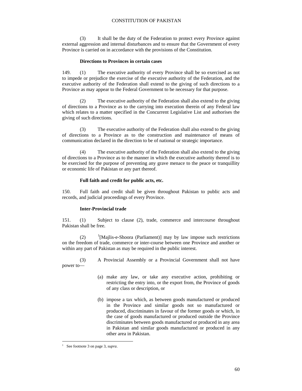(3) It shall be the duty of the Federation to protect every Province against external aggression and internal disturbances and to ensure that the Government of every Province is carried on in accordance with the provisions of the Constitution.

### **149. Directions to Provinces in certain cases**

149. (1) The executive authority of every Province shall be so exercised as not to impede or prejudice the exercise of the executive authority of the Federation, and the executive authority of the Federation shall extend to the giving of such directions to a Province as may appear to the Federal Government to be necessary for that purpose.

(2) The executive authority of the Federation shall also extend to the giving of directions to a Province as to the carrying into execution therein of any Federal law which relates to a matter specified in the Concurrent Legislative List and authorises the giving of such directions.

(3) The executive authority of the Federation shall also extend to the giving of directions to a Province as to the construction and maintenance of means of communication declared in the direction to be of national or strategic importance.

(4) The executive authority of the Federation shall also extend to the giving of directions to a Province as to the manner in which the executive authority thereof is to be exercised for the purpose of preventing any grave menace to the peace or tranquillity or economic life of Pakistan or any part thereof.

### **150. Full faith and credit for public acts, etc.**

150. Full faith and credit shall be given throughout Pakistan to public acts and records, and judicial proceedings of every Province.

# **151. Inter-Provincial trade**

151. (1) Subject to clause (2), trade, commerce and intercourse throughout Pakistan shall be free.

 $(2)$  $\frac{1}{2}$ [Majlis-e-Shoora (Parliament)] may by law impose such restrictions on the freedom of trade, commerce or inter-course between one Province and another or within any part of Pakistan as may be required in the public interest.

(3) A Provincial Assembly or a Provincial Government shall not have power to—

- (a) make any law, or take any executive action, prohibiting or restricting the entry into, or the export from, the Province of goods of any class or description, or
- (b) impose a tax which, as between goods manufactured or produced in the Province and similar goods not so manufactured or produced, discriminates in favour of the former goods or which, in the case of goods manufactured or produced outside the Province discriminates between goods manufactured or produced in any area in Pakistan and similar goods manufactured or produced in any other area in Pakistan.

<sup>1</sup> See footnote 3 on page 3, *supra*.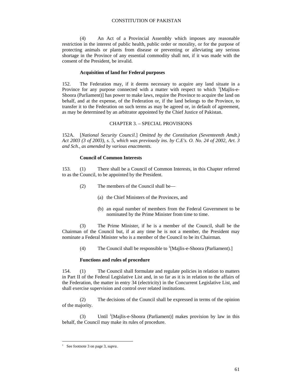(4) An Act of a Provincial Assembly which imposes any reasonable restriction in the interest of public health, public order or morality, or for the purpose of protecting animals or plants from disease or preventing or alleviating any serious shortage in the Province of any essential commodity shall not, if it was made with the consent of the President, be invalid.

### **152. Acquisition of land for Federal purposes**

152. The Federation may, if it deems necessary to acquire any land situate in a Province for any purpose connected with a matter with respect to which <sup>1</sup>[Majlis-e-Shoora (Parliament)] has power to make laws, require the Province to acquire the land on behalf, and at the expense, of the Federation or, if the land belongs to the Province, to transfer it to the Federation on such terms as may be agreed or, in default of agreement, as may be determined by an arbitrator appointed by the Chief Justice of Pakistan.

# CHAPTER 3. – SPECIAL PROVISIONS

152A. [*National Security Council*.] *Omitted by the Constitution (Seventeenth Amdt.) Act 2003 (3 of 2003), s. 5, which was previously ins. by C.E's. O. No. 24 of 2002, Art. 3 and Sch., as amended by various enactments.* 

# **153. Council of Common Interests**

153. (1) There shall be a Council of Common Interests, in this Chapter referred to as the Council, to be appointed by the President.

- (2) The members of the Council shall be—
	- (a) the Chief Ministers of the Provinces, and
	- (b) an equal number of members from the Federal Government to be nominated by the Prime Minister from time to time.

(3) The Prime Minister, if he is a member of the Council, shall be the Chairman of the Council but, if at any time he is not a member, the President may nominate a Federal Minister who is a member of the Council to be its Chairman.

(4) The Council shall be responsible to  ${}^{1}$ [Majlis-e-Shoora (Parliament).]

### **154. Functions and rules of procedure**

154. (1) The Council shall formulate and regulate policies in relation to matters in Part II of the Federal Legislative List and, in so far as it is in relation to the affairs of the Federation, the matter in entry 34 (electricity) in the Concurrent Legislative List, and shall exercise supervision and control over related institutions.

(2) The decisions of the Council shall be expressed in terms of the opinion of the majority.

(3) Until <sup>1</sup>[Majlis-e-Shoora (Parliament)] makes provision by law in this behalf, the Council may make its rules of procedure.

<sup>1</sup> See footnote 3 on page 3, *supra*.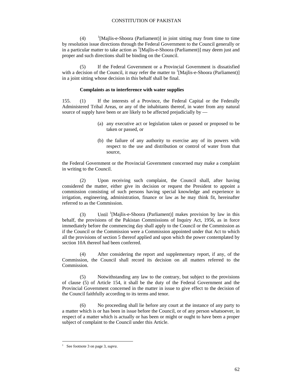$(4)$  $\frac{1}{2}$ [Majlis-e-Shoora (Parliament)] in joint sitting may from time to time by resolution issue directions through the Federal Government to the Council generally or in a particular matter to take action as <sup>1</sup>[Majlis-e-Shoora (Parliament)] may deem just and proper and such directions shall be binding on the Council.

(5) If the Federal Government or a Provincial Government is dissatisfied with a decision of the Council, it may refer the matter to  $\frac{1}{2}$ [Majlis-e-Shoora (Parliament)] in a joint sitting whose decision in this behalf shall be final.

# **155. Complaints as to interference with water supplies**

155. (1) If the interests of a Province, the Federal Capital or the Federally Administered Tribal Areas, or any of the inhabitants thereof, in water from any natural source of supply have been or are likely to be affected prejudicially by —

- (a) any executive act or legislation taken or passed or proposed to be taken or passed, or
- (b) the failure of any authority to exercise any of its powers with respect to the use and distribution or control of water from that source,

the Federal Government or the Provincial Government concerned may make a complaint in writing to the Council.

(2) Upon receiving such complaint, the Council shall, after having considered the matter, either give its decision or request the President to appoint a commission consisting of such persons having special knowledge and experience in irrigation, engineering, administration, finance or law as he may think fit, hereinafter referred to as the Commission.

(3) Until <sup>1</sup>[Majlis-e-Shoora (Parliament)] makes provision by law in this behalf, the provisions of the Pakistan Commissions of Inquiry Act, 1956, as in force immediately before the commencing day shall apply to the Council or the Commission as if the Council or the Commission were a Commission appointed under that Act to which all the provisions of section 5 thereof applied and upon which the power contemplated by section 10A thereof had been conferred.

(4) After considering the report and supplementary report, if any, of the Commission, the Council shall record its decision on all matters referred to the Commission.

 (5) Notwithstanding any law to the contrary, but subject to the provisions of clause (5) of Article 154, it shall be the duty of the Federal Government and the Provincial Government concerned in the matter in issue to give effect to the decision of the Council faithfully according to its terms and tenor.

(6) No proceeding shall lie before any court at the instance of any party to a matter which is or has been in issue before the Council, or of any person whatsoever, in respect of a matter which is actually or has been or might or ought to have been a proper subject of complaint to the Council under this Article.

<sup>1</sup> See footnote 3 on page 3, *supra*.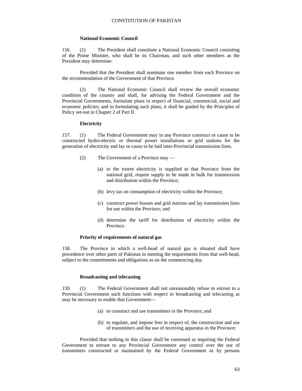### **156. National Economic Council**

156. (1) The President shall constitute a National Economic Council consisting of the Prime Minister, who shall be its Chairman, and such other members as the President may determine:

Provided that the President shall nominate one member from each Province on the recommendation of the Government of that Province.

(2) The National Economic Council shall review the overall economic condition of the country and shall, for advising the Federal Government and the Provincial Governments, formulate plans in respect of financial, commercial, social and economic policies; and in formulating such plans, it shall be guided by the Principles of Policy set-out in Chapter 2 of Part II.

#### **157. Electricity**

157. (1) The Federal Government may in any Province construct or cause to be constructed hydro-electric or thermal power installations or grid stations for the generation of electricity and lay or cause to be laid inter-Provincial transmission lines.

- (2) The Government of a Province may
	- (a) to the extent electricity is supplied to that Province from the national grid, require supply to be made in bulk for transmission and distribution within the Province;
	- (b) levy tax on consumption of electricity within the Province;
	- (c) construct power houses and grid stations and lay transmission lines for use within the Province; and
	- (d) determine the tariff for distribution of electricity within the Province.

#### **158. Priority of requirements of natural gas**

158. The Province in which a well-head of natural gas is situated shall have precedence over other parts of Pakistan in meeting the requirements from that well-head, subject to the commitments and obligations as on the commencing day.

### **159. Broadcasting and telecasting**

159. (1) The Federal Government shall not unreasonably refuse to entrust to a Provincial Government such functions with respect to broadcasting and telecasting as may be necessary to enable that Government—

- (a) to construct and use transmitters in the Province; and
- (b) to regulate, and impose fees in respect of, the construction and use of transmitters and the use of receiving apparatus in the Province:

Provided that nothing in this clause shall be construed as requiring the Federal Government to entrust to any Provincial Government any control over the use of transmitters constructed or maintained by the Federal Government or by persons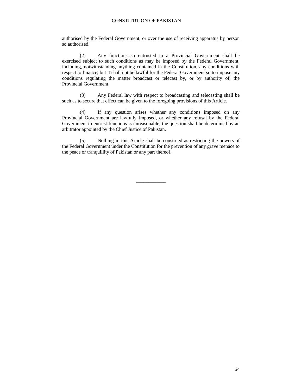authorised by the Federal Government, or over the use of receiving apparatus by person so authorised.

(2) Any functions so entrusted to a Provincial Government shall be exercised subject to such conditions as may be imposed by the Federal Government, including, notwithstanding anything contained in the Constitution, any conditions with respect to finance, but it shall not be lawful for the Federal Government so to impose any conditions regulating the matter broadcast or telecast by, or by authority of, the Provincial Government.

(3) Any Federal law with respect to broadcasting and telecasting shall be such as to secure that effect can be given to the foregoing provisions of this Article.

(4) If any question arises whether any conditions imposed on any Provincial Government are lawfully imposed, or whether any refusal by the Federal Government to entrust functions is unreasonable, the question shall be determined by an arbitrator appointed by the Chief Justice of Pakistan.

(5) Nothing in this Article shall be construed as restricting the powers of the Federal Government under the Constitution for the prevention of any grave menace to the peace or tranquillity of Pakistan or any part thereof.

\_\_\_\_\_\_\_\_\_\_\_\_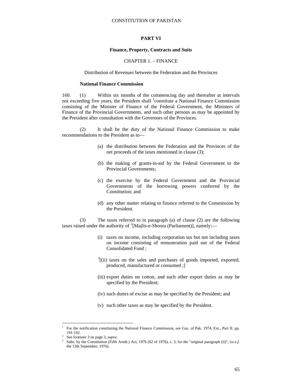## **PART VI**

#### **Finance, Property, Contracts and Suits**

### CHAPTER 1. – FINANCE

#### Distribution of Revenues between the Federation and the Provinces

### **National Finance Commission**

160. (1) Within six months of the commencing day and thereafter at intervals not exceeding five years, the President shall <sup>1</sup>constitute a National Finance Commission consisting of the Minister of Finance of the Federal Government, the Ministers of Finance of the Provincial Governments, and such other persons as may be appointed by the President after consultation with the Governors of the Provinces.

(2) It shall be the duty of the National Finance Commission to make recommendations to the President as to—

- (a) the distribution between the Federation and the Provinces of the net proceeds of the taxes mentioned in clause (3);
- (b) the making of grants-in-aid by the Federal Government to the Provincial Governments;
- (c) the exercise by the Federal Government and the Provincial Governments of the borrowing powers conferred by the Constitution; and
- (d) any other matter relating to finance referred to the Commission by the President.

(3) The taxes referred to in paragraph (a) of clause (2) are the following taxes raised under the authority of <sup>2</sup>[Majlis-e-Shoora (Parliament)], namely:—

- (i) taxes on income, including corporation tax but not including taxes on income consisting of remuneration paid out of the Federal Consolidated Fund ;
- $3$ [(ii) taxes on the sales and purchases of goods imported, exported, produced, manufactured or consumed ;]
- (iii) export duties on cotton, and such other export duties as may be specified by the President;
- (iv) such duties of excise as may be specified by the President; and
- (v) such other taxes as may be specified by the President.

<sup>1</sup> For the notification constituting the National Finance Commission, see Gaz. of Pak. 1974, Ext., Part II. pp. 191-192. 2

See footnote 3 on page 3, *supra*.

Subs. by the Constitution (Fifth Arndt.) Act, 1976 (62 of 1976), s. 3, for the "original paragraph (ii)", (*w.e.f.* the 13th September, 1976).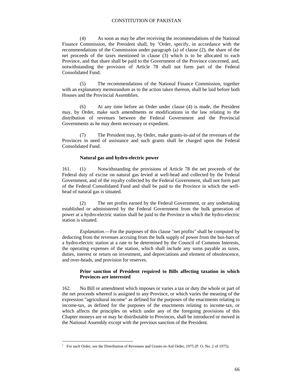(4) As soon as may be after receiving the recommendations of the National Finance Commission, the President shall, by  ${}^{1}$ Order, specify, in accordance with the recommendations of the Commission under paragraph (a) of clause (2), the share of the net proceeds of the taxes mentioned in clause (3) which is to be allocated to each Province, and that share shall be paid to the Government of the Province concerned, and, notwithstanding the provision of Article 78 shall not form part of the Federal Consolidated Fund.

(5) The recommendations of the National Finance Commission, together with an explanatory memorandum as to the action taken thereon, shall be laid before both Houses and the Provincial Assemblies.

(6) At any time before an Order under clause (4) is made, the President may, by Order, make such amendments or modifications in the law relating to the distribution of revenues between the Federal Government and the Provincial Governments as he may deem necessary or expedient.

(7) The President may, by Order, make grants-in-aid of the revenues of the Provinces in need of assistance and such grants shall be charged upon the Federal Consolidated Fund.

### **161. Natural gas and hydro-electric power**

161. (1) Notwithstanding the provisions of Article 78 the net proceeds of the Federal duty of excise on natural gas levied at well-head and collected by the Federal Government, and of the royalty collected by the Federal Government, shall not form part of the Federal Consolidated Fund and shall be paid to the Province in which the wellhead of natural gas is situated.

(2) The net profits earned by the Federal Government, or any undertaking established or administered by the Federal Government from the bulk generation of power at a hydro-electric station shall be paid to the Province in which the hydro-electric station is situated.

*Explanation*.—For the purposes of this clause "net profits" shall be computed by deducting from the revenues accruing from the bulk supply of power from the bus-bars of a hydro-electric station at a rate to be determined by the Council of Common Interests, the operating expenses of the station, which shall include any sums payable as taxes, duties, interest or return on investment, and depreciations and element of obsolescence, and over-heads, and provision for reserves.

# **162. Prior sanction of President required to Bills affecting taxation in which Provinces are interested**

162. No Bill or amendment which imposes or varies a tax or duty the whole or part of the net proceeds whereof is assigned to any Province, or which varies the meaning of the expression "agricultural income" as defined for the purposes of the enactments relating to income-tax, as defined for the purposes of the enactments relating to income-tax, or which affects the principles on which under any of the foregoing provisions of this Chapter moneys are or may be distributable to Provinces, shall be introduced or moved in the National Assembly except with the previous sanction of the President.

 1 For such Order, see the Distribution of Revenues and Grants-in-Aid Order, 1975 (P. O. No. 2 of 1975).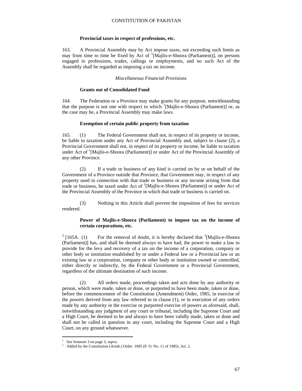### **163. Provincial taxes in respect of professions, etc.**

163. A Provincial Assembly may by Act impose taxes, not exceeding such limits as may from time to time be fixed by Act of <sup>1</sup>[Majlis-e-Shoora (Parliament)], on persons engaged in professions, trades, callings or employments, and no such Act of the Assembly shall be regarded as imposing a tax on income.

# *Miscellaneous Financial Provisions*

# **164. Grants out of Consolidated Fund**

164. The Federation or a Province may make grants for any purpose, notwithstanding that the purpose is not one with respect to which  $\frac{1}{2}$ [Majlis-e-Shoora (Parliament)] or, as the case may be, a Provincial Assembly may make laws.

#### Exemption of certain public property from taxation

165. (1) The Federal Government shall not, in respect of its property or income, be liable to taxation under any Act of Provincial Assembly and, subject to clause (2), a Provincial Government shall not, in respect of its property or income, be liable to taxation under Act of <sup>1</sup>[Majlis-e-Shoora (Parliament)] or under Act of the Provincial Assembly of any other Province.

(2) If a trade or business of any kind is carried on by or on behalf of the Government of a Province outside that Province, that Government may, in respect of any property used in connection with that trade or business or any income arising from that trade or business, be taxed under Act of  ${}^{1}$ [Majlis-e-Shoora (Parliament)] or under Act of the Provincial Assembly of the Province in which that trade or business is carried on.

(3) Nothing in this Article shall prevent the imposition of fees for services rendered.

### Power of Majlis-e-Shoora (Parliament) to impose tax on the income of **certain corporations, etc.**

<sup>2</sup> [165A. (1) [165A. (1) For the removal of doubt, it is hereby declared that  $^1$ [Majlis-e-Shoora (Parliament)] has, and shall be deemed always to have had, the power to make a law to provide for the levy and recovery of a tax on the income of a corporation, company or other body or institution established by or under a Federal law or a Provincial law or an existing law or a corporation, company or other body or institution owned or controlled, either directly or indirectly, by the Federal Government or a Provincial Government, regardless of the ultimate destination of such income.

(2) All orders made, proceedings taken and acts done by any authority or person, which were made, taken or done, or purported to have been made, taken or done, before the commencement of the Constitution (Amendment) Order, 1985, in exercise of the powers derived from any law referred to in clause (1), or in execution of any orders made by any authority in the exercise or purported exercise of powers as aforesaid, shall, notwithstanding any judgment of any court or tribunal, including the Supreme Court and a High Court, be deemed to be and always to have been validly made, taken or done and shall not be called in question in any court, including the Supreme Court and a High Court, on any ground whatsoever.

<sup>1</sup> See footnote 3 on page 3, *supra.* 2

Added by the Constitution (Arndt.) Order. 1985 (P. O. No. 11 of 1985), Art. 2.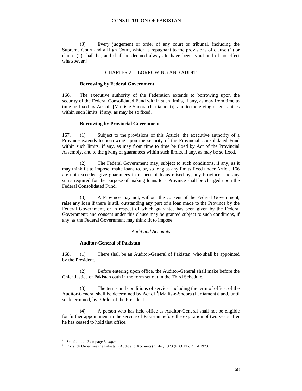(3) Every judgement or order of any court or tribunal, including the Supreme Court and a High Court, which is repugnant to the provisions of clause (1) or clause (2) shall be, and shall be deemed always to have been, void and of no effect whatsoever.]

### CHAPTER 2. – BORROWING AND AUDIT

### **166. Borrowing by Federal Government**

166. The executive authority of the Federation extends to borrowing upon the security of the Federal Consolidated Fund within such limits, if any, as may from time to time be fixed by Act of <sup>1</sup>[Majlis-e-Shoora (Parliament)], and to the giving of guarantees within such limits, if any, as may be so fixed.

### **167. Borrowing by Provincial Government**

167. (1) Subject to the provisions of this Article, the executive authority of a Province extends to borrowing upon the security of the Provincial Consolidated Fund within such limits, if any, as may from time to time be fixed by Act of the Provincial Assembly, and to the giving of guarantees within such limits, if any, as may be so fixed.

(2) The Federal Government may, subject to such conditions, if any, as it may think fit to impose, make loans to, or, so long as any limits fixed under Article 166 are not exceeded give guarantees in respect of loans raised by, any Province, and any sums required for the purpose of making loans to a Province shall be charged upon the Federal Consolidated Fund.

(3) A Province may not, without the consent of the Federal Government, raise any loan if there is still outstanding any part of a loan made to the Province by the Federal Government, or in respect of which guarantee has been given by the Federal Government; and consent under this clause may be granted subject to such conditions, if any, as the Federal Government may think fit to impose.

## *Audit and Accounts*

## **168. Auditor-General of Pakistan**

168. (1) There shall be an Auditor-General of Pakistan, who shall be appointed by the President.

(2) Before entering upon office, the Auditor-General shall make before the Chief Justice of Pakistan oath in the form set out in the Third Schedule.

(3) The terms and conditions of service, including the term of office, of the Auditor-General shall be determined by Act of <sup>1</sup>[Majlis-e-Shoora (Parliament)] and, until so determined, by  ${}^{2}$ Order of the President.

(4) A person who has held office as Auditor-General shall not be eligible for further appointment in the service of Pakistan before the expiration of two years after he has ceased to hold that office.

<sup>1</sup> See footnote 3 on page 3, *supra.*

<sup>2</sup> For such Order, see the Pakistan (Audit and Accounts) Order, 1973 (P. O. No. 21 of 1973).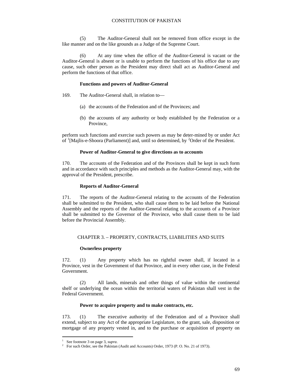(5) The Auditor-General shall not be removed from office except in the like manner and on the like grounds as a Judge of the Supreme Court.

(6) At any time when the office of the Auditor-General is vacant or the Auditor-General is absent or is unable to perform the functions of his office due to any cause, such other person as the President may direct shall act as Auditor-General and perform the functions of that office.

## **169. Functions and powers of Auditor-General**

- 169. The Auditor-General shall, in relation to—
	- (a) the accounts of the Federation and of the Provinces; and
	- (b) the accounts of any authority or body established by the Federation or a Province,

perform such functions and exercise such powers as may be deter-mined by or under Act of <sup>1</sup>[Majlis-e-Shoora (Parliament)] and, until so determined, by <sup>2</sup>Order of the President.

# Power of Auditor-General to give directions as to accounts

170. The accounts of the Federation and of the Provinces shall be kept in such form and in accordance with such principles and methods as the Auditor-General may, with the approval of the President, prescribe.

# **Reports of Auditor-General**

171. The reports of the Auditor-General relating to the accounts of the Federation shall be submitted to the President, who shall cause them to be laid before the National Assembly and the reports of the Auditor-General relating to the accounts of a Province shall be submitted to the Governor of the Province, who shall cause them to be laid before the Provincial Assembly.

# CHAPTER 3. – PROPERTY, CONTRACTS, LIABILITIES AND SUITS

# **172. Ownerless property**

172. (1) Any property which has no rightful owner shall, if located in a Province, vest in the Government of that Province, and in every other case, in the Federal Government.

(2) All lands, minerals and other things of value within the continental shelf or underlying the ocean within the territorial waters of Pakistan shall vest in the Federal Government.

### Power to acquire property and to make contracts, etc.

173. (1) The executive authority of the Federation and of a Province shall extend, subject to any Act of the appropriate Legislature, to the grant, sale, disposition or mortgage of any property vested in, and to the purchase or acquisition of property on

<sup>1</sup> See footnote 3 on page 3, *supra*.

For such Order, see the Pakistan (Audit and Accounts) Order, 1973 (P. O. No. 21 of 1973).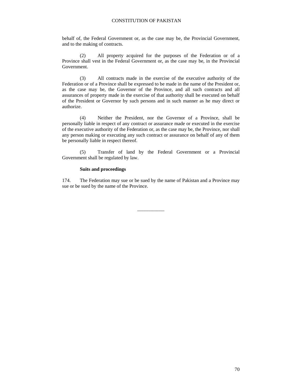behalf of, the Federal Government or, as the case may be, the Provincial Government, and to the making of contracts.

(2) All property acquired for the purposes of the Federation or of a Province shall vest in the Federal Government or, as the case may be, in the Provincial Government.

(3) All contracts made in the exercise of the executive authority of the Federation or of a Province shall be expressed to be made in the name of the President or, as the case may be, the Governor of the Province, and all such contracts and all assurances of property made in the exercise of that authority shall be executed on behalf of the President or Governor by such persons and in such manner as he may direct or authorize.

(4) Neither the President, nor the Governor of a Province, shall be personally liable in respect of any contract or assurance made or executed in the exercise of the executive authority of the Federation or, as the case may be, the Province, nor shall any person making or executing any such contract or assurance on behalf of any of them be personally liable in respect thereof.

(5) Transfer of land by the Federal Government or a Provincial Government shall be regulated by law.

## **174. Suits and proceedings**

174. The Federation may sue or be sued by the name of Pakistan and a Province may sue or be sued by the name of the Province.

\_\_\_\_\_\_\_\_\_\_\_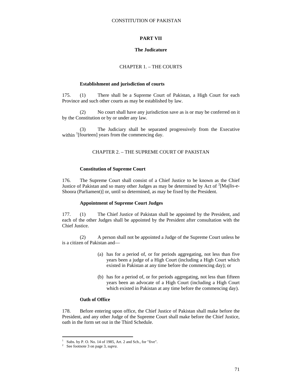# **PART VII**

## **The Judicature**

# CHAPTER 1. – THE COURTS

### **175. Establishment and jurisdiction of courts**

175. (1) There shall be a Supreme Court of Pakistan, a High Court for each Province and such other courts as may be established by law.

(2) No court shall have any jurisdiction save as is or may be conferred on it by the Constitution or by or under any law.

(3) The Judiciary shall be separated progressively from the Executive within <sup>1</sup>[fourteen] years from the commencing day.

# CHAPTER 2. – THE SUPREME COURT OF PAKISTAN

#### **176. Constitution of Supreme Court**

176. The Supreme Court shall consist of a Chief Justice to be known as the Chief Justice of Pakistan and so many other Judges as may be determined by Act of <sup>2</sup>[Majlis-e-Shoora (Parliament)] or, until so determined, as may be fixed by the President.

# **177. Appointment of Supreme Court Judges**

177. (1) The Chief Justice of Pakistan shall be appointed by the President, and each of the other Judges shall be appointed by the President after consultation with the Chief Justice.

(2) A person shall not be appointed a Judge of the Supreme Court unless he is a citizen of Pakistan and—

- (a) has for a period of, or for periods aggregating, not less than five years been a judge of a High Court (including a High Court which existed in Pakistan at any time before the commencing day); or
- (b) has for a period of, or for periods aggregating, not less than fifteen years been an advocate of a High Court (including a High Court which existed in Pakistan at any time before the commencing day).

# **Oath of Office**

178. Before entering upon office, the Chief Justice of Pakistan shall make before the President, and any other Judge of the Supreme Court shall make before the Chief Justice, oath in the form set out in the Third Schedule.

<sup>1</sup> Subs. by P. O. No. 14 of 1985, Art. 2 and Sch., for "five".

<sup>2</sup> See footnote 3 on page 3, *supra*.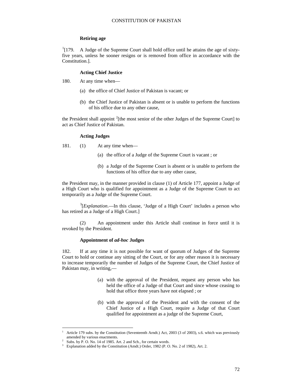## **Retiring age**

 $^{1}$ [179. A Judge of the Supreme Court shall hold office until he attains the age of sixtyfive years, unless he sooner resigns or is removed from office in accordance with the Constitution.].

### **Acting Chief Justice**

- 180. At any time when—
	- (a) the office of Chief Justice of Pakistan is vacant; or
	- (b) the Chief Justice of Pakistan is absent or is unable to perform the functions of his office due to any other cause,

the President shall appoint  $2$ [the most senior of the other Judges of the Supreme Court] to act as Chief Justice of Pakistan.

#### **181. Acting Judges**

- 181. (1) At any time when—
	- (a) the office of a Judge of the Supreme Court is vacant ; or
	- (b) a Judge of the Supreme Court is absent or is unable to perform the functions of his office due to any other cause,

the President may, in the manner provided in clause (1) of Article 177, appoint a Judge of a High Court who is qualified for appointment as a Judge of the Supreme Court to act temporarily as a Judge of the Supreme Court.

3 [*Explanation*.—In this clause, 'Judge of a High Court' includes a person who has retired as a Judge of a High Court.]

(2) An appointment under this Article shall continue in force until it is revoked by the President.

#### **182. Appointment of** *ad-hoc* **Judges**

182. If at any time it is not possible for want of quorum of Judges of the Supreme Court to hold or continue any sitting of the Court, or for any other reason it is necessary to increase temporarily the number of Judges of the Supreme Court, the Chief Justice of Pakistan may, in writing,—

- (a) with the approval of the President, request any person who has held the office of a Judge of that Court and since whose ceasing to hold that office three years have not elapsed ; or
- (b) with the approval of the President and with the consent of the Chief Justice of a High Court, require a Judge of that Court qualified for appointment as a judge of the Supreme Court,

 $\overline{a}$ 

72

<sup>1</sup> Article 179 subs. by the Constitution (Seventeenth Arndt.) Act, 2003 (3 of 2003), s.6. which was previously amended by various enactments.

Subs. by P. O. No. 14 of 1985. Art. 2 and Sch., for certain words.

<sup>3</sup> Explanation added by the Constitution (Amdt.) Order, 1982 (P. O. No. 2 of 1982), Art. 2.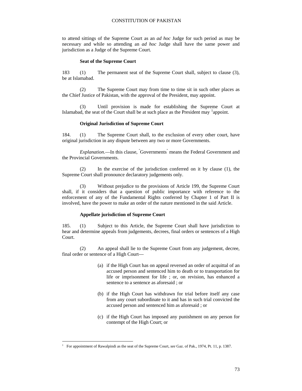to attend sittings of the Supreme Court as an *ad hoc* Judge for such period as may be necessary and while so attending an *ad hoc* Judge shall have the same power and jurisdiction as a Judge of the Supreme Court.

#### **183. Seat of the Supreme Court**

183 (1) The permanent seat of the Supreme Court shall, subject to clause (3), be at Islamabad.

(2) The Supreme Court may from time to time sit in such other places as the Chief Justice of Pakistan, with the approval of the President, may appoint.

(3) Until provision is made for establishing the Supreme Court at Islamabad, the seat of the Court shall be at such place as the President may <sup>1</sup>appoint.

#### **184. Original Jurisdiction of Supreme Court**

184. (1) The Supreme Court shall, to the exclusion of every other court, have original jurisdiction in any dispute between any two or more Governments.

Explanation.—In this clause, <sup>"</sup>Governments<sup>"</sup> means the Federal Government and the Provincial Governments.

(2) In the exercise of the jurisdiction conferred on it by clause (1), the Supreme Court shall pronounce declaratory judgements only.

Without prejudice to the provisions of Article 199, the Supreme Court shall, if it considers that a question of public importance with reference to the enforcement of any of the Fundamental Rights conferred by Chapter 1 of Part II is involved, have the power to make an order of the nature mentioned in the said Article.

### **185. Appellate jurisdiction of Supreme Court**

 $\overline{a}$ 

185. (1) Subject to this Article, the Supreme Court shall have jurisdiction to hear and determine appeals from judgements, decrees, final orders or sentences of a High Court.

(2) An appeal shall lie to the Supreme Court from any judgement, decree, final order or sentence of a High Court—

- (a) if the High Court has on appeal reversed an order of acquittal of an accused person and sentenced him to death or to transportation for life or imprisonment for life ; or, on revision, has enhanced a sentence to a sentence as aforesaid ; or
- (b) if the High Court has withdrawn for trial before itself any case from any court subordinate to it and has in such trial convicted the accused person and sentenced him as aforesaid ; or
- (c) if the High Court has imposed any punishment on any person for contempt of the High Court; or

<sup>1</sup> For appointment of Rawalpindi as the seat of the Supreme Court, *see* Gaz. of Pak., 1974, Pt. 11, p. 1387.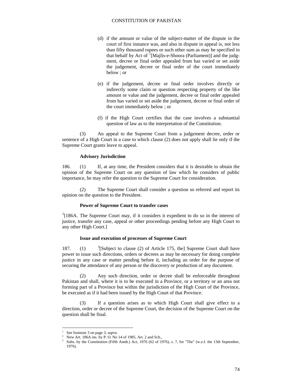- (d) if the amount or value of the subject-matter of the dispute in the court of first instance was, and also in dispute in appeal is, not less than fifty thousand rupees or such other sum as may be specified in that behalf by Act of  ${}^{1}$ [Majlis-e-Shoora (Parliament)] and the judgment, decree or final order appealed from has varied or set aside the judgement, decree or final order of the court immediately below ; or
- (e) if the judgement, decree or final order involves directly or indirectly some claim or question respecting property of the like amount or value and the judgement, decree or final order appealed from has varied or set aside the judgement, decree or final order of the court immediately below ; or
- (f) if the High Court certifies that the case involves a substantial question of law as to the interpretation of the Constitution.

(3) An appeal to the Supreme Court from a judgement decree, order or sentence of a High Court in a case to which clause (2) does not apply shall lie only if the Supreme Court grants leave to appeal.

#### **186. Advisory Jurisdiction**

186. (1) If, at any time, the President considers that it is desirable to obtain the opinion of the Supreme Court on any question of law which he considers of public importance, he may refer the question to the Supreme Court for consideration.

(2) The Supreme Court shall consider a question so referred and report its opinion on the question to the President.

#### Power of Supreme Court to transfer cases

 $2$ [186A. The Supreme Court may, if it considers it expedient to do so in the interest of justice, transfer any case, appeal or other proceedings pending before any High Court to any other High Court.]

### **187. Issue and execution of processes of Supreme Court**

187.  $(1)$  $\frac{3}{5}$ [Subject to clause (2) of Article 175, the] Supreme Court shall have power to issue such directions, orders or decrees as may be necessary for doing complete justice in any case or matter pending before it, including an order for the purpose of securing the attendance of any person or the discovery or production of any document.

(2) Any such direction, order or decree shall be enforceable throughout Pakistan and shall, where it is to be executed in a Province, or a territory or an area not forming part of a Province but within the jurisdiction of the High Court of the Province, be executed as if it had been issued by the High Court of that Province.

(3) If a question arises as to which High Court shall give effect to a direction, order or decree of the Supreme Court, the decision of the Supreme Court on the question shall be final.

<sup>1</sup> See footnote 3 on page 3, *supra*.

New Art. 186A ins. by P. O. No 14 of 1985, Art. 2 and Sch.,

<sup>3</sup> Subs. by the Constitution (Fifth Amdt.) Act, 1976 (62 of 1976), s. 7, for "The" (w.e.f. the 13th September, 1976).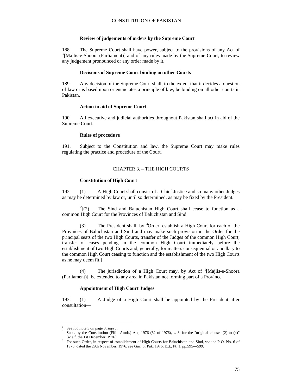### **188. Review of judgements of orders by the Supreme Court**

188. The Supreme Court shall have power, subject to the provisions of any Act of <sup>1</sup>[Majlis-e-Shoora (Parliament)] and of any rules made by the Supreme Court, to review any judgement pronounced or any order made by it.

#### **189. Decisions of Supreme Court binding on other Courts**

189. Any decision of the Supreme Court shall, to the extent that it decides a question of law or is based upon or enunciates a principle of law, be binding on all other courts in Pakistan.

### **190. Action in aid of Supreme Court**

190. All executive and judicial authorities throughout Pakistan shall act in aid of the Supreme Court.

#### **191. Rules of procedure**

191. Subject to the Constitution and law, the Supreme Court may make rules regulating the practice and procedure of the Court.

# CHAPTER 3. – THE HIGH COURTS

### **192. Constitution of High Court**

192. (1) A High Court shall consist of a Chief Justice and so many other Judges as may be determined by law or, until so determined, as may be fixed by the President.

 $2(2)$ The Sind and Baluchistan High Court shall cease to function as a common High Court for the Provinces of Baluchistan and Sind.

(3) The President shall, by  ${}^{3}$ Order, establish a High Court for each of the Provinces of Baluchistan and Sind and may make such provision in the Order for the principal seats of the two High Courts, transfer of the Judges of the common High Court, transfer of cases pending in the common High Court immediately before the establishment of two High Courts and, generally, for matters consequential or ancillary to the common High Court ceasing to function and the establishment of the two High Courts as he may deem fit.]

(4) The jurisdiction of a High Court may, by Act of <sup>1</sup>[Majlis-e-Shoora (Parliament)], be extended to any area in Pakistan not forming part of a Province.

# **193. Appointment of High Court Judges**

193. (1) A Judge of a High Court shall be appointed by the President after consultation—

<sup>1</sup>  $\frac{1}{2}$  See footnote 3 on page 3, *supra*.

Subs. by the Constitution (Fifth Amdt.) Act, 1976 (62 of 1976), s. 8, for the "original clauses (2) to (4)" (w.e.f. the 1st December, 1976).

For such Order, in respect of establishment of High Courts for Baluchistan and Sind, *see* the P O. No. 6 of 1976, dated the 29th November, 1976, see Gaz. of Pak. 1976, Ext., Pt. 1, pp.595—599.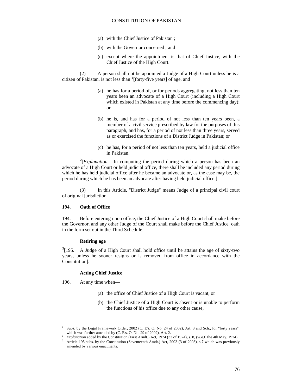- (a) with the Chief Justice of Pakistan ;
- (b) with the Governor concerned ; and
- (c) except where the appointment is that of Chief Justice, with the Chief Justice of the High Court.

(2) A person shall not be appointed a Judge of a High Court unless he is a citizen of Pakistan, is not less than  $\frac{1}{1}$  [forty-five years] of age, and

- (a) he has for a period of, or for periods aggregating, not less than ten years been an advocate of a High Court (including a High Court which existed in Pakistan at any time before the commencing day); or
- (b) he is, and has for a period of not less than ten years been, a member of a civil service prescribed by law for the purposes of this paragraph, and has, for a period of not less than three years, served as or exercised the functions of a District Judge in Pakistan; or
- (c) he has, for a period of not less than ten years, held a judicial office in Pakistan.

 $2$ <sup>2</sup>[*Explanation*.—In computing the period during which a person has been an advocate of a High Court or held judicial office, there shall be included any period during which he has held judicial office after he became an advocate or, as the case may be, the period during which he has been an advocate after having held judicial office.]

(3) In this Article, "District Judge" means Judge of a principal civil court of original jurisdiction.

### **194. Oath of Office**

194. Before entering upon office, the Chief Justice of a High Court shall make before the Governor, and any other Judge of the Court shall make before the Chief Justice, oath in the form set out in the Third Schedule.

### **195. Retiring age**

 $3[195.$  A Judge of a High Court shall hold office until he attains the age of sixty-two years, unless he sooner resigns or is removed from office in accordance with the Constitution].

#### **196. Acting Chief Justice**

196. At any time when—

- (a) the office of Chief Justice of a High Court is vacant, or
- (b) the Chief Justice of a High Court is absent or is unable to perform the functions of his office due to any other cause,

 $\overline{a}$ 1 Subs. by the Legal Framework Order, 2002 (C. E's. O. No. 24 of 2002), Art. 3 and Sch., for "forty years", which was further amended by (C. E's. O. No. 29 of 2002), Art. 2.

*Explanation added by the Constitution (First Arndt.) Act, 1974 (33 of 1974), s. 8, (w.e.f. the 4th May, 1974).* 

Article 195 subs. by the Constitution (Seventeenth Amdt.) Act, 2003 (3 of 2003), s.7 which was previously amended by various enactments.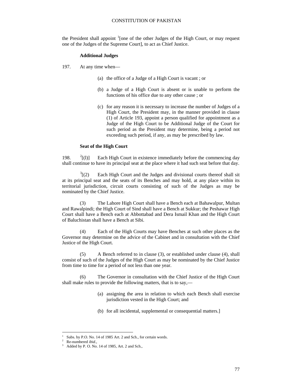the President shall appoint  $1$ [one of the other Judges of the High Court, or may request one of the Judges of the Supreme Court], to act as Chief Justice.

#### **197. Additional Judges**

- 197. At any time when—
	- (a) the office of a Judge of a High Court is vacant ; or
	- (b) a Judge of a High Court is absent or is unable to perform the functions of his office due to any other cause ; or
	- (c) for any reason it is necessary to increase the number of Judges of a High Court, the President may, in the manner provided in clause (1) of Article 193, appoint a person qualified for appointment as a Judge of the High Court to be Additional Judge of the Court for such period as the President may determine, being a period not exceeding such period, if any, as may be prescribed by law.

# **198. Seat of the High Court**

198.  $^{2}$ [(1)] Each High Court in existence immediately before the commencing day shall continue to have its principal seat at the place where it had such seat before that day.

 $\sqrt[3]{(2)}$ Each High Court and the Judges and divisional courts thereof shall sit at its principal seat and the seats of its Benches and may hold, at any place within its territorial jurisdiction, circuit courts consisting of such of the Judges as may be nominated by the Chief Justice.

(3) The Lahore High Court shall have a Bench each at Bahawalpur, Multan and Rawalpindi; the High Court of Sind shall have a Bench at Sukkur; the Peshawar High Court shall have a Bench each at Abbottabad and Dera Ismail Khan and the High Court of Baluchistan shall have a Bench at Sibi.

(4) Each of the High Courts may have Benches at such other places as the Governor may determine on the advice of the Cabinet and in consultation with the Chief Justice of the High Court.

(5) A Bench referred to in clause (3), or established under clause (4), shall consist of such of the Judges of the High Court as may be nominated by the Chief Justice from time to time for a period of not less than one year.

(6) The Governor in consultation with the Chief Justice of the High Court shall make rules to provide the following matters, that is to say,—

- (a) assigning the area in relation to which each Bench shall exercise jurisdiction vested in the High Court; and
- (b) for all incidental, supplemental or consequential matters.]

<sup>1</sup> Subs. by P.O. No. 14 of 1985 Art. 2 and Sch., for certain words.

Re-numbered *ibid.*,

Added by P. O. No. 14 of 1985, Art. 2 and Sch.,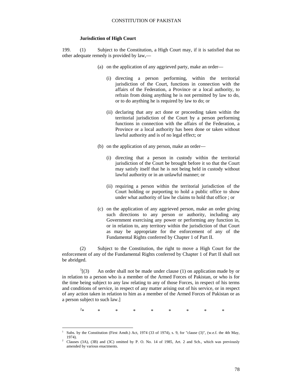### **199. Jurisdiction of High Court**

199. (1) Subject to the Constitution, a High Court may, if it is satisfied that no other adequate remedy is provided by law,—

- (a) on the application of any aggrieved party, make an order—
	- (i) directing a person performing, within the territorial jurisdiction of the Court, functions in connection with the affairs of the Federation, a Province or a local authority, to refrain from doing anything he is not permitted by law to do, or to do anything he is required by law to do; or
	- (ii) declaring that any act done or proceeding taken within the territorial jurisdiction of the Court by a person performing functions in connection with the affairs of the Federation, a Province or a local authority has been done or taken without lawful authority and is of no legal effect; or
- (b) on the application of any person, make an order—
	- (i) directing that a person in custody within the territorial jurisdiction of the Court be brought before it so that the Court may satisfy itself that he is not being held in custody without lawful authority or in an unlawful manner; or
	- (ii) requiring a person within the territorial jurisdiction of the Court holding or purporting to hold a public office to show under what authority of law he claims to hold that office ; or
- (c) on the application of any aggrieved person, make an order giving such directions to any person or authority, including any Government exercising any power or performing any function in, or in relation to, any territory within the jurisdiction of that Court as may be appropriate for the enforcement of any of the Fundamental Rights conferred by Chapter 1 of Part II.

(2) Subject to the Constitution, the right to move a High Court for the enforcement of any of the Fundamental Rights conferred by Chapter 1 of Part II shall not be abridged.

 $\frac{1}{1}$ [(3) An order shall not be made under clause (1) on application made by or in relation to a person who is a member of the Armed Forces of Pakistan, or who is for the time being subject to any law relating to any of those Forces, in respect of his terms and conditions of service, in respect of any matter arising out of his service, or in respect of any action taken in relation to him as a member of the Armed Forces of Pakistan or as a person subject to such law.]

 $2*$ \* \* \* \* \* \* \* \* \*

<sup>1</sup> Subs. by the Constitution (First Amdt.) Act, 1974 (33 of 1974), s. 9, for "clause (3)", (w.e.f. the 4th May, 1974). 2 Clauses (3A), (3B) and (3C) omitted by P. O. No. 14 of 1985, Art. 2 and Sch., which was previously

amended by various enactments.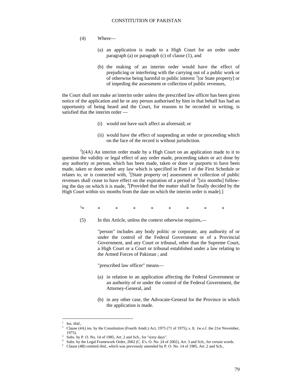- (4) Where—
	- (a) an application is made to a High Court for an order under paragraph (a) or paragraph (c) of clause (1), and
	- (b) the making of an interim order would have the effect of prejudicing or interfering with the carrying out of a public work or of otherwise being harmful to public interest <sup>1</sup>[or State property] or of impeding the assessment or collection of public revenues,

the Court shall not make an interim order unless the prescribed law officer has been given notice of the application and he or any person authorised by him in that behalf has had an opportunity of being heard and the Court, for reasons to be recorded in writing, is satisfied that the interim order —

- (i) would not have such affect as aforesaid; or
- (ii) would have the effect of suspending an order or proceeding which on the face of the record is without jurisdiction.

 $^{2}$ [(4A) An interim order made by a High Court on an application made to it to question the validity or legal effect of any order made, proceeding taken or act done by any authority or person, which has been made, taken or done or purports to have been made, taken or done under any law which is specified in Part I of the First Schedule or relates to, or is connected with,  $^{2}$ [State property or] assessment or collection of public revenues shall cease to have effect on the expiration of a period of  $\frac{3}{1}$  six months] following the day on which it is made, <sup>4</sup>[Provided that the matter shall be finally decided by the High Court within six months from the date on which the interim order is made].]

- $5*$ \* \* \* \* \* \* \* \* \*
- (5) In this Article, unless the context otherwise requires,—

"person" includes any body politic or corporate, any authority of or under the control of the Federal Government or of a Provincial Government, and any Court or tribunal, other than the Supreme Court, a High Court or a Court or tribunal established under a law relating to the Armed Forces of Pakistan ; and

"prescribed law officer" means—

- (a) in relation to an application affecting the Federal Government or an authority of or under the control of the Federal Government, the Attorney-General, and
- (b) in any other case, the Advocate-General for the Province in which the application is made.

<sup>1</sup>  $\frac{1}{2}$  Ins. *ibid.*,

Clause (4A) ins. by the Constitution (Fourth Amdt.) Act, 1975 (71 of 1975), s. 8, (w.e.f. the 21st November, 1975).

Subs. by P. O. No. 14 of 1985, Art. 2 and Sch., for "sixty days".

<sup>4</sup> Subs. by the Legal Framework Order, 2002 (C. E's. O. No. 24 of 2002), Art. 3 and Sch., for certain words.

Clause (4B) omitted *ibid*., which was previously amended by P. O. No. 14 of 1985, Art. 2 and Sch.,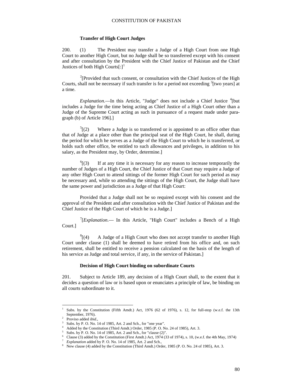### **7ransfer of High Court Judges**

200. (1) The President may transfer a Judge of a High Court from one High Court to another High Court, but no Judge shall be so transferred except with his consent and after consultation by the President with the Chief Justice of Pakistan and the Chief Justices of both High Courts $[\cdot]$ <sup>1</sup>

<sup>2</sup>[Provided that such consent, or consultation with the Chief Justices of the High Courts, shall not be necessary if such transfer is for a period not exceeding  $\frac{3}{2}$  [two years] at a time.

*Explanation*.—In this Article, "Judge" does not include a Chief Justice <sup>4</sup>[but includes a Judge for the time being acting as Chief Justice of a High Court other than a Judge of the Supreme Court acting as such in pursuance of a request made under paragraph (b) of Article 196].]

 $\Gamma(2)$ Where a Judge is so transferred or is appointed to an office other than that of Judge at a place other than the principal seat of the High Court, he shall, during the period for which he serves as a Judge of the High Court to which he is transferred, or holds such other office, be entitled to such allowances and privileges, in addition to his salary, as the President may, by Order, determine.]

 $^{6}$ [(3) If at any time it is necessary for any reason to increase temporarily the number of Judges of a High Court, the Chief Justice of that Court may require a Judge of any other High Court to attend sittings of the former High Court for such period as may be necessary and, while so attending the sittings of the High Court, the Judge shall have the same power and jurisdiction as a Judge of that High Court:

Provided that a Judge shall not be so required except with his consent and the approval of the President and after consultation with the Chief Justice of Pakistan and the Chief Justice of the High Court of which he is a Judge.]

 $T$ [*Explanation*.— In this Article, "High Court" includes a Bench of a High Court.]

 $^{8}$ [(4) [(4) A Judge of a High Court who does not accept transfer to another High Court under clause (1) shall be deemed to have retired from his office and, on such retirement, shall be entitled to receive a pension calculated on the basis of the length of his service as Judge and total service, if any, in the service of Pakistan.]

#### **201. Decision of High Court binding on subordinate Courts**

201. Subject to Article 189, any decision of a High Court shall, to the extent that it decides a question of law or is based upon or enunciates a principle of law, be binding on all courts subordinate to it.

<sup>1</sup> Subs. by the Constitution (Fifth Amdt.) Act, 1976 (62 of 1976), s. 12, for full-stop (w.e.f. the 13th September, 1976). September, 1976).<br><sup>2</sup> Provise added ibid.

<sup>&</sup>lt;sup>2</sup> Proviso added *ibid*.,  $3 \text{ Shk}_0$  by **P**  $\Omega$  No. 1

 $3$  Subs. by P. O. No. 14 of 1985, Art. 2 and Sch., for "one year". 4

Added by the Constitution (Third Amdt.) Order, 1985 (P. O. No. 24 of 1985), Art. 3.

Subs. by P. O. No. 14 of 1985, Art. 2 and Sch., for "clause  $(2)$ ".

<sup>6</sup> Clause (3) added by the Constitution (First Amdt.) Act, 1974 (33 of 1974), s. 10, (w.e.f. the 4th May, 1974)

*Explanation* added by P. O. No. 14 of 1985, Art. 2 and Sch.,

New clause (4) added by the Constitution (Third Amdt.) Order, 1985 (P. O. No. 24 of 1985), Art. 3.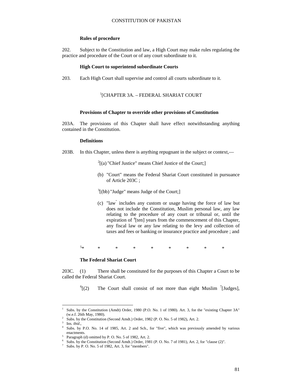### **Rules of procedure**

202. Subject to the Constitution and law, a High Court may make rules regulating the practice and procedure of the Court or of any court subordinate to it.

#### **203. High Court to superintend subordinate Courts**

203. Each High Court shall supervise and control all courts subordinate to it.

# 1 [CHAPTER 3A. – FEDERAL SHARIAT COURT

### Provisions of Chapter to override other provisions of Constitution

203A. The provisions of this Chapter shall have effect notwithstanding anything contained in the Constitution.

# **203B. Definitions**

- 203B. In this Chapter, unless there is anything repugnant in the subject or context,—
	- $2[(a)$  "Chief Justice" means Chief Justice of the Court;]
	- (b) "Court" means the Federal Shariat Court constituted in pursuance of Article 203C ;
	- $3$ [(bb) "Judge" means Judge of the Court;]
	- (c) "law" includes any custom or usage having the force of law but does not include the Constitution, Muslim personal law, any law relating to the procedure of any court or tribunal or, until the expiration of <sup>4</sup>[ten] years from the commencement of this Chapter, any fiscal law or any law relating to the levy and collection of taxes and fees or banking or insurance practice and procedure ; and

5 \* \* \* \* \* \* \* \* \*

#### **203** The Federal Shariat Court

203C. (1) There shall be constituted for the purposes of this Chapter a Court to be called the Federal Shariat Court.

 $^{6}$ [(2)  $[(2)$  The Court shall consist of not more than eight Muslim <sup>7</sup>[Judges],

<sup>1</sup> Subs. by the Constitution (Amdt) Order, 1980 (P.O. No. 1 of 1980). Art. 3, for the "existing Chapter 3A" (w.e.f. 26th May, 1980). (w.e.f. 26th May, 1980).

 $\frac{2}{3}$  Subs. by the Constitution (Second Amdt.) Order, 1982 (P. O. No. 5 of 1982), Art. 2.  $\frac{3}{3}$  Inc. ikid.

 $\frac{3}{4}$  Ins. *ibid.*,

Subs. by P.O. No. 14 of 1985, Art. 2 and Sch., for "five", which was previously amended by various enactments. 5 Paragraph (d) omitted by P. O. No. 5 of 1982, Art. 2.

<sup>6</sup> Subs. by the Constitution (Second Amdt.) Order, 1981 (P. O. No. 7 of 1981), Art. 2, for "clause (2)".

Subs. by P. O. No. 5 of 1982, Art. 3, for "members".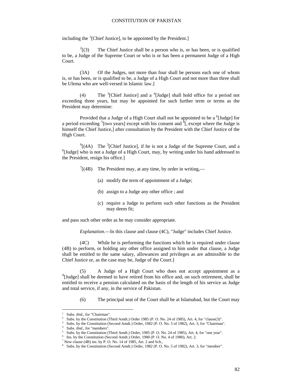including the  ${}^{1}$ [Chief Justice], to be appointed by the President.]

 $^{2}$ [(3) The Chief Justice shall be a person who is, or has been, or is qualified to be, a Judge of the Supreme Court or who is or has been a permanent Judge of a High Court.

(3A) Of the Judges, not more than four shall be persons each one of whom is, or has been, or is qualified to be, a Judge of a High Court and not more than three shall be Ulema who are well-versed in Islamic law.]

(4) The  ${}^{3}$ [Chief Justice] and a  ${}^{4}$ [Judge] shall hold office for a period not exceeding three years, but may be appointed for such further term or terms as the President may determine:

Provided that a Judge of a High Court shall not be appointed to be a <sup>6</sup>[Judge] for a period exceeding  $\frac{5}{3}$ [two years] except with his consent and  $\frac{8}{3}$ [, except where the Judge is himself the Chief Justice,] after consultation by the President with the Chief Justice of the High Court.

<sup>6</sup>[(4A) The <sup>5</sup>[Chief Justice], if he is not a Judge of the Supreme Court, and a 6<sup>6</sup>[Judge] who is not a Judge of a High Court, moy by writing under higher dedicated to  ${}^{6}$ [Judge] who is not a Judge of a High Court, may, by writing under his hand addressed to the President, resign his office.]

- $T[(4B)$  The President may, at any time, by order in writing,—
	- (a) modify the term of appointment of a Judge;
	- (b) assign to a Judge any other office ; and
	- (c) require a Judge to perform such other functions as the President may deem fit;

and pass such other order as he may consider appropriate.

*Explanation*.—In this clause and clause (4C), "Judge" includes Chief Justice.

(4C) While he is performing the functions which he is required under clause (4B) to perform, or holding any other office assigned to him under that clause, a Judge shall be entitled to the same salary, allowances and privileges as are admissible to the Chief Justice or, as the case may be, Judge of the Court.]

 $(5)$  A Judge of a High Court who does not accept appointment as a  ${}^{8}$ [Judge] shall be deemed to have retired from his office and, on such retirement, shall be entitled to receive a pension calculated on the basis of the length of his service as Judge and total service, if any, in the service of Pakistan.

(6) The principal seat of the Court shall be at Islamabad, but the Court may

<sup>1</sup> Subs. *ibid.*, for "Chairman".

Subs. by the Constitution (Third Amdt.) Order 1985 (P. O. No. 24 of 1985), Art. 4, for "clause(3)".

Subs. by the Constitution (Second Amdt.) Order, 1982 (P. O. No. 5 of 1982), Art. 3, for "Chairman". 4

Subs. *ibid.*, for "members".

Subs. by the Constitution (Third Amdt.) Order, 1985 (P. O. No. 24 of 1985), Art. 4, for "one year".

Ins. by the Constitution (Second Amdt.) Order, 1980 (P. O. No. 4 of 1980), Art. 2.

<sup>7</sup> New clause (4B) ins. by P. O. No. 14 of 1985, Art. 2 and Sch.,

<sup>8</sup> Subs. by the Constitution (Second Amdt.) Order, 1982 (P. O. No. 5 of 1982), Art. 3, for "member".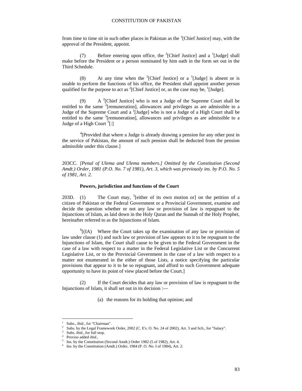from time to time sit in such other places in Pakistan as the <sup>1</sup>[Chief Justice] may, with the approval of the President, appoint.

(7) Before entering upon office, the <sup>2</sup>[Chief Justice] and a <sup>1</sup>[Judge] shall make before the President or a person nominated by him oath in the form set out in the Third Schedule.

(8) At any time when the <sup>2</sup>[Chief Justice] or a <sup>1</sup>[Judge] is absent or is unable to perform the functions of his office, the President shall appoint another person qualified for the purpose to act as <sup>2</sup>[Chief Justice] or, as the case may be, <sup>1</sup>[Judge].

(9) A <sup>2</sup>[Chief Justice] who is not a Judge of the Supreme Court shall be entitled to the same  $2$ [remuneration], allowances and privileges as are admissible to a Judge of the Supreme Court and a <sup>1</sup>[Judge] who is not a Judge of a High Court shall be entitled to the same <sup>3</sup>[remuneration], allowances and privileges as are admissible to a Judge of a High Court<sup>3</sup>[:]

<sup>4</sup>[Provided that where a Judge is already drawing a pension for any other post in the service of Pakistan, the amount of such pension shall be deducted from the pension admissible under this clause.]

203CC. *[Penal of Ulema and Ulema members.] Omitted by the Constitution (Second Amdt.) Order, 1981 (P.O. No. 7 of 1981), Art. 3, which was previously ins. by P.O. No. 5 of 1981, Art. 2.* 

#### Powers, jurisdiction and functions of the Court

203D. (1) The Court may,  ${}^{5}$ [either of its own motion or] on the petition of a citizen of Pakistan or the Federal Government or a Provincial Government, examine and decide the question whether or not any law or provision of law is repugnant to the Injunctions of Islam, as laid down in the Holy Quran and the Sunnah of the Holy Prophet, hereinafter referred to as the Injunctions of Islam.

 ${}^{6}$ [(IA) Where the Court takes up the examination of any law or provision of law under clause (1) and such law or provision of law appears to it to be repugnant to the Injunctions of Islam, the Court shall cause to be given to the Federal Government in the case of a law with respect to a matter in the Federal Legislative List or the Concurrent Legislative List, or to the Provincial Government in the case of a law with respect to a matter not enumerated in the either of those Lists, a notice specifying the particular provisions that appear to it to be so repugnant, and afford to such Government adequate opportunity to have its point of view placed before the Court.]

(2) If the Court decides that any law or provision of law is repugnant to the Injunctions of Islam, it shall set out in its decision :—

(a) the reasons for its holding that opinion; and

<sup>1</sup> Subs., *ibid.*, for "Chairman".

Subs. by the Legal Framework Order, 2002 (C. E's. O. No. 24 of 2002), Art. 3 and Sch., for "Salary".

 $\frac{3}{5}$  Subs. *ibid.*, for full stop.

Proviso added *ibid.*,

Ins. by the Constitution (Second Amdt.) Order 1982 (5 of 1982), Art. 4.

<sup>&</sup>lt;sup>6</sup> Ins. by the Constitution (Amdt.) Order, 1984 (P. O. No. I of 1984), Art. 2.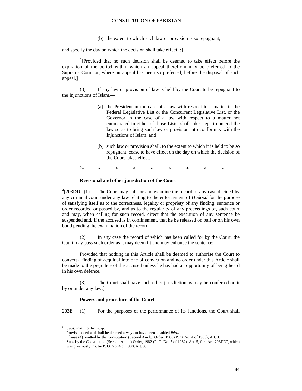(b) the extent to which such law or provision is so repugnant;

and specify the day on which the decision shall take effect  $[\cdot]$ <sup>1</sup>

 $2$ <sup>2</sup>[Provided that no such decision shall be deemed to take effect before the expiration of the period within which an appeal therefrom may be preferred to the Supreme Court or, where an appeal has been so preferred, before the disposal of such appeal.]

(3) If any law or provision of law is held by the Court to be repugnant to the Injunctions of Islam,—

- (a) the President in the case of a law with respect to a matter in the Federal Legislative List or the Concurrent Legislative List, or the Governor in the case of a law with respect to a matter not enumerated in either of those Lists, shall take steps to amend the law so as to bring such law or provision into conformity with the Injunctions of Islam; and
- (b) such law or provision shall, to the extent to which it is held to be so repugnant, cease to have effect on the day on which the decision of the Court takes effect.

 $3\,$ \* \* \* \* \* \* \* \* \*

#### **Revisional and other jurisdiction of the Court**

 $4$ [203DD, (1) The Court may call for and examine the record of any case decided by any criminal court under any law relating to the enforcement of *Hudood* for the purpose of satisfying itself as to the correctness, legality or propriety of any finding, sentence or order recorded or passed by, and as to the regularity of any proceedings of, such court and may, when calling for such record, direct that the execution of any sentence be suspended and, if the accused is in confinement, that he be released on bail or on his own bond pending the examination of the record.

(2) In any case the record of which has been called for by the Court, the Court may pass such order as it may deem fit and may enhance the sentence:

Provided that nothing in this Article shall be deemed to authorise the Court to convert a finding of acquittal into one of conviction and no order under this Article shall be made to the prejudice of the accused unless he has had an opportunity of being heard in his own defence.

(3) The Court shall have such other jurisdiction as may be conferred on it by or under any law.]

### Powers and procedure of the Court

203E. (1) For the purposes of the performance of its functions, the Court shall

<sup>1</sup>  $\frac{1}{2}$  Subs. *ibid.*, for full stop.

Proviso added and shall be deemed always to have been so added *ibid*.,

Clause (4) omitted by the Constitution (Second Amdt.) Order, 1980 (P. O. No. 4 of 1980), Art. 3. 4

Subs.by the Constitution (Second Amdt.) Order, 1982 (P. O. No. 5 of 1982), Art. 5, for "Art. 203DD", which was previously ins. by P. O. No. 4 of 1980, Art. 3.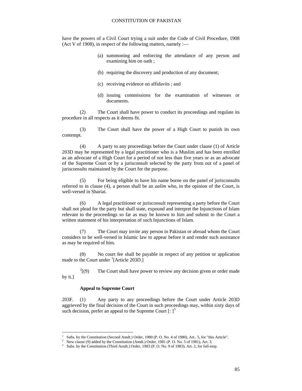have the powers of a Civil Court trying a suit under the Code of Civil Procedure, 1908 (Act V of 1908), in respect of the following matters, namely :—

- (a) summoning and enforcing the attendance of any person and examining him on oath ;
- (b) requiring the discovery and production of any document;
- (c) receiving evidence on affidavits ; and
- (d) issuing commissions for the examination of witnesses or documents.

(2) The Court shall have power to conduct its proceedings and regulate its procedure in all respects as it deems fit.

(3) The Court shall have the power of a High Court to punish its own contempt.

(4) A party to any proceedings before the Court under clause (1) of Article 203D may be represented by a legal practitioner who is a Muslim and has been enrolled as an advocate of a High Court for a period of not less than five years or as an advocate of the Supreme Court or by a jurisconsult selected by the party from out of a panel of jurisconsults maintained by the Court for the purpose.

(5) For being eligible to have his name borne on the panel of jurisconsults referred to in clause (4), a person shall be an *aalim* who, in the opinion of the Court, is well-versed in Shariat.

(6) A legal practitioner or jurisconsult representing a party before the Court shall not plead for the party but shall state, expound and interpret the Injunctions of Islam relevant to the proceedings so far as may be known to him and submit to the Court a written statement of his interpretation of such Injunctions of Islam.

(7) The Court may invite any person in Pakistan or abroad whom the Court considers to be well-versed in Islamic law to appear before it and render such assistance as may be required of him.

(8) No court fee shall be payable in respect of any petition or application made to the Court under  $^{1}[$ Article 203D.]

 $^{2}$ [(9) The Court shall have power to review any decision given or order made by it.]

# **Appeal to Supreme Court**

 $\overline{a}$ 

203F. (1) Any party to any proceedings before the Court under Article 203D aggrieved by the final decision of the Court in such proceedings may, within sixty days of such decision, prefer an appeal to the Supreme Court  $\left[\cdot\right]$ <sup>3</sup>

<sup>1</sup> Subs. by the Constitution (Second Amdt.) Order, 1980 (P. O. No. 4 of 1980), Art.. 5, for "this Article".

New clause (9) added by the Constitution (Amdt.) Order, 1981 (P. O. No. 5 of 1981), Art. 3.

Subs. by the Constitution (Third Arndt.) Order, 1983 (P. O. No. 9 of 1983), Art. 2, for full-stop.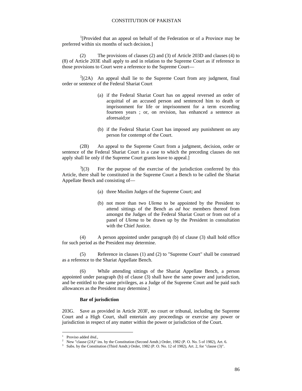<sup>1</sup>[Provided that an appeal on behalf of the Federation or of a Province may be preferred within six months of such decision.]

(2) The provisions of clauses (2) and (3) of Article 203D and clauses (4) to (8) of Article 203E shall apply to and in relation to the Supreme Court as if reference in those provisions to Court were a reference to the Supreme Court—

 $2[(2A)$  An appeal shall lie to the Supreme Court from any judgment, final order or sentence of the Federal Shariat Court

- (a) if the Federal Shariat Court has on appeal reversed an order of acquittal of an accused person and sentenced him to death or imprisonment for life or imprisonment for a term exceeding fourteen years ; or, on revision, has enhanced a sentence as aforesaid;or
- (b) if the Federal Shariat Court has imposed any punishment on any person for contempt of the Court.

(2B) An appeal to the Supreme Court from a judgment, decision, order or sentence of the Federal Shariat Court in a case to which the preceding clauses do not apply shall lie only if the Supreme Court grants leave to appeal.]

 $\sqrt[3]{(3)}$ For the purpose of the exercise of the jurisdiction conferred by this Article, there shall be constituted in the Supreme Court a Bench to be called the Shariat Appellate Bench and consisting of—

- (a) three Muslim Judges of the Supreme Court; and
- (b) not more than two *Ulema* to be appointed by the President to attend sittings of the Bench as *ad hoc* members thereof from amongst the Judges of the Federal Shariat Court or from out of a panel of *Ulema* to be drawn up by the President in consultation with the Chief Justice.

(4) A person appointed under paragraph (b) of clause (3) shall hold office for such period as the President may determine.

(5) Reference in clauses (1) and (2) to "Supreme Court" shall be construed as a reference to the Shariat Appellate Bench.

(6) While attending sittings of the Shariat Appellate Bench, a person appointed under paragraph (b) of clause (3) shall have the same power and jurisdiction, and be entitled to the same privileges, as a Judge of the Supreme Court and be paid such allowances as the President may determine.]

### **203G. Bar of jurisdiction**

203G. Save as provided in Article 203F, no court or tribunal, including the Supreme Court and a High Court, shall entertain any proceedings or exercise any power or jurisdiction in respect of any matter within the power or jurisdiction of the Court.

 $\frac{1}{1}$ Proviso added *ibid.*,

New "clause (2A)" ins. by the Constitution (Second Amdt.) Order, 1982 (P. O. No. 5 of 1982), Art. 6.

<sup>3</sup> Subs. by the Constitution (Third Amdt.) Order, 1982 (P. O. No. 12 of 1982), Art. 2, for "clause (3)".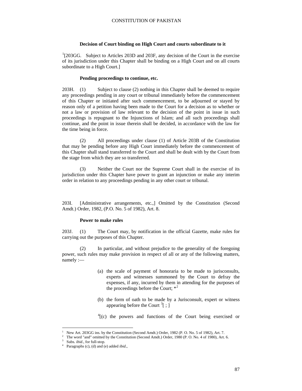#### **Decision of Court binding on High Court and courts subordinate to it**

<sup>1</sup>[203GG. Subject to Articles 203D and 203F, any decision of the Court in the exercise of its jurisdiction under this Chapter shall be binding on a High Court and on all courts subordinate to a High Court.]

## Pending proceedings to continue, etc.

203H. (1) Subject to clause (2) nothing in this Chapter shall be deemed to require any proceedings pending in any court or tribunal immediately before the commencement of this Chapter or initiated after such commencement, to be adjourned or stayed by reason only of a petition having been made to the Court for a decision as to whether or not a law or provision of law relevant to the decision of the point in issue in such proceedings is repugnant to the Injunctions of Islam; and all such proceedings shall continue, and the point in issue therein shall be decided, in accordance with the law for the time being in force.

(2) All proceedings under clause (1) of Article 203B of the Constitution that may be pending before any High Court immediately before the commencement of this Chapter shall stand transferred to the Court and shall be dealt with by the Court from the stage from which they are so transferred.

(3) Neither the Court nor the Supreme Court shall in the exercise of its jurisdiction under this Chapter have power to grant an injunction or make any interim order in relation to any proceedings pending in any other court or tribunal.

203I. [Administrative arrangements, etc.,] Omitted by the Constitution (Second Amdt.) Order, 1982, (P.O. No. 5 of 1982), Art. 8.

### **203J. Power to make rules**

203J. (1) The Court may, by notification in the official Gazette, make rules for carrying out the purposes of this Chapter.

In particular, and without prejudice to the generality of the foregoing power, such rules may make provision in respect of all or any of the following matters, namely :—

- (a) the scale of payment of honoraria to be made to jurisconsults, experts and witnesses summoned by the Court to defray the expenses, if any, incurred by them in attending for the purposes of the proceedings before the Court;  $*^2$
- (b) the form of oath to be made by a Jurisconsult, expert or witness appearing before the Court  $\frac{3}{2}$ ; ]
- 4 [(c) the powers and functions of the Court being exercised or

<sup>1</sup> New Art. 203GG ins. by the Constitution (Second Amdt.) Order, 1982 (P. O. No. 5 of 1982), Art. 7. 2

The word "and" omitted by the Constitution (Second Amdt.) Order, 1980 (P. O. No. 4 of 1980), Art. 6. 3

Subs. *ibid.*, for full-stop.

Paragraphs (c), (d) and (e) added *ibid*.,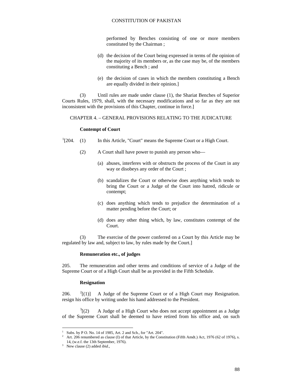performed by Benches consisting of one or more members constituted by the Chairman ;

- (d) the decision of the Court being expressed in terms of the opinion of the majority of its members or, as the case may be, of the members constituting a Bench ; and
- (e) the decision of cases in which the members constituting a Bench are equally divided in their opinion.]

(3) Until rules are made under clause (1), the Shariat Benches of Superior Courts Rules, 1979, shall, with the necessary modifications and so far as they are not inconsistent with the provisions of this Chapter, continue in force.]

### CHAPTER 4. – GENERAL PROVISIONS RELATING TO THE JUDICATURE

### **2012** Contempt of Court

- $1$ [204.  $(1)$  In this Article, "Court" means the Supreme Court or a High Court.
	- (2) A Court shall have power to punish any person who—
		- (a) abuses, interferes with or obstructs the process of the Court in any way or disobeys any order of the Court ;
		- (b) scandalizes the Court or otherwise does anything which tends to bring the Court or a Judge of the Court into hatred, ridicule or contempt;
		- (c) does anything which tends to prejudice the determination of a matter pending before the Court; or
		- (d) does any other thing which, by law, constitutes contempt of the Court.

(3) The exercise of the power conferred on a Court by this Article may be regulated by law and, subject to law, by rules made by the Court.]

#### **Remuneration etc., of judges**

205. The remuneration and other terms and conditions of service of a Judge of the Supreme Court or of a High Court shall be as provided in the Fifth Schedule.

#### **206. Resignation**

206.  $^{2}[(1)]$ A Judge of the Supreme Court or of a High Court may Resignation. resign his office by writing under his hand addressed to the President.

 $\sqrt[3]{(2)}$ A Judge of a High Court who does not accept appointment as a Judge of the Supreme Court shall be deemed to have retired from his office and, on such

<sup>1</sup> Subs. by P O. No. 14 of 1985, Art. 2 and Sch., for "Art. 204".

<sup>2</sup> Art. 206 renumbered as clause (I) of that Article, by the Constitution (Fifth Amdt.) Act, 1976 (62 of 1976), s. 14, (w.e.f. the 13th September, 1976). 3

New clause (2) added *ibid*.,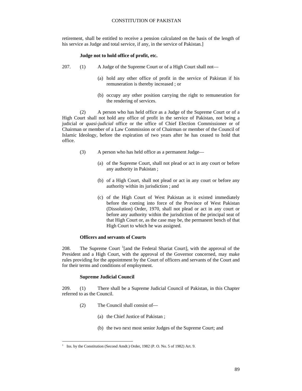retirement, shall be entitled to receive a pension calculated on the basis of the length of his service as Judge and total service, if any, in the service of Pakistan.]

#### **207. Judge not to hold office of profit, etc.**

- 207. (1) A Judge of the Supreme Court or of a High Court shall not—
	- (a) hold any other office of profit in the service of Pakistan if his remuneration is thereby increased ; or
	- (b) occupy any other position carrying the right to remuneration for the rendering of services.

(2) A person who has held office as a Judge of the Supreme Court or of a High Court shall not hold any office of profit in the service of Pakistan, not being a judicial or *quasi-judicial* office or the office of Chief Election Commissioner or of Chairman or member of a Law Commission or of Chairman or member of the Council of Islamic Ideology, before the expiration of two years after he has ceased to hold that office.

- (3) A person who has held office as a permanent Judge—
	- (a) of the Supreme Court, shall not plead or act in any court or before any authority in Pakistan ;
	- (b) of a High Court, shall not plead or act in any court or before any authority within its jurisdiction ; and
	- (c) of the High Court of West Pakistan as it existed immediately before the coming into force of the Province of West Pakistan (Dissolution) Order, 1970, shall not plead or act in any court or before any authority within the jurisdiction of the principal seat of that High Court or, as the case may be, the permanent bench of that High Court to which he was assigned.

#### **208. Officers and servants of Courts**

208. The Supreme Court <sup>1</sup>[and the Federal Shariat Court], with the approval of the President and a High Court, with the approval of the Governor concerned, may make rules providing for the appointment by the Court of officers and servants of the Court and for their terms and conditions of employment.

### **200. Supreme Judicial Council**

 $\overline{a}$ 

209. (1) There shall be a Supreme Judicial Council of Pakistan, in this Chapter referred to as the Council.

- (2) The Council shall consist of—
	- (a) the Chief Justice of Pakistan ;
	- (b) the two next most senior Judges of the Supreme Court; and

<sup>1</sup> Ins. by the Constitution (Second Amdt.) Order, 1982 (P. O. No. 5 of 1982) Art. 9.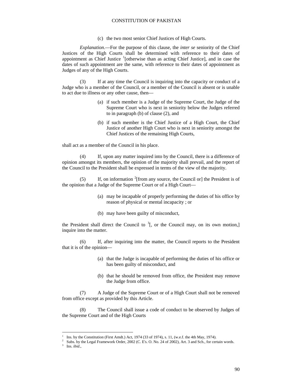(c) the two most senior Chief Justices of High Courts.

*Explanation*.—For the purpose of this clause, the *inter se* seniority of the Chief Justices of the High Courts shall be determined with reference to their dates of appointment as Chief Justice <sup>1</sup>[otherwise than as acting Chief Justice], and in case the dates of such appointment are the same, with reference to their dates of appointment as Judges of any of the High Courts.

(3) If at any time the Council is inquiring into the capacity or conduct of a Judge who is a member of the Council, or a member of the Council is absent or is unable to act due to illness or any other cause, then—

- (a) if such member is a Judge of the Supreme Court, the Judge of the Supreme Court who is next in seniority below the Judges referred to in paragraph (b) of clause (2), and
- (b) if such member is the Chief Justice of a High Court, the Chief Justice of another High Court who is next in seniority amongst the Chief Justices of the remaining High Courts,

shall act as a member of the Council in his place.

(4) If, upon any matter inquired into by the Council, there is a difference of opinion amongst its members, the opinion of the majority shall prevail, and the report of the Council to the President shall be expressed in terms of the view of the majority.

 $(5)$  If, on information <sup>2</sup>[from any source, the Council or] the President is of the opinion that a Judge of the Supreme Court or of a High Court—

- (a) may be incapable of properly performing the duties of his office by reason of physical or mental incapacity ; or
- (b) may have been guilty of misconduct,

the President shall direct the Council to  $3<sup>1</sup>$ , or the Council may, on its own motion,] inquire into the matter.

(6) If, after inquiring into the matter, the Council reports to the President that it is of the opinion—

- (a) that the Judge is incapable of performing the duties of his office or has been guilty of misconduct, and
- (b) that he should be removed from office, the President may remove the Judge from office.

(7) A Judge of the Supreme Court or of a High Court shall not be removed from office except as provided by this Article.

(8) The Council shall issue a code of conduct to be observed by Judges of the Supreme Court and of the High Courts

<sup>1</sup> Ins. by the Constitution (First Amdt.) Act, 1974 (33 of 1974), s. 11, (w.e.f. the 4th May, 1974).

Subs. by the Legal Framework Order, 2002 (C. E's. O. No. 24 of 2002), Art. 3 and Sch., for certain words.

Ins. *ibid*.,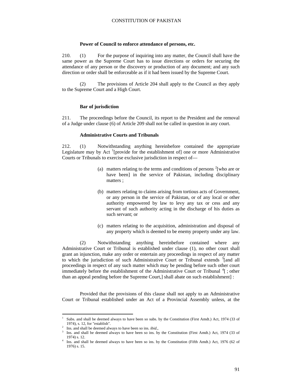#### Power of Council to enforce attendance of persons, etc.

210. (1) For the purpose of inquiring into any matter, the Council shall have the same power as the Supreme Court has to issue directions or orders for securing the attendance of any person or the discovery or production of any document; and any such direction or order shall be enforceable as if it had been issued by the Supreme Court.

(2) The provisions of Article 204 shall apply to the Council as they apply to the Supreme Court and a High Court.

#### **211. Bar of jurisdiction**

211. The proceedings before the Council, its report to the President and the removal of a Judge under clause (6) of Article 209 shall not be called in question in any court.

#### **212. Administrative Courts and Tribunals**

212. (1) Notwithstanding anything hereinbefore contained the appropriate Legislature may by Act <sup>1</sup>[provide for the establishment of] one or more Administrative Courts or Tribunals to exercise exclusive jurisdiction in respect of—

- (a) matters relating to the terms and conditions of persons  $2$ [who are or have been] in the service of Pakistan, including disciplinary matters ;
- (b) matters relating to claims arising from tortious acts of Government, or any person in the service of Pakistan, or of any local or other authority empowered by law to levy any tax or cess and any servant of such authority acting in the discharge of his duties as such servant; or
- (c) matters relating to the acquisition, administration and disposal of any property which is deemed to be enemy property under any law.

(2) Notwithstanding anything hereinbefore contained where any Administrative Court or Tribunal is established under clause (1), no other court shall grant an injunction, make any order or entertain any proceedings in respect of any matter to which the jurisdiction of such Administrative Court or Tribunal extends <sup>3</sup>[and all proceedings in respect of any such matter which may be pending before such other court immediately before the establishment of the Administrative Court or Tribunal  $^{4}$  ; other than an appeal pending before the Supreme Court,] shall abate on such establishment] :

Provided that the provisions of this clause shall not apply to an Administrative Court or Tribunal established under an Act of a Provincial Assembly unless, at the

<sup>1</sup> Subs. and shall be deemed always to have been so subs. by the Constitution (First Amdt.) Act, 1974 (33 of 1974), s. 12, for "establish". 2

Ins. and shall be deemed always to have been so ins. *ibid.*,

<sup>&</sup>lt;sup>3</sup> Ins. and shall be deemed always to have been so ins. by the Constitution (First Amdt.) Act, 1974 (33 of 1974) s. 12. 4

Ins. and shall be deemed always to have been so ins. by the Constitution (Fifth Amdt.) Act, 1976 (62 of 1976) s. 15.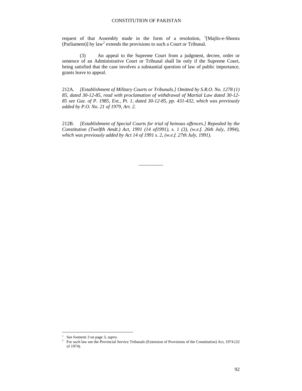request of that Assembly made in the form of a resolution, <sup>1</sup>[Majlis-e-Shoora (Parliament)] by  $law^2$  extends the provisions to such a Court or Tribunal.

(3) An appeal to the Supreme Court from a judgment, decree, order or sentence of an Administrative Court or Tribunal shall lie only if the Supreme Court, being satisfied that the case involves a substantial question of law of public importance, grants leave to appeal.

212A. *[Establishment of Military Courts or Tribunals.] Omitted by S.R.O. No. 1278 (1) 85, dated 30-12-85, read with proclamation of withdrawal of Martial Law dated 30-12- 85 see Gaz. of P. 1985, Ext., Pt. 1, dated 30-12-85, pp. 431-432, which was previously added by P.O. No. 21 of 1979, Art. 2.* 

212B. *[Establishment of Special Courts for trial of heinous offences.] Repealed by the Constitution (Twelfth Amdt.) Act, 1991 (14 of1991), s. 1 (3), (w.e.f. 26th July, 1994), which was previously added by Act 14 of 1991 s. 2, (w.e.f. 27th July, 1991).* 

\_\_\_\_\_\_\_\_\_\_

<sup>1</sup>  $\frac{1}{2}$  See footnote 3 on page 3, *supra*.

For such law see the Provincial Service Tribunals (Extension of Provisions of the Constitution) Act, 1974 (32 of 1974).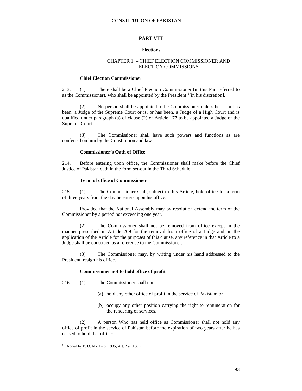# **PART VIII**

# **Elections**

## CHAPTER 1. – CHIEF ELECTION COMMISSIONER AND ELECTION COMMISSIONS

### **213. Chief Election Commissioner**

213. (1) There shall be a Chief Election Commissioner (in this Part referred to as the Commissioner), who shall be appointed by the President  $\frac{1}{2}$  [in his discretion].

(2) No person shall be appointed to be Commissioner unless he is, or has been, a Judge of the Supreme Court or is, or has been, a Judge of a High Court and is qualified under paragraph (a) of clause (2) of Article 177 to be appointed a Judge of the Supreme Court.

(3) The Commissioner shall have such powers and functions as are conferred on him by the Constitution and law.

# **214. Commissioner's Oath of Office**

214. Before entering upon office, the Commissioner shall make before the Chief Justice of Pakistan oath in the form set-out in the Third Schedule.

### **215. Term of office of Commissioner**

215. (1) The Commissioner shall, subject to this Article, hold office for a term of three years from the day he enters upon his office:

Provided that the National Assembly may by resolution extend the term of the Commissioner by a period not exceeding one year.

(2) The Commissioner shall not be removed from office except in the manner prescribed in Article 209 for the removal from office of a Judge and, in the application of the Article for the purposes of this clause, any reference in that Article to a Judge shall be construed as a reference to the Commissioner.

(3) The Commissioner may, by writing under his hand addressed to the President, resign his office.

### **216. Commissioner not to hold office of profit**

- 216. (1) The Commissioner shall not—
	- (a) hold any other office of profit in the service of Pakistan; or
	- (b) occupy any other position carrying the right to remuneration for the rendering of services.

(2) A person Who has held office as Commissioner shall not hold any office of profit in the service of Pakistan before the expiration of two years after he has ceased to hold that office:

93

 1 Added by P. O. No. 14 of 1985, Art. 2 and Sch.,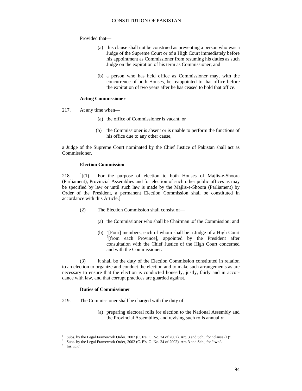### Provided that—

- (a) this clause shall not be construed as preventing a person who was a Judge of the Supreme Court or of a High Court immediately before his appointment as Commissioner from resuming his duties as such Judge on the expiration of his term as Commissioner; and
- (b) a person who has held office as Commissioner may, with the concurrence of both Houses, be reappointed to that office before the expiration of two years after he has ceased to hold that office.

### **217. Acting Commissioner**

- 217. At any time when—
	- (a) the office of Commissioner is vacant, or
	- (b) the Commissioner is absent or is unable to perform the functions of his office due to any other cause,

a Judge of the Supreme Court nominated by the Chief Justice of Pakistan shall act as Commissioner.

### **218. Election Commission**

218.  ${}^{1}f(1)$ For the purpose of election to both Houses of Majlis-e-Shoora (Parliament), Provincial Assemblies and for election of such other public offices as may be specified by law or until such law is made by the Majlis-e-Shoora (Parliament) by Order of the President, a permanent Election Commission shall be constituted in accordance with this Article.]

- (2) The Election Commission shall consist of—
	- (a) the Commissioner who shall be Chairman .of the Commission; and
	- (b) <sup>2</sup>[Four] members, each of whom shall be a Judge of a High Court  $\frac{3 \text{[from each Brevined]}}{3}$  expected by the President offer  ${}^{3}$ [from each Province], appointed by the President after consultation with the Chief Justice of the High Court concerned and with the Commissioner.

(3) It shall be the duty of the Election Commission constituted in relation to an election to organize and conduct the election and to make such arrangements as are necessary to ensure that the election is conducted honestly, justly, fairly and in accordance with law, and that corrupt practices are guarded against.

#### **219. Duties of Commissioner**

- 219. The Commissioner shall be charged with the duty of—
	- (a) preparing electoral rolls for election to the National Assembly and the Provincial Assemblies, and revising such rolls annually;

<sup>1</sup> Subs. by the Legal Framework Order, 2002 (C. E's. O. No. 24 of 2002), Art. 3 and Sch., for "clause (1)".

Subs. by the Legal Framework Order, 2002 (C. E's. O. No. 24 of 2002). Art. 3 and Sch., for "two".

Ins. *ibid*.,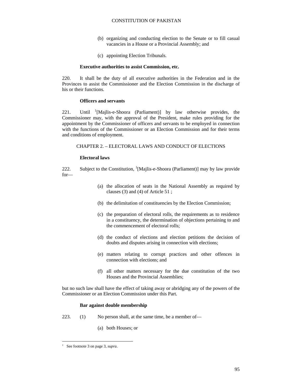- (b) organizing and conducting election to the Senate or to fill casual vacancies in a House or a Provincial Assembly; and
- (c) appointing Election Tribunals.

#### Executive authorities to assist Commission, etc.

220. It shall be the duty of all executive authorities in the Federation and in the Provinces to assist the Commissioner and the Election Commission in the discharge of his or their functions.

# **221. Officers and servants**

221. Until  ${}^{1}$ [Majlis-e-Shoora (Parliament)] by law otherwise provides, the Commissioner may, with the approval of the President, make rules providing for the appointment by the Commissioner of officers and servants to be employed in connection with the functions of the Commissioner or an Election Commission and for their terms and conditions of employment.

CHAPTER 2. – ELECTORAL LAWS AND CONDUCT OF ELECTIONS

### **222. Electoral laws**

222. Subject to the Constitution,  ${}^{1}$ [Majlis-e-Shoora (Parliament)] may by law provide for—

- (a) the allocation of seats in the National Assembly as required by clauses (3) and (4) of Article 51 ;
- (b) the delimitation of constituencies by the Election Commission;
- (c) the preparation of electoral rolls, the requirements as to residence in a constituency, the determination of objections pertaining to and the commencement of electoral rolls;
- (d) the conduct of elections and election petitions the decision of doubts and disputes arising in connection with elections;
- (e) matters relating to corrupt practices and other offences in connection with elections; and
- (f) all other matters necessary for the due constitution of the two Houses and the Provincial Assemblies;

but no such law shall have the effect of taking away or abridging any of the powers of the Commissioner or an Election Commission under this Part.

#### **223. Bar against double membership**

- 223. (1) No person shall, at the same time, be a member of—
	- (a) both Houses; or

<sup>1</sup> See footnote 3 on page 3, *supra*.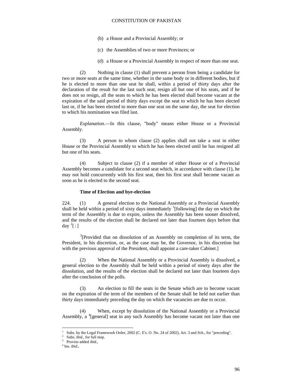- (b) a House and a Provincial Assembly; or
- (c) the Assemblies of two or more Provinces; or
- (d) a House or a Provincial Assembly in respect of more than one seat.

(2) Nothing in clause (1) shall prevent a person from being a candidate for two or more seats at the same time, whether in the same body or in different bodies, but if he is elected to more than one seat he shall, within a period of thirty days after the declaration of the result for the last such seat, resign all but one of his seats, and if he does not so resign, all the seats to which he has been elected shall become vacant at the expiration of the said period of thirty days except the seat to which he has been elected last or, if he has been elected to more than one seat on the same day, the seat for election to which his nomination was filed last.

*Explanation*.—In this clause, "body" means either House or a Provincial Assembly.

(3) A person to whom clause (2) applies shall not take a seat in either House or the Provincial Assembly to which he has been elected until he has resigned all but one of his seats.

(4) Subject to clause (2) if a member of either House or of a Provincial Assembly becomes a candidate for a second seat which, in accordance with clause (1), he may not hold concurrently with his first seat, then his first seat shall become vacant as soon as he is elected to the second seat.

#### **224. Time of Election and bye-election**

224. (1) A general election to the National Assembly or a Provincial Assembly shall be held within a period of sixty days immediately  $\frac{1}{1}$  [following] the day on which the term of the Assembly is due to expire, unless the Assembly has been sooner dissolved, and the results of the election shall be declared not later than fourteen days before that day  $2$ [:]

 $3$ [Provided that on dissolution of an Assembly on completion of its term, the President, in his discretion, or, as the case may be, the Governor, in his discretion but with the previous approval of the President, shall appoint a care-taker Cabinet.]

(2) When the National Assembly or a Provincial Assembly is dissolved, a general election to the Assembly shall be held within a period of ninety days after the dissolution, and the results of the election shall be declared not later than fourteen days after the conclusion of the polls.

(3) An election to fill the seats in the Senate which are to become vacant on the expiration of the term of the members of the Senate shall be held not earlier than thirty days immediately preceding the day on which the vacancies are due to occur.

When, except by dissolution of the National Assembly or a Provincial Assembly, a <sup>4</sup>[general] seat in any such Assembly has become vacant not later than one

<sup>1</sup> Subs. by the Legal Framework Order, 2002 (C. E's. O. No. 24 of 2002), Art. 3 and Sch., for "preceding". 2

Subs. *ibid.*, for full stop.

Proviso added *ibid.*,

Ins*. ibid*.,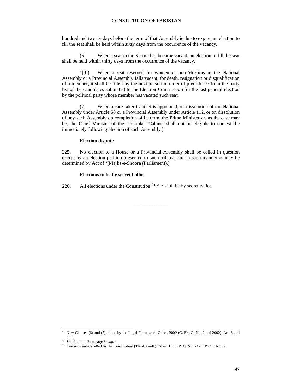hundred and twenty days before the term of that Assembly is due to expire, an election to fill the seat shall be held within sixty days from the occurrence of the vacancy.

(5) When a seat in the Senate has become vacant, an election to fill the seat shall be held within thirty days from the occurrence of the vacancy.

 $\frac{1}{1}(6)$ When a seat reserved for women or non-Muslims in the National Assembly or a Provincial Assembly falls vacant, for death, resignation or disqualification of a member, it shall be filled by the next person in order of precedence from the party list of the candidates submitted to the Election Commission for the last general election by the political party whose member has vacated such seat.

(7) When a care-taker Cabinet is appointed, on dissolution of the National Assembly under Article 58 or a Provincial Assembly under Article 112, or on dissolution of any such Assembly on completion of its term, the Prime Minister or, as the case may be, the Chief Minister of the care-taker Cabinet shall not be eligible to contest the immediately following election of such Assembly.]

#### **225. Election dispute**

225. No election to a House or a Provincial Assembly shall be called in question except by an election petition presented to such tribunal and in such manner as may be determined by Act of  $2$ [Majlis-e-Shoora (Parliament).]

\_\_\_\_\_\_\_\_\_\_\_\_\_

### **226. Elections to be by secret ballot**

226. All elections under the Constitution<sup>3\*</sup>\*\* shall be by secret ballot.

<sup>1</sup> New Clauses (6) and (7) added by the Legal Framework Order, 2002 (C. E's. O. No. 24 of 2002), Art. 3 and  $Sch.,$ 

See footnote 3 on page 3, *supra*.

Certain words omitted by the Constitution (Third Amdt.) Order, 1985 (P. O. No. 24 of' 1985), Art. 5.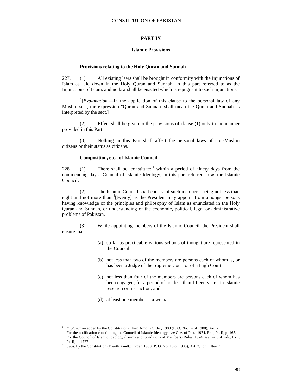# **PART IX**

### **Islamic Provisions**

#### **227. Provisions relating to the Holy Quran and Sunnah**

227. (1) All existing laws shall be brought in conformity with the Injunctions of Islam as laid down in the Holy Quran and Sunnah, in this part referred to as the Injunctions of Islam, and no law shall be enacted which is repugnant to such Injunctions.

 $\frac{1}{2}$ [*Explanation*.—In the application of this clause to the personal law of any Muslim sect, the expression "Quran and Sunnah<sup>"</sup> shall mean the Quran and Sunnah as interpreted by the sect.]

(2) Effect shall be given to the provisions of clause (1) only in the manner provided in this Part.

(3) Nothing in this Part shall affect the personal laws of non-Muslim citizens or their status as citizens.

### **228. Composition, etc., of Islamic Council**

228. (1) There shall be, constituted<sup>2</sup> within a period of ninety days from the commencing day a Council of Islamic Ideology, in this part referred to as the Islamic Council.

(2) The Islamic Council shall consist of such members, being not less than eight and not more than <sup>3</sup>[twenty] as the President may appoint from amongst persons having knowledge of the principles and philosophy of Islam as enunciated in the Holy Quran and Sunnah, or understanding of the economic, political, legal or administrative problems of Pakistan.

(3) While appointing members of the Islamic Council, the President shall ensure that—

- (a) so far as practicable various schools of thought are represented in the Council;
- (b) not less than two of the members are persons each of whom is, or has been a Judge of the Supreme Court or of a High Court;
- (c) not less than four of the members are persons each of whom has been engaged, for a period of not less than fifteen years, in Islamic research or instruction; and
- (d) at least one member is a woman.

<sup>1</sup> *Explanation* added by the Constitution (Third Amdt.) Order, 1980 (P. O. No. 14 of 1980), Art. 2.

<sup>&</sup>lt;sup>2</sup> For the notification constituting the Council of Islamic Ideology, *see* Gaz. of Pak.. 1974, Ext., Pt. II, p. 165. For the Council of Islamic Ideology (Terms and Conditions of Members) Rules, 1974, *see* Gaz. of Pak., Ext., Pt. II, p. 1727.

Subs. by the Constitution (Fourth Amdt.) Order, 1980 (P. O. No. 16 of 1980), Art. 2, for "fifteen".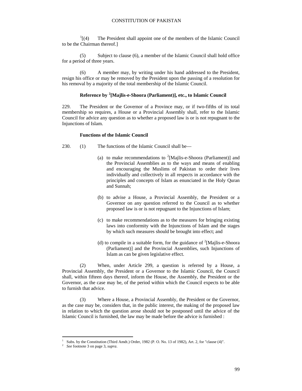$\frac{1}{1}(4)$ The President shall appoint one of the members of the Islamic Council to be the Chairman thereof.]

(5) Subject to clause (6), a member of the Islamic Council shall hold office for a period of three years.

(6) A member may, by writing under his hand addressed to the President, resign his office or may be removed by the President upon the passing of a resolution for his removal by a majority of the total membership of the Islamic Council.

# **229. Reference by <sup>2</sup> [Majlis-e-Shoora (Parliament)], etc., to Islamic Council**

229. The President or the Governor of a Province may, or if two-fifths of its total membership so requires, a House or a Provincial Assembly shall, refer to the Islamic Council for advice any question as to whether a proposed law is or is not repugnant to the Injunctions of Islam.

#### **230. Functions of the Islamic Council**

- 230. (1) The functions of the Islamic Council shall be—
	- (a) to make recommendations to  ${}^{2}$ [Majlis-e-Shoora (Parliament)] and the Provincial Assemblies as to the ways and means of enabling and encouraging the Muslims of Pakistan to order their lives individually and collectively in all respects in accordance with the principles and concepts of Islam as enunciated in the Holy Quran and Sunnah;
	- (b) to advise a House, a Provincial Assembly, the President or a Governor on any question referred to the Council as to whether proposed law is or is not repugnant to the Injunctions of Islam;
	- (c) to make recommendations as to the measures for bringing existing laws into conformity with the Injunctions of Islam and the stages by which such measures should be brought into effect; and
	- (d) to compile in a suitable form, for the guidance of  $2$ [Majlis-e-Shoora (Parliament)] and the Provincial Assemblies, such Injunctions of Islam as can be given legislative effect.

(2) When, under Article 299, a question is referred by a House, a Provincial Assembly, the President or a Governor to the Islamic Council, the Council shall, within fifteen days thereof, inform the House, the Assembly, the President or the Governor, as the case may be, of the period within which the Council expects to be able to furnish that advice.

(3) Where a House, a Provincial Assembly, the President or the Governor, as the case may be, considers that, in the public interest, the making of the proposed law in relation to which the question arose should not be postponed until the advice of the Islamic Council is furnished, the law may be made before the advice is furnished :

<sup>1</sup> Subs. by the Constitution (Third Amdt.) Order, 1982 (P. O. No. 13 of 1982), Art. 2, for "clause (4)".

*See* footnote 3 on page 3, *supra*.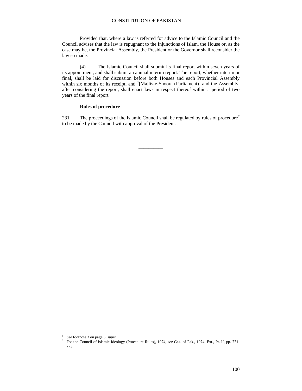Provided that, where a law is referred for advice to the Islamic Council and the Council advises that the law is repugnant to the Injunctions of Islam, the House or, as the case may be, the Provincial Assembly, the President or the Governor shall reconsider the law so made.

(4) The Islamic Council shall submit its final report within seven years of its appointment, and shall submit an annual interim report. The report, whether interim or final, shall be laid for discussion before both Houses and each Provincial Assembly within six months of its receipt, and <sup>1</sup>[Majlis-e-Shoora (Parliament)] and the Assembly, after considering the report, shall enact laws in respect thereof within a period of two years of the final report.

### **231. Rules of procedure**

231. The proceedings of the Islamic Council shall be regulated by rules of procedure<sup>2</sup> to be made by the Council with approval of the President.

\_\_\_\_\_\_\_\_\_\_

<sup>1</sup> <sup>1</sup> *See* footnote 3 on page 3, *supra*.

For the Council of Islamic Ideology (Procedure Rules), 1974, *see* Gaz. of Pak., 1974. Ext., Pt. II, pp. 771- 773.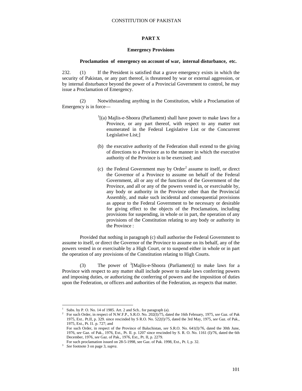# **PART X**

#### **Emergency Provisions**

#### Proclamation of emergency on account of war, internal disturbance, etc.

232. (1) If the President is satisfied that a grave emergency exists in which the security of Pakistan, or any part thereof, is threatened by war or external aggression, or by internal disturbance beyond the power of a Provincial Government to control, he may issue a Proclamation of Emergency.

(2) Notwithstanding anything in the Constitution, while a Proclamation of Emergency is in force—

- $<sup>1</sup>$ [(a) Majlis-e-Shoora (Parliament) shall have power to make laws for a</sup> Province, or any part thereof, with respect to any matter not enumerated in the Federal Legislative List or the Concurrent Legislative List;]
- (b) the executive authority of the Federation shall extend to the giving of directions to a Province as to the manner in which the executive authority of the Province is to be exercised; and
- (c) the Federal Government may by Order<sup>2</sup> assume to itself, or direct the Governor of a Province to assume on behalf of the Federal Government, all or any of the functions of the Government of the Province, and all or any of the powers vested in, or exercisable by, any body or authority in the Province other than the Provincial Assembly, and make such incidental and consequential provisions as appear to the Federal Government to be necessary or desirable for giving effect to the objects of the Proclamation, including provisions for suspending, in whole or in part, the operation of any provisions of the Constitution relating to any body or authority in the Province :

 Provided that nothing in paragraph (c) shall authorise the Federal Government to assume to itself, or direct the Governor of the Province to assume on its behalf, any of the powers vested in or exercisable by a High Court, or to suspend either in whole or in part the operation of any provisions of the Constitution relating to High Courts.

(3) The power of  ${}^{3}$ [Majlis-e-Shoora (Parliament)] to make laws for a Province with respect to any matter shall include power to make laws conferring powers and imposing duties, or authorizing the conferring of powers and the imposition of duties upon the Federation, or officers and authorities of the Federation, as respects that matter.

<sup>1</sup> Subs. by P. O. No. 14 of 1985. Art. 2 and Sch.. for paragraph (a).

<sup>2</sup> For such Order, in respect of N.W.F.P., S.R.O. No. 202(I)/75, dated the 16th February, 1975, *see* Gaz. of Pak 1975, Ext.. Pt.II, p. 329. since rescinded by S R.O. No. 522(I)/75, dated the 3rd May, 1975, *see* Gaz. of Pak., 1975, Ext., Pt. I1. p. 727; and

For such Order, in respect of the Province of Baluchistan, *see* S.R.O. No. 641(I)/76, dated the 30th June, 1976, *see* Gaz. of Pak., 1976, Ext., Pt. II. p. 1207 since rescinded by S. R. O. No. 1161 (I)/76, dated the 6th December, 1976, *see* Gaz. of Pak., 1976, Ext., Pt. II, p. 2279.

For such proclamation issued on 28-5-1998, see Gaz. of Pak. 1998, Ext., Pt. I, p. 32.

*See* footnote 3 on page 3, *supra*.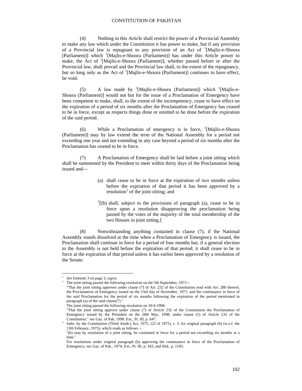(4) Nothing in this Article shall restrict the power of a Provincial Assembly to make any law which under the Constitution it has power to make, but if any provision of a Provincial law is repugnant to any provision of an Act of <sup>1</sup>[Majlis-e-Shoora (Parliament)] which <sup>1</sup>[Majlis-e-Shoora (Parliament)] has under this Article power to make, the Act of <sup>1</sup>[Majlis-e-Shoora (Parliament)], whether passed before or after the Provincial law, shall prevail and the Provincial law shall, to the extent of the repugnancy, but so long only as the Act of <sup>1</sup>[Majlis-e-Shoora (Parliament)] continues to have effect, be void.

(5) A law made by  ${}^{1}$ [Majlis-e-Shoora (Parliament)] which  ${}^{1}$ [Majlis-e-Shoora (Parliament)] would not but for the issue of a Proclamation of Emergency have been competent to make, shall, to the extent of the incompetency, cease to have effect on the expiration of a period of six months after the Proclamation of Emergency has ceased to be in force, except as respects things done or omitted to be done before the expiration of the said period.

(6) While a Proclamation of emergency is in force,  ${}^{1}$ [Majlis-e-Shoora (Parliament)] may by law extend the term of the National Assembly for a period not exceeding one year and not extending in any case beyond a period of six months after the Proclamation has ceased to be in force.

(7) A Proclamation of Emergency shall be laid before a joint sitting which shall be summoned by the President to meet within thirty days of the Proclamation being issued and—

- (a) shall cease to be in force at the expiration of two months unless before the expiration of that period it has been approved by a resolution<sup>2</sup> of the joint sitting; and
- $3(6)$  shall, subject to the provisions of paragraph (a), cease to be in force upon a resolution disapproving the proclamation being passed by the votes of the majority of the total membership of the two Houses in joint sitting.]

(8) Notwithstanding anything contained in clause (7), if the National Assembly stands dissolved at the time when a Proclamation of Emergency is issued, the Proclamation shall continue in force for a period of four months but, if a general election to the Assembly is not held before the expiration of that period; it shall cease to be in force at the expiration of that period unless it has earlier been approved by a resolution of the Senate.

<sup>1</sup> *See* footnote 3 on page 3, *supra*. 2

The joint sitting passed the following resolution on the 5th September, 1973 :-

<sup>&</sup>quot;That the joint sitting approves under clause (7) of Art. 232 of the Constitution read with Art. 280 thereof, the Proclamation of Emergency issued on the 23rd day of November, 1971, and the continuance in force of the said Proclamation for the period of six months following the expiration of the period mentioned in paragraph (a) of the said clause(7)."

The joint sitting passed the following resolution on 10-6-1998.

<sup>&</sup>quot;That the joint sitting approve under clause (7) of Article 232 of the Constitution the Proclamation of Emergency issued by the President on the 28th May, 1998, under clause (1) of Article 232 of the Constitution." *see* Gaz. of Pak. 1998. Ext., Pt. III, p. 647. 3

Subs. by the Constitution (Third Amdt.) Act, 1975, (22 of 1975), s. 3, for original paragraph (b) (w.e.f. the 13th February, 1975), which reads as follows :-

<sup>&</sup>quot;(b) may by resolution of a joint sitting, be continued in force for a period not exceeding six months at a time."

For resolutions under original paragraph (b) approving the continuance in force of the Proclamation of Emergency, *see* Gaz. of Pak., 1974, Ext., Pt. III, p. 343, and *ibid*., p. 1183.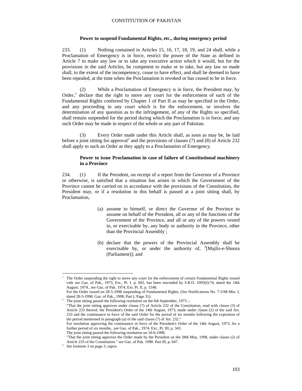### **233. Power to suspend Fundamental Rights, etc., during emergency period**

233. (1) Nothing contained in Articles 15, 16, 17, 18, 19, and 24 shall, while a Proclamation of Emergency is in force, restrict the power of the State as defined in Article 7 to make any law or to take any executive action which it would, but for the provisions in the said Articles, be competent to make or to take, but any law so made shall, to the extent of the incompetency, cease to have effect, and shall be deemed to have been repealed, at the time when the Proclamation is revoked or has ceased to be in force.

(2) While a Proclamation of Emergency is in force, the President may, by Order,<sup>1</sup> declare that the right to move any court for the enforcement of such of the Fundamental Rights conferred by Chapter 1 of Part II as may be specified in the Order, and any proceeding in any court which is for the enforcement, or involves the determination of any question as to the infringement, of any of the Rights so specified, shall remain suspended for the period during which the Proclamation is in force, and any such Order may be made in respect of the whole or any part of Pakistan.

(3) Every Order made under this Article shall, as soon as may be, be laid before a joint sitting for approval<sup>2</sup> and the provisions of clauses (7) and (8) of Article 232 shall apply to such an Order as they apply to a Proclamation of Emergency.

## Power to issue Proclamation in case of failure of Constitutional machinery **in a Province**

234. (1) If the President, on receipt of a report from the Governor of a Province or otherwise, is satisfied that a situation has arisen in which the Government of the Province cannot be carried on in accordance with the provisions of the Constitution, the President may, or if a resolution in this behalf is passed at a joint sitting shall, by Proclamation,

- (a) assume to himself, or direct the Governor of the Province to assume on behalf of the President, all or any of the functions of the Government of the Province, and all or any of the powers vested in, or exercisable by, any body or authority in the Province, other than the Provincial Assembly ;
- (b) declare that the powers of the Provincial Assembly shall be exercisable by, or under the authority of,  $3$ [Majlis-e-Shoora (Parliament)]; and

<sup>1</sup> The Order suspending the right to move any court for the enforcement of certain Fundamental Rights issued vide see Gaz. of Pak., 1973, Ext., Pt. I. p. 602, has been rescinded by S.R.O. 1093(I)/74, dated the 14th August. 1974., *see* Gaz. of Pak. 1974, Ext. Pt. II, p. 1548.

For the Order issued on 28-5-1998 suspending of Fundamental Rights, (*See* Notifications No. 7-3/98-Min. I, dated 28-5-1998. Gaz. of Pak., 1998, Part I, Page 31). 2

The joint sitting passed the following resolution on the 6th September, 1973 :-"That the joint sitting approves under clause (7) of Article 232 of the Constitution, read with clause (3) of Article 233 thereof, the President's Order of the 14th August, 1973, made under clause (2) of the said Art. 233 and the continuance in force of the said Order for the period of six months following the expiration of the period mentioned in paragraph (a) of the said clause (7) of Art. 232."

For resolution approving the continuance in force of the President's Order of the 14th August, 1973, for a further period of six months, *.see* Gaz. of Pak., 1974. Ext., Pt. III, p. 343. The joint sitting passed the following resolution on 10-6-1998.

<sup>&</sup>quot;That the joint sitting approves the Order made by the President on the 28th May, 1998, under clause (2) of Article 233 of the Constitution." *see* Gaz. of Pak. 1998. Part Ill, p. 647. 3

*See* footnote 3 on page 3, *supra*.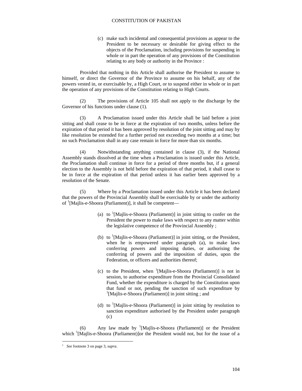(c) make such incidental and consequential provisions as appear to the President to be necessary or desirable for giving effect to the objects of the Proclamation, including provisions for suspending in whole or in part the operation of any provisions of the Constitution relating to any body or authority in the Province :

Provided that nothing in this Article shall authorise the President to assume to himself, or direct the Governor of the Province to assume on his behalf, any of the powers vested in, or exercisable by, a High Court, or to suspend either in whole or in part the operation of any provisions of the Constitution relating to High Courts.

(2) The provisions of Article 105 shall not apply to the discharge by the Governor of his functions under clause (1).

(3) A Proclamation issued under this Article shall be laid before a joint sitting and shall cease to be in force at the expiration of two months, unless before the expiration of that period it has been approved by resolution of the joint sitting and may by like resolution be extended for a further period not exceeding two months at a time; but no such Proclamation shall in any case remain in force for more than six months.

(4) Notwithstanding anything contained in clause (3), if the National Assembly stands dissolved at the time when a Proclamation is issued under this Article, the Proclamation shall continue in force for a period of three months but, if a general election to the Assembly is not held before the expiration of that period, it shall cease to be in force at the expiration of that period unless it has earlier been approved by a resolution of the Senate.

(5) Where by a Proclamation issued under this Article it has been declared that the powers of the Provincial Assembly shall be exercisable by or under the authority of <sup>1</sup>[Majlis-e-Shoora (Parliament)], it shall be competent—

- (a) to  $\frac{1}{2}$ [Majlis-e-Shoora (Parliament)] in joint sitting to confer on the President the power to make laws with respect to any matter within the legislative competence of the Provincial Assembly ;
- (b) to  $\frac{1}{2}$ [Majlis-e-Shoora (Parliament)] in joint sitting, or the President, when he is empowered under paragraph (a), to make laws conferring powers and imposing duties, or authorising the conferring of powers and the imposition of duties, upon the Federation, or officers and authorities thereof;
- (c) to the President, when  ${}^{1}[$ Majlis-e-Shoora (Parliament)] is not in session, to authorise expenditure from the Provincial Consolidated Fund, whether the expenditure is charged by the Constitution upon that fund or not, pending the sanction of such expenditure by <sup>1</sup>[Majlis-e-Shoora (Parliament)] in joint sitting ; and
- (d) to  $\frac{1}{2}$  [Majlis-e-Shoora (Parliament)] in joint sitting by resolution to sanction expenditure authorised by the President under paragraph (c)

(6) Any law made by  $^1$ [Majlis-e-Shoora (Parliament)] or the President which <sup>1</sup>[Majlis-e-Shoora (Parliament)]or the President would not, but for the issue of a

<sup>1</sup> *See* footnote 3 on page 3, *supra*.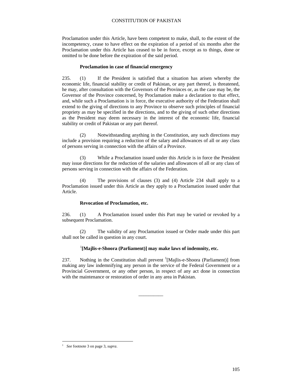Proclamation under this Article, have been competent to make, shall, to the extent of the incompetency, cease to have effect on the expiration of a period of six months after the Proclamation under this Article has ceased to be in force, except as to things, done or omitted to be done before the expiration of the said period.

### **235. Proclamation in case of financial emergency**

235. (1) If the President is satisfied that a situation has arisen whereby the economic life, financial stability or credit of Pakistan, or any part thereof, is threatened, he may, after consultation with the Governors of the Provinces or, as the case may be, the Governor of the Province concerned, by Proclamation make a declaration to that effect, and, while such a Proclamation is in force, the executive authority of the Federation shall extend to the giving of directions to any Province to observe such principles of financial propriety as may be specified in the directions, and to the giving of such other directions as the President may deem necessary in the interest of the economic life, financial stability or credit of Pakistan or any part thereof.

(2) Notwithstanding anything in the Constitution, any such directions may include a provision requiring a reduction of the salary and allowances of all or any class of persons serving in connection with the affairs of a Province.

(3) While a Proclamation issued under this Article is in force the President may issue directions for the reduction of the salaries and allowances of all or any class of persons serving in connection with the affairs of the Federation.

(4) The provisions of clauses (3) and (4) Article 234 shall apply to a Proclamation issued under this Article as they apply to a Proclamation issued under that Article.

### **236. Revocation of Proclamation, etc.**

236. (1) A Proclamation issued under this Part may be varied or revoked by a subsequent Proclamation.

(2) The validity of any Proclamation issued or Order made under this part shall not be called in question in any court.

#### **237.** <sup>1</sup> **[Majlis-e-Shoora (Parliament)] may make laws of indemnity, etc.**

237. Nothing in the Constitution shall prevent <sup>1</sup>[Majlis-e-Shoora (Parliament)] from making any law indemnifying any person in the service of the Federal Government or a Provincial Government, or any other person, in respect of any act done in connection with the maintenance or restoration of order in any area in Pakistan.

\_\_\_\_\_\_\_\_\_\_

<sup>1</sup> *See* footnote 3 on page 3, *supra*.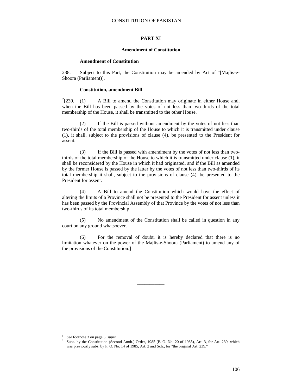# **PART XI**

### **Amendment of Constitution**

#### **Amendment of Constitution**

238. Subject to this Part, the Constitution may be amended by Act of  $\frac{1}{2}$ [Majlis-e-Shoora (Parliament)].

### **Constitution, amendment Bill**

 $2$ [239. (1) A Bill to amend the Constitution may originate in either House and, when the Bill has been passed by the votes of not less than two-thirds of the total membership of the House, it shall be transmitted to the other House.

(2) If the Bill is passed without amendment by the votes of not less than two-thirds of the total membership of the House to which it is transmitted under clause (1), it shall, subject to the provisions of clause (4), be presented to the President for assent.

(3) If the Bill is passed with amendment by the votes of not less than twothirds of the total membership of the House to which it is transmitted under clause (1), it shall be reconsidered by the House in which it had originated, and if the Bill as amended by the former House is passed by the latter by the votes of not less than two-thirds of its total membership it shall, subject to the provisions of clause (4), be presented to the President for assent.

(4) A Bill to amend the Constitution which would have the effect of altering the limits of a Province shall not be presented to the President for assent unless it has been passed by the Provincial Assembly of that Province by the votes of not less than two-thirds of its total membership.

(5) No amendment of the Constitution shall be called in question in any court on any ground whatsoever.

(6) For the removal of doubt, it is hereby declared that there is no limitation whatever on the power of the Majlis-e-Shoora (Parliament) to amend any of the provisions of the Constitution.]

\_\_\_\_\_\_\_\_\_\_\_

<sup>1</sup> *See* footnote 3 on page 3, *supra*. 2

Subs. by the Constitution (Second Amdt.) Order, 1985 (P. O. No. 20 of 1985), Art. 3, for Art. 239, which was previously subs. by P. O. No. 14 of 1985, Art. 2 and Sch., for "the original Art. 239."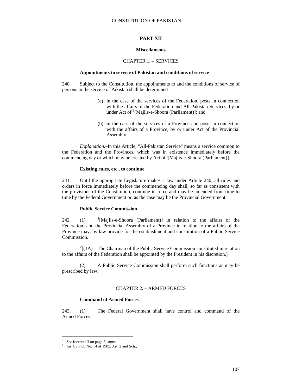# **PART XII**

### **Miscellaneous**

### CHAPTER 1. – SERVICES

#### **240. Appointments to service of Pakistan and conditions of service**

240. Subject to the Constitution, the appointments to and the conditions of service of persons in the service of Pakistan shall be determined—

- (a) in the case of the services of the Federation, posts in connection with the affairs of the Federation and All-Pakistan Services, by or under Act of <sup>1</sup>[Majlis-e-Shoora (Parliament)]; and
- (b) in the case of the services of a Province and posts in connection with the affairs of a Province, by or under Act of the Provincial Assembly.

*Explanation*.–In this Article, "All-Pakistan Service" means a service common to the Federation and the Provinces, which was in existence immediately before the commencing day or which may be created by Act of '[Majlis-e-Shoora (Parliament)].

#### **241. Existing rules, etc., to continue**

241. Until the appropriate Legislature makes a law under Article 240, all rules and orders in force immediately before the commencing day shall, so far as consistent with the provisions of the Constitution, continue in force and may be amended from time to time by the Federal Government or, as the case may be the Provincial Government.

### **242. Public Service Commission**

 $242.$  (1)  $\frac{1}{\text{Majlis-e-Shoora}}$  (Parliament) in relation to the affairs of the Federation, and the Provincial Assembly of a Province in relation to the affairs of the Province may, by law provide for the establishment and constitution of a Public Service Commission.

 $^{2}$ [(1A) The Chairman of the Public Service Commission constituted in relation to the affairs of the Federation shall be appointed by the President in his discretion.]

(2) A Public Service Commission shall perform such functions as may be prescribed by law.

## CHAPTER 2. – ARMED FORCES

### **243. Command of Armed Forces**

243. (1) The Federal Government shall have control and command of the Armed Forces.

<sup>1</sup> *See* footnote 3 on page 3, *supra*. 2

Ins. by P.O. No. 14 of 1985, Art. 2 and Sch.,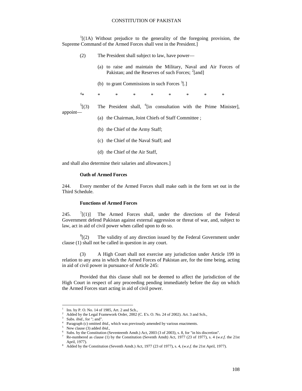$<sup>1</sup>$ [(1A) Without prejudice to the generality of the foregoing provision, the</sup> Supreme Command of the Armed Forces shall vest in the President.]

- (2) The President shall subject to law, have power—
	- (a) to raise and maintain the Military, Naval and Air Forces of Pakistan; and the Reserves of such Forces;  $^{2}$ [and]
	- (b) to grant Commissions in such Forces  ${}^{3}$ [.]

 $4*$ \* \* \* \* \* \* \* \* \*

 $^{5}$ [(3)  $[(3)$  The President shall, <sup>6</sup>[in consultation with the Prime Minister],

appoint—

- (a) the Chairman, Joint Chiefs of Staff Committee ;
- (b) the Chief of the Army Staff;
- (c) the Chief of the Naval Staff; and
- (d) the Chief of the Air Staff,

and shall also determine their salaries and allowances.]

#### **244. Oath of Armed Forces**

244. Every member of the Armed Forces shall make oath in the form set out in the Third Schedule.

# **245. Functions of Armed Forces**

245.  $\frac{7}{1}(1)$ The Armed Forces shall, under the directions of the Federal Government defend Pakistan against external aggression or threat of war, and, subject to law, act in aid of civil power when called upon to do so.

 $\mathrm{^{8}f(2)}$ The validity of any direction issued by the Federal Government under clause (1) shall not be called in question in any court.

(3) A High Court shall not exercise any jurisdiction under Article 199 in relation to any area in which the Armed Forces of Pakistan are, for the time being, acting in aid of civil power in pursuance of Article 245:

Provided that this clause shall not be deemed to affect the jurisdiction of the High Court in respect of any proceeding pending immediately before the day on which the Armed Forces start acting in aid of civil power.

<sup>1</sup> Ins. by P. O. No. 14 of 1985, Art. 2 and Sch.,

<sup>2</sup> Added by the Legal Framework Order, 2002 (C. E's. O. No. 24 of 2002). Art. 3 and Sch.,

<sup>3</sup> Subs. *ibid.*, for "; and".

<sup>&</sup>lt;sup>4</sup> Paragraph (c) omitted *ibid*., which was previously amended by various enactments.

New clause (3) added *ibid*.,

<sup>&</sup>lt;sup>6</sup> Subs. by the Constitution (Seventeenth Amdt.) Act, 2003 (3 of 2003), s. 8, for "in his discretion".

Re-numbered as clause (1) by the Constitution (Seventh Amdt) Act, 1977 (23 of 1977), s. 4 (*w.e.f*. the 21st April, 1977).

Added by the Constitution (Seventh Amdt.) Act, 1977 (23 of 1977), s. 4, (*w.e.f.* the 21st April, 1977).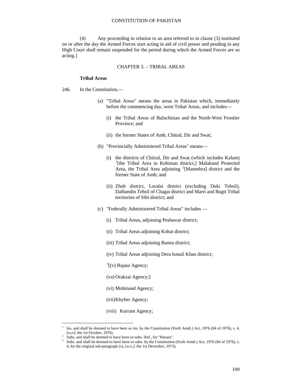(4) Any proceeding in relation to an area referred to in clause (3) instituted on or after the day the Armed Forces start acting in aid of civil power and pending in any High Court shall remain suspended for the period during which the Armed Forces are so acting.]

#### CHAPTER 3. – TRIBAL AREAS

# **246. Tribal Areas**

246. In the Constitution,—

- (a) "Tribal Areas" means the areas in Pakistan which, immediately before the commencing day, were Tribal Areas, and includes—
	- (i) the Tribal Areas of Baluchistan and the North-West Frontier Province; and
	- (ii) the former States of Amb, Chitral, Dir and Swat;
- (b) "Provincially Administered Tribal Areas" means—
	- (i) the districts of Chitral, Dir and Swat (which includes Kalam) 1 <sup>1</sup>[the Tribal Area in Kohistan district,] Malakand Protected Area, the Tribal Area adjoining  $2$ [Mansehra] district and the former State of Amb; and
	- (ii) Zhob district, Loralai district (excluding Duki Tehsil), Dalbandin Tehsil of Chagai district and Marri and Bugti Tribal territories of Sibi district; and
- (c) "Federally Administered Tribal Areas" includes
	- (i) Tribal Areas, adjoining Peshawar district;
	- (ii) Tribal Areas adjoining Kohat district;
	- (iii) Tribal Areas adjoining Bannu district;
	- (iv) Tribal Areas adjoining Dera Ismail Khan district;
	- $3$ [(v) Bajaur Agency;
	- (va) Orakzai Agency;]
	- (vi) Mohmand Agency;
	- (vii)Khyber Agency;
	- (viii) Kurram Agency;

<sup>1</sup> Ins. and shall be deemed to have been so ins. by the Constitution (Sixth Amdt.) Act, 1976 (84 of 1976), s. 4, (*w.e.f.* the 1st October, 1976).

Subs. and shall be deemed to have been so subs. *ibid.*, for "Hazara".

Subs. and shall be deemed to have been so subs. by the Constitution (Sixth Amdt.) Act, 1976 (84 of 1976), s. 4, for the original sub-paragraph (v), (*w.e.f.* the 1st December, 1973).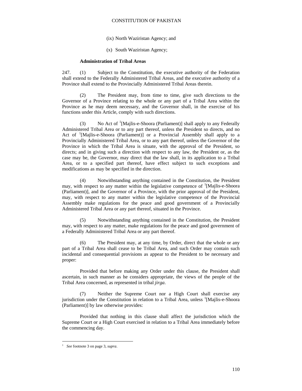(ix) North Waziristan Agency; and

(x) South Waziristan Agency;

#### **247. Administration of Tribal Areas**

247. (1) Subject to the Constitution, the executive authority of the Federation shall extend to the Federally Administered Tribal Areas, and the executive authority of a Province shall extend to the Provincially Administered Tribal Areas therein.

(2) The President may, from time to time, give such directions to the Governor of a Province relating to the whole or any part of a Tribal Area within the Province as he may deem necessary, and the Governor shall, in the exercise of his functions under this Article, comply with such directions.

(3) No Act of <sup>1</sup>[Majlis-e-Shoora (Parliament)] shall apply to any Federally Administered Tribal Area or to any part thereof, unless the President so directs, and no Act of <sup>1</sup>[Majlis-e-Shoora (Parliament)] or a Provincial Assembly shall apply to a Provincially Administered Tribal Area, or to any part thereof, unless the Governor of the Province in which the Tribal Area is situate, with the approval of the President, so directs; and in giving such a direction with respect to any law, the President or, as the case may be, the Governor, may direct that the law shall, in its application to a Tribal Area, or to a specified part thereof, have effect subject to such exceptions and modifications as may be specified in the direction.

(4) Notwithstanding anything contained in the Constitution, the President may, with respect to any matter within the legislative competence of <sup>1</sup>[Majlis-e-Shoora (Parliament)], and the Governor of a Province, with the prior approval of the President, may, with respect to any matter within the legislative competence of the Provincial Assembly make regulations for the peace and good government of a Provincially Administered Tribal Area or any part thereof, situated in the Province.

(5) Notwithstanding anything contained in the Constitution, the President may, with respect to any matter, make regulations for the peace and good government of a Federally Administered Tribal Area or any part thereof.

(6) The President may, at any time, by Order, direct that the whole or any part of a Tribal Area shall cease to be Tribal Area, and such Order may contain such incidental and consequential provisions as appear to the President to be necessary and proper:

Provided that before making any Order under this clause, the President shall ascertain, in such manner as he considers appropriate, the views of the people of the Tribal Area concerned, as represented in tribal *jirga*.

(7) Neither the Supreme Court nor a High Court shall exercise any jurisdiction under the Constitution in relation to a Tribal Area, unless <sup>1</sup>[Majlis-e-Shoora (Parliament)] by law otherwise provides:

Provided that nothing in this clause shall affect the jurisdiction which the Supreme Court or a High Court exercised in relation to a Tribal Area immediately before the commencing day.

 1 *See* footnote 3 on page 3, *supra*.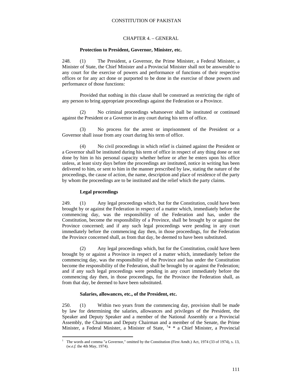### CHAPTER 4. – GENERAL

#### **248. Protection to President, Governor, Minister, etc.**

248. (1) The President, a Governor, the Prime Minister, a Federal Minister, a Minister of State, the Chief Minister and a Provincial Minister shall not be answerable to any court for the exercise of powers and performance of functions of their respective offices or for any act done or purported to be done in the exercise of those powers and performance of those functions:

Provided that nothing in this clause shall be construed as restricting the right of any person to bring appropriate proceedings against the Federation or a Province.

(2) No criminal proceedings whatsoever shall be instituted or continued against the President or a Governor in any court during his term of office.

(3) No process for the arrest or imprisonment of the President or a Governor shall issue from any court during his term of office.

(4) No civil proceedings in which relief is claimed against the President or a Governor shall be instituted during his term of office in respect of any thing done or not done by him in his personal capacity whether before or after he enters upon his office unless, at least sixty days before the proceedings are instituted, notice in writing has been delivered to him, or sent to him in the manner prescribed by law, stating the nature of the proceedings, the cause of action, the name, description and place of residence of the party by whom the proceedings are to be instituted and the relief which the party claims.

#### **249. Legal proceedings**

 $\overline{a}$ 

249. (1) Any legal proceedings which, but for the Constitution, could have been brought by or against the Federation in respect of a matter which, immediately before the commencing day, was the responsibility of the Federation and has, under the Constitution, become the responsibility of a Province, shall be brought by or against the Province concerned; and if any such legal proceedings were pending in any court immediately before the commencing day then, in those proceedings, for the Federation the Province concerned shall, as from that day, be deemed to have been substituted.

Any legal proceedings which, but for the Constitution, could have been brought by or against a Province in respect of a matter which, immediately before the commencing day, was the responsibility of the Province and has under the Constitution become the responsibility of the Federation, shall be brought by or against the Federation; and if any such legal proceedings were pending in any court immediately before the commencing day then, in those proceedings, for the Province the Federation shall, as from that day, be deemed to have been substituted.

#### **250. Salaries, allowances, etc., of the President, etc.**

250. (1) Within two years from the commencing day, provision shall be made by law for determining the salaries, allowances and privileges of the President, the Speaker and Deputy Speaker and a member of the National Assembly or a Provincial Assembly, the Chairman and Deputy Chairman and a member of the Senate, the Prime Minister, a Federal Minister, a Minister of State, <sup>1\*</sup> \* a Chief Minister, a Provincial

<sup>1</sup> The words and comma "a Governor," omitted by the Constitution (First Amdt.) Act, 1974 (33 of 1974), s. 13, (*w.e.f.* the 4th May, 1974).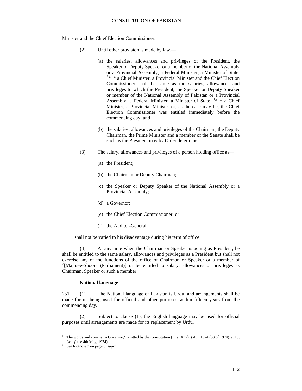Minister and the Chief Election Commissioner.

- (2) Until other provision is made by law,—
	- (a) the salaries, allowances and privileges of the President, the Speaker or Deputy Speaker or a member of the National Assembly or a Provincial Assembly, a Federal Minister, a Minister of State, 1  $1* * a$  Chief Minister, a Provincial Minister and the Chief Election Commissioner shall be same as the salaries, allowances and privileges to which the President, the Speaker or Deputy Speaker or member of the National Assembly of Pakistan or a Provincial Assembly, a Federal Minister, a Minister of State,  $1* * a$  Chief Minister, a Provincial Minister or, as the case may be, the Chief Election Commissioner was entitled immediately before the commencing day; and
	- (b) the salaries, allowances and privileges of the Chairman, the Deputy Chairman, the Prime Minister and a member of the Senate shall be such as the President may by Order determine.
- (3) The salary, allowances and privileges of a person holding office as—
	- (a) the President;
	- (b) the Chairman or Deputy Chairman;
	- (c) the Speaker or Deputy Speaker of the National Assembly or a Provincial Assembly;
	- (d) a Governor;
	- (e) the Chief Election Commissioner; or
	- (f) the Auditor-General;

shall not be varied to his disadvantage during his term of office.

(4) At any time when the Chairman or Speaker is acting as President, he shall be entitled to the same salary, allowances and privileges as a President but shall not exercise any of the functions of the office of Chairman or Speaker or a member of  $2$ [Majlis-e-Shoora (Parliament)] or be entitled to salary, allowances or privileges as Chairman, Speaker or such a member.

#### **251. National language**

251. (1) The National language of Pakistan is Urdu, and arrangements shall be made for its being used for official and other purposes within fifteen years from the commencing day.

(2) Subject to clause (1), the English language may be used for official purposes until arrangements are made for its replacement by Urdu.

<sup>&</sup>lt;sup>1</sup> The words and comma "a Governor," omitted by the Constitution (First Amdt.) Act, 1974 (33 of 1974), s. 13,

<sup>(</sup>*w.e.f.* the 4th May, 1974). 2 *See* footnote 3 on page 3, *supra*.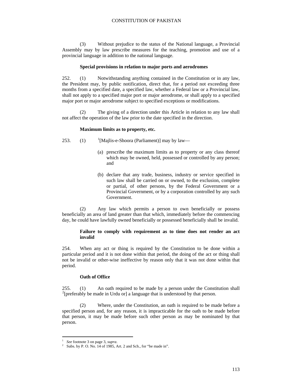(3) Without prejudice to the status of the National language, a Provincial Assembly may by law prescribe measures for the teaching, promotion and use of a provincial language in addition to the national language.

#### **252. Special provisions in relation to major ports and aerodromes**

252. (1) Notwithstanding anything contained in the Constitution or in any law, the President may, by public notification, direct that, for a period not exceeding three months from a specified date, a specified law, whether a Federal law or a Provincial law, shall not apply to a specified major port or major aerodrome, or shall apply to a specified major port or major aerodrome subject to specified exceptions or modifications.

(2) The giving of a direction under this Article in relation to any law shall not affect the operation of the law prior to the date specified in the direction.

#### **253. Maximum limits as to property, etc.**

- $253.$  (1)  $\frac{1}{2}$ [Majlis-e-Shoora (Parliament)] may by law—
	- (a) prescribe the maximum limits as to property or any class thereof which may be owned, held, possessed or controlled by any person; and
	- (b) declare that any trade, business, industry or service specified in such law shall be carried on or owned, to the exclusion, complete or partial, of other persons, by the Federal Government or a Provincial Government, or by a corporation controlled by any such Government.

(2) Any law which permits a person to own beneficially or possess beneficially an area of land greater than that which, immediately before the commencing day, he could have lawfully owned beneficially or possessed beneficially shall be invalid.

### **254. Failure to comply with requirement as to time does not render an act invalid**

254. When any act or thing is required by the Constitution to be done within a particular period and it is not done within that period, the doing of the act or thing shall not be invalid or other-wise ineffective by reason only that it was not done within that period.

# **255. Oath of Office**

255. (1) An oath required to be made by a person under the Constitution shall <sup>2</sup>[preferably be made in Urdu or] a language that is understood by that person.

(2) Where, under the Constitution, an oath is required to be made before a specified person and, for any reason, it is impracticable for the oath to be made before that person, it may be made before such other person as may be nominated by that person.

<sup>1</sup> *See* footnote 3 on page 3, *supra*. 2

Subs. by P. O. No. 14 of 1985, Art. 2 and Sch., for "be made in".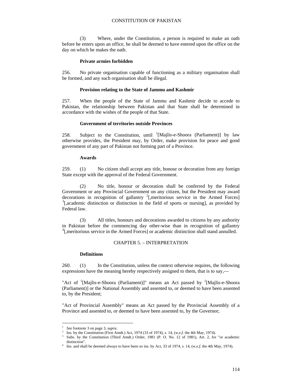(3) Where, under the Constitution, a person is required to make an oath before he enters upon an office, he shall be deemed to have entered upon the office on the day on which he makes the oath.

#### **256. Private armies forbidden**

256. No private organisation capable of functioning as a military organisation shall be formed, and any such organisation shall be illegal.

### **257. Provision relating to the State of Jammu and Kashmir**

257. When the people of the State of Jammu and Kashmir decide to accede to Pakistan, the relationship between Pakistan and that State shall be determined in accordance with the wishes of the people of that State.

### **258. Government of territories outside Provinces**

258. Subject to the Constitution, until  ${}^{1}$ [Majlis-e-Shoora (Parliament)] by law otherwise provides, the President may, by Order, make provision for peace and good government of any part of Pakistan not forming part of a Province.

### Awards

259. (1) No citizen shall accept any title, honour or decoration from any foreign State except with the approval of the Federal Government.

No title, honour or decoration shall be conferred by the Federal Government or any Provincial Government on any citizen, but the President may award decorations in recognition of gallantry  $^{2}$ [,meritorious service in the Armed Forces]  $^{3}$ [,eogdomia distinction or distinction in the field of sports or nursingly as provided by  ${}^{3}$ [,academic distinction or distinction in the field of sports or nursing], as provided by Federal law.

(3) All titles, honours and decorations awarded to citizens by any authority in Pakistan before the commencing day other-wise than in recognition of gallantry 4 [,meritorious service in the Armed Forces] or academic distinction shall stand annulled.

### CHAPTER 5. – INTERPRETATION

#### **260. Definitions**

260. (1) In the Constitution, unless the context otherwise requires, the following expressions have the meaning hereby respectively assigned to them, that is to say,—

"Act of <sup>1</sup>[Majlis-e-Shoora (Parliament)]" means an Act passed by <sup>1</sup>[Majlis-e-Shoora (Parliament)] or the National Assembly and assented to, or deemed to have been assented to, by the President;

"Act of Provincial Assembly" means an Act passed by the Provincial Assembly of a Province and assented to, or deemed to have been assented to, by the Governor;

<sup>1</sup> <sup>1</sup> *See* footnote 3 on page 3, *supra*.

Ins. by the Constitution (First Amdt.) Act, 1974 (33 of 1974), s. 14, (*w.e.f.* the 4th May, 1974).<br><sup>3</sup> Subs. by the Constitution (Third Amdt.) Order 1981 (D. O. No. 12 of 1981), Art. 2, for

Subs. by the Constitution (Third Amdt.) Order, 1981 (P. O. No. 12 of 1981), Art. 2, for "or academic

distinction". 4 Ins. and shall be deemed always to have been so ins. by Act, 33 of 1974, s. 14, (*w.e.f*. the 4th May, 1974).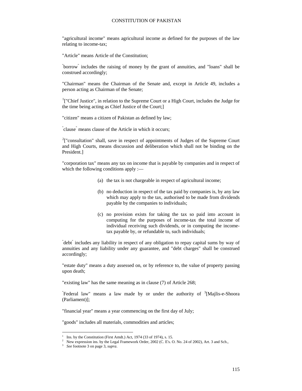"agricultural income" means agricultural income as defined for the purposes of the law relating to income-tax;

"Article" means Article of the Constitution;

" borrow" includes the raising of money by the grant of annuities, and "loans" shall be construed accordingly;

"Chairman" means the Chairman of the Senate and, except in Article 49, includes a person acting as Chairman of the Senate;

<sup>1</sup>["Chief Justice", in relation to the Supreme Court or a High Court, includes the Judge for the time being acting as Chief Justice of the Court;]

"citizen" means a citizen of Pakistan as defined by law;

" clause" means clause of the Article in which it occurs;

 $2$ ["consultation" shall, save in respect of appointments of Judges of the Supreme Court and High Courts, means discussion and deliberation which shall not be binding on the President.]

"corporation tax" means any tax on income that is payable by companies and in respect of which the following conditions apply :—

- (a) the tax is not chargeable in respect of agricultural income;
- (b) no deduction in respect of the tax paid by companies is, by any law which may apply to the tax, authorised to be made from dividends payable by the companies to individuals;
- (c) no provision exists for taking the tax so paid into account in computing for the purposes of income-tax the total income of individual receiving such dividends, or in computing the incometax payable by, or refundable to, such individuals;

" debt" includes any liability in respect of any obligation to repay capital sums by way of annuities and any liability under any guarantee, and "debt charges" shall be construed accordingly;

"estate duty" means a duty assessed on, or by reference to, the value of property passing upon death;

"existing law" has the same meaning as in clause (7) of Article 268;

"Federal law" means a law made by or under the authority of  $3$ [Majlis-e-Shoora (Parliament)];

"financial year" means a year commencing on the first day of July;

"goods" includes all materials, commodities and articles;

<sup>1</sup> Ins. by the Constitution (First Amdt.) Act, 1974 (33 of 1974), s. 15.

<sup>&</sup>lt;sup>2</sup> New expression ins. by the Legal Framework Order, 2002 (C. E's. O. No. 24 of 2002), Art. 3 and Sch.,  $\frac{3}{2}$  See footnote 3 on negale summary

*See* footnote 3 on page 3, *supra*.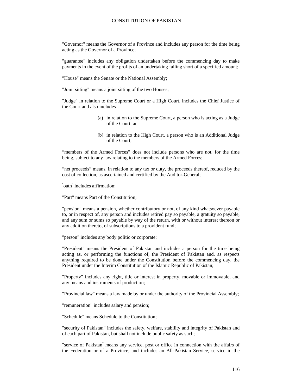"Governor" means the Governor of a Province and includes any person for the time being acting as the Governor of a Province;

"guarantee" includes any obligation undertaken before the commencing day to make payments in the event of the profits of an undertaking falling short of a specified amount;

"House" means the Senate or the National Assembly;

"Joint sitting" means a joint sitting of the two Houses;

"Judge" in relation to the Supreme Court or a High Court, includes the Chief Justice of the Court and also includes—

- (a) in relation to the Supreme Court, a person who is acting as a Judge of the Court; an
- (b) in relation to the High Court, a person who is an Additional Judge of the Court;

"members of the Armed Forces" does not include persons who are not, for the time being, subject to any law relating to the members of the Armed Forces;

"net proceeds" means, in relation to any tax or duty, the proceeds thereof, reduced by the cost of collection, as ascertained and certified by the Auditor-General;

" oath" includes affirmation;

"Part" means Part of the Constitution;

"pension" means a pension, whether contributory or not, of any kind whatsoever payable to, or in respect of, any person and includes retired pay so payable, a gratuity so payable, and any sum or sums so payable by way of the return, with or without interest thereon or any addition thereto, of subscriptions to a provident fund;

"person" includes any body politic or corporate;

"President" means the President of Pakistan and includes a person for the time being acting as, or performing the functions of, the President of Pakistan and, as respects anything required to be done under the Constitution before the commencing day, the President under the Interim Constitution of the Islamic Republic of Pakistan;

"Property" includes any right, title or interest in property, movable or immovable, and any means and instruments of production;

"Provincial law" means a law made by or under the authority of the Provincial Assembly;

"remuneration" includes salary and pension;

"Schedule" means Schedule to the Constitution;

"security of Pakistan" includes the safety, welfare, stability and integrity of Pakistan and of each part of Pakistan, but shall not include public safety as such;

"service of Pakistan" means any service, post or office in connection with the affairs of the Federation or of a Province, and includes an All-Pakistan Service, service in the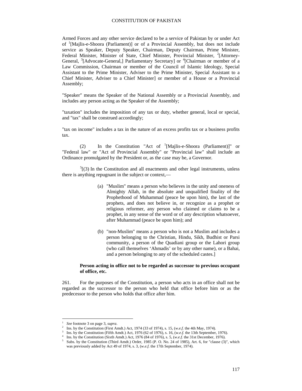Armed Forces and any other service declared to be a service of Pakistan by or under Act of <sup>1</sup>[Majlis-e-Shoora (Parliament)] or of a Provincial Assembly, but does not include service as Speaker, Deputy Speaker, Chairman, Deputy Chairman, Prime Minister, Federal Minister, Minister of State, Chief Minister, Provincial Minister, <sup>2</sup>[Attorney-General, <sup>3</sup>[Advocate-General,] Parliamentary Secretary] or <sup>4</sup>[Chairman or member of a Law Commission, Chairman or member of the Council of Islamic Ideology, Special Assistant to the Prime Minister, Adviser to the Prime Minister, Special Assistant to a Chief Minister, Adviser to a Chief Minister] or member of a House or a Provincial Assembly;

"Speaker" means the Speaker of the National Assembly or a Provincial Assembly, and includes any person acting as the Speaker of the Assembly;

"taxation" includes the imposition of any tax or duty, whether general, local or special, and "tax" shall be construed accordingly;

"tax on income" includes a tax in the nature of an excess profits tax or a business profits tax.

(2) In the Constitution "Act of <sup>1</sup>[Majlis-e-Shoora (Parliament)]" or "Federal law" or "Act of Provincial Assembly" or "Provincial law" shall include an Ordinance promulgated by the President or, as the case may be, a Governor.

 $<sup>5</sup>$ [(3) In the Constitution and all enactments and other legal instruments, unless</sup> there is anything repugnant in the subject or context,—

- (a) "Muslim" means a person who believes in the unity and oneness of Almighty Allah, in the absolute and unqualified finality of the Prophethood of Muhammad (peace be upon him), the last of the prophets, and does not believe in, or recognize as a prophet or religious reformer, any person who claimed or claims to be a prophet, in any sense of the word or of any description whatsoever, after Muhammad (peace be upon him); and
- (b) "non-Muslim" means a person who is not a Muslim and includes a person belonging to the Christian, Hindu, Sikh, Budhist or Parsi community, a person of the Quadiani group or the Lahori group (who call themselves 'Ahmadis' or by any other name), or a Bahai, and a person belonging to any of the scheduled castes.]

### **261. Person acting in office not to be regarded as successor to previous occupant of office, etc.**

261. For the purposes of the Constitution, a person who acts in an office shall not be regarded as the successor to the person who held that office before him or as the predecessor to the person who holds that office after him.

<sup>1</sup> <sup>1</sup> *See* footnote 3 on page 3, *supra*.

Ins. by the Constitution (First Amdt.) Act, 1974 (33 of 1974), s. 15, (*w.e.f.* the 4th May, 1974).<br><sup>3</sup> Ins. by the Constitution (Fifth Amdt.) Act, 1976 (62 of 1976), s. 16, (*w.e.f.* the 13th Sontember

<sup>&</sup>lt;sup>3</sup> Ins. by the Constitution (Fifth Amdt.) Act, 1976 (62 of 1976), s. 16, (*w.e.f.* the 13th September, 1976).

<sup>&</sup>lt;sup>4</sup> Ins. by the Constitution (Sixth Amdt.) Act, 1976 (84 of 1976), s. 5, (*w.e.f.* the 31st December, 1976).

Subs. by the Constitution (Third Amdt.) Order, 1985 (P. O. No. 24 of 1985), Art. 6, for "clause (3)", which was previously added by Act 49 of 1974, s. 3, (*w.e.f.* the 17th September, 1974).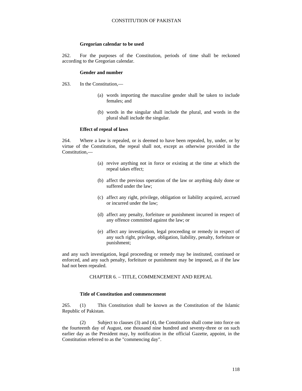#### **262. Gregorian calendar to be used**

262. For the purposes of the Constitution, periods of time shall be reckoned according to the Gregorian calendar.

#### **263. Gender and number**

- 263. In the Constitution,—
	- (a) words importing the masculine gender shall be taken to include females; and
	- (b) words in the singular shall include the plural, and words in the plural shall include the singular.

### **264. Effect of repeal of laws**

264. Where a law is repealed, or is deemed to have been repealed, by, under, or by virtue of the Constitution, the repeal shall not, except as otherwise provided in the Constitution,—

- (a) revive anything not in force or existing at the time at which the repeal takes effect;
- (b) affect the previous operation of the law or anything duly done or suffered under the law;
- (c) affect any right, privilege, obligation or liability acquired, accrued or incurred under the law;
- (d) affect any penalty, forfeiture or punishment incurred in respect of any offence committed against the law; or
- (e) affect any investigation, legal proceeding or remedy in respect of any such right, privilege, obligation, liability, penalty, forfeiture or punishment;

and any such investigation, legal proceeding or remedy may be instituted, continued or enforced, and any such penalty, forfeiture or punishment may be imposed, as if the law had not been repealed.

# CHAPTER 6. – TITLE, COMMENCEMENT AND REPEAL

### **265. Title of Constitution and commencement**

265. (1) This Constitution shall be known as the Constitution of the Islamic Republic of Pakistan.

(2) Subject to clauses (3) and (4), the Constitution shall come into force on the fourteenth day of August, one thousand nine hundred and seventy-three or on such earlier day as the President may, by notification in the official Gazette, appoint, in the Constitution referred to as the "commencing day".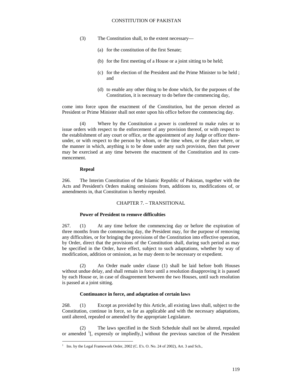- (3) The Constitution shall, to the extent necessary—
	- (a) for the constitution of the first Senate;
	- (b) for the first meeting of a House or a joint sitting to be held;
	- (c) for the election of the President and the Prime Minister to be held ; and
	- (d) to enable any other thing to be done which, for the purposes of the Constitution, it is necessary to do before the commencing day,

come into force upon the enactment of the Constitution, but the person elected as President or Prime Minister shall not enter upon his office before the commencing day.

(4) Where by the Constitution a power is conferred to make rules or to issue orders with respect to the enforcement of any provision thereof, or with respect to the establishment of any court or office, or the appointment of any Judge or officer thereunder, or with respect to the person by whom, or the time when, or the place where, or the manner in which, anything is to be done under any such provision, then that power may be exercised at any time between the enactment of the Constitution and its commencement.

### **266. Repeal**

266. The Interim Constitution of the Islamic Republic of Pakistan, together with the Acts and President's Orders making omissions from, additions to, modifications of, or amendments in, that Constitution is hereby repealed.

### CHAPTER 7. – TRANSITIONAL

## **267. Power of President to remove difficulties**

267. (1) At any time before the commencing day or before the expiration of three months from the commencing day, the President may, for the purpose of removing any difficulties, or for bringing the provisions of the Constitution into effective operation, by Order, direct that the provisions of the Constitution shall, during such period as may be specified in the Order, have effect, subject to such adaptations, whether by way of modification, addition or omission, as he may deem to be necessary or expedient.

(2) An Order made under clause (1) shall be laid before both Houses without undue delay, and shall remain in force until a resolution disapproving it is passed by each House or, in case of disagreement between the two Houses, until such resolution is passed at a joint sitting.

### **268. Continuance in force, and adaptation of certain laws**

268. (1) Except as provided by this Article, all existing laws shall, subject to the Constitution, continue in force, so far as applicable and with the necessary adaptations, until altered, repealed or amended by the appropriate Legislature.

(2) The laws specified in the Sixth Schedule shall not be altered, repealed or amended <sup>1</sup>[, expressly or impliedly,] without the previous sanction of the President

 1 Ins. by the Legal Framework Order, 2002 (C. E's. O. No. 24 of 2002), Art. 3 and Sch.,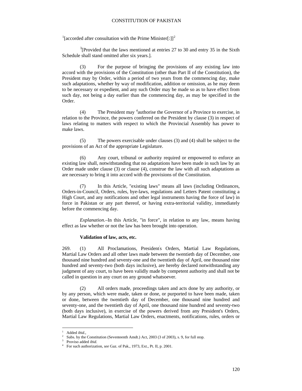<sup>1</sup>[accorded after consultation with the Prime Minister[:]]<sup>2</sup>

 $3$ [Provided that the laws mentioned at entries 27 to 30 and entry 35 in the Sixth Schedule shall stand omitted after six years.].

(3) For the purpose of bringing the provisions of any existing law into accord with the provisions of the Constitution (other than Part II of the Constitution), the President may by Order, within a period of two years from the commencing day, make such adaptations, whether by way of modification, addition or omission, as he may deem to be necessary or expedient, and any such Order may be made so as to have effect from such day, not being a day earlier than the commencing day, as may be specified in the Order.

(4) The President may <sup>4</sup> authorise the Governor of a Province to exercise, in relation to the Province, the powers conferred on the President by clause (3) in respect of laws relating to matters with respect to which the Provincial Assembly has power to make laws.

(5) The powers exercisable under clauses (3) and (4) shall be subject to the provisions of an Act of the appropriate Legislature.

(6) Any court, tribunal or authority required or empowered to enforce an existing law shall, notwithstanding that no adaptations have been made in such law by an Order made under clause (3) or clause (4), construe the law with all such adaptations as are necessary to bring it into accord with the provisions of the Constitution.

In this Article, "existing laws" means all laws (including Ordinances, Orders-in-Council, Orders, rules, bye-laws, regulations and Letters Patent constituting a High Court, and any notifications and other legal instruments having the force of law) in force in Pakistan or any part thereof, or having extra-territorial validity, immediately before the commencing day.

*Explanation*.–In this Article, "in force", in relation to any law, means having effect as law whether or not the law has been brought into operation.

#### **269. Validation of law, acts, etc.**

269. (1) All Proclamations, President' s Orders, Martial Law Regulations, Martial Law Orders and all other laws made between the twentieth day of December, one thousand nine hundred and seventy-one and the twentieth day of April, one thousand nine hundred and seventy-two (both days inclusive), are hereby declared notwithstanding any judgment of any court, to have been validly made by competent authority and shall not be called in question in any court on any ground whatsoever.

(2) All orders made, proceedings taken and acts done by any authority, or by any person, which were made, taken or done, or purported to have been made, taken or done, between the twentieth day of December, one thousand nine hundred and seventy-one, and the twentieth day of April, one thousand nine hundred and seventy-two (both days inclusive), in exercise of the powers derived from any President's Orders, Martial Law Regulations, Martial Law Orders, enactments, notifications, rules, orders or

<sup>1</sup> Added *ibid.*,

Subs. by the Constitution (Seventeenth Amdt.) Act, 2003 (3 of 2003), s. 9, for full stop.

Proviso added *ibid*. 4

For such authorization, *see* Gaz. of Pak., 1973, Ext., Pt. II, p. 2001.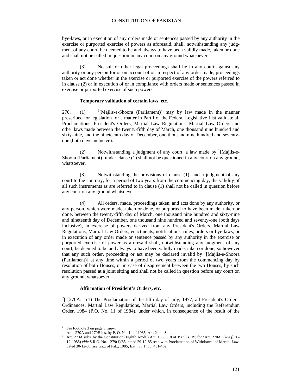bye-laws, or in execution of any orders made or sentences passed by any authority in the exercise or purported exercise of powers as aforesaid, shall, notwithstanding any judgment of any court, be deemed to be and always to have been validly made, taken or done and shall not be called in question in any court on any ground whatsoever.

(3) No suit or other legal proceedings shall lie in any court against any authority or any person for or on account of or in respect of any order made, proceedings taken or act done whether in the exercise or purported exercise of the powers referred to in clause (2) or in execution of or in compliance with orders made or sentences passed in exercise or purported exercise of such powers.

### **270. Temporary validation of certain laws, etc.**

 $270.$  (1)  $\frac{1}{2}$ [Majlis-e-Shoora (Parliament)] may by law made in the manner prescribed for legislation for a matter in Part I of the Federal Legislative List validate all Proclamations, President's Orders, Martial Law Regulations, Martial Law Orders and other laws made between the twenty-fifth day of March, one thousand nine hundred and sixty-nine, and the nineteenth day of December, one thousand nine hundred and seventyone (both days inclusive).

(2) Notwithstanding a judgment of any court, a law made by  ${}^{1}$ [Majlis-e-Shoora (Parliament)] under clause (1) shall not be questioned in any court on any ground, whatsoever.

(3) Notwithstanding the provisions of clause (1), and a judgment of any court to the contrary, for a period of two years from the commencing day, the validity of all such instruments as are referred to in clause (1) shall not be called in question before any court on any ground whatsoever.

(4) All orders, made, proceedings taken, and acts done by any authority, or any person, which were made, taken or done, or purported to have been made, taken or done, between the twenty-fifth day of March, one thousand nine hundred and sixty-nine and nineteenth day of December, one thousand nine hundred and seventy-one (both days inclusive), in exercise of powers derived from any President's Orders, Martial Law Regulations, Martial Law Orders, enactments, notifications, rules, orders or bye-laws, or in execution of any order made or sentence passed by any authority in the exercise or purported exercise of power as aforesaid shall, notwithstanding any judgment of any court, be deemed to be and always to have been validly made, taken or done, so however that any such order, proceeding or act may be declared invalid by <sup>1</sup>[Majlis-e-Shoora (Parliament)] at any time within a period of two years from the commencing day by resolution of both Houses, or in case of disagreement between the two Houses, by such resolution passed at a joint sitting and shall not be called in question before any court on any ground, whatsoever.

## Affirmation of President's Orders, etc.

 $^{2}$ [<sup>3</sup>[270A.—(1) The Proclamation of the fifth day of July, 1977, all President's Orders, Ordinances, Martial Law Regulations, Martial Law Orders, including the Referendum Order, 1984 (P.O. No. 11 of 1984), under which, in consequence of the result of the

<sup>1</sup> *See* footnote 3 on page 3, *supra*. 2

<sup>&</sup>lt;sup>2</sup> Arts. 270A and 270B ins. by P. O. No. 14 of 1985, Art. 2 and Sch.,

<sup>3</sup> Art. 270A subs. by the Constitution (Eighth Amdt.) Act. 1985 (18 of 1985) s. 19, for "Art. 270A" (*w.e.f.* 30- 12-1985) *vide* S.R.O. No. 1279(1)/85, dated 29-12-85 read with Proclamation of Withdrawal of Martial Law, dated 30-12-85, *see* Gaz. of Pak., 1985, Ext., Pt. 1. pp. 431-432.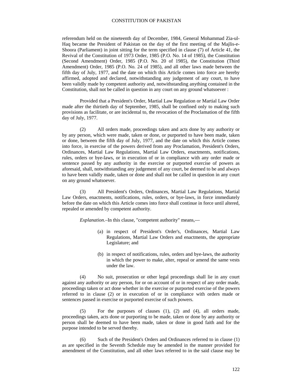referendum held on the nineteenth day of December, 1984, General Mohammad Zia-ul-Haq became the President of Pakistan on the day of the first meeting of the Majlis-e-Shoora (Parliament) in joint sitting for the term specified in clause (7) of Article 41, the Revival of the Constitution of 1973 Order, 1985 (P.O. No. 14 of 1985), the Constitution (Second Amendment) Order, 1985 (P.O. No. 20 of 1985), the Constitution (Third Amendment) Order, 1985 (P.O. No. 24 of 1985), and all other laws made between the fifth day of July, 1977, and the date on which this Article comes into force are hereby affirmed, adopted and declared, notwithstanding any judgement of any court, to have been validly made by competent authority and, notwithstanding anything contained in the Constitution, shall not be called in question in any court on any ground whatsoever :

Provided that a President's Order, Martial Law Regulation or Martial Law Order made after the thirtieth day of September, 1985, shall be confined only to making such provisions as facilitate, or are incidental to, the revocation of the Proclamation of the fifth day of July, 1977.

(2) All orders made, proceedings taken and acts done by any authority or by any person, which were made, taken or done, or purported to have been made, taken or done, between the fifth day of July, 1977, and the date on which this Article comes into force, in exercise of the powers derived from any Proclamation, President's Orders, Ordinances, Martial Law Regulations, Martial Law Orders, enactments, notifications, rules, orders or bye-laws, or in execution of or in compliance with any order made or sentence passed by any authority in the exercise or purported exercise of powers as aforesaid, shall, notwithstanding any judgement of any court, be deemed to be and always to have been validly made, taken or done and shall not be called in question in any court on any ground whatsoever.

(3) All President's Orders, Ordinances, Martial Law Regulations, Martial Law Orders, enactments, notifications, rules, orders, or bye-laws, in force immediately before the date on which this Article comes into force shall continue in force until altered, repealed or amended by competent authority.

*Explanation*.–In this clause, "competent authority" means,—

- (a) in respect of President's Order's, Ordinances, Martial Law Regulations, Martial Law Orders and enactments, the appropriate Legislature; and
- (b) in respect of notifications, rules, orders and bye-laws, the authority in which the power to make, alter, repeal or amend the same vests under the law.

(4) No suit, prosecution or other legal proceedings shall lie in any court against any authority or any person, for or on account of or in respect of any order made, proceedings taken or act done whether in the exercise or purported exercise of the powers referred to in clause (2) or in execution of or in compliance with orders made or sentences passed in exercise or purported exercise of such powers.

(5) For the purposes of clauses (1), (2) and (4), all orders made, proceedings taken, acts done or purporting to be made, taken or done by any authority or person shall be deemed to have been made, taken or done in good faith and for the purpose intended to be served thereby.

(6) Such of the President's Orders and Ordinances referred to in clause (1) as are specified in the Seventh Schedule may be amended in the manner provided for amendment of the Constitution, and all other laws referred to in the said clause may be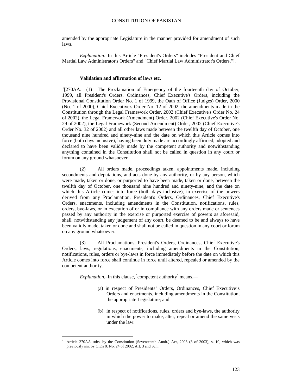amended by the appropriate Legislature in the manner provided for amendment of such laws.

*Explanation*.–In this Article "President's Orders" includes "President and Chief Martial Law Administrator's Orders" and "Chief Martial Law Administrator's Orders."].

### **Validation and affirmation of laws etc.**

<sup>1</sup>[270AA. (1) The Proclamation of Emergency of the fourteenth day of October, 1999, all President's Orders, Ordinances, Chief Executive's Orders, including the Provisional Constitution Order No. 1 of 1999, the Oath of Office (Judges) Order, 2000 (No. 1 of 2000), Chief Executive's Order No. 12 of 2002, the amendments made in the Constitution through the Legal Framework Order, 2002 (Chief Executive's Order No. 24 of 2002), the Legal Framework (Amendment) Order, 2002 (Chief Executive's Order No. 29 of 2002), the Legal Framework (Second Amendment) Order, 2002 (Chief Executive's Order No. 32 of 2002) and all other laws made between the twelfth day of October, one thousand nine hundred and ninety-nine and the date on which this Article comes into force (both days inclusive), having been duly made are accordingly affirmed, adopted and declared to have been validly made by the competent authority and notwithstanding anything contained in the Constitution shall not be called in question in any court or forum on any ground whatsoever.

(2) All orders made, proceedings taken, appointments made, including secondments and deputations, and acts done by any authority, or by any person, which were made, taken or done, or purported to have been made, taken or done, between the twelfth day of October, one thousand nine hundred and ninety-nine, and the date on which this Article comes into force (both days inclusive), in exercise of the powers derived from any Proclamation, President's Orders, Ordinances, Chief Executive's Orders, enactments, including amendments in the Constitution, notifications, rules, orders, bye-laws, or in execution of or in compliance with any orders made or sentences passed by any authority in the exercise or purported exercise of powers as aforesaid, shall, notwithstanding any judgement of any court, be deemed to be and always to have been validly made, taken or done and shall not be called in question in any court or forum on any ground whatsoever.

(3) All Proclamations, President's Orders, Ordinances, Chief Executive's Orders, laws, regulations, enactments, including amendments in the Constitution, notifications, rules, orders or bye-laws in force immediately before the date on which this Article comes into force shall continue in force until altered, repealed or amended by the competent authority.

*Explanation*.–In this clause, competent authority means,—

- (a) in respect of Presidents' Orders, Ordinances, Chief Executive's Orders and enactments, including amendments in the Constitution, the appropriate Legislature; and
- (b) in respect of notifications, rules, orders and bye-laws, the authority in which the power to make, alter, repeal or amend the same vests under the law.

<sup>1</sup> Article 270AA subs. by the Constitution (Seventeenth Amdt.) Act, 2003 (3 of 2003), s. 10, which was previously ins. by C.E's 0. No. 24 of 2002, Art. 3 and Sch.,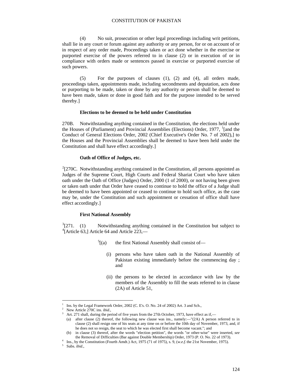(4) No suit, prosecution or other legal proceedings including writ petitions, shall lie in any court or forum against any authority or any person, for or on account of or in respect of any order made, Proceedings taken or act done whether in the exercise or purported exercise of the powers referred to in clause (2) or in execution of or in compliance with orders made or sentences passed in exercise or purported exercise of such powers.

(5) For the purposes of clauses (1), (2) and (4), all orders made, proceedings taken, appointments made, including secondments and deputation, acts done or purporting to be made, taken or done by any authority or person shall be deemed to have been made, taken or done in good faith and for the purpose intended to be served thereby.]

#### Elections to be deemed to be held under Constitution

270B. Notwithstanding anything contained in the Constitution, the elections held under the Houses of (Parliament) and Provincial Assemblies (Elections) Order, 1977, <sup>1</sup>[and the Conduct of General Elections Order, 2002 (Chief Executive's Order No. 7 of 2002),] to the Houses and the Provincial Assemblies shall be deemed to have been held under the Constitution and shall have effect accordingly.]

#### **200F 2017 Oath of Office of Judges, etc.**

 $2$ [270C. Notwithstanding anything contained in the Constitution, all persons appointed as Judges of the Supreme Court, High Courts and Federal Shariat Court who have taken oath under the Oath of Office (Judges) Order, 2000 (1 of 2000), or not having been given or taken oath under that Order have ceased to continue to hold the office of a Judge shall be deemed to have been appointed or ceased to continue to hold such office, as the case may be, under the Constitution and such appointment or cessation of office shall have effect accordingly.]

### **First National Assembly**

 $3$ [271. (1) Notwithstanding anything contained in the Constitution but subject to <sup>4</sup>[Article 63,] Article 64 and Article 223,—

- $5\text{[(a)}$ the first National Assembly shall consist of—
	- (i) persons who have taken oath in the National Assembly of Pakistan existing immediately before the commencing day ; and
	- (ii) the persons to be elected in accordance with law by the members of the Assembly to fill the seats referred to in clause (2A) of Article 51,

<sup>1</sup> Ins. by the Legal Framework Order, 2002 (C. E's. O. No. 24 of 2002) Art. 3 and Sch.,

<sup>2</sup> New Article 270C ins. *ibid.*,

Art. 271 shall, during the period of five years from the 27th October, 1973, have effect as if,—

<sup>(</sup>a) after clause (2) thereof, the following new clause was ins., namely:—"(2A) A person referred to in clause (2) shall resign one of his seats at any time on or before the 10th day of November, 1973, and, if he does not so resign, the seat to which he was elected first shall become vacant."; and

<sup>(</sup>b) in clause (3) thereof, after the words "election petition", the words "or other-wise" were inserted, *see* the Removal of Difficulties (Bar against Double Membership) Order, 1973 (P. O. No. 22 of 1973). 4

<sup>&</sup>lt;sup>4</sup> Ins., by the Constitution (Fourth Amdt.) Act, 1975 (71 of 1975), s. 9, (*w.e.f.* the 21st November, 1975).

Subs. *ibid*.,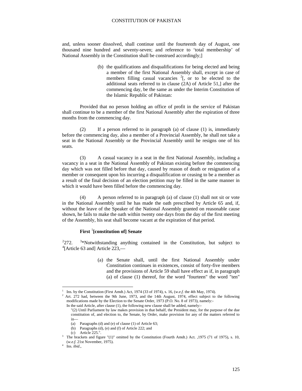and, unless sooner dissolved, shall continue until the fourteenth day of August, one thousand nine hundred and seventy-seven; and reference to 'total membership' of National Assembly in the Constitution shall be construed accordingly;]

> (b) the qualifications and disqualifications for being elected and being a member of the first National Assembly shall, except in case of members filling casual vacancies  $2 \times 1$  or to be elected to the additional seats referred to in clause (2A) of Article 51,] after the commencing day, be the same as under the Interim Constitution of the Islamic Republic of Pakistan:

Provided that no person holding an office of profit in the service of Pakistan shall continue to be a member of the first National Assembly after the expiration of three months from the commencing day.

(2) If a person referred to in paragraph (a) of clause (1) is, immediately before the commencing day, also a member of a Provincial Assembly, he shall not take a seat in the National Assembly or the Provincial Assembly until he resigns one of his seats.

(3) A casual vacancy in a seat in the first National Assembly, including a vacancy in a seat in the National Assembly of Pakistan existing before the commencing day which was not filled before that day, caused by reason of death or resignation of a member or consequent upon his incurring a disqualification or ceasing to be a member as a result of the final decision of an election petition may be filled in the same manner in which it would have been filled before the commencing day.

(4) A person referred to in paragraph (a) of clause (1) shall not sit or vote in the National Assembly until he has made the oath prescribed by Article 65 and, if, without the leave of the Speaker of the National Assembly granted on reasonable cause shown, he fails to make the oath within twenty one days from the day of the first meeting of the Assembly, his seat shall become vacant at the expiration of that period.

# **272. First** <sup>1</sup> **[constitution of] Senate**

 $2272.$   $3$  $3*$ Notwithstanding anything contained in the Constitution, but subject to  $^{4}$ [Article 63 and] Article 223,—

> (a) the Senate shall, until the first National Assembly under Constitution continues in existences, consist of forty-five members and the provisions of Article 59 shall have effect as if, in paragraph (a) of clause (1) thereof, for the word "fourteen" the word "ten"

<sup>1</sup>

<sup>&</sup>lt;sup>1</sup> Ins. by the Constitution (First Amdt.) Act, 1974 (33 of 1974), s. 16, (*w.e.f.* the 4th May, 1974). <sup>2</sup> Art. 272 had, between the 9th June, 1973, and the 14th August, 1974, effect subject to the following modifications made by the Election to the Senate Order, 1973 (P.O. No. 8 of 1973), namely:- In the said Article, after clause (1), the following new clause shall be added, namely:-

<sup>&</sup>quot;(2) Until Parliament by law makes provision in that behalf, the President may, for the purpose of the due constitution of, and election to, the Senate, by Order, make provision for any of the matters referred to in—

<sup>(</sup>a) Paragraphs (d) and (e) of clause (1) of Article 63;

<sup>(</sup>b) Paragraphs (d), (e) and (f) of Article 222; and

<sup>(</sup>c) Article 225.". 3 The brackets and figure "(1)" omitted by the Constitution (Fourth Amdt.) Act. ,1975 (71 of 1975), s. 10, (*w.e.f*. 21st November, 1975). 4

Ins. *ibid*.,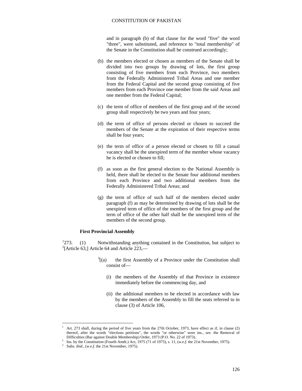and in paragraph (b) of that clause for the word "five" the word "three", were substituted, and reference to "total membership" of the Senate in the Constitution shall be construed accordingly;

- (b) the members elected or chosen as members of the Senate shall be divided into two groups by drawing of lots, the first group consisting of five members from each Province, two members from the Federally Administered Tribal Areas and one member from the Federal Capital and the second group consisting of five members from each Province one member from the said Areas and one member from the Federal Capital;
- (c) the term of office of members of the first group and of the second group shall respectively be two years and four years;
- (d) the term of office of persons elected or chosen to succeed the members of the Senate at the expiration of their respective terms shall be four years;
- (e) the term of office of a person elected or chosen to fill a casual vacancy shall be the unexpired term of the member whose vacancy he is elected or chosen to fill;
- (f) as soon as the first general election to the National Assembly is held, there shall be elected to the Senate four additional members from each Province and two additional members from the Federally Administered Tribal Areas; and
- (g) the term of office of such half of the members elected under paragraph (f) as may be determined by drawing of lots shall be the unexpired term of office of the members of the first group and the term of office of the other half shall be the unexpired term of the members of the second group.

### **273. First Provincial Assembly**

 $1273.$ 273. (1) Notwithstanding anything contained in the Constitution, but subject to <sup>2</sup>[Article 63,] Article 64 and Article 223,—

- $\frac{3}{4}$ [(a) [(a) the first Assembly of a Province under the Constitution shall consist of—
	- (i) the members of the Assembly of that Province in existence immediately before the commencing day, and
	- (ii) the additional members to be elected in accordance with law by the members of the Assembly to fill the seats referred to in clause (3) of Article 106,

<sup>1</sup> Art. 273 shall, during the period of five years from the 27th October, 1973, have effect as if, in clause (2) thereof, after the words "elections petitions", the words "or otherwise" were ins., *see.* the Removal of Difficulties (Bar against Double Membership) Order, 1973 (P.O. No. 22 of 1973). 2

Ins. by the Constitution (Fourth Amdt.) Act, 1975 (71 of 1975), s. 11, (w.e.f. the 21st November, 1975).

Subs. *ibid*., (*w.e.f.* the 21st November, 1975).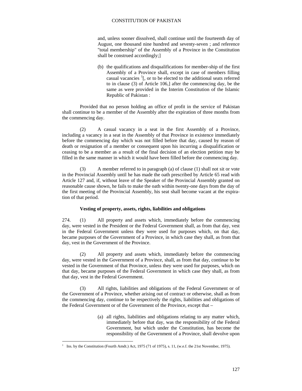and, unless sooner dissolved, shall continue until the fourteenth day of August, one thousand nine hundred and seventy-seven ; and reference "total membership" of the Assembly of a Province in the Constitution shall be construed accordingly;]

(b) the qualifications and disqualifications for member-ship of the first Assembly of a Province shall, except in case of members filling casual vacancies  $\frac{1}{1}$ , or to be elected to the additional seats referred to in clause (3) of Article 106,] after the commencing day, be the same as were provided in the Interim Constitution of the Islamic Republic of Pakistan :

Provided that no person holding an office of profit in the service of Pakistan shall continue to be a member of the Assembly after the expiration of three months from the commencing day.

(2) A casual vacancy in a seat in the first Assembly of a Province, including a vacancy in a seat in the Assembly of that Province in existence immediately before the commencing day which was not filled before that day, caused by reason of death or resignation of a member or consequent upon his incurring a disqualification or ceasing to be a member as a result of the final decision of an election petition may be filled in the same manner in which it would have been filled before the commencing day.

(3) A member referred to in paragraph (a) of clause (1) shall not sit or vote in the Provincial Assembly until he has made the oath prescribed by Article 65 read with Article 127 and, if, without leave of the Speaker of the Provincial Assembly granted on reasonable cause shown, he fails to make the oath within twenty-one days from the day of the first meeting of the Provincial Assembly, his seat shall become vacant at the expiration of that period.

## **274. Vesting of property, assets, rights, liabilities and obligations**

274. (1) All property and assets which, immediately before the commencing day, were vested in the President or the Federal Government shall, as from that day, vest in the Federal Government unless they were used for purposes which, on that day, became purposes of the Government of a Province, in which case they shall, as from that day, vest in the Government of the Province.

(2) All property and assets which, immediately before the commencing day, were vested in the Government of a Province, shall, as from that day, continue to be vested in the Government of that Province, unless they were used for purposes, which on that day, became purposes of the Federal Government in which case they shall, as from that day, vest in the Federal Government.

(3) All rights, liabilities and obligations of the Federal Government or of the Government of a Province, whether arising out of contract or otherwise, shall as from the commencing day, continue to be respectively the rights, liabilities and obligations of the Federal Government or of the Government of the Province, except that –

> (a) all rights, liabilities and obligations relating to any matter which, immediately before that day, was the responsibility of the Federal Government, but which under the Constitution, has become the responsibility of the Government of a Province, shall devolve upon

<sup>1</sup> Ins. by the Constitution (Fourth Amdt.) Act, 1975 (71 of 1975), s. 11, (w.e.f. the 21st November, 1975).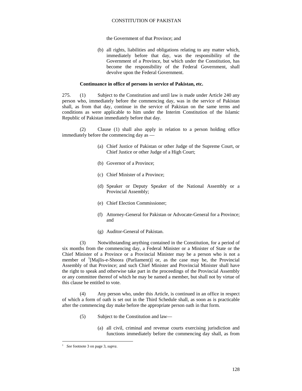the Government of that Province; and

(b) all rights, liabilities and obligations relating to any matter which, immediately before that day, was the responsibility of the Government of a Province, but which under the Constitution, has become the responsibility of the Federal Government, shall devolve upon the Federal Government.

### **275. Continuance in office of persons in service of Pakistan, etc.**

275. (1) Subject to the Constitution and until law is made under Article 240 any person who, immediately before the commencing day, was in the service of Pakistan shall, as from that day, continue in the service of Pakistan on the same terms and conditions as were applicable to him under the Interim Constitution of the Islamic Republic of Pakistan immediately before that day.

(2) Clause (1) shall also apply in relation to a person holding office immediately before the commencing day as —

- (a) Chief Justice of Pakistan or other Judge of the Supreme Court, or Chief Justice or other Judge of a High Court;
- (b) Governor of a Province;
- (c) Chief Minister of a Province;
- (d) Speaker or Deputy Speaker of the National Assembly or a Provincial Assembly;
- (e) Chief Election Commissioner;
- (f) Attorney-General for Pakistan or Advocate-General for a Province; and
- (g) Auditor-General of Pakistan.

(3) Notwithstanding anything contained in the Constitution, for a period of six months from the commencing day, a Federal Minister or a Minister of State or the Chief Minister of a Province or a Provincial Minister may be a person who is not a member of <sup>1</sup>[Majlis-e-Shoora (Parliament)] or, as the case may be, the Provincial Assembly of that Province; and such Chief Minister and Provincial Minister shall have the right to speak and otherwise take part in the proceedings of the Provincial Assembly or any committee thereof of which he may be named a member, but shall not by virtue of this clause be entitled to vote.

(4) Any person who, under this Article, is continued in an office in respect of which a form of oath is set out in the Third Schedule shall, as soon as is practicable after the commencing day make before the appropriate person oath in that form.

- (5) Subject to the Constitution and law—
	- (a) all civil, criminal and revenue courts exercising jurisdiction and functions immediately before the commencing day shall, as from

<sup>1</sup> *See* footnote 3 on page 3, *supra*.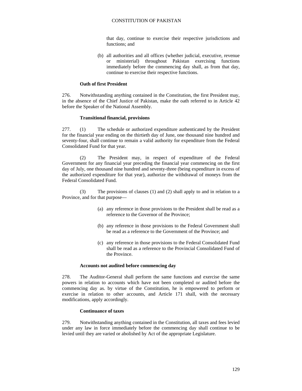that day, continue to exercise their respective jurisdictions and functions; and

(b) all authorities and all offices (whether judicial, executive, revenue or ministerial) throughout Pakistan exercising functions immediately before the commencing day shall, as from that day, continue to exercise their respective functions.

### **276. Oath of first President**

276. Notwithstanding anything contained in the Constitution, the first President may, in the absence of the Chief Justice of Pakistan, make the oath referred to in Article 42 before the Speaker of the National Assembly.

#### **277. Transitional financial, provisions**

277. (1) The schedule or authorized expenditure authenticated by the President for the financial year ending on the thirtieth day of June, one thousand nine hundred and seventy-four, shall continue to remain a valid authority for expenditure from the Federal Consolidated Fund for that year.

(2) The President may, in respect of expenditure of the Federal Government for any financial year preceding the financial year commencing on the first day of July, one thousand nine hundred and seventy-three (being expenditure in excess of the authorized expenditure for that year), authorize the withdrawal of moneys from the Federal Consolidated Fund.

(3) The provisions of clauses (1) and (2) shall apply to and in relation to a Province, and for that purpose—

- (a) any reference in those provisions to the President shall be read as a reference to the Governor of the Province;
- (b) any reference in those provisions to the Federal Government shall be read as a reference to the Government of the Province; and
- (c) any reference in those provisions to the Federal Consolidated Fund shall be read as a reference to the Provincial Consolidated Fund of the Province.

#### Accounts not audited before commencing day

278. The Auditor-General shall perform the same functions and exercise the same powers in relation to accounts which have not been completed or audited before the commencing day as. by virtue of the Constitution, he is empowered to perform or exercise in relation to other accounts, and Article 171 shall, with the necessary modifications, apply accordingly.

### **279. Continuance of taxes**

279. Notwithstanding anything contained in the Constitution, all taxes and fees levied under any law in force immediately before the commencing day shall continue to be levied until they are varied or abolished by Act of the appropriate Legislature.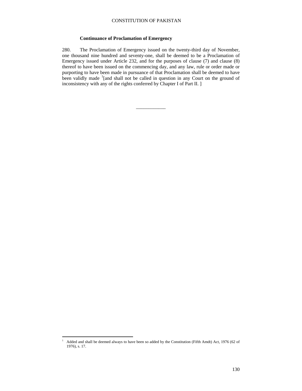# **280. Continuance of Proclamation of Emergency**

280. The Proclamation of Emergency issued on the twenty-third day of November, one thousand nine hundred and seventy-one, shall be deemed to be a Proclamation of Emergency issued under Article 232, and for the purposes of clause (7) and clause (8) thereof to have been issued on the commencing day, and any law, rule or order made or purporting to have been made in pursuance of that Proclamation shall be deemed to have been validly made <sup>1</sup>[and shall not be called in question in any Court on the ground of inconsistency with any of the rights conferred by Chapter I of Part II. ]

\_\_\_\_\_\_\_\_\_\_\_\_

 $\frac{1}{1}$  Added and shall be deemed always to have been so added by the Constitution (Fifth Amdt) Act, 1976 (62 of 1976), s. 17.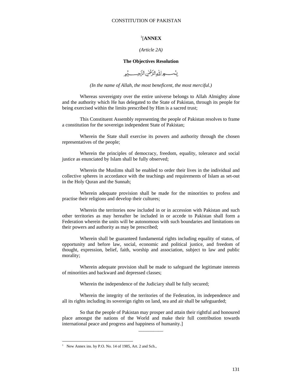# 1 [**ANNEX**

### *(Article 2A)*

#### **The Objectives Resolution**

بنسسه ابلهالتزخمن التهجسيني

#### *(In the name of Allah, the most beneficent, the most merciful.)*

Whereas sovereignty over the entire universe belongs to Allah Almighty alone and the authority which He has delegated to the State of Pakistan, through its people for being exercised within the limits prescribed by Him is a sacred trust;

This Constituent Assembly representing the people of Pakistan resolves to frame a constitution for the sovereign independent State of Pakistan;

Wherein the State shall exercise its powers and authority through the chosen representatives of the people;

Wherein the principles of democracy, freedom, equality, tolerance and social justice as enunciated by Islam shall be fully observed;

Wherein the Muslims shall be enabled to order their lives in the individual and collective spheres in accordance with the teachings and requirements of Islam as set-out in the Holy Quran and the Sunnah;

Wherein adequate provision shall be made for the minorities to profess and practise their religions and develop their cultures;

Wherein the territories now included in or in accession with Pakistan and such other territories as may hereafter be included in or accede to Pakistan shall form a Federation wherein the units will be autonomous with such boundaries and limitations on their powers and authority as may be prescribed;

Wherein shall be guaranteed fundamental rights including equality of status, of opportunity and before law, social, economic and political justice, and freedom of thought, expression, belief, faith, worship and association, subject to law and public morality;

Wherein adequate provision shall be made to safeguard the legitimate interests of minorities and backward and depressed classes;

Wherein the independence of the Judiciary shall be fully secured;

Wherein the integrity of the territories of the Federation, its independence and all its rights including its sovereign rights on land, sea and air shall be safeguarded;

So that the people of Pakistan may prosper and attain their rightful and honoured place amongst the nations of the World and make their full contribution towards international peace and progress and happiness of humanity.]

\_\_\_\_\_\_\_\_\_\_

<sup>1</sup> New Annex ins. by P.O. No. 14 of 1985, Art. 2 and Sch.,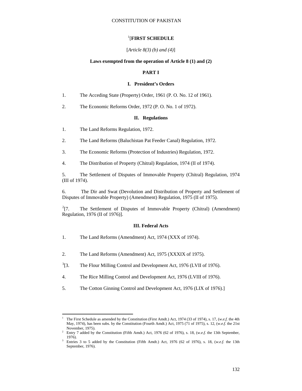# 1 [**FIRST SCHEDULE**

#### [*Article 8(3) (b) and (4)*]

#### **Laws exempted from the operation of Article 8 (1) and (2)**

# **PART I**

### **I. President's Orders**

- 1. The Acceding State (Property) Order, 1961 (P. O. No. 12 of 1961).
- 2. The Economic Reforms Order, 1972 (P. O. No. 1 of 1972).

### **II. Regulations**

1. The Land Reforms Regulation, 1972.

 $\overline{a}$ 

- 2. The Land Reforms (Baluchistan Pat Feeder Canal) Regulation, 1972.
- 3. The Economic Reforms (Protection of Industries) Regulation, 1972.

4. The Distribution of Property (Chitral) Regulation, 1974 (II of 1974).

5. The Settlement of Disputes of Immovable Property (Chitral) Regulation, 1974 (III of 1974).

6. The Dir and Swat (Devolution and Distribution of Property and Settlement of Disputes of Immovable Property) (Amendment) Regulation, 1975 (II of 1975).

 $^{2}$ [7. The Settlement of Disputes of Immovable Property (Chitral) (Amendment) Regulation, 1976 (II of 1976)].

### **III. Federal Acts**

- 1. The Land Reforms (Amendment) Act, 1974 (XXX of 1974).
- 2. The Land Reforms (Amendment) Act, 1975 (XXXIX of 1975).
- $^{3}$ [3. The Flour Milling Control and Development Act, 1976 (LVII of 1976).
- 4. The Rice Milling Control and Development Act, 1976 (LVIII of 1976).
- 5. The Cotton Ginning Control and Development Act, 1976 (LIX of 1976).]

<sup>&</sup>lt;sup>1</sup> The First Schedule as amended by the Constitution (First Amdt.) Act, 1974 (33 of 1974), s. 17, (*w.e.f.* the 4th May, 1974), has been subs. by the Constitution (Fourth Amdt.) Act, 1975 (71 of 1975), s. 12, (*w.e.f*. the 21st

November, 1975). 2 Entry 7 added by the Constitution (Fifth Amdt.) Act, 1976 (62 of 1976), s. 18, (*w.e.f.* the 13th September, 1976).

Entries 3 to 5 added by the Constitution (Fifth Amdt.) Act, 1976 (62 of 1976), s. 18, (*w.e.f.* the 13th September, 1976).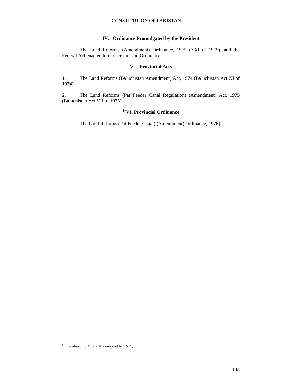# **IV. Ordinance Promulgated by the President**

The Land Reforms (Amendment) Ordinance, 1975 (XXI of 1975), and the Federal Act enacted to replace the said Ordinance.

### **V. Provincial Acts**

1. The Land Reforms (Baluchistan Amendment) Act, 1974 (Baluchistan Act XI of 1974).

2. The Land Reforms (Pat Feeder Canal Regulation) (Amendment) Act, 1975 (Baluchistan Act VII of 1975).

# 1 **[VI. Provincial Ordinance**

The Land Reforms (Pat Feeder Canal) (Amendment) Ordinance, 1976].

**\_\_\_\_\_\_\_\_\_\_** 

 1 Sub-heading VI and the entry added *ibid*.,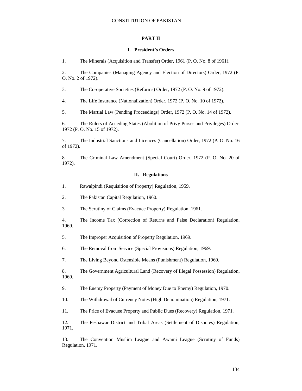### **PART II**

#### **I. President's Orders**

1. The Minerals (Acquisition and Transfer) Order, 1961 (P. O. No. 8 of 1961).

2. The Companies (Managing Agency and Election of Directors) Order, 1972 (P. O. No. 2 of 1972).

3. The Co-operative Societies (Reforms) Order, 1972 (P. O. No. 9 of 1972).

4. The Life Insurance (Nationalization) Order, 1972 (P. O. No. 10 of 1972).

5. The Martial Law (Pending Proceedings) Order, 1972 (P. O. No. 14 of 1972).

6. The Rulers of Acceding States (Abolition of Privy Purses and Privileges) Order, 1972 (P. O. No. 15 of 1972).

7. The Industrial Sanctions and Licences (Cancellation) Order, 1972 (P. O. No. 16 of 1972).

8. The Criminal Law Amendment (Special Court) Order, 1972 (P. O. No. 20 of 1972).

#### **II. Regulations**

1. Rawalpindi (Requisition of Property) Regulation, 1959.

2. The Pakistan Capital Regulation, 1960.

3. The Scrutiny of Claims (Evacuee Property) Regulation, 1961.

4. The Income Tax (Correction of Returns and False Declaration) Regulation, 1969.

5. The Improper Acquisition of Property Regulation, 1969.

6. The Removal from Service (Special Provisions) Regulation, 1969.

7. The Living Beyond Ostensible Means (Punishment) Regulation, 1969.

8. The Government Agricultural Land (Recovery of Illegal Possession) Regulation, 1969.

9. The Enemy Property (Payment of Money Due to Enemy) Regulation, 1970.

10. The Withdrawal of Currency Notes (High Denomination) Regulation, 1971.

11. The Price of Evacuee Property and Public Dues (Recovery) Regulation, 1971.

12. The Peshawar District and Tribal Areas (Settlement of Disputes) Regulation, 1971.

13. The Convention Muslim League and Awami League (Scrutiny of Funds) Regulation, 1971.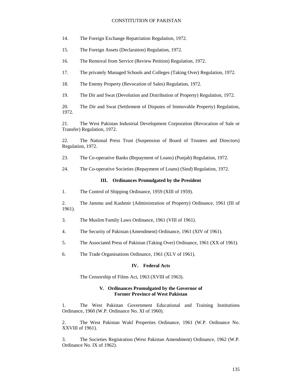14. The Foreign Exchange Repatriation Regulation, 1972.

15. The Foreign Assets (Declaration) Regulation, 1972.

16. The Removal from Service (Review Petition) Regulation, 1972.

17. The privately Managed Schools and Colleges (Taking Over) Regulation, 1972.

18. The Enemy Property (Revocation of Sales) Regulation, 1972.

19. The Dir and Swat (Devolution and Distribution of Property) Regulation, 1972.

20. The Dir and Swat (Settlement of Disputes of Immovable Property) Regulation, 1972.

21. The West Pakistan Industrial Development Corporation (Revocation of Sale or Transfer) Regulation, 1972.

22. The National Press Trust (Suspension of Board of Trustees and Directors) Regulation, 1972.

23. The Co-operative Banks (Repayment of Loans) (Punjab) Regulation, 1972.

24. The Co-operative Societies (Repayment of Loans) (Sind) Regulation, 1972.

#### **III. Ordinances Promulgated by the President**

1. The Control of Shipping Ordinance, 1959 (XIII of 1959).

2. The Jammu and Kashmir (Administration of Property) Ordinance, 1961 (III of 1961).

3. The Muslim Family Laws Ordinance, 1961 (VIII of 1961).

4. The Security of Pakistan (Amendment) Ordinance, 1961 (XIV of 1961).

5. The Associated Press of Pakistan (Taking Over) Ordinance, 1961 (XX of 1961).

6. The Trade Organisations Ordinance, 1961 (XLV of 1961).

#### **IV. Federal Acts**

The Censorship of Films Act, 1963 (XVIII of 1963).

## **V. Ordinances Promulgated by the Governor of Former Province of West Pakistan**

1. The West Pakistan Government Educational and Training Institutions Ordinance, 1960 (W.P. Ordinance No. XI of 1960).

2. The West Pakistan Wakf Properties Ordinance, 1961 (W.P. Ordinance No. XXVIII of 1961).

3. The Societies Registration (West Pakistan Amendment) Ordinance, 1962 (W.P. Ordinance No. IX of 1962).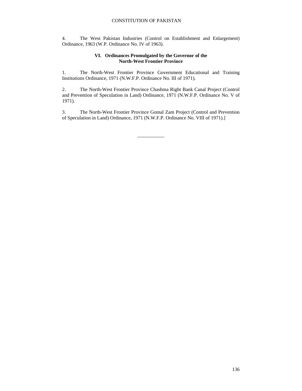4. The West Pakistan Industries (Control on Establishment and Enlargement) Ordinance, 1963 (W.P. Ordinance No. IV of 1963).

## **VI. Ordinances Promulgated by the Governor of the North-West Frontier Province**

1. The North-West Frontier Province Government Educational and Training Institutions Ordinance, 1971 (N.W.F.P. Ordinance No. III of 1971).

2. The North-West Frontier Province Chashma Right Bank Canal Project (Control and Prevention of Speculation in Land) Ordinance, 1971 (N.W.F.P. Ordinance No. V of 1971).

3. The North-West Frontier Province Gomal Zam Project (Control and Prevention of Speculation in Land) Ordinance, 1971 (N.W.F.P. Ordinance No. VIII of 1971).]

\_\_\_\_\_\_\_\_\_\_\_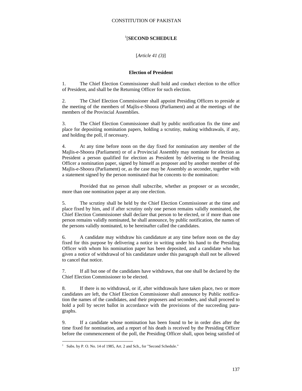## 1 [**SECOND SCHEDULE**

## [*Article 41 (3)*]

#### **Election of President**

1. The Chief Election Commissioner shall hold and conduct election to the office of President, and shall be the Returning Officer for such election.

2. The Chief Election Commissioner shall appoint Presiding Officers to preside at the meeting of the members of Majlis-e-Shoora (Parliament) and at the meetings of the members of the Provincial Assemblies.

3. The Chief Election Commissioner shall by public notification fix the time and place for depositing nomination papers, holding a scrutiny, making withdrawals, if any, and holding the poll, if necessary.

4. At any time before noon on the day fixed for nomination any member of the Majlis-e-Shoora (Parliament) or of a Provincial Assembly may nominate for election as President a person qualified for election as President by delivering to the Presiding Officer a nomination paper, signed by himself as proposer and by another member of the Majlis-e-Shoora (Parliament) or, as the case may be Assembly as seconder, together with a statement signed by the person nominated that he concents to the nomination:

Provided that no person shall subscribe, whether as proposer or as seconder, more than one nomination paper at any one election.

5. The scrutiny shall be held by the Chief Election Commissioner at the time and place fixed by him, and if after scrutiny only one person remains validly nominated, the Chief Election Commissioner shall declare that person to be elected, or if more than one person remains validly nominated, he shall announce, by public notification, the names of the persons validly nominated, to be hereinafter called the candidates.

6. A candidate may withdraw his candidature at any time before noon on the day fixed for this purpose by delivering a notice in writing under his hand to the Presiding Officer with whom his nomination paper has been deposited, and a candidate who has given a notice of withdrawal of his candidature under this paragraph shall not be allowed to cancel that notice.

7. If all but one of the candidates have withdrawn, that one shall be declared by the Chief Election Commissioner to be elected.

8. If there is no withdrawal, or if, after withdrawals have taken place, two or more candidates are left, the Chief Election Commissioner shall announce by Public notification the names of the candidates, and their proposers and seconders, and shall proceed to hold a poll by secret ballot in accordance with the provisions of the succeeding paragraphs.

9. If a candidate whose nomination has been found to be in order dies after the time fixed for nomination, and a report of his death is received by the Presiding Officer before the commencement of the poll, the Presiding Officer shall, upon being satisfied of

 1 Subs. by P. O. No. 14 of 1985, Art. 2 and Sch., for "Second Schedule."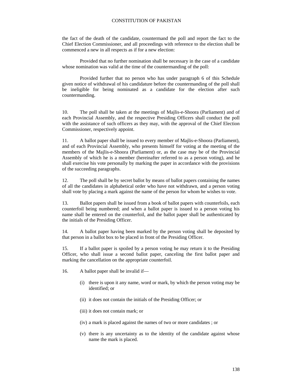the fact of the death of the candidate, countermand the poll and report the fact to the Chief Election Commissioner, and all proceedings with reference to the election shall be commenced a new in all respects as if for a new election:

Provided that no further nomination shall be necessary in the case of a candidate whose nomination was valid at the time of the countermanding of the poll:

Provided further that no person who has under paragraph 6 of this Schedule given notice of withdrawal of his candidature before the countermanding of the poll shall be ineligible for being nominated as a candidate for the election after such countermanding.

10. The poll shall be taken at the meetings of Majlis-e-Shoora (Parliament) and of each Provincial Assembly, and the respective Presiding Officers shall conduct the poll with the assistance of such officers as they may, with the approval of the Chief Election Commissioner, respectively appoint.

11. A ballot paper shall be issued to every member of Majlis-e-Shoora (Parliament), and of each Provincial Assembly, who presents himself for voting at the meeting of the members of the Majlis-e-Shoora (Parliament) or, as the case may be of the Provincial Assembly of which he is a member (hereinafter referred to as a person voting), and he shall exercise his vote personally by marking the paper in accordance with the provisions of the succeeding paragraphs.

12. The poll shall be by secret ballot by means of ballot papers containing the names of all the candidates in alphabetical order who have not withdrawn, and a person voting shall vote by placing a mark against the name of the person for whom he wishes to vote.

13. Ballot papers shall be issued from a book of ballot papers with counterfoils, each counterfoil being numbered; and when a ballot paper is issued to a person voting his name shall be entered on the counterfoil, and the ballot paper shall be authenticated by the initials of the Presiding Officer.

14. A ballot paper having been marked by the person voting shall be deposited by that person in a ballot box to be placed in front of the Presiding Officer.

15. If a ballot paper is spoiled by a person voting he may return it to the Presiding Officer, who shall issue a second ballot paper, canceling the first ballot paper and marking the cancellation on the appropriate counterfoil.

16. A ballot paper shall be invalid if—

- (i) there is upon it any name, word or mark, by which the person voting may be identified; or
- (ii) it does not contain the initials of the Presiding Officer; or
- (iii) it does not contain mark; or
- (iv) a mark is placed against the names of two or more candidates ; or
- (v) there is any uncertainty as to the identity of the candidate against whose name the mark is placed.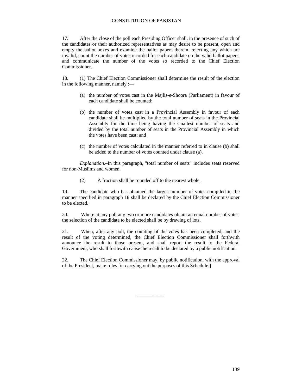17. After the close of the poll each Presiding Officer shall, in the presence of such of the candidates or their authorized representatives as may desire to be present, open and empty the ballot boxes and examine the ballot papers therein, rejecting any which are invalid, count the number of votes recorded for each candidate on the valid ballot papers, and communicate the number of the votes so recorded to the Chief Election Commissioner.

18. (1) The Chief Election Commissioner shall determine the result of the election in the following manner, namely :—

- (a) the number of votes cast in the Majlis-e-Shoora (Parliament) in favour of each candidate shall be counted;
- (b) the number of votes cast in a Provincial Assembly in favour of each candidate shall be multiplied by the total number of seats in the Provincial Assembly for the time being having the smallest number of seats and divided by the total number of seats in the Provincial Assembly in which the votes have been cast; and
- (c) the number of votes calculated in the manner referred to in clause (b) shall be added to the number of votes counted under clause (a).

*Explanation*.–In this paragraph, "total number of seats" includes seats reserved for non-Muslims and women.

(2) A fraction shall be rounded off to the nearest whole.

19. The candidate who has obtained the largest number of votes compiled in the manner specified in paragraph 18 shall be declared by the Chief Election Commissioner to be elected.

20. Where at any poll any two or more candidates obtain an equal number of votes, the selection of the candidate to be elected shall be by drawing of lots.

21. When, after any poll, the counting of the votes has been completed, and the result of the voting determined, the Chief Election Commissioner shall forthwith announce the result to those present, and shall report the result to the Federal Government, who shall forthwith cause the result to be declared by a public notification.

22. The Chief Election Commissioner may, by public notification, with the approval of the President, make rules for carrying out the purposes of this Schedule.]

\_\_\_\_\_\_\_\_\_\_\_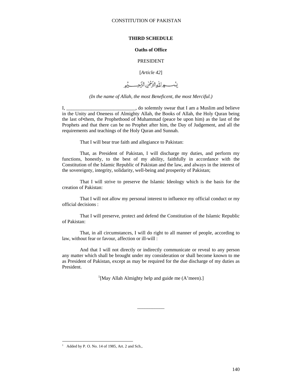## **THIRD SCHEDULE**

#### **Oaths of Office**

#### PRESIDENT

[*Article 42*]

# بنسسه اللوالتزخمن التنصب

#### *(In the name of Allah, the most Beneficent, the most Merciful.)*

I, \_\_\_\_\_\_\_\_\_\_\_\_\_\_\_\_\_\_\_\_\_\_\_\_\_\_, do solemnly swear that I am a Muslim and believe in the Unity and Oneness of Almighty Allah, the Books of Allah, the Holy Quran being the last of•them, the Prophethood of Muhammad (peace be upon him) as the last of the Prophets and that there can be no Prophet after him, the Day of Judgement, and all the requirements and teachings of the Holy Quran and Sunnah.

That I will bear true faith and allegiance to Pakistan:

That, as President of Pakistan, I will discharge my duties, and perform my functions, honestly, to the best of my ability, faithfully in accordance with the Constitution of the Islamic Republic of Pakistan and the law, and always in the interest of the sovereignty, integrity, solidarity, well-being and prosperity of Pakistan;

That I will strive to preserve the Islamic Ideology which is the basis for the creation of Pakistan:

That I will not allow my personal interest to influence my official conduct or my official decisions :

That I will preserve, protect and defend the Constitution of the Islamic Republic of Pakistan:

That, in all circumstances, I will do right to all manner of people, according to law, without fear or favour, affection or ill-will :

And that I will not directly or indirectly communicate or reveal to any person any matter which shall be brought under my consideration or shall become known to me as President of Pakistan, except as may be required for the due discharge of my duties as President.

 $<sup>1</sup>[$ May Allah Almighty help and guide me (A'meen).]</sup>

\_\_\_\_\_\_\_\_\_\_\_

<sup>1</sup> Added by P. O. No. 14 of 1985, Art. 2 and Sch.,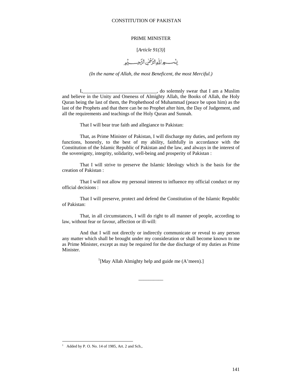## PRIME MINISTER

[*Article 91(3)*]

بنسسه اللهالتزخمن التنهيب

*(In the name of Allah, the most Beneficent, the most Merciful.)* 

I, 1. 2010 I. The solemnly swear that I am a Muslim and believe in the Unity and Oneness of Almighty Allah, the Books of Allah, the Holy Quran being the last of them, the Prophethood of Muhammad (peace be upon him) as the last of the Prophets and that there can be no Prophet after him, the Day of Judgement, and all the requirements and teachings of the Holy Quran and Sunnah.

That I will bear true faith and allegiance to Pakistan:

That, as Prime Minister of Pakistan, I will discharge my duties, and perform my functions, honestly, to the best of my ability, faithfully in accordance with the Constitution of the Islamic Republic of Pakistan and the law, and always in the interest of the sovereignty, integrity, solidarity, well-being and prosperity of Pakistan :

That I will strive to preserve the Islamic Ideology which is the basis for the creation of Pakistan :

That I will not allow my personal interest to influence my official conduct or my official decisions :

That I will preserve, protect and defend the Constitution of the Islamic Republic of Pakistan:

That, in all circumstances, I will do right to all manner of people, according to law, without fear or favour, affection or ill-will:

And that I will not directly or indirectly communicate or reveal to any person any matter which shall be brought under my consideration or shall become known to me as Prime Minister, except as may be required for the due discharge of my duties as Prime Minister.

 $<sup>1</sup>[$ May Allah Almighty help and guide me (A'meen).]</sup>

\_\_\_\_\_\_\_\_\_\_

<sup>1</sup> Added by P. O. No. 14 of 1985, Art. 2 and Sch.,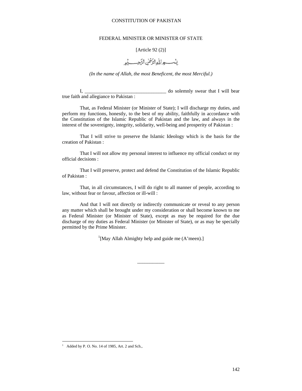## FEDERAL MINISTER OR MINISTER OF STATE

[Article 92 (2)]

بنسبه اللهالتزخمن التنصيب

*(In the name of Allah, the most Beneficent, the most Merciful.)* 

I, do solemnly swear that I will bear true faith and allegiance to Pakistan :

That, as Federal Minister (or Minister of State); I will discharge my duties, and perform my functions, honestly, to the best of my ability, faithfully in accordance with the Constitution of the Islamic Republic of Pakistan and the law, and always in the interest of the sovereignty, integrity, solidarity, well-being and prosperity of Pakistan :

That I will strive to preserve the Islamic Ideology which is the basis for the creation of Pakistan :

That I will not allow my personal interest to influence my official conduct or my official decisions :

That I will preserve, protect and defend the Constitution of the Islamic Republic of Pakistan :

That, in all circumstances, I will do right to all manner of people, according to law, without fear or favour, affection or ill-will :

And that I will not directly or indirectly communicate or reveal to any person any matter which shall be brought under my consideration or shall become known to me as Federal Minister (or Minister of State), except as may be required for the due discharge of my duties as Federal Minister (or Minister of State), or as may be specially permitted by the Prime Minister.

<sup>1</sup>[May Allah Almighty help and guide me (A'meen).]

\_\_\_\_\_\_\_\_\_\_\_

<sup>1</sup> Added by P. O. No. 14 of 1985, Art. 2 and Sch.,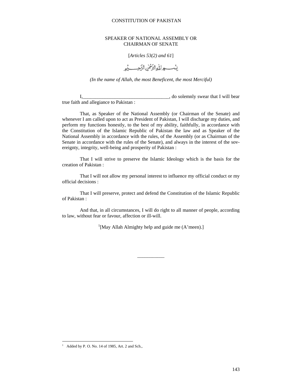## SPEAKER OF NATIONAL ASSEMBLY OR CHAIRMAN OF SENATE

#### [*Articles 53(2) and 61*]

بنسسه ابله التزخمن التنهب

*(In the name of Allah, the most Beneficent, the most Merciful)* 

I,\_\_\_\_\_\_\_\_\_\_\_\_\_\_\_\_\_\_\_\_\_\_\_\_\_\_\_\_\_\_\_\_\_\_\_, do solemnly swear that I will bear true faith and allegiance to Pakistan :

That, as Speaker of the National Assembly (or Chairman of the Senate) and whenever I am called upon to act as President of Pakistan, I will discharge my duties, and perform my functions honestly, to the best of my ability, faithfully, in accordance with the Constitution of the Islamic Republic of Pakistan the law and as Speaker of the National Assembly in accordance with the rules, of the Assembly (or as Chairman of the Senate in accordance with the rules of the Senate), and always in the interest of the sovereignty, integrity, well-being and prosperity of Pakistan :

That I will strive to preserve the Islamic Ideology which is the basis for the creation of Pakistan :

That I will not allow my personal interest to influence my official conduct or my official decisions :

That I will preserve, protect and defend the Constitution of the Islamic Republic of Pakistan :

And that, in all circumstances, I will do right to all manner of people, according to law, without fear or favour, affection or ill-will.

 $<sup>1</sup>[$ May Allah Almighty help and guide me (A'meen).]</sup>

\_\_\_\_\_\_\_\_\_\_\_

<sup>1</sup> Added by P. O. No. 14 of 1985, Art. 2 and Sch.,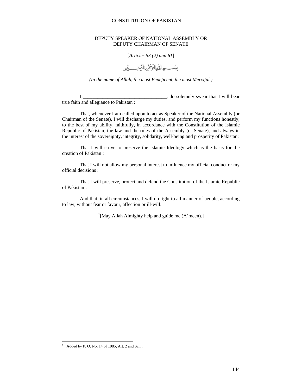## DEPUTY SPEAKER OF NATIONAL ASSEMBLY OR DEPUTY CHAIRMAN OF SENATE

[*Articles 53 (2) and 61*]

بيُهِ بِهِ اللهِ الرَّخْمٰنِ الرَّحِيبُ مُر

*(In the name of Allah, the most Beneficent, the most Merciful.)* 

I,\_\_\_\_\_\_\_\_\_\_\_\_\_\_\_\_\_\_\_\_\_\_\_\_\_\_\_\_\_\_\_\_\_\_, do solemnly swear that I will bear true faith and allegiance to Pakistan :

That, whenever I am called upon to act as Speaker of the National Assembly (or Chairman of the Senate), I will discharge my duties, and perform my functions honestly, to the best of my ability, faithfully, in accordance with the Constitution of the Islamic Republic of Pakistan, the law and the rules of the Assembly (or Senate), and always in the interest of the sovereignty, integrity, solidarity, well-being and prosperity of Pakistan:

That I will strive to preserve the Islamic Ideology which is the basis for the creation of Pakistan :

That I will not allow my personal interest to influence my official conduct or my official decisions :

That I will preserve, protect and defend the Constitution of the Islamic Republic of Pakistan :

And that, in all circumstances, I will do right to all manner of people, according to law, without fear or favour, affection or ill-will.

<sup>1</sup>[May Allah Almighty help and guide me (A'meen).]

\_\_\_\_\_\_\_\_\_\_\_

<sup>1</sup> Added by P. O. No. 14 of 1985, Art. 2 and Sch.,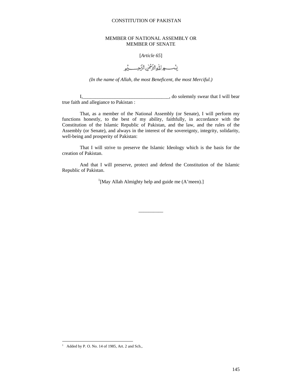## MEMBER OF NATIONAL ASSEMBLY OR MEMBER OF SENATE

#### [*Article 65*]

بيّنب حدامله التّزخمين التّبجب

*(In the name of Allah, the most Beneficent, the most Merciful.)* 

I,\_\_\_\_\_\_\_\_\_\_\_\_\_\_\_\_\_\_\_\_\_\_\_\_\_\_\_\_\_\_\_\_\_\_\_, do solemnly swear that I will bear true faith and allegiance to Pakistan :

That, as a member of the National Assembly (or Senate), I will perform my functions honestly, to the best of my ability, faithfully, in accordance with the Constitution of the Islamic Republic of Pakistan, and the law, and the rules of the Assembly (or Senate), and always in the interest of the sovereignty, integrity, solidarity, well-being and prosperity of Pakistan:

That I will strive to preserve the Islamic Ideology which is the basis for the creation of Pakistan.

And that I will preserve, protect and defend the Constitution of the Islamic Republic of Pakistan.

<sup>1</sup>[May Allah Almighty help and guide me (A'meen).]

\_\_\_\_\_\_\_\_\_\_

 1 Added by P. O. No. 14 of 1985, Art. 2 and Sch.,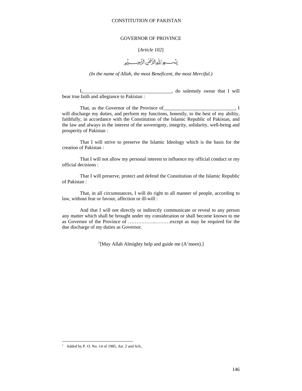## GOVERNOR OF PROVINCE

#### [*Article 102*]

# بسواللهالرخمن الزج

*(In the name of Allah, the most Beneficent, the most Merciful.)* 

I,\_\_\_\_\_\_\_\_\_\_\_\_\_\_\_\_\_\_\_\_\_\_\_\_\_\_\_\_\_\_\_\_\_\_\_\_, do solemnly swear that I will bear true faith and allegiance to Pakistan :

That, as the Governor of the Province of  $\blacksquare$ will discharge my duties, and perform my functions, honestly, to the best of my ability, faithfully, in accordance with the Constitution of the Islamic Republic of Pakistan, and the law and always in the interest of the sovereignty, integrity, solidarity, well-being and prosperity of Pakistan :

That I will strive to preserve the Islamic Ideology which is the basis for the creation of Pakistan :

That I will not allow my personal interest to influence my official conduct or my official decisions :

That I will preserve, protect and defend the Constitution of the Islamic Republic of Pakistan :

That, in all circumstances, I will do right to all manner of people, according to law, without fear or favour, affection or ill-will :

And that I will not directly or indirectly communicate or reveal to any person any matter which shall be brought under my consideration or shall become known to me as Governor of the Province of ……………..………except as may be required for the due discharge of my duties as Governor.

 $<sup>1</sup>[$ May Allah Almighty help and guide me (A'meen).]</sup>

<sup>1</sup> Added by P. O. No. 14 of 1985, Art. 2 and Sch.,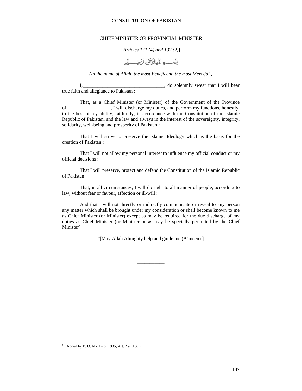## CHIEF MINISTER OR PROVINCIAL MINISTER

[*Articles 131 (4) and 132 (2)*]

بنسبهم اللوالتزخمن التنصيف

*(In the name of Allah, the most Beneficent, the most Merciful.)* 

I, 1. 2010 1.1 and 1 million of the solemnly swear that I will bear true faith and allegiance to Pakistan :

That, as a Chief Minister (or Minister) of the Government of the Province of The state of  $\mathbf{I}$ , I will discharge my duties, and perform my functions, honestly, to the best of my ability, faithfully, in accordance with the Constitution of the Islamic Republic of Pakistan, and the law and always in the interest of the sovereignty, integrity, solidarity, well-being and prosperity of Pakistan :

That I will strive to preserve the Islamic Ideology which is the basis for the creation of Pakistan :

That I will not allow my personal interest to influence my official conduct or my official decisions :

That I will preserve, protect and defend the Constitution of the Islamic Republic of Pakistan :

That, in all circumstances, I will do right to all manner of people, according to law, without fear or favour, affection or ill-will :

And that I will not directly or indirectly communicate or reveal to any person any matter which shall be brought under my consideration or shall become known to me as Chief Minister (or Minister) except as may be required for the due discharge of my duties as Chief Minister (or Minister or as may be specially permitted by the Chief Minister).

<sup>1</sup>[May Allah Almighty help and guide me (A'meen).]

\_\_\_\_\_\_\_\_\_\_\_

<sup>1</sup> Added by P. O. No. 14 of 1985, Art. 2 and Sch.,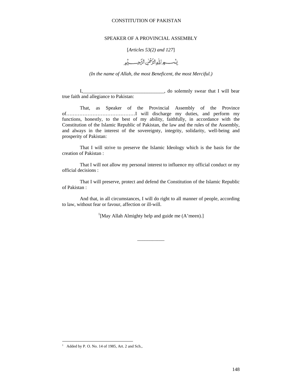## SPEAKER OF A PROVINCIAL ASSEMBLY

[*Articles 53(2) and 127*]

بنسبه اللوالرَّخْن الزَّحِسِيْهِ

*(In the name of Allah, the most Beneficent, the most Merciful.)* 

I, \_\_\_\_\_\_\_\_\_\_\_\_\_\_\_\_\_\_\_\_\_\_\_\_\_\_\_\_\_\_\_\_\_\_, do solemnly swear that I will bear true faith and allegiance to Pakistan:

That, as Speaker of the Provincial Assembly of the Province of……………………………………I will discharge my duties, and perform my functions, honestly, to the best of my ability, faithfully, in accordance with the Constitution of the Islamic Republic of Pakistan, the law and the rules of the Assembly, and always in the interest of the sovereignty, integrity, solidarity, well-being and prosperity of Pakistan:

That I will strive to preserve the Islamic Ideology which is the basis for the creation of Pakistan :

That I will not allow my personal interest to influence my official conduct or my official decisions :

That I will preserve, protect and defend the Constitution of the Islamic Republic of Pakistan :

And that, in all circumstances, I will do right to all manner of people, according to law, without fear or favour, affection or ill-will.

<sup>1</sup>[May Allah Almighty help and guide me (A'meen).]

\_\_\_\_\_\_\_\_\_\_\_

<sup>1</sup> Added by P. O. No. 14 of 1985, Art. 2 and Sch.,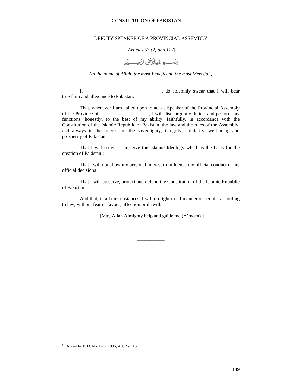## DEPUTY SPEAKER OF A PROVINCIAL ASSEMBLY

[*Articles 53 (2) and 127*]

بنسبه اللوالرَّخْن الزَّحِسِيْهِ

*(In the name of Allah, the most Beneficent, the most Merciful.)* 

I, 1. 2010 1. The solemnly swear that I will bear true faith and allegiance to Pakistan:

That, whenever I am called upon to act as Speaker of the Provincial Assembly of the Province of……………………….…, I will discharge my duties, and perform my functions, honestly, to the best of my ability, faithfully, in accordance with the Constitution of the Islamic Republic of Pakistan, the law and the rules of the Assembly, and always in the interest of the sovereignty, integrity, solidarity, well-being and prosperity of Pakistan:

That I will strive to preserve the Islamic Ideology which is the basis for the creation of Pakistan :

That I will not allow my personal interest to influence my official conduct or my official decisions :

That I will preserve, protect and defend the Constitution of the Islamic Republic of Pakistan :

And that, in all circumstances, I will do right to all manner of people, according to law, without fear or favour, affection or ill-will.

<sup>1</sup>[May Allah Almighty help and guide me (A'meen).]

\_\_\_\_\_\_\_\_\_\_\_

<sup>1</sup> Added by P. O. No. 14 of 1985, Art. 2 and Sch.,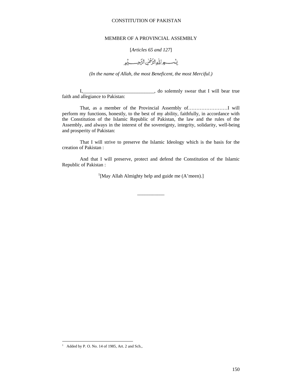## MEMBER OF A PROVINCIAL ASSEMBLY

[*Articles 65 and 127*]

بنسبه اللوالرَّخْنِ الزَّحِسِيْمِ

*(In the name of Allah, the most Beneficent, the most Merciful.)* 

I,\_\_\_\_\_\_\_\_\_\_\_\_\_\_\_\_\_\_\_\_\_\_\_\_\_\_\_\_\_\_, do solemnly swear that I will bear true faith and allegiance to Pakistan:

That, as a member of the Provincial Assembly of……………………I will perform my functions, honestly, to the best of my ability, faithfully, in accordance with the Constitution of the Islamic Republic of Pakistan, the law and the rules of the Assembly, and always in the interest of the sovereignty, integrity, solidarity, well-being and prosperity of Pakistan:

That I will strive to preserve the Islamic Ideology which is the basis for the creation of Pakistan :

And that I will preserve, protect and defend the Constitution of the Islamic Republic of Pakistan :

 $<sup>1</sup>[$ May Allah Almighty help and guide me (A'meen).]</sup>

\_\_\_\_\_\_\_\_\_\_\_

 $\frac{1}{1}$ Added by P. O. No. 14 of 1985, Art. 2 and Sch.,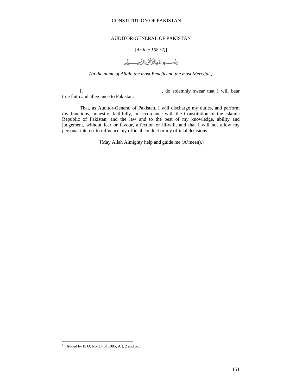## AUDITOR-GENERAL OF PAKISTAN

[*Article 168 (2)*]

بِنْهِ \_ حِرامَلُهِ التَرْخُمُنِ التَّحِيبُ فِي

*(In the name of Allah, the most Beneficent, the most Merciful.)* 

I,\_\_\_\_\_\_\_\_\_\_\_\_\_\_\_\_\_\_\_\_\_\_\_\_\_\_\_\_\_\_\_\_, do solemnly swear that I will bear true faith and allegiance to Pakistan:

That, as Auditor-General of Pakistan, I will discharge my duties, and perform my functions, honestly, faithfully, in accordance with the Constitution of the Islamic Republic of Pakistan, and the law and to the best of my knowledge, ability and judgement, without fear or favour, affection or ill-will, and that I will not allow my personal interest to influence my official conduct or my official decisions.

<sup>1</sup>[May Allah Almighty help and guide me (A'meen).]

\_\_\_\_\_\_\_\_\_\_\_\_

 1 Added by P. O. No. 14 of 1985, Art. 2 and Sch.,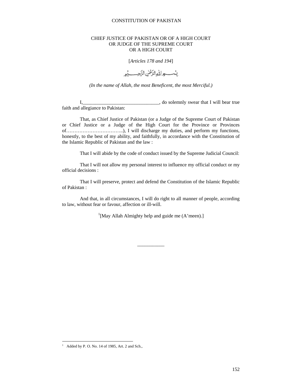## CHIEF JUSTICE OF PAKISTAN OR OF A HIGH COURT OR JUDGE OF THE SUPREME COURT OR A HIGH COURT

[*Articles 178 and 194*]

بنسبه اللهالتزخمن التنصيل

*(In the name of Allah, the most Beneficent, the most Merciful.)* 

I, \_\_\_\_\_\_\_\_\_\_\_\_\_\_\_\_\_\_\_\_\_\_\_\_\_\_\_\_\_\_\_\_\_, do solemnly swear that I will bear true faith and allegiance to Pakistan:

That, as Chief Justice of Pakistan (or a Judge of the Supreme Court of Pakistan or Chief Justice or a Judge of the High Court for the Province or Provinces of……………………………..), I will discharge my duties, and perform my functions, honestly, to the best of my ability, and faithfully, in accordance with the Constitution of the Islamic Republic of Pakistan and the law :

That I will abide by the code of conduct issued by the Supreme Judicial Council:

That I will not allow my personal interest to influence my official conduct or my official decisions :

That I will preserve, protect and defend the Constitution of the Islamic Republic of Pakistan :

And that, in all circumstances, I will do right to all manner of people, according to law, without fear or favour, affection or ill-will.

<sup>1</sup>[May Allah Almighty help and guide me (A'meen).]

\_\_\_\_\_\_\_\_\_\_\_

<sup>1</sup> Added by P. O. No. 14 of 1985, Art. 2 and Sch.,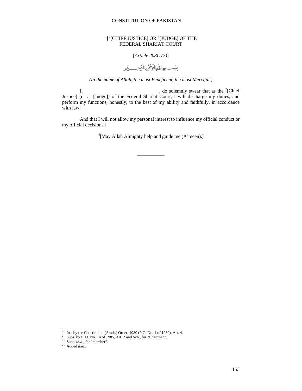## $1$ <sup>1</sup>[<sup>2</sup>[CHIEF JUSTICE] OR <sup>3</sup>[JUDGE] OF THE FEDERAL SHARIAT COURT

[*Article 203C (7)*]

بنسبهاللوالرخمن الزحسنير

*(In the name of Allah, the most Beneficent, the most Merciful.)* 

I,  $\frac{1}{2}$  and  $\frac{1}{2}$  and  $\frac{1}{2}$  and  $\frac{1}{2}$  and  $\frac{1}{2}$  are  $\frac{1}{2}$  chief Justice] (or a <sup>3</sup>[Judge]) of the Federal Shariat Court, I will discharge my duties, and perform my functions, honestly, to the best of my ability and faithfully, in accordance with law;

And that I will not allow my personal interest to influence my official conduct or my official decisions.]

<sup>4</sup>[May Allah Almighty help and guide me (A'meen).]

\_\_\_\_\_\_\_\_\_\_\_

<sup>1</sup> Ins. by the Constitution (Amdt.) Order, 1980 (P.O. No. 1 of 1980), Art. 4.

<sup>2</sup> Subs. by P. O. No. 14 of 1985, Art. 2 and Sch., for "Chairman".

<sup>3</sup> Subs. *ibid.*, for "member".

Added *ibid*.,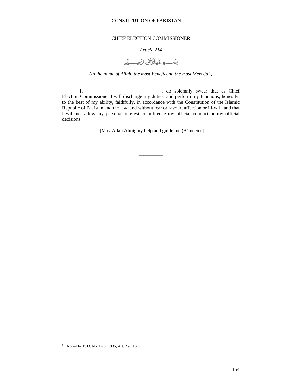## CHIEF ELECTION COMMISSIONER

[*Article 214*]

# بِنْهِ \_ حِرامَلُهِ التَرْخُمُنِ التَّحِيبُ فِي

*(In the name of Allah, the most Beneficent, the most Merciful.)* 

I, 1. 2010 1.1 and the solemnly swear that as Chief Election Commissioner I will discharge my duties, and perform my functions, honestly, to the best of my ability, faithfully, in accordance with the Constitution of the Islamic Republic of Pakistan and the law, and without fear or favour, affection or ill-will, and that I will not allow my personal interest to influence my official conduct or my official decisions.

<sup>1</sup>[May Allah Almighty help and guide me (A'meen).]

\_\_\_\_\_\_\_\_\_\_

 1 Added by P. O. No. 14 of 1985, Art. 2 and Sch.,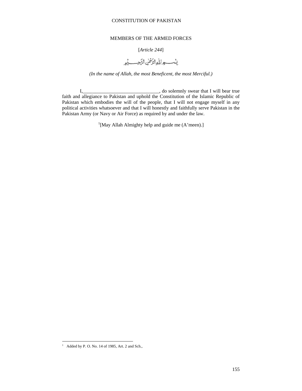## MEMBERS OF THE ARMED FORCES

[*Article 244*]

بِنْهِ \_ حِمامَلُهِ التَرْخُمُنِ التَّحِيبِ فِي

*(In the name of Allah, the most Beneficent, the most Merciful.)* 

I, 1. 2012 The solemnly swear that I will bear true faith and allegiance to Pakistan and uphold the Constitution of the Islamic Republic of Pakistan which embodies the will of the people, that I will not engage myself in any political activities whatsoever and that I will honestly and faithfully serve Pakistan in the Pakistan Army (or Navy or Air Force) as required by and under the law.

<sup>1</sup>[May Allah Almighty help and guide me (A'meen).]

 1 Added by P. O. No. 14 of 1985, Art. 2 and Sch.,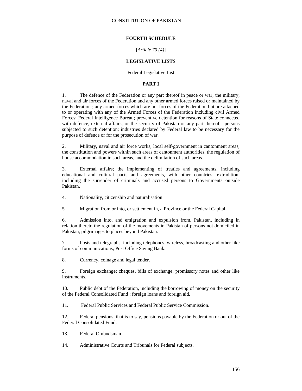## **FOURTH SCHEDULE**

#### [*Article 70 (4)*]

#### **LEGISLATIVE LISTS**

Federal Legislative List

## **PART I**

1. The defence of the Federation or any part thereof in peace or war; the military, naval and air forces of the Federation and any other armed forces raised or maintained by the Federation ; any armed forces which are not forces of the Federation but are attached to or operating with any of the Armed Forces of the Federation including civil Armed Forces; Federal Intelligence Bureau; preventive detention for reasons of State connected with defence, external affairs, or the security of Pakistan or any part thereof ; persons subjected to such detention; industries declared by Federal law to be necessary for the purpose of defence or for the prosecution of war.

2. Military, naval and air force works; local self-government in cantonment areas, the constitution and powers within such areas of cantonment authorities, the regulation of house accommodation in such areas, and the delimitation of such areas.

3. External affairs; the implementing of treaties and agreements, including educational and cultural pacts and agreements, with other countries; extradition, including the surrender of criminals and accused persons to Governments outside Pakistan.

4. Nationality, citizenship and naturalisation.

5. Migration from or into, or settlement in, a Province or the Federal Capital.

6. Admission into, and emigration and expulsion from, Pakistan, including in relation thereto the regulation of the movements in Pakistan of persons not domiciled in Pakistan, pilgrimages to places beyond Pakistan.

7. Posts and telegraphs, including telephones, wireless, broadcasting and other like forms of communications; Post Office Saving Bank.

8. Currency, coinage and legal tender.

9. Foreign exchange; cheques, bills of exchange, promissory notes and other like instruments.

10. Public debt of the Federation, including the borrowing of money on the security of the Federal Consolidated Fund ; foreign loans and foreign aid.

11. Federal Public Services and Federal Public Service Commission.

12. Federal pensions, that is to say, pensions payable by the Federation or out of the Federal Consolidated Fund.

13. Federal Ombudsman.

14. Administrative Courts and Tribunals for Federal subjects.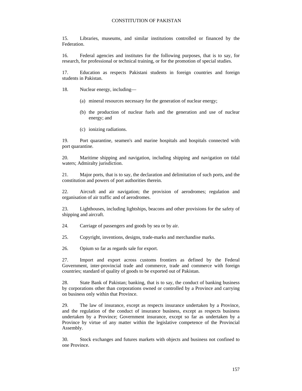15. Libraries, museums, and similar institutions controlled or financed by the Federation.

16. Federal agencies and institutes for the following purposes, that is to say, for research, for professional or technical training, or for the promotion of special studies.

17. Education as respects Pakistani students in foreign countries and foreign students in Pakistan.

- 18. Nuclear energy, including—
	- (a) mineral resources necessary for the generation of nuclear energy;
	- (b) the production of nuclear fuels and the generation and use of nuclear energy; and
	- (c) ionizing radiations.

19. Port quarantine, seamen's and marine hospitals and hospitals connected with port quarantine.

20. Maritime shipping and navigation, including shipping and navigation on tidal waters; Admiralty jurisdiction.

21. Major ports, that is to say, the declaration and delimitation of such ports, and the constitution and powers of port authorities therein.

22. Aircraft and air navigation; the provision of aerodromes; regulation and organisation of air traffic and of aerodromes.

23. Lighthouses, including lightships, beacons and other provisions for the safety of shipping and aircraft.

24. Carriage of passengers and goods by sea or by air.

25. Copyright, inventions, designs, trade-marks and merchandise marks.

26. Opium so far as regards sale for export.

27. Import and export across customs frontiers as defined by the Federal Government, inter-provincial trade and commerce, trade and commerce with foreign countries; standard of quality of goods to be exported out of Pakistan.

28. State Bank of Pakistan; banking, that is to say, the conduct of banking business by corporations other than corporations owned or controlled by a Province and carrying on business only within that Province.

29. The law of insurance, except as respects insurance undertaken by a Province, and the regulation of the conduct of insurance business, except as respects business undertaken by a Province; Government insurance, except so far as undertaken by a Province by virtue of any matter within the legislative competence of the Provincial Assembly.

30. Stock exchanges and futures markets with objects and business not confined to one Province.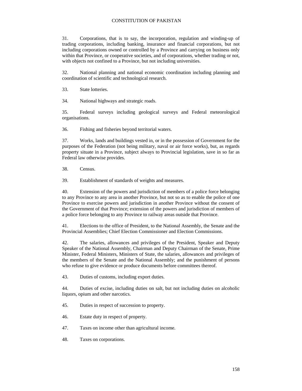31. Corporations, that is to say, the incorporation, regulation and winding-up of trading corporations, including banking, insurance and financial corporations, but not including corporations owned or controlled by a Province and carrying on business only within that Province, or cooperative societies, and of corporations, whether trading or not, with objects not confined to a Province, but not including universities.

32. National planning and national economic coordination including planning and coordination of scientific and technological research.

33. State lotteries.

34. National highways and strategic roads.

35. Federal surveys including geological surveys and Federal meteorological organisations.

36. Fishing and fisheries beyond territorial waters.

37. Works, lands and buildings vested in, or in the possession of Government for the purposes of the Federation (not being military, naval or air force works), but, as regards property situate in a Province, subject always to Provincial legislation, save in so far as Federal law otherwise provides.

38. Census.

39. Establishment of standards of weights and measures.

40. Extension of the powers and jurisdiction of members of a police force belonging to any Province to any area in another Province, but not so as to enable the police of one Province to exercise powers and jurisdiction in another Province without the consent of the Government of that Province; extension of the powers and jurisdiction of members of a police force belonging to any Province to railway areas outside that Province.

41. Elections to the office of President, to the National Assembly, the Senate and the Provincial Assemblies; Chief Election Commissioner and Election Commissions.

42. The salaries, allowances and privileges of the President, Speaker and Deputy Speaker of the National Assembly, Chairman and Deputy Chairman of the Senate, Prime Minister, Federal Ministers, Ministers of State, the salaries, allowances and privileges of the members of the Senate and the National Assembly; and the punishment of persons who refuse to give evidence or produce documents before committees thereof.

43. Duties of customs, including export duties.

44. Duties of excise, including duties on salt, but not including duties on alcoholic liquors, opium and other narcotics.

45. Duties in respect of succession to property.

46. Estate duty in respect of property.

47. Taxes on income other than agricultural income.

48. Taxes on corporations.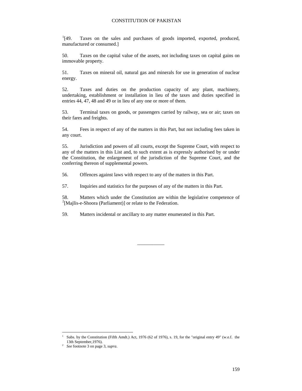$^{1}$ [49. Taxes on the sales and purchases of goods imported, exported, produced, manufactured or consumed.]

50. Taxes on the capital value of the assets, not including taxes on capital gains on immovable property.

51. Taxes on mineral oil, natural gas and minerals for use in generation of nuclear energy.

52. Taxes and duties on the production capacity of any plant, machinery, undertaking, establishment or installation in lieu of the taxes and duties specified in entries 44, 47, 48 and 49 or in lieu of any one or more of them.

53. Terminal taxes on goods, or passengers carried by railway, sea or air; taxes on their fares and freights.

54. Fees in respect of any of the matters in this Part, but not including fees taken in any court.

55. Jurisdiction and powers of all courts, except the Supreme Court, with respect to any of the matters in this List and, to such extent as is expressly authorised by or under the Constitution, the enlargement of the jurisdiction of the Supreme Court, and the conferring thereon of supplemental powers.

56. Offences against laws with respect to any of the matters in this Part.

57. Inquiries and statistics for the purposes of any of the matters in this Part.

58. Matters which under the Constitution are within the legislative competence of <sup>2</sup>[Majlis-e-Shoora (Parliament)] or relate to the Federation.

\_\_\_\_\_\_\_\_\_\_\_

59. Matters incidental or ancillary to any matter enumerated in this Part.

<sup>1</sup> Subs. by the Constitution (Fifth Amdt.) Act, 1976 (62 of 1976), s. 19, for the "original entry 49" (w.e.f. the 13th September,1976). 2

*See* footnote 3 on page 3, *supra*.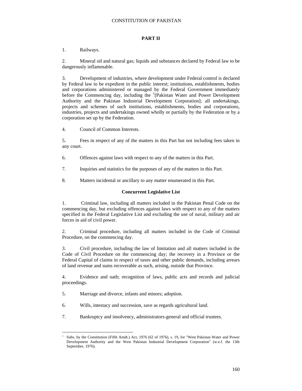## **PART II**

1. Railways.

2. Mineral oil and natural gas; liquids and substances declared by Federal law to be dangerously inflammable.

3. Development of industries, where development under Federal control is declared by Federal law to be expedient in the public interest; institutions, establishments, bodies and corporations administered or managed by the Federal Government immediately before the Commencing day, including the <sup>1</sup>[Pakistan Water and Power Development Authority and the Pakistan Industrial Development Corporation]; all undertakings, projects and schemes of such institutions, establishments, bodies and corporations, industries, projects and undertakings owned wholly or partially by the Federation or by a corporation set up by the Federation.

4. Council of Common Interests.

5. Fees in respect of any of the matters in this Part but not including fees taken in any court.

6. Offences against laws with respect to any of the matters in this Part.

7. Inquiries and statistics for the purposes of any of the matters in this Part.

8. Matters incidental or ancillary to any matter enumerated in this Part.

## **Concurrent Legislative List**

1. Criminal law, including all matters included in the Pakistan Penal Code on the commencing day, but excluding offences against laws with respect to any of the matters specified in the Federal Legislative List and excluding the use of naval, military and air forces in aid of civil power.

2. Criminal procedure, including all matters included in the Code of Criminal Procedure, on the commencing day.

3. Civil procedure, including the law of limitation and all matters included in the Code of Civil Procedure on the commencing day; the recovery in a Province or the Federal Capital of claims in respect of taxes and other public demands, including arrears of land revenue and sums recoverable as such, arising, outside that Province.

4. Evidence and oath; recognition of laws, public acts and records and judicial proceedings.

5. Marriage and divorce, infants and minors; adoption.

6. Wills, intestacy and succession, save as regards agricultural land.

7. Bankruptcy and insolvency, administrators-general and official trustees.

 $\overline{a}$ 1 Subs. by the Constitution (Fifth Amdt.) Act, 1976 (62 of 1976), s. 19, for "West Pakistan Water and Power Development Authority and the West Pakistan Industrial Development Corporation" (w.e.f. the 13th September, 1976).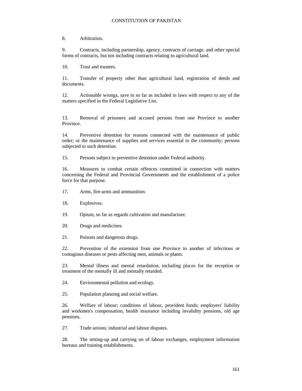#### 8. Arbitration.

9. Contracts, including partnership, agency, contracts of carriage, and other special forms of contracts, but not including contracts relating to agricultural land.

10. Trust and trustees.

11. Transfer of property other than agricultural land, registration of deeds and documents.

12. Actionable wrongs, save in so far as included in laws with respect to any of the matters specified in the Federal Legislative List.

13. Removal of prisoners and accused persons from one Province to another Province.

14. Preventive detention for reasons connected with the maintenance of public order; or the maintenance of supplies and services essential to the community; persons subjected to such detention.

15. Persons subject to preventive detention under Federal authority.

16. Measures to combat certain offences committed in connection with matters concerning the Federal and Provincial Governments and the establishment of a police force for that purpose.

17. Arms, fire-arms and ammunition.

- 18. Explosives.
- 19. Opium, so far as regards cultivation and manufacture.

20. Drugs and medicines.

21. Poisons and dangerous drugs.

22. Prevention of the extension from one Province to another of infectious or contagious diseases or pests affecting men, animals or plants.

23. Mental illness and mental retardation, including places for the reception or treatment of the mentally ill and mentally retarded.

24. Environmental pollution and ecology.

25. Population planning and social welfare.

26. Welfare of labour; conditions of labour, provident funds; employers' liability and workmen's compensation, health insurance including invalidity pensions, old age pensions.

27. Trade unions; industrial and labour disputes.

28. The setting-up and carrying on of labour exchanges, employment information bureaus and training establishments.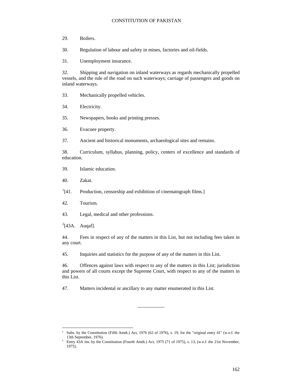29. Boilers.

30. Regulation of labour and safety in mines, factories and oil-fields.

31. Unemployment insurance.

32. Shipping and navigation on inland waterways as regards mechanically propelled vessels, and the rule of the road on such waterways; carriage of passengers and goods on inland waterways.

33. Mechanically propelled vehicles.

34. Electricity.

35. Newspapers, books and printing presses.

36. Evacuee property.

37. Ancient and historical monuments, archaeological sites and remains.

38. Curriculum, syllabus, planning, policy, centers of excellence and standards of education.

39. Islamic education.

40. Zakat.

 $^{1}[41]$ . Production, censorship and exhibition of cinematograph films.

42. Tourism.

43. Legal, medical and other professions.

 $2$ [43A. Auqaf].

 $\overline{a}$ 

44. Fees in respect of any of the matters in this List, but not including fees taken in any court.

45. Inquiries and statistics for the purpose of any of the matters in this List.

46. Offences against laws with respect to any of the matters in this List; jurisdiction and powers of all courts except the Supreme Court, with respect to any of the matters in this List.

47. Matters incidental or ancillary to any matter enumerated in this List.

\_\_\_\_\_\_\_\_\_\_\_

<sup>1</sup> Subs. by the Constitution (Fifth Amdt.) Act, 1976 (62 of 1976), s. 19, for the "original entry 41" (w.e.f. the 13th September, 1976). 2

Entry 43A ins. by the Constitution (Fourth Amdt.) Act, 1975 (71 of 1975), s. 13, (w.e.f. the 21st November, 1975).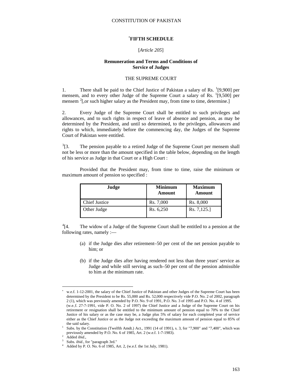## ∗ **FIFTH SCHEDULE**

#### [*Article 205*]

#### **Remuneration and Terms and Conditions of Service of Judges**

## THE SUPREME COURT

1. There shall be paid to the Chief Justice of Pakistan a salary of Rs. <sup>1</sup>[9,900] per mensem, and to every other Judge of the Supreme Court a salary of Rs. <sup>1</sup>[9,500] per mensem <sup>2</sup>[,or such higher salary as the President may, from time to time, determine.]

2. Every Judge of the Supreme Court shall be entitled to such privileges and allowances, and to such rights in respect of leave of absence and pension, as may be determined by the President, and until so determined, to the privileges, allowances and rights to which, immediately before the commencing day, the Judges of the Supreme Court of Pakistan were entitled.

 $^{3}$ [3. The pension payable to a retired Judge of the Supreme Court per mensem shall not be less or more than the amount specified in the table below, depending on the length of his service as Judge in that Court or a High Court :

 Provided that the President may, from time to time, raise the minimum or maximum amount of pension so specified :

| Judge                | <b>Minimum</b><br>Amount | <b>Maximum</b><br>Amount |
|----------------------|--------------------------|--------------------------|
| <b>Chief Justice</b> | Rs. 7,000                | Rs. 8,000                |
| Other Judge          | Rs. 6,250                | Rs. 7,125.1              |

 $^{4}$ [4. [4. The widow of a Judge of the Supreme Court shall be entitled to a pension at the following rates, namely :—

- (a) if the Judge dies after retirement–50 per cent of the net pension payable to him; or
- (b) if the Judge dies after having rendered not less than three years' service as Judge and while still serving as such–50 per cent of the pension admissible to him at the minimum rate.

<sup>∗</sup> w.e.f. 1-12-2001, the salary of the Chief Justice of Pakistan and other Judges of the Supreme Court has been determined by the President to be Rs. 55,000 and Rs. 52,000 respectively vide P.O. No. 2 of 2002, paragraph 2 (1), which was previously amended by P.O. No. 9 of 1991, P.O. No. 3 of 1995 and P.O. No. 4 of 1995. (w.e.,f. 27-7-1991, vide P. O. No. 2 of 1997) the Chief Justice and a Judge of the Supreme Court on his retirement or resignation shall be entitled to the minimum amount of pension equal to 70% to the Chief Justice of his salary or as the case may be, a Judge plus 5% of salary for each completed year of service either as the Chief Justice or as the Judge not exceeding the maximum amount of pension equal to 85% of the said salary.

Subs. by the Constitution (Twelfth Amdt.) Act., 1991 (14 of 1991), s. 3, for "7,900" and "7,400", which was previously amended by P.O. No. 6 of 1985, Art. 2 (w.e.f. 1-7-1983). 2

Added *ibid.*,

Subs. *ibid.*, for "paragraph 3rd."

 $4$  Added by P. O. No. 6 of 1985, Art. 2, (w.e.f. the 1st July, 1981).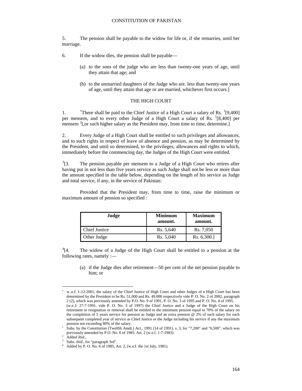5. The pension shall be payable to the widow for life or, if she remarries, until her marriage.

- 6. If the widow dies, the pension shall be payable—
	- (a) to the sons of the judge who are less than twenty-one years of age, until they attain that age; and
	- (b) to the unmarried daughters of the Judge who are. less than twenty-one years of age, until they attain that age or are married, whichever first occurs.]

## THE HIGH COURT

1. <sup>∗</sup> There shall be paid to the Chief Justice of a High Court a salary of Rs.  $\frac{1}{9}$ ,400] per mensem, and to every other Judge of a High Court a salary of Rs. <sup>1</sup>[8,400] per mensem  $2$ [,or such higher salary as the President may, from time to time, determine.]

2. Every Judge of a High Court shall be entitled to such privileges and allowances, and to such rights in respect of leave of absence and pension, as may be determined by the President, and until so determined, to the privileges, allowances and rights to which, immediately before the commencing day, the Judges of the High Court were entitled.

 $^{3}$ [3. [3. The pension payable per mensem to a Judge of a High Court who retires after having put in not less than five years service as such Judge shall not be less or more than the amount specified in the table below, depending on the length of his service as Judge and total service, if any, in the service of Pakistan:

 Provided that the President may, from time to time, raise the minimum or maximum amount of pension so specified :

| Judge                | <b>Minimum</b><br>amount. | <b>Maximum</b><br>amount. |
|----------------------|---------------------------|---------------------------|
| <b>Chief Justice</b> | Rs. 5,640                 | Rs. 7,050                 |
| Other Judge          | Rs. 5,040                 | Rs. 6,300.1               |

 $^{4}$ [4. The widow of a Judge of the High Court shall be entitled to a pension at the following rates, namely :—

(a) if the Judge dies after retirement—50 per cent of the net pension payable to him; or

<sup>∗</sup> w..e.f. 1-12-2001, the salary of the Chief Justice of High Court and other Judges of a High Court has been determined by the President to be Rs. 51,000 and Rs. 49.000 respectively vide P. O. No. 2 of 2002, paragraph 2 (2), which was previously amended by P.O. No. 9 of 1991, P. O. No. 3 of 1995 and P. O. No. 4 of 1995. (w.e.,f: 27-7-1991, vide P. O. No. 3 of 1997) the Chief Justice and a Judge of the High Court on his retirement or resignation or removal shall be entitled to the minimum pension equal to 70% of the salary on the completion of 5 years service for pension as Judge and an extra pension  $\mathcal{Q}^2$ % of such salary for each subsequent completed year of service as Chief Justice or the Judge including his service if any the maximum pension not exceeding 80% of the salary.

Subs. by the Constitution (Twelfth Amdt.) Act., 1991 (14 of 1991). s. 3, for "7,200" and "6,500". which was previously amended by P.O. No. 6 of 1985. Art. 2 (w.e.f. 1-7-1983).

Added *ibid.*,

Subs. *ibid.*, for "paragraph 3rd".

Added by P. O. No. 6 of 1985, Art. 2, (w.e.f. the 1st July, 1981).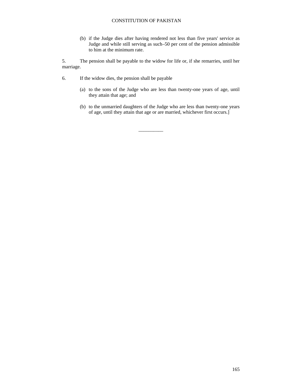(b) if the Judge dies after having rendered not less than five years' service as Judge and while still serving as such–50 per cent of the pension admissible to him at the minimum rate.

5. The pension shall be payable to the widow for life or, if she remarries, until her marriage.

- 6. If the widow dies, the pension shall be payable
	- (a) to the sons of the Judge who are less than twenty-one years of age, until they attain that age; and
	- (b) to the unmarried daughters of the Judge who are less than twenty-one years of age, until they attain that age or are married, whichever first occurs.]

\_\_\_\_\_\_\_\_\_\_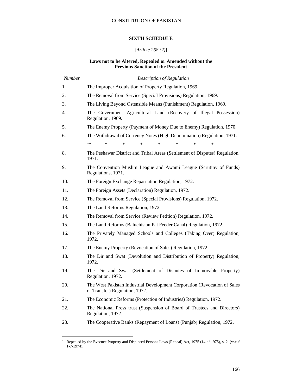## **SIXTH SCHEDULE**

## [*Article 268 (2)*]

#### **Laws not to be Altered, Repealed or Amended without the Previous Sanction of the President**

| <b>Number</b> | Description of Regulation                                                                                   |
|---------------|-------------------------------------------------------------------------------------------------------------|
| 1.            | The Improper Acquisition of Property Regulation, 1969.                                                      |
| 2.            | The Removal from Service (Special Provisions) Regulation, 1969.                                             |
| 3.            | The Living Beyond Ostensible Means (Punishment) Regulation, 1969.                                           |
| 4.            | The Government Agricultural Land (Recovery of Illegal Possession)<br>Regulation, 1969.                      |
| 5.            | The Enemy Property (Payment of Money Due to Enemy) Regulation, 1970.                                        |
| 6.            | The Withdrawal of Currency Notes (High Denomination) Regulation, 1971.                                      |
|               | ۽ 1<br>$\ast$<br>$\ast$<br>$\ast$<br>*<br>$\ast$<br>*<br>*                                                  |
| 8.            | The Peshawar District and Tribal Areas (Settlement of Disputes) Regulation,<br>1971.                        |
| 9.            | The Convention Muslim League and Awami League (Scrutiny of Funds)<br>Regulations, 1971.                     |
| 10.           | The Foreign Exchange Repatriation Regulation, 1972.                                                         |
| 11.           | The Foreign Assets (Declaration) Regulation, 1972.                                                          |
| 12.           | The Removal from Service (Special Provisions) Regulation, 1972.                                             |
| 13.           | The Land Reforms Regulation, 1972.                                                                          |
| 14.           | The Removal from Service (Review Petition) Regulation, 1972.                                                |
| 15.           | The Land Reforms (Baluchistan Pat Feeder Canal) Regulation, 1972.                                           |
| 16.           | The Privately Managed Schools and Colleges (Taking Over) Regulation,<br>1972.                               |
| 17.           | The Enemy Property (Revocation of Sales) Regulation, 1972.                                                  |
| 18.           | The Dir and Swat (Devolution and Distribution of Property) Regulation,<br>1972.                             |
| 19.           | The Dir and Swat (Settlement of Disputes of Immovable Property)<br>Regulation, 1972.                        |
| 20.           | The West Pakistan Industrial Development Corporation (Revocation of Sales<br>or Transfer) Regulation, 1972. |
| 21.           | The Economic Reforms (Protection of Industries) Regulation, 1972.                                           |
| 22.           | The National Press trust (Suspension of Board of Trustees and Directors)<br>Regulation, 1972.               |
| 23.           | The Cooperative Banks (Repayment of Loans) (Punjab) Regulation, 1972.                                       |

<sup>&</sup>lt;sup>1</sup> Repealed by the Evacuee Property and Displaced Persons Laws (Repeal) Act, 1975 (14 of 1975), s. 2, (w.e., f 1-7-1974).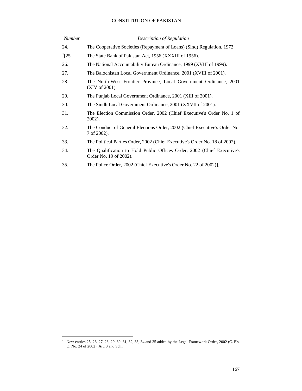| <b>Number</b> | Description of Regulation                                                                         |
|---------------|---------------------------------------------------------------------------------------------------|
| 24.           | The Cooperative Societies (Repayment of Loans) (Sind) Regulation, 1972.                           |
| $^{1}$ [25.   | The State Bank of Pakistan Act, 1956 (XXXIII of 1956).                                            |
| 26.           | The National Accountability Bureau Ordinance, 1999 (XVIII of 1999).                               |
| 27.           | The Balochistan Local Government Ordinance, 2001 (XVIII of 2001).                                 |
| 28.           | The North-West Frontier Province, Local Government Ordinance, 2001<br>$(XIV of 2001)$ .           |
| 29.           | The Punjab Local Government Ordinance, 2001 (XIII of 2001).                                       |
| 30.           | The Sindh Local Government Ordinance, 2001 (XXVII of 2001).                                       |
| 31.           | The Election Commission Order, 2002 (Chief Executive's Order No. 1 of<br>2002).                   |
| 32.           | The Conduct of General Elections Order, 2002 (Chief Executive's Order No.<br>7 of 2002).          |
| 33.           | The Political Parties Order, 2002 (Chief Executive's Order No. 18 of 2002).                       |
| 34.           | The Qualification to Hold Public Offices Order, 2002 (Chief Executive's<br>Order No. 19 of 2002). |
| 35.           | The Police Order, 2002 (Chief Executive's Order No. 22 of 2002)].                                 |

 $\overline{\phantom{a}}$ 

<sup>&</sup>lt;sup>1</sup> New entries 25, 26. 27, 28, 29. 30. 31, 32, 33, 34 and 35 added by the Legal Framework Order, 2002 (C. E's. O. No. 24 of 2002), Art. 3 and Sch.,